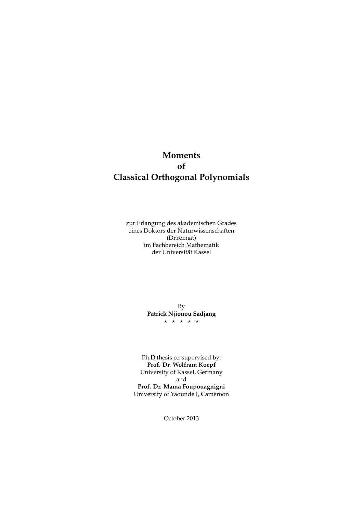## <span id="page-0-0"></span>**Moments of Classical Orthogonal Polynomials**

zur Erlangung des akademischen Grades eines Doktors der Naturwissenschaften (Dr.rer.nat) im Fachbereich Mathematik der Universität Kassel

> By **Patrick Njionou Sadjang**  $\star$   $\star$   $\star$   $\star$   $\star$

Ph.D thesis co-supervised by: **Prof. Dr. Wolfram Koepf** University of Kassel, Germany and **Prof. Dr. Mama Foupouagnigni** University of Yaounde I, Cameroon

October 2013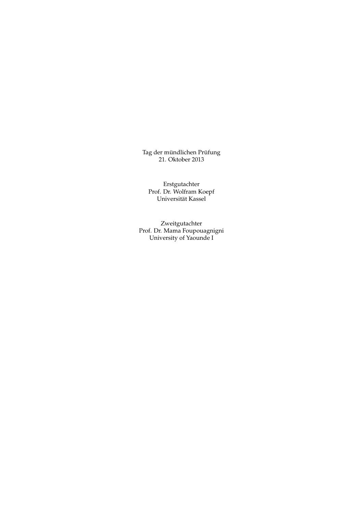Tag der mündlichen Prüfung 21. Oktober 2013

Erstgutachter Prof. Dr. Wolfram Koepf Universität Kassel

Zweitgutachter Prof. Dr. Mama Foupouagnigni University of Yaounde I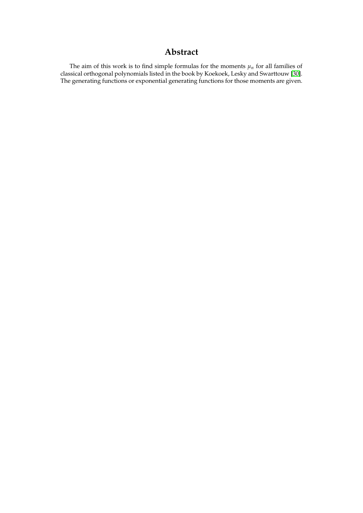## **Abstract**

The aim of this work is to find simple formulas for the moments  $\mu_n$  for all families of classical orthogonal polynomials listed in the book by Koekoek, Lesky and Swarttouw [\[30\]](#page-104-0). The generating functions or exponential generating functions for those moments are given.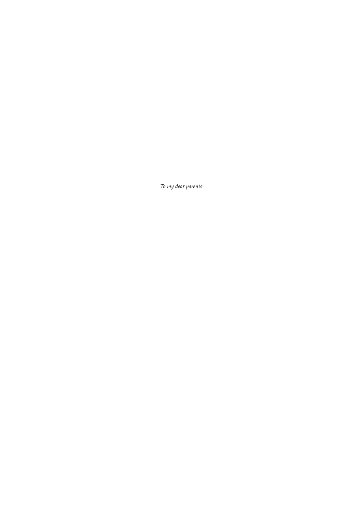*To my dear parents*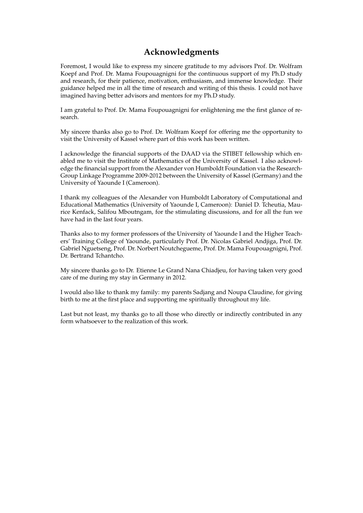## **Acknowledgments**

Foremost, I would like to express my sincere gratitude to my advisors Prof. Dr. Wolfram Koepf and Prof. Dr. Mama Foupouagnigni for the continuous support of my Ph.D study and research, for their patience, motivation, enthusiasm, and immense knowledge. Their guidance helped me in all the time of research and writing of this thesis. I could not have imagined having better advisors and mentors for my Ph.D study.

I am grateful to Prof. Dr. Mama Foupouagnigni for enlightening me the first glance of research.

My sincere thanks also go to Prof. Dr. Wolfram Koepf for offering me the opportunity to visit the University of Kassel where part of this work has been written.

I acknowledge the financial supports of the DAAD via the STIBET fellowship which enabled me to visit the Institute of Mathematics of the University of Kassel. I also acknowledge the financial support from the Alexander von Humboldt Foundation via the Research-Group Linkage Programme 2009-2012 between the University of Kassel (Germany) and the University of Yaounde I (Cameroon).

I thank my colleagues of the Alexander von Humboldt Laboratory of Computational and Educational Mathematics (University of Yaounde I, Cameroon): Daniel D. Tcheutia, Maurice Kenfack, Salifou Mboutngam, for the stimulating discussions, and for all the fun we have had in the last four years.

Thanks also to my former professors of the University of Yaounde I and the Higher Teachers' Training College of Yaounde, particularly Prof. Dr. Nicolas Gabriel Andjiga, Prof. Dr. Gabriel Nguetseng, Prof. Dr. Norbert Noutchegueme, Prof. Dr. Mama Foupouagnigni, Prof. Dr. Bertrand Tchantcho.

My sincere thanks go to Dr. Etienne Le Grand Nana Chiadjeu, for having taken very good care of me during my stay in Germany in 2012.

I would also like to thank my family: my parents Sadjang and Noupa Claudine, for giving birth to me at the first place and supporting me spiritually throughout my life.

Last but not least, my thanks go to all those who directly or indirectly contributed in any form whatsoever to the realization of this work.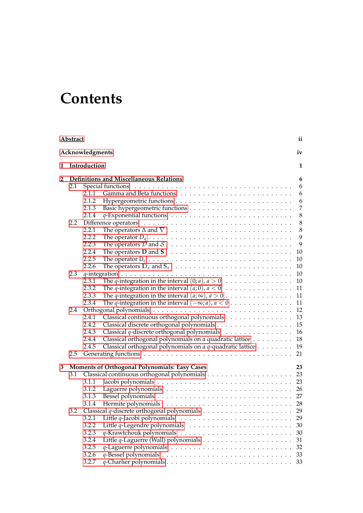## **Contents**

|                | Abstract                                       | ii                                                                                                      |  |  |  |  |  |
|----------------|------------------------------------------------|---------------------------------------------------------------------------------------------------------|--|--|--|--|--|
|                | Acknowledgments<br>iv                          |                                                                                                         |  |  |  |  |  |
| 1              | Introduction                                   |                                                                                                         |  |  |  |  |  |
| $\overline{2}$ | <b>Definitions and Miscellaneous Relations</b> |                                                                                                         |  |  |  |  |  |
|                | 2.1                                            | 6                                                                                                       |  |  |  |  |  |
|                |                                                | 6<br>2.1.1                                                                                              |  |  |  |  |  |
|                |                                                | 2.1.2<br>6                                                                                              |  |  |  |  |  |
|                |                                                | $\overline{7}$<br>2.1.3                                                                                 |  |  |  |  |  |
|                |                                                | $\,8\,$<br>2.1.4                                                                                        |  |  |  |  |  |
|                | 2.2                                            | $\,8\,$                                                                                                 |  |  |  |  |  |
|                |                                                | $\,8\,$<br>2.2.1                                                                                        |  |  |  |  |  |
|                |                                                | 9<br>2.2.2                                                                                              |  |  |  |  |  |
|                |                                                | 9<br>2.2.3                                                                                              |  |  |  |  |  |
|                |                                                | 2.2.4<br>10                                                                                             |  |  |  |  |  |
|                |                                                | 2.2.5<br>10                                                                                             |  |  |  |  |  |
|                |                                                | 2.2.6<br>10                                                                                             |  |  |  |  |  |
|                | 2.3                                            | $10\,$                                                                                                  |  |  |  |  |  |
|                |                                                | The <i>q</i> -integration in the interval $(0; a)$ , $a > 0$<br>10<br>2.3.1                             |  |  |  |  |  |
|                |                                                | The <i>q</i> -integration in the interval $(a, 0)$ , $a < 0$<br>11<br>2.3.2                             |  |  |  |  |  |
|                |                                                | 11<br>2.3.3                                                                                             |  |  |  |  |  |
|                |                                                | The <i>q</i> -integration in the interval $(-\infty; a)$ , $a < 0$<br>11<br>2.3.4                       |  |  |  |  |  |
|                | 2.4                                            | 12                                                                                                      |  |  |  |  |  |
|                |                                                | Classical continuous orthogonal polynomials<br>13<br>2.4.1                                              |  |  |  |  |  |
|                |                                                | 15<br>2.4.2                                                                                             |  |  |  |  |  |
|                |                                                | Classical $q$ -discrete orthogonal polynomials $\ldots \ldots \ldots \ldots$<br>16<br>2.4.3             |  |  |  |  |  |
|                |                                                | Classical orthogonal polynomials on a quadratic lattice<br>18<br>2.4.4                                  |  |  |  |  |  |
|                |                                                | Classical orthogonal polynomials on a $q$ -quadratic lattice $\dots \dots$<br>19<br>2.4.5               |  |  |  |  |  |
|                | 2.5                                            | 21                                                                                                      |  |  |  |  |  |
|                |                                                |                                                                                                         |  |  |  |  |  |
| 3              |                                                | <b>Moments of Orthogonal Polynomials: Easy Cases</b><br>23                                              |  |  |  |  |  |
|                | 3.1                                            | 23                                                                                                      |  |  |  |  |  |
|                |                                                | 23<br>3.1.1                                                                                             |  |  |  |  |  |
|                |                                                | 26<br>3.1.2                                                                                             |  |  |  |  |  |
|                |                                                | 27<br>3.1.3                                                                                             |  |  |  |  |  |
|                |                                                | 3.1.4                                                                                                   |  |  |  |  |  |
|                | 3.2                                            |                                                                                                         |  |  |  |  |  |
|                |                                                | 3.2.1<br>Little $q$ -Jacobi polynomials $\ldots \ldots \ldots \ldots \ldots \ldots \ldots \ldots$<br>29 |  |  |  |  |  |
|                |                                                | 3.2.2<br>30                                                                                             |  |  |  |  |  |
|                |                                                | 3.2.3<br>30                                                                                             |  |  |  |  |  |
|                |                                                | 3.2.4<br>31                                                                                             |  |  |  |  |  |
|                |                                                | 3.2.5<br>32                                                                                             |  |  |  |  |  |
|                |                                                | 3.2.6<br>33                                                                                             |  |  |  |  |  |
|                |                                                | 3.2.7<br>33                                                                                             |  |  |  |  |  |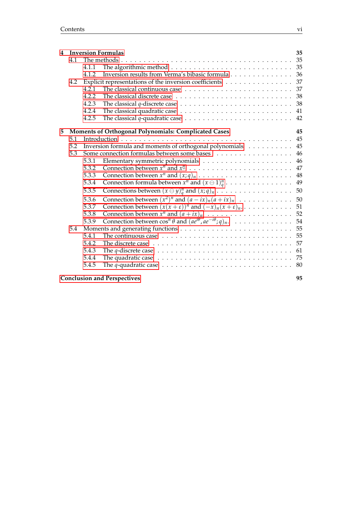| 4 | <b>Inversion Formulas</b><br>35 |       |                                                                                                        |    |  |  |
|---|---------------------------------|-------|--------------------------------------------------------------------------------------------------------|----|--|--|
|   | 4.1                             |       |                                                                                                        |    |  |  |
|   |                                 | 4.1.1 |                                                                                                        |    |  |  |
|   |                                 | 4.1.2 | Inversion results from Verma's bibasic formula 36                                                      |    |  |  |
|   | 4.2                             |       | Explicit representations of the inversion coefficients 37                                              |    |  |  |
|   |                                 | 4.2.1 |                                                                                                        |    |  |  |
|   |                                 | 4.2.2 |                                                                                                        |    |  |  |
|   |                                 | 4.2.3 | The classical $q$ -discrete case $\ldots \ldots \ldots \ldots \ldots \ldots \ldots \ldots \ldots 38$   |    |  |  |
|   |                                 | 4.2.4 |                                                                                                        | 41 |  |  |
|   |                                 | 4.2.5 | The classical $q$ -quadratic case $\dots \dots \dots \dots \dots \dots \dots \dots \dots$              | 42 |  |  |
| 5 |                                 |       | Moments of Orthogonal Polynomials: Complicated Cases                                                   | 45 |  |  |
|   | 5.1                             |       |                                                                                                        |    |  |  |
|   | 5.2                             |       | Inversion formula and moments of orthogonal polynomials 45                                             |    |  |  |
|   | 5.3                             |       |                                                                                                        | 46 |  |  |
|   |                                 | 5.3.1 |                                                                                                        | 46 |  |  |
|   |                                 | 5.3.2 |                                                                                                        | 47 |  |  |
|   |                                 | 5.3.3 | Connection between $x^n$ and $(x;q)_n \ldots \ldots \ldots \ldots \ldots \ldots \ldots$                | 48 |  |  |
|   |                                 | 5.3.4 | Connection formula between $x^n$ and $(x \ominus 1)_q^n$                                               | 49 |  |  |
|   |                                 | 5.3.5 | Connections between $(x \ominus y)_{q}^{n}$ and $(x;q)_{n} \dots \dots \dots \dots \dots \dots$        | 50 |  |  |
|   |                                 | 5.3.6 |                                                                                                        |    |  |  |
|   |                                 | 5.3.7 | Connection between $(x(x+\varepsilon))^n$ and $(-x)_n(x+\varepsilon)_n$                                | 51 |  |  |
|   |                                 | 5.3.8 |                                                                                                        | 52 |  |  |
|   |                                 | 5.3.9 | Connection between $\cos^n \theta$ and $(a e^{i\theta}, a e^{-i\theta}; q)_n$ .                        | 54 |  |  |
|   | 5.4                             |       |                                                                                                        |    |  |  |
|   |                                 | 5.4.1 | The continuous case $\dots \dots \dots \dots \dots \dots \dots \dots \dots \dots \dots \dots \dots$ 55 |    |  |  |
|   |                                 | 5.4.2 | The discrete case $\ldots \ldots \ldots \ldots \ldots \ldots \ldots \ldots \ldots \ldots \ldots$       | 57 |  |  |
|   |                                 | 5.4.3 | The $q$ -discrete case $\dots \dots \dots \dots \dots \dots \dots \dots \dots \dots \dots \dots$       | 61 |  |  |
|   |                                 | 5.4.4 | The quadratic case $\ldots \ldots \ldots \ldots \ldots \ldots \ldots \ldots \ldots \ldots \ldots$      |    |  |  |
|   |                                 | 5.4.5 | The q-quadratic case $\ldots \ldots \ldots \ldots \ldots \ldots \ldots \ldots \ldots \ldots \ldots 80$ |    |  |  |
|   |                                 |       |                                                                                                        |    |  |  |

**[Conclusion and Perspectives](#page-102-0) 95**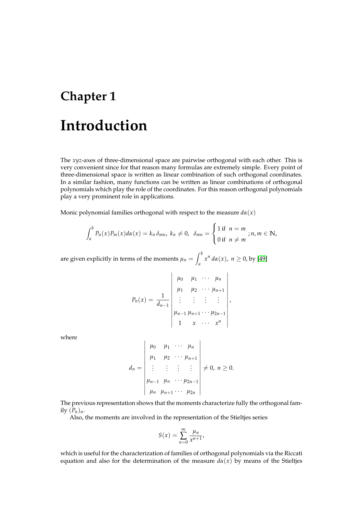# <span id="page-8-0"></span>**Chapter 1 Introduction**

The *xyz*-axes of three-dimensional space are pairwise orthogonal with each other. This is very convenient since for that reason many formulas are extremely simple. Every point of three-dimensional space is written as linear combination of such orthogonal coordinates. In a similar fashion, many functions can be written as linear combinations of orthogonal polynomials which play the role of the coordinates. For this reason orthogonal polynomials play a very prominent role in applications.

Monic polynomial families orthogonal with respect to the measure  $d\alpha(x)$ 

$$
\int_a^b P_n(x) P_m(x) d\alpha(x) = k_n \delta_{mn}, \ k_n \neq 0, \ \delta_{mn} = \begin{cases} 1 \text{ if } n = m \\ 0 \text{ if } n \neq m \end{cases}; n, m \in \mathbb{N},
$$

are given explicitly in terms of the moments  $\mu_n = \int^b$  $\int_a^b x^n d\alpha(x)$ ,  $n \ge 0$ , by [\[49\]](#page-105-0)

$$
P_n(x) = \frac{1}{d_{n-1}} \begin{vmatrix} \mu_0 & \mu_1 & \cdots & \mu_n \\ \mu_1 & \mu_2 & \cdots & \mu_{n+1} \\ \vdots & \vdots & \vdots & \vdots \\ \mu_{n-1} & \mu_{n+1} & \cdots & \mu_{2n-1} \\ 1 & x & \cdots & x^n \end{vmatrix},
$$

where

$$
d_n = \begin{vmatrix} \mu_0 & \mu_1 & \cdots & \mu_n \\ \mu_1 & \mu_2 & \cdots & \mu_{n+1} \\ \vdots & \vdots & \vdots & \vdots \\ \mu_{n-1} & \mu_n & \cdots & \mu_{2n-1} \\ \mu_n & \mu_{n+1} & \cdots & \mu_{2n} \end{vmatrix} \neq 0, \ n \geq 0.
$$

The previous representation shows that the moments characterize fully the orthogonal family  $(P_n)_n$ .

Also, the moments are involved in the representation of the Stieltjes series

$$
S(x) = \sum_{n=0}^{\infty} \frac{\mu_n}{x^{n+1}},
$$

which is useful for the characterization of families of orthogonal polynomials via the Riccati equation and also for the determination of the measure  $d\alpha(x)$  by means of the Stieltjes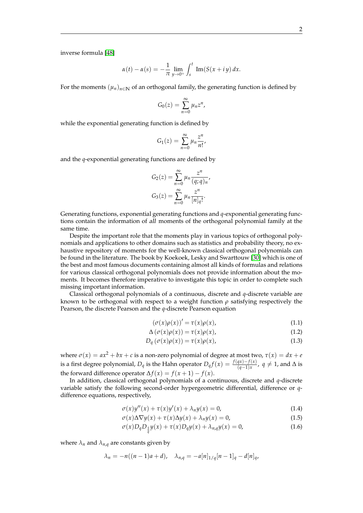inverse formula [\[48\]](#page-105-1)

$$
\alpha(t) - \alpha(s) = -\frac{1}{\pi} \lim_{y \to 0^+} \int_s^t \operatorname{Im}(S(x + iy)) dx.
$$

For the moments  $(\mu_n)_{n\in\mathbb{N}}$  of an orthogonal family, the generating function is defined by

$$
G_0(z)=\sum_{n=0}^\infty \mu_n z^n,
$$

while the exponential generating function is defined by

$$
G_1(z) = \sum_{n=0}^{\infty} \mu_n \frac{z^n}{n!},
$$

and the *q*-exponential generating functions are defined by

$$
G_2(z) = \sum_{n=0}^{\infty} \mu_n \frac{z^n}{(q;q)_n},
$$
  

$$
G_3(z) = \sum_{n=0}^{\infty} \mu_n \frac{z^n}{[n]_q!}.
$$

Generating functions, exponential generating functions and *q*-exponential generating functions contain the information of all moments of the orthogonal polynomial family at the same time.

Despite the important role that the moments play in various topics of orthogonal polynomials and applications to other domains such as statistics and probability theory, no exhaustive repository of moments for the well-known classical orthogonal polynomials can be found in the literature. The book by Koekoek, Lesky and Swarttouw [\[30\]](#page-104-0) which is one of the best and most famous documents containing almost all kinds of formulas and relations for various classical orthogonal polynomials does not provide information about the moments. It becomes therefore imperative to investigate this topic in order to complete such missing important information.

Classical orthogonal polynomials of a continuous, discrete and *q*-discrete variable are known to be orthogonal with respect to a weight function *ρ* satisfying respectively the Pearson, the discrete Pearson and the *q*-discrete Pearson equation

$$
(\sigma(x)\rho(x))' = \tau(x)\rho(x),\tag{1.1}
$$

$$
\Delta\left(\sigma(x)\rho(x)\right) = \tau(x)\rho(x),\tag{1.2}
$$

$$
D_q(\sigma(x)\rho(x)) = \tau(x)\rho(x),\tag{1.3}
$$

where  $\sigma(x) = ax^2 + bx + c$  is a non-zero polynomial of degree at most two,  $\tau(x) = dx + e$ is a first degree polynomial,  $D_q$  is the Hahn operator  $D_qf(x)=\frac{f(qx)-f(x)}{(q-1)x}$ ,  $q\neq 1$ , and  $\Delta$  is the forward difference operator  $\Delta f(x) = f(x+1) - f(x)$ .

In addition, classical orthogonal polynomials of a continuous, discrete and *q*-discrete variable satisfy the following second-order hypergeometric differential, difference or *q*difference equations, respectively,

$$
\sigma(x)y''(x) + \tau(x)y'(x) + \lambda_n y(x) = 0,
$$
\n(1.4)

$$
\sigma(x)\Delta\nabla y(x) + \tau(x)\Delta y(x) + \lambda_n y(x) = 0,
$$
\n(1.5)

$$
\sigma(x)D_q D_{\frac{1}{q}} y(x) + \tau(x)D_q y(x) + \lambda_{n,q} y(x) = 0,
$$
\n(1.6)

where  $\lambda_n$  and  $\lambda_{n,q}$  are constants given by

$$
\lambda_n = -n((n-1)a + d), \quad \lambda_{n,q} = -a[n]_{1/q}[n-1]_q - d[n]_q,
$$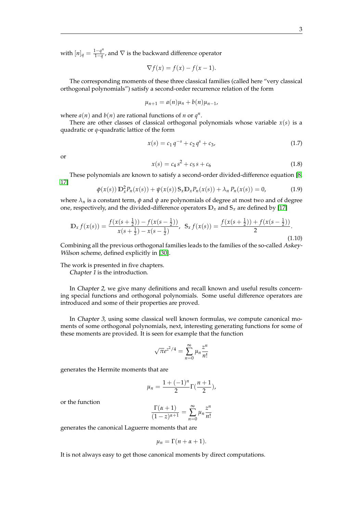with  $[n]_q = \frac{1 - q^n}{1 - q}$ 1−*q* , and ∇ is the backward difference operator

$$
\nabla f(x) = f(x) - f(x - 1).
$$

The corresponding moments of these three classical families (called here "very classical orthogonal polynomials") satisfy a second-order recurrence relation of the form

$$
\mu_{n+1} = a(n)\mu_n + b(n)\mu_{n-1},
$$

where  $a(n)$  and  $b(n)$  are rational functions of *n* or  $q^n$ .

There are other classes of classical orthogonal polynomials whose variable  $x(s)$  is a quadratic or *q*-quadratic lattice of the form

<span id="page-10-0"></span>
$$
x(s) = c_1 q^{-s} + c_2 q^s + c_3,
$$
\n(1.7)

<span id="page-10-1"></span>or

$$
x(s) = c_4 s^2 + c_5 s + c_6 \tag{1.8}
$$

These polynomials are known to satisfy a second-order divided-difference equation [\[8,](#page-103-0) [17\]](#page-104-1)

$$
\phi(x(s)) \mathbb{D}_x^2 P_n(x(s)) + \psi(x(s)) \mathbb{S}_x \mathbb{D}_x P_n(x(s)) + \lambda_n P_n(x(s)) = 0, \tag{1.9}
$$

where  $\lambda_n$  is a constant term,  $\phi$  and  $\psi$  are polynomials of degree at most two and of degree one, respectively, and the divided-difference operators  $\mathbb{D}_x$  and  $\mathbb{S}_x$  are defined by [\[17\]](#page-104-1)

$$
\mathbb{D}_{x} f(x(s)) = \frac{f(x(s+\frac{1}{2})) - f(x(s-\frac{1}{2}))}{x(s+\frac{1}{2}) - x(s-\frac{1}{2})}, \ \ S_{x} f(x(s)) = \frac{f(x(s+\frac{1}{2})) + f(x(s-\frac{1}{2}))}{2}.
$$
\n(1.10)

Combining all the previous orthogonal families leads to the families of the so-called Askey-Wilson scheme, defined explicitly in [\[30\]](#page-104-0).

The work is presented in five chapters.

Chapter 1 is the introduction.

In Chapter 2, we give many definitions and recall known and useful results concerning special functions and orthogonal polynomials. Some useful difference operators are introduced and some of their properties are proved.

In Chapter 3, using some classical well known formulas, we compute canonical moments of some orthogonal polynomials, next, interesting generating functions for some of these moments are provided. It is seen for example that the function

$$
\sqrt{\pi}e^{z^2/4} = \sum_{n=0}^{\infty} \mu_n \frac{z^n}{n!}
$$

generates the Hermite moments that are

$$
\mu_n = \frac{1 + (-1)^n}{2} \Gamma(\frac{n+1}{2}),
$$

or the function

$$
\frac{\Gamma(\alpha+1)}{(1-z)^{\alpha+1}} = \sum_{n=0}^{\infty} \mu_n \frac{z^n}{n!}
$$

generates the canonical Laguerre moments that are

$$
\mu_n=\Gamma(n+\alpha+1).
$$

It is not always easy to get those canonical moments by direct computations.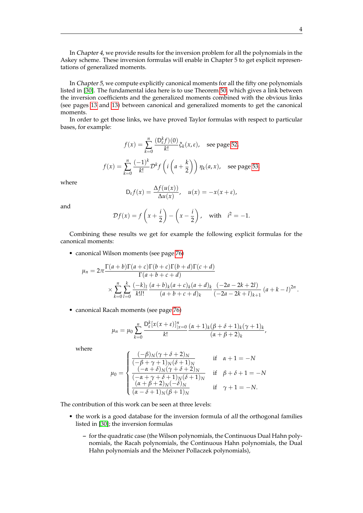In Chapter 4, we provide results for the inversion problem for all the polynomials in the Askey scheme. These inversion formulas will enable in Chapter 5 to get explicit representations of generalized moments.

In Chapter 5, we compute explicitly canonical moments for all the fifty one polynomials listed in [\[30\]](#page-104-0). The fundamental idea here is to use Theorem [50,](#page-52-3) which gives a link between the inversion coefficients and the generalized moments combined with the obvious links (see pages [13](#page-20-1) and [13\)](#page-20-2) between canonical and generalized moments to get the canonical moments.

In order to get those links, we have proved Taylor formulas with respect to particular bases, for example:

$$
f(x) = \sum_{k=0}^{n} \frac{(D_{\varepsilon}^{k} f)(0)}{k!} \xi_{k}(x, \varepsilon), \text{ see page 52,}
$$

$$
f(x) = \sum_{k=0}^{n} \frac{(-1)^{k}}{k!} \mathcal{D}^{k} f\left(i\left(a + \frac{k}{2}\right)\right) \eta_{k}(a, x), \text{ see page 53,}
$$

where

$$
D_{\varepsilon}f(x)=\frac{\Delta f(u(x))}{\Delta u(x)}, \quad u(x)=-x(x+\varepsilon),
$$

and

$$
\mathcal{D}f(x) = f\left(x + \frac{i}{2}\right) - \left(x - \frac{i}{2}\right), \quad \text{with} \quad i^2 = -1.
$$

Combining these results we get for example the following explicit formulas for the canonical moments:

• canonical Wilson moments (see page [76\)](#page-83-0)

$$
\mu_n = 2\pi \frac{\Gamma(a+b)\Gamma(a+c)\Gamma(b+c)\Gamma(b+d)\Gamma(c+d)}{\Gamma(a+b+c+d)} \times \sum_{k=0}^n \sum_{l=0}^k \frac{(-k)_l}{k!l!} \frac{(a+b)_k(a+c)_k(a+d)_k}{(a+b+c+d)_k} \frac{(-2a-2k+2l)}{(-2a-2k+l)_{k+1}} (a+k-l)^{2n}.
$$

• canonical Racah moments (see page [76\)](#page-83-1)

$$
\mu_n = \mu_0 \sum_{k=0}^n \frac{D_{\varepsilon}^k [x(x+\varepsilon)]_{|x=0}^n}{k!} \frac{(\alpha+1)_k (\beta+\delta+1)_k (\gamma+1)_k}{(\alpha+\beta+2)_k},
$$

where

$$
\mu_0 = \begin{cases}\n\frac{(-\beta)_N(\gamma + \delta + 2)_N}{(-\beta + \gamma + 1)_N(\delta + 1)_N} & \text{if } \alpha + 1 = -N \\
\frac{(-\alpha + \delta)_N(\gamma + \delta + 2)_N}{(-\alpha + \gamma + \delta + 1)_N(\delta + 1)_N} & \text{if } \beta + \delta + 1 = -N \\
\frac{(\alpha + \beta + 2)_N(-\delta)_N}{(\alpha - \delta + 1)_N(\beta + 1)_N} & \text{if } \gamma + 1 = -N.\n\end{cases}
$$

The contribution of this work can be seen at three levels:

- the work is a good database for the inversion formula of all the orthogonal families listed in [\[30\]](#page-104-0); the inversion formulas
	- **–** for the quadratic case (the Wilson polynomials, the Continuous Dual Hahn polynomials, the Racah polynomials, the Continuous Hahn polynomials, the Dual Hahn polynomials and the Meixner Pollaczek polynomials),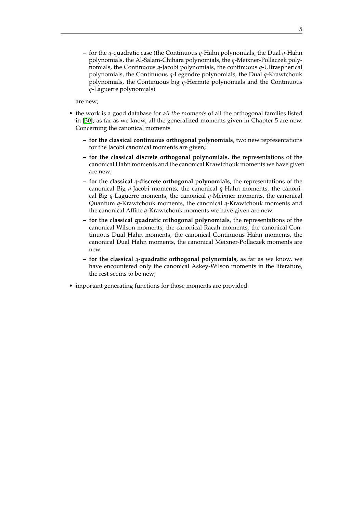**–** for the *q*-quadratic case (the Continuous *q*-Hahn polynomials, the Dual *q*-Hahn polynomials, the Al-Salam-Chihara polynomials, the *q*-Meixner-Pollaczek polynomials, the Continuous *q*-Jacobi polynomials, the continuous *q*-Ultraspherical polynomials, the Continuous *q*-Legendre polynomials, the Dual *q*-Krawtchouk polynomials, the Continuous big *q*-Hermite polynomials and the Continuous *q*-Laguerre polynomials)

are new;

- the work is a good database for all the moments of all the orthogonal families listed in [\[30\]](#page-104-0); as far as we know, all the generalized moments given in Chapter 5 are new. Concerning the canonical moments
	- **for the classical continuous orthogonal polynomials**, two new representations for the Jacobi canonical moments are given;
	- **for the classical discrete orthogonal polynomials**, the representations of the canonical Hahn moments and the canonical Krawtchouk moments we have given are new;
	- **for the classical** *q***-discrete orthogonal polynomials**, the representations of the canonical Big *q*-Jacobi moments, the canonical *q*-Hahn moments, the canonical Big *q*-Laguerre moments, the canonical *q*-Meixner moments, the canonical Quantum *q*-Krawtchouk moments, the canonical *q*-Krawtchouk moments and the canonical Affine *q*-Krawtchouk moments we have given are new.
	- **for the classical quadratic orthogonal polynomials**, the representations of the canonical Wilson moments, the canonical Racah moments, the canonical Continuous Dual Hahn moments, the canonical Continuous Hahn moments, the canonical Dual Hahn moments, the canonical Meixner-Pollaczek moments are new.
	- **for the classical** *q***-quadratic orthogonal polynomials**, as far as we know, we have encountered only the canonical Askey-Wilson moments in the literature, the rest seems to be new;
- important generating functions for those moments are provided.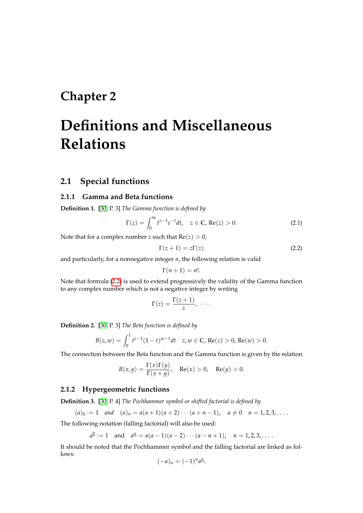## <span id="page-13-0"></span>**Chapter 2**

# **Definitions and Miscellaneous Relations**

### <span id="page-13-1"></span>**2.1 Special functions**

#### <span id="page-13-2"></span>**2.1.1 Gamma and Beta functions**

**Definition 1.** [\[30,](#page-104-0) P. 3] *The Gamma function is defined by*

$$
\Gamma(z) = \int_0^\infty t^{z-1} e^{-t} dt, \quad z \in \mathbb{C}, \, \text{Re}(z) > 0. \tag{2.1}
$$

Note that for a complex number *z* such that  $Re(z) > 0$ ,

<span id="page-13-5"></span><span id="page-13-4"></span>
$$
\Gamma(z+1) = z\Gamma(z) \tag{2.2}
$$

and particularly, for a nonnegative integer *n*, the following relation is valid

$$
\Gamma(n+1)=n!.
$$

Note that formula [\(2.2\)](#page-13-4) is used to extend progressively the validity of the Gamma function to any complex number which is not a negative integer by writing

$$
\Gamma(z)=\frac{\Gamma(z+1)}{z},\ \cdots.
$$

**Definition 2.** [\[30,](#page-104-0) P. 3] *The Beta function is defined by*

$$
B(z, w) = \int_0^1 t^{z-1} (1-t)^{w-1} dt \quad z, w \in \mathbb{C}, \text{Re}(z) > 0, \text{Re}(w) > 0.
$$

The connection between the Beta function and the Gamma function is given by the relation

$$
B(x,y) = \frac{\Gamma(x)\Gamma(y)}{\Gamma(x+y)}, \quad \text{Re}(x) > 0, \quad \text{Re}(y) > 0.
$$

#### <span id="page-13-3"></span>**2.1.2 Hypergeometric functions**

**Definition 3.** [\[30,](#page-104-0) P. 4] *The Pochhammer symbol or shifted factorial is defined by*

$$
(a)_0 := 1 \quad \text{and} \quad (a)_n = a(a+1)(a+2)\cdots(a+n-1), \quad a \neq 0 \quad n = 1, 2, 3, \ldots.
$$

The following notation (falling factorial) will also be used:

$$
a^{\underline{0}} := 1
$$
 and  $a^{\underline{n}} = a(a-1)(a-2)\cdots(a-n+1)$ ,  $n = 1, 2, 3, \ldots$ 

It should be noted that the Pochhammer symbol and the falling factorial are linked as follows:

$$
(-a)_n = (-1)^n a^n.
$$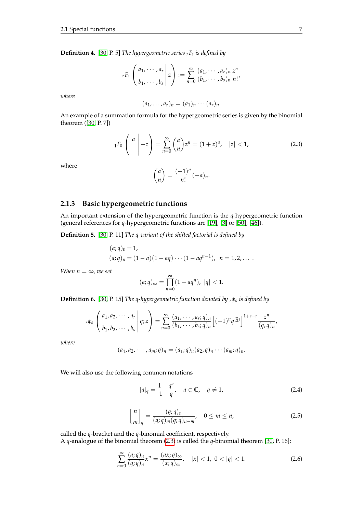**Definition 4.** [\[30,](#page-104-0) P. 5] *The hypergeometric series <sup>r</sup>F<sup>s</sup> is defined by*

$$
{}_{r}F_{s}\left(\begin{array}{c} a_1,\cdots,a_r\\b_1,\cdots,b_s\end{array}\bigg|z\right):=\sum_{n=0}^{\infty}\frac{(a_1,\cdots,a_r)_n}{(b_1,\cdots,b_s)_n}\frac{z^n}{n!},
$$

*where*

$$
(a_1,\ldots,a_r)_n=(a_1)_n\cdots(a_r)_n.
$$

An example of a summation formula for the hypergeometric series is given by the binomial theorem ([\[30,](#page-104-0) P. 7])

<span id="page-14-1"></span>
$$
{}_1F_0\left(\begin{array}{c}a\\-\end{array}\bigg| -z\right) = \sum_{n=0}^{\infty} {a \choose n} z^n = (1+z)^a, \quad |z| < 1,\tag{2.3}
$$

where

$$
\binom{a}{n} = \frac{(-1)^n}{n!}(-a)_n.
$$

#### <span id="page-14-0"></span>**2.1.3 Basic hypergeometric functions**

An important extension of the hypergeometric function is the *q*-hypergeometric function (general references for *q*-hypergeometric functions are [\[19\]](#page-104-2), [\[3\]](#page-103-1) or [\[50\]](#page-105-2), [\[46\]](#page-105-3)).

**Definition 5.** [\[30,](#page-104-0) P. 11] *The q-variant of the shifted factorial is defined by*

$$
(a;q)_0 = 1,
$$
  
\n
$$
(a;q)_n = (1-a)(1-aq) \cdots (1-aq^{n-1}), \ \ n = 1,2,...
$$

*When*  $n = \infty$ *, we set* 

$$
(a;q)_{\infty} = \prod_{n=0}^{\infty} (1 - aq^n), \ |q| < 1.
$$

**Definition 6.** [\[30,](#page-104-0) P. 15] *The q-hypergeometric function denoted by <sup>r</sup>φ<sup>s</sup> is defined by*

$$
{}_{r}\phi_{s}\left(\begin{matrix} a_{1}, a_{2}, \cdots, a_{r} \\ b_{1}, b_{2}, \cdots, b_{s} \end{matrix}\bigg| q; z\right) = \sum_{n=0}^{\infty} \frac{(a_{1}, \cdots, a_{r}; q)_{n}}{(b_{1}, \cdots, b_{s}; q)_{n}} \left[ (-1)^{n} q^{\binom{n}{2}} \right]^{1+s-r} \frac{z^{n}}{(q, q)_{n}},
$$

*where*

$$
(a_1,a_2,\cdots,a_m;q)_n=(a_1;q)_n(a_2,q)_n\cdots(a_m;q)_n.
$$

We will also use the following common notations

$$
[a]_q = \frac{1 - q^a}{1 - q}, \quad a \in \mathbb{C}, \quad q \neq 1,
$$
 (2.4)

$$
\begin{bmatrix} n \\ m \end{bmatrix}_q = \frac{(q;q)_n}{(q;q)_m (q;q)_{n-m}}, \quad 0 \le m \le n,
$$
\n(2.5)

called the *q*-bracket and the *q*-binomial coefficient, respectively.

A *q*-analogue of the binomial theorem [\(2.3\)](#page-14-1) is called the *q*-binomial theorem [\[30,](#page-104-0) P. 16]:

$$
\sum_{n=0}^{\infty} \frac{(a;q)_n}{(q;q)_n} x^n = \frac{(ax;q)_{\infty}}{(x;q)_{\infty}}, \quad |x| < 1, \ 0 < |q| < 1. \tag{2.6}
$$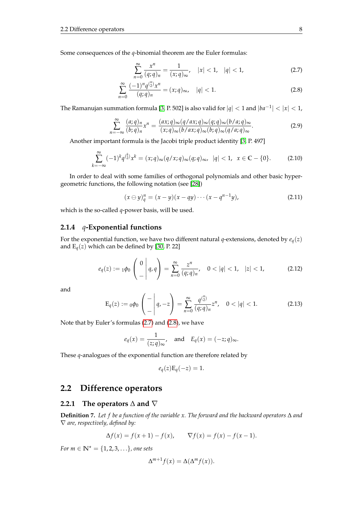Some consequences of the *q*-binomial theorem are the Euler formulas:

<span id="page-15-3"></span>
$$
\sum_{n=0}^{\infty} \frac{x^n}{(q;q)_n} = \frac{1}{(x;q)_{\infty}}, \quad |x| < 1, \quad |q| < 1,\tag{2.7}
$$

$$
\sum_{n=0}^{\infty} \frac{(-1)^n q^{n \choose 2} x^n}{(q;q)_n} = (x;q)_{\infty}, \quad |q| < 1. \tag{2.8}
$$

The Ramanujan summation formula [\[3,](#page-103-1) P. 502] is also valid for  $|q| < 1$  and  $|ba^{-1}| < |x| < 1$ ,

$$
\sum_{n=-\infty}^{\infty} \frac{(a;q)_n}{(b;q)_n} x^n = \frac{(ax;q)_{\infty}(q/ax;q)_{\infty}(q;q)_{\infty}(b/a;q)_{\infty}}{(x;q)_{\infty}(b/ax;q)_{\infty}(b;q)_{\infty}(q/a;q)_{\infty}}.
$$
\n(2.9)

Another important formula is the Jacobi triple product identity [\[3,](#page-103-1) P. 497]

$$
\sum_{k=-\infty}^{\infty} (-1)^k q^{k \choose 2} x^k = (x;q)_{\infty} (q/x;q)_{\infty} (q;q)_{\infty}, \ |q| < 1, \ x \in \mathbb{C} - \{0\}. \tag{2.10}
$$

In order to deal with some families of orthogonal polynomials and other basic hypergeometric functions, the following notation (see [\[28\]](#page-104-3))

$$
(x \ominus y)_q^n = (x - y)(x - qy) \cdots (x - q^{n-1}y),
$$
 (2.11)

which is the so-called *q*-power basis, will be used.

#### <span id="page-15-0"></span>**2.1.4** *q***-Exponential functions**

For the exponential function, we have two different natural *q*-extensions, denoted by  $e_q(z)$ and  $E_q(z)$  which can be defined by [\[30,](#page-104-0) P. 22]

$$
e_q(z) := 1\phi_0\begin{pmatrix} 0 \\ -1 \end{pmatrix} q, \tilde{q} = \sum_{n=0}^{\infty} \frac{z^n}{(q;q)_n}, \quad 0 < |q| < 1, \quad |z| < 1,\tag{2.12}
$$

and

$$
\mathcal{E}_q(z) := {}_0\phi_0 \left( - \left| q, -z \right| \right) = \sum_{n=0}^{\infty} \frac{q^{\binom{n}{2}}}{(q;q)_n} z^n, \quad 0 < |q| < 1. \tag{2.13}
$$

Note that by Euler's formulas [\(2.7\)](#page-15-3) and [\(2.8\)](#page-15-3), we have

$$
e_q(x) = \frac{1}{(z;q)_{\infty}},
$$
 and  $E_q(x) = (-z;q)_{\infty}.$ 

These *q*-analogues of the exponential function are therefore related by

$$
e_q(z)\mathcal{E}_q(-z)=1.
$$

### <span id="page-15-1"></span>**2.2 Difference operators**

#### <span id="page-15-2"></span>**2.2.1 The operators** ∆ **and** ∇

**Definition 7.** *Let f be a function of the variable x. The forward and the backward operators* ∆ *and* ∇ *are, respectively, defined by:*

$$
\Delta f(x) = f(x+1) - f(x), \qquad \nabla f(x) = f(x) - f(x-1).
$$

*For*  $m \in \mathbb{N}^* = \{1, 2, 3, ...\}$ *, one sets* 

$$
\Delta^{m+1} f(x) = \Delta(\Delta^m f(x)).
$$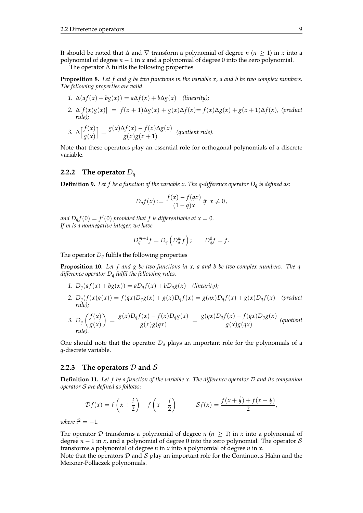It should be noted that  $\Delta$  and  $\nabla$  transform a polynomial of degree *n* (*n*  $\geq$  1) in *x* into a polynomial of degree *n* − 1 in *x* and a polynomial of degree 0 into the zero polynomial.

The operator ∆ fulfils the following properties

**Proposition 8.** *Let f and g be two functions in the variable x, a and b be two complex numbers. The following properties are valid.*

1. 
$$
\Delta(af(x) + bg(x)) = a\Delta f(x) + b\Delta g(x)
$$
 (linearity);  
\n2. 
$$
\Delta[f(x)g(x)] = f(x+1)\Delta g(x) + g(x)\Delta f(x) = f(x)\Delta g(x) + g(x+1)\Delta f(x)
$$
, (product rule);  
\n3. 
$$
\Delta[f(x)] = g(x)\Delta f(x) - f(x)\Delta g(x)
$$
 (sufficient rule).

3. 
$$
\Delta \left[ \frac{f(x)}{g(x)} \right] = \frac{g(x)\Delta f(x) - f(x)\Delta g(x)}{g(x)g(x+1)}
$$
 (quotient rule).

Note that these operators play an essential role for orthogonal polynomials of a discrete variable.

#### <span id="page-16-0"></span>**2.2.2 The operator** *D<sup>q</sup>*

**Definition 9.** *Let f be a function of the variable x. The q-difference operator D<sup>q</sup> is defined as:*

$$
D_q f(x) := \frac{f(x) - f(qx)}{(1 - q)x} \, \text{if} \, \, x \neq 0,
$$

*and*  $D_q f(0) = f'(0)$  provided that f is differentiable at  $x = 0$ . *If m is a nonnegative integer, we have*

$$
D_q^{m+1}f = D_q\left(D_q^m f\right); \qquad D_q^0 f = f.
$$

The operator  $D_q$  fulfils the following properties

**Proposition 10.** *Let f and g be two functions in x, a and b be two complex numbers. The qdifference operator D<sup>q</sup> fulfil the following rules.*

- 1.  $D_q(a f(x) + b g(x)) = a D_q f(x) + b D_q g(x)$  *(linearity);*
- 2.  $D_q(f(x)g(x)) = f(qx)D_qg(x) + g(x)D_qf(x) = g(qx)D_qf(x) + g(x)D_qf(x)$  (product *rule);*

3. 
$$
D_q\left(\frac{f(x)}{g(x)}\right) = \frac{g(x)D_qf(x) - f(x)D_qg(x)}{g(x)g(qx)} = \frac{g(qx)D_qf(x) - f(qx)D_qg(x)}{g(x)g(qx)}
$$
 (quotient rule).

One should note that the operator  $D_q$  plays an important role for the polynomials of a *q*-discrete variable.

#### <span id="page-16-1"></span>**2.2.3** The operators  $D$  and  $S$

**Definition 11.** *Let f be a function of the variable x. The difference operator* D *and its companion operator* S *are defined as follows:*

$$
\mathcal{D}f(x) = f\left(x + \frac{i}{2}\right) - f\left(x - \frac{i}{2}\right) \qquad \mathcal{S}f(x) = \frac{f(x + \frac{i}{2}) + f(x - \frac{i}{2})}{2},
$$

*where*  $i^2 = -1$ *.* 

The operator D transforms a polynomial of degree  $n (n \geq 1)$  in x into a polynomial of degree  $n-1$  in *x*, and a polynomial of degree 0 into the zero polynomial. The operator S transforms a polynomial of degree *n* in *x* into a polynomial of degree *n* in *x*.

Note that the operators  $D$  and  $S$  play an important role for the Continuous Hahn and the Meixner-Pollaczek polynomials.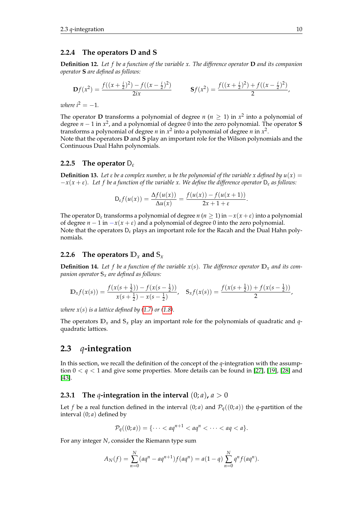#### <span id="page-17-0"></span>**2.2.4 The operators D and S**

**Definition 12.** *Let f be a function of the variable x. The difference operator* **D** *and its companion operator* **S** *are defined as follows:*

$$
\mathbf{D}f(x^2) = \frac{f((x+\frac{i}{2})^2) - f((x-\frac{i}{2})^2)}{2ix} \qquad \mathbf{S}f(x^2) = \frac{f((x+\frac{i}{2})^2) + f((x-\frac{i}{2})^2)}{2},
$$

*where*  $i^2 = -1$ *.* 

The operator **D** transforms a polynomial of degree *n* ( $n \geq 1$ ) in  $x^2$  into a polynomial of degree *n* − 1 in *x* 2 , and a polynomial of degree 0 into the zero polynomial. The operator **S** transforms a polynomial of degree *n* in  $x^2$  into a polynomial of degree *n* in  $x^2$ . Note that the operators **D** and **S** play an important role for the Wilson polynomials and the Continuous Dual Hahn polynomials.

#### <span id="page-17-1"></span>**2.2.5 The operator** D*<sup>ε</sup>*

**Definition 13.** Let  $\varepsilon$  be a complex number, u be the polynomial of the variable x defined by  $u(x) =$ −*x*(*x* + *ε*)*. Let f be a function of the variable x. We define the difference operator* D*<sup>ε</sup> as follows:*

$$
D_{\varepsilon} f(u(x)) = \frac{\Delta f(u(x))}{\Delta u(x)} = \frac{f(u(x)) - f(u(x+1))}{2x + 1 + \varepsilon}.
$$

The operator  $D_{\varepsilon}$  transforms a polynomial of degree *n* (*n*  $\geq$  1) in  $-x(x+\varepsilon)$  into a polynomial of degree  $n - 1$  in  $-x(x + \varepsilon)$  and a polynomial of degree 0 into the zero polynomial. Note that the operators D*<sup>ε</sup>* plays an important role for the Racah and the Dual Hahn polynomials.

#### <span id="page-17-2"></span>**2.2.6** The operators  $\mathbb{D}_x$  and  $\mathbb{S}_x$

**Definition 14.** Let f be a function of the variable  $x(s)$ . The difference operator  $\mathbb{D}_x$  and its com*panion operator* **S***<sup>x</sup> are defined as follows:*

$$
\mathbb{D}_x f(x(s)) = \frac{f(x(s+\frac{1}{2}))-f(x(s-\frac{1}{2}))}{x(s+\frac{1}{2})-x(s-\frac{1}{2})}, \quad \mathbb{S}_x f(x(s)) = \frac{f(x(s+\frac{1}{2}))+f(x(s-\frac{1}{2}))}{2},
$$

*where*  $x(s)$  *is a lattice defined by [\(1.7\)](#page-10-0) or [\(1.8\)](#page-10-1).* 

The operators  $\mathbb{D}_x$  and  $\mathbb{S}_x$  play an important role for the polynomials of quadratic and *q*quadratic lattices.

#### <span id="page-17-3"></span>**2.3** *q***-integration**

In this section, we recall the definition of the concept of the *q*-integration with the assumption 0 < *q* < 1 and give some properties. More details can be found in [\[27\]](#page-104-4), [\[19\]](#page-104-2), [\[28\]](#page-104-3) and [\[43\]](#page-105-4).

#### <span id="page-17-4"></span>**2.3.1 The** *q***-integration in the interval**  $(0; a)$ ,  $a > 0$

Let *f* be a real function defined in the interval  $(0; a)$  and  $\mathcal{P}_q((0; a))$  the *q*-partition of the interval (0; *a*) defined by

$$
\mathcal{P}_q((0;a)) = \{\cdots < aq^{n+1} < aq^n < \cdots < aq < a\}.
$$

For any integer *N*, consider the Riemann type sum

$$
A_N(f) = \sum_{n=0}^N (aq^n - aq^{n+1}) f(aq^n) = a(1-q) \sum_{n=0}^N q^n f(aq^n).
$$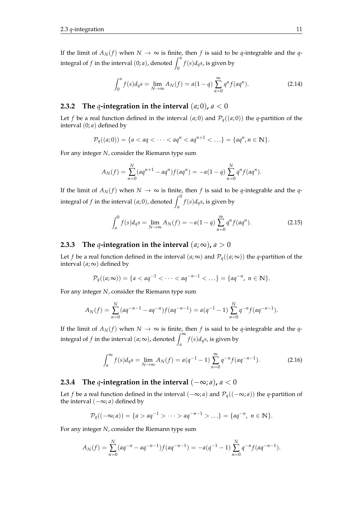If the limit of  $A_N(f)$  when  $N \to \infty$  is finite, then f is said to be q-integrable and the qintegral of *f* in the interval  $(0; a)$ , denoted  $\int_0^a f(s) d_q s$ , is given by

<span id="page-18-3"></span>
$$
\int_0^a f(s)d_q s = \lim_{N \to \infty} A_N(f) = a(1-q) \sum_{n=0}^\infty q^n f(aq^n).
$$
 (2.14)

#### <span id="page-18-0"></span>**2.3.2** The *q*-integration in the interval  $(a, 0)$ ,  $a < 0$

Let *f* be a real function defined in the interval  $(a, 0)$  and  $P_q((a, 0))$  the *q*-partition of the interval (0; *a*) defined by

$$
\mathcal{P}_q((a;0)) = \{a < aq < \cdots < aq^n < aq^{n+1} < \cdots \} = \{aq^n, n \in \mathbb{N}\}.
$$

For any integer *N*, consider the Riemann type sum

$$
A_N(f) = \sum_{n=0}^N (aq^{n+1} - aq^n) f(aq^n) = -a(1-q) \sum_{n=0}^N q^n f(aq^n).
$$

If the limit of  $A_N(f)$  when  $N \to \infty$  is finite, then f is said to be q-integrable and the qintegral of *f* in the interval  $(a, 0)$ , denoted  $\int_a^0 f(s) d_q s$ , is given by

$$
\int_{a}^{0} f(s)d_{q}s = \lim_{N \to \infty} A_{N}(f) = -a(1-q) \sum_{n=0}^{\infty} q^{n} f(aq^{n}).
$$
\n(2.15)

#### <span id="page-18-1"></span>**2.3.3** The *q*-integration in the interval  $(a; \infty)$ ,  $a > 0$

Let *f* be a real function defined in the interval  $(a, \infty)$  and  $\mathcal{P}_a((a, \infty))$  the *q*-partition of the interval  $(a; \infty)$  defined by

$$
\mathcal{P}_q((a;\infty)) = \{a < aq^{-1} < \cdots < aq^{-n-1} < \ldots\} = \{aq^{-n}, n \in \mathbb{N}\}.
$$

For any integer *N*, consider the Riemann type sum

$$
A_N(f) = \sum_{n=0}^N (aq^{-n-1} - aq^{-n}) f(aq^{-n-1}) = a(q^{-1} - 1) \sum_{n=0}^N q^{-n} f(aq^{-n-1}).
$$

If the limit of  $A_N(f)$  when  $N \to \infty$  is finite, then f is said to be q-integrable and the qintegral of *f* in the interval  $(a; \infty)$ , denoted  $\int_{a}^{\infty} f(s) d_{q}s$ , is given by

$$
\int_{a}^{\infty} f(s)d_{q}s = \lim_{N \to \infty} A_{N}(f) = a(q^{-1} - 1) \sum_{n=0}^{\infty} q^{-n} f(aq^{-n-1}).
$$
 (2.16)

#### <span id="page-18-2"></span>**2.3.4** The *q*-integration in the interval  $(-\infty; a)$ ,  $a < 0$

Let *f* be a real function defined in the interval  $(-\infty; a)$  and  $\mathcal{P}_q((-\infty; a))$  the *q*-partition of the interval (−∞; *a*) defined by

$$
\mathcal{P}_q((-\infty; a)) = \{a > aq^{-1} > \cdots > aq^{-n-1} > \ldots\} = \{aq^{-n}, n \in \mathbb{N}\}.
$$

For any integer *N*, consider the Riemann type sum

$$
A_N(f) = \sum_{n=0}^{N} (aq^{-n} - aq^{-n-1}) f(aq^{-n-1}) = -a(q^{-1} - 1) \sum_{n=0}^{N} q^{-n} f(aq^{-n-1}).
$$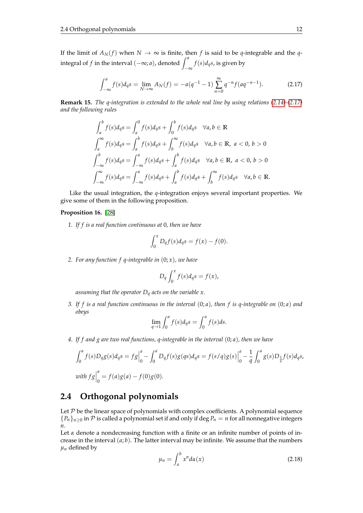If the limit of  $A_N(f)$  when  $N \to \infty$  is finite, then f is said to be q-integrable and the qintegral of *f* in the interval  $(-∞; a)$ , denoted  $\int_{-\infty}^{a} f(s) d<sub>q</sub> s$ , is given by

<span id="page-19-1"></span>
$$
\int_{-\infty}^{a} f(s)d_{q}s = \lim_{N \to \infty} A_{N}(f) = -a(q^{-1} - 1) \sum_{n=0}^{\infty} q^{-n} f(aq^{-n-1}).
$$
 (2.17)

**Remark 15.** *The q-integration is extended to the whole real line by using relations [\(2.14\)](#page-18-3)-[\(2.17\)](#page-19-1) and the following rules*

$$
\int_{a}^{b} f(s) d_{q} s = \int_{a}^{0} f(s) d_{q} s + \int_{0}^{b} f(s) d_{q} s \quad \forall a, b \in \mathbb{R}
$$
  

$$
\int_{a}^{\infty} f(s) d_{q} s = \int_{a}^{b} f(s) d_{q} s + \int_{b}^{\infty} f(s) d_{q} s \quad \forall a, b \in \mathbb{R}, a < 0, b > 0
$$
  

$$
\int_{-\infty}^{b} f(s) d_{q} s = \int_{-\infty}^{a} f(s) d_{q} s + \int_{a}^{b} f(s) d_{q} s \quad \forall a, b \in \mathbb{R}, a < 0, b > 0
$$
  

$$
\int_{-\infty}^{\infty} f(s) d_{q} s = \int_{-\infty}^{a} f(s) d_{q} s + \int_{a}^{b} f(s) d_{q} s + \int_{b}^{\infty} f(s) d_{q} s \quad \forall a, b \in \mathbb{R}.
$$

Like the usual integration, the *q*-integration enjoys several important properties. We give some of them in the following proposition.

#### **Proposition 16.** [\[28\]](#page-104-3)

*1. If f is a real function continuous at* 0*, then we have*

$$
\int_0^x D_q f(s) d_q s = f(x) - f(0).
$$

*2. For any function f q-integrable in* (0; *x*)*, we have*

$$
D_q \int_0^x f(s) \, dq = f(x),
$$

*assuming that the operator D<sup>q</sup> acts on the variable x.*

*3. If f is a real function continuous in the interval* (0; *a*)*, then f is q-integrable on* (0; *a*) *and obeys*

$$
\lim_{q \to 1} \int_0^a f(s) d_q s = \int_0^a f(s) ds.
$$

*4. If f and g are two real functions, q-integrable in the interval* (0; *a*)*, then we have*

$$
\int_0^a f(s)D_q g(s) d_q s = f g \Big|_0^a - \int_0^a D_q f(s) g(q s) d_q s = f(s/q) g(s) \Big|_0^a - \frac{1}{q} \int_0^a g(s) D_{\frac{1}{q}} f(s) d_q s,
$$
  
with  $f g \Big|_0^a = f(a) g(a) - f(0) g(0).$ 

### <span id="page-19-0"></span>**2.4 Orthogonal polynomials**

Let  $P$  be the linear space of polynomials with complex coefficients. A polynomial sequence  ${P_n}_n \geq 0$  in P is called a polynomial set if and only if deg  $P_n = n$  for all nonnegative integers *n*.

<span id="page-19-2"></span>Let  $\alpha$  denote a nondecreasing function with a finite or an infinite number of points of increase in the interval (*a*; *b*). The latter interval may be infinite. We assume that the numbers  $\mu_n$  defined by

$$
\mu_n = \int_a^b x^n d\alpha(x) \tag{2.18}
$$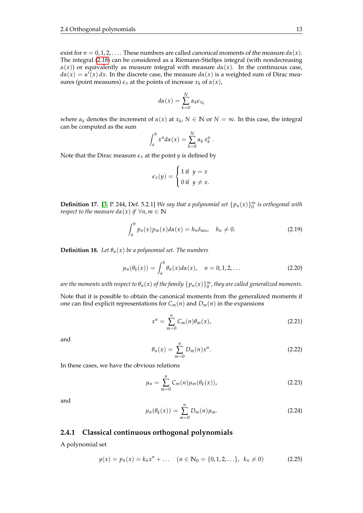exist for  $n = 0, 1, 2, \ldots$ . These numbers are called *canonical moments of the measure*  $d\alpha(x)$ *.* The integral [\(2.18\)](#page-19-2) can be considered as a Riemann-Stieltjes integral (with nondecreasing  $\alpha(x)$ ) or equivalently as measure integral with measure  $d\alpha(x)$ . In the continuous case,  $d\alpha(x) = \alpha(\bar{x}) dx$ . In the discrete case, the measure  $d\alpha(x)$  is a weighted sum of Dirac measures (point measures)  $\epsilon_x$  at the points of increase  $x_k$  of  $\alpha(x)$ ,

$$
d\alpha(x) = \sum_{k=0}^{N} \alpha_k \epsilon_{x_k}
$$

where  $\alpha_k$  denotes the increment of  $\alpha(x)$  at  $x_k$ ,  $N \in \mathbb{N}$  or  $N = \infty$ . In this case, the integral can be computed as the sum

$$
\int_a^b x^n d\alpha(x) = \sum_{k=0}^N \alpha_k x_k^n.
$$

Note that the Dirac measure  $\epsilon_x$  at the point *y* is defined by

$$
\epsilon_x(y) = \begin{cases} 1 \text{ if } y = x \\ 0 \text{ if } y \neq x. \end{cases}
$$

**Definition 17.** [\[3,](#page-103-1) P. 244, Def. 5.2.1] *We say that a polynomial set*  $\{p_n(x)\}_0^\infty$  *is orthogonal with respect to the measure*  $d\alpha(x)$  *<i>if*  $\forall n, m \in \mathbb{N}$ 

$$
\int_{a}^{b} p_n(x) p_m(x) d\alpha(x) = h_n \delta_{mn}, \quad h_n \neq 0.
$$
 (2.19)

**Definition 18.** *Let*  $\theta_n(x)$  *be a polynomial set. The numbers* 

$$
\mu_n(\theta_k(x)) = \int_a^b \theta_n(x) d\alpha(x), \quad n = 0, 1, 2, \dots
$$
\n(2.20)

are the moments with respect to  $\theta_n(x)$  of the family  $\{p_n(x)\}_0^\infty$ , they are called generalized moments.

Note that it is possible to obtain the canonical moments from the generalized moments if one can find explicit representations for  $C_m(n)$  and  $D_m(n)$  in the expansions

<span id="page-20-1"></span>
$$
x^n = \sum_{m=0}^n C_m(n)\theta_m(x), \qquad (2.21)
$$

and

<span id="page-20-2"></span>
$$
\theta_n(x) = \sum_{m=0}^n D_m(n) x^n.
$$
\n(2.22)

In these cases, we have the obvious relations

$$
\mu_n = \sum_{m=0}^n C_m(n) \mu_m(\theta_k(x)),
$$
\n(2.23)

and

$$
\mu_n(\theta_k(x)) = \sum_{m=0}^n D_m(n)\mu_m.
$$
\n(2.24)

#### <span id="page-20-0"></span>**2.4.1 Classical continuous orthogonal polynomials**

A polynomial set

$$
y(x) = p_n(x) = k_n x^n + \dots \quad (n \in \mathbb{N}_0 = \{0, 1, 2, \dots\}, \ k_n \neq 0)
$$
 (2.25)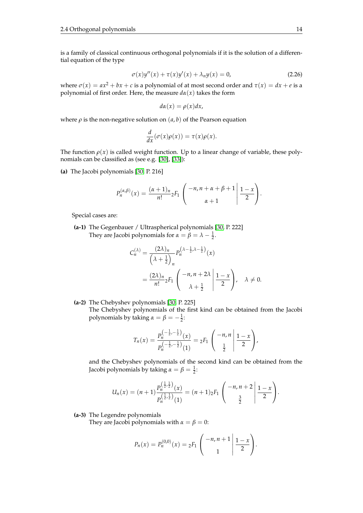is a family of classical continuous orthogonal polynomials if it is the solution of a differential equation of the type

$$
\sigma(x)y''(x) + \tau(x)y'(x) + \lambda_n y(x) = 0,
$$
\n(2.26)

where  $\sigma(x) = ax^2 + bx + c$  is a polynomial of at most second order and  $\tau(x) = dx + e$  is a polynomial of first order. Here, the measure  $d\alpha(x)$  takes the form

$$
d\alpha(x) = \rho(x)dx,
$$

where  $\rho$  is the non-negative solution on  $(a, b)$  of the Pearson equation

$$
\frac{d}{dx}(\sigma(x)\rho(x)) = \tau(x)\rho(x).
$$

The function  $\rho(x)$  is called weight function. Up to a linear change of variable, these polynomials can be classified as (see e.g. [\[30\]](#page-104-0), [\[33\]](#page-104-5)):

**(a)** The Jacobi polynomials [\[30,](#page-104-0) P. 216]

$$
P_n^{(\alpha,\beta)}(x) = \frac{(\alpha+1)_n}{n!} {}_2F_1\left(\begin{array}{c} -n, n+\alpha+\beta+1 \\ \alpha+1 \end{array} \middle| \frac{1-x}{2}\right).
$$

Special cases are:

**(a-1)** The Gegenbauer / Ultraspherical polynomials [\[30,](#page-104-0) P. 222] They are Jacobi polynomials for  $\alpha = \beta = \lambda - \frac{1}{2}$ .

$$
C_n^{(\lambda)} = \frac{(2\lambda)_n}{\left(\lambda + \frac{1}{2}\right)_n} P_n^{\left(\lambda - \frac{1}{2}, \lambda - \frac{1}{2}\right)}(x)
$$
  
= 
$$
\frac{(2\lambda)_n}{n!} {}_2F_1 \left( \frac{-n, n + 2\lambda}{\lambda + \frac{1}{2}} \middle| \frac{1 - x}{2} \right), \quad \lambda \neq 0.
$$

**(a-2)** The Chebyshev polynomials [\[30,](#page-104-0) P. 225]

The Chebyshev polynomials of the first kind can be obtained from the Jacobi polynomials by taking  $\alpha = \beta = -\frac{1}{2}$ :

$$
T_n(x) = \frac{P_n^{(-\frac{1}{2},-\frac{1}{2})}(x)}{P_n^{(-\frac{1}{2},-\frac{1}{2})}(1)} = {}_2F_1\left(\begin{array}{c} -n,n\\ \frac{1}{2} \end{array} \middle| \frac{1-x}{2}\right),
$$

and the Chebyshev polynomials of the second kind can be obtained from the Jacobi polynomials by taking  $\alpha = \beta = \frac{1}{2}$ :

$$
U_n(x)=(n+1)\frac{P_n^{\left(\frac{1}{2},\frac{1}{2}\right)}(x)}{P_n^{\left(\frac{1}{2},\frac{1}{2}\right)}(1)}=(n+1)_2F_1\left(\begin{array}{c}-n,n+2\\ \frac{3}{2}\end{array}\bigg|\frac{1-x}{2}\right).
$$

**(a-3)** The Legendre polynomials

They are Jacobi polynomials with  $\alpha = \beta = 0$ :

$$
P_n(x) = P_n^{(0,0)}(x) = {}_2F_1\left(\begin{array}{c} -n, n+1\\ 1 \end{array} \middle| \frac{1-x}{2}\right).
$$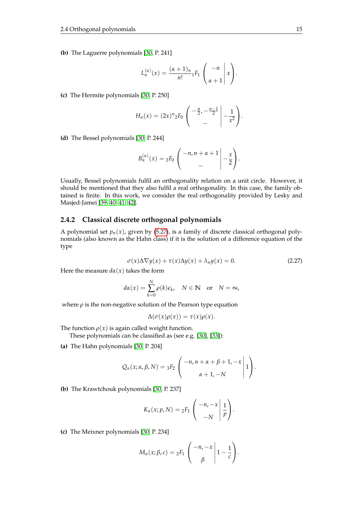**(b)** The Laguerre polynomials [\[30,](#page-104-0) P. 241]

$$
L_n^{(\alpha)}(x) = \frac{(\alpha+1)_n}{n!} {}_1F_1\left(\begin{array}{c} -n \\ \alpha+1 \end{array}\bigg|x\right).
$$

**(c)** The Hermite polynomials [\[30,](#page-104-0) P. 250]

$$
H_n(x) = (2x)^n {}_2F_0 \left( \begin{array}{c} -\frac{n}{2}, -\frac{n-1}{2} \\ - \end{array} \bigg| -\frac{1}{x^2} \right).
$$

**(d)** The Bessel polynomials [\[30,](#page-104-0) P. 244]

$$
B_n^{(\alpha)}(x) = {}_2F_0 \left( \begin{array}{c} -n, n+\alpha+1 \\ - \end{array} \bigg| -\frac{x}{2} \right).
$$

Usually, Bessel polynomials fulfil an orthogonality relation on a unit circle. However, it should be mentioned that they also fulfil a real orthogonality. In this case, the family obtained is finite. In this work, we consider the real orthogonality provided by Lesky and Masjed-Jamei [\[39,](#page-104-6) [40,](#page-105-5) [41,](#page-105-6) [42\]](#page-105-7).

#### <span id="page-22-0"></span>**2.4.2 Classical discrete orthogonal polynomials**

A polynomial set  $p_n(x)$ , given by [\(5.27\)](#page-58-2), is a family of discrete classical orthogonal polynomials (also known as the Hahn class) if it is the solution of a difference equation of the type

$$
\sigma(x)\Delta\nabla y(x) + \tau(x)\Delta y(x) + \lambda_n y(x) = 0.
$$
\n(2.27)

Here the measure  $d\alpha(x)$  takes the form

$$
d\alpha(x) = \sum_{k=0}^{N} \rho(k)\epsilon_k, \quad N \in \mathbb{N} \quad \text{or} \quad N = \infty,
$$

where  $\rho$  is the non-negative solution of the Pearson type equation

$$
\Delta(\sigma(x)\rho(x)) = \tau(x)\rho(x).
$$

The function  $\rho(x)$  is again called weight function.

These polynomials can be classified as (see e.g. [\[30\]](#page-104-0), [\[33\]](#page-104-5)):

**(a)** The Hahn polynomials [\[30,](#page-104-0) P. 204]

$$
Q_n(x; \alpha, \beta, N) = {}_3F_2\left(\begin{array}{c} -n, n+\alpha+\beta+1, -x \\ \alpha+1, -N \end{array} \middle| 1\right).
$$

**(b)** The Krawtchouk polynomials [\[30,](#page-104-0) P. 237]

$$
K_n(x; p, N) = {}_2F_1\left(\begin{array}{c} -n, -x \\ -N \end{array} \middle| \frac{1}{p}\right).
$$

**(c)** The Meixner polynomials [\[30,](#page-104-0) P. 234]

$$
M_n(x; \beta, c) = {}_2F_1\left(\begin{array}{c} -n, -x \\ \beta \end{array}\bigg| 1 - \frac{1}{c}\right).
$$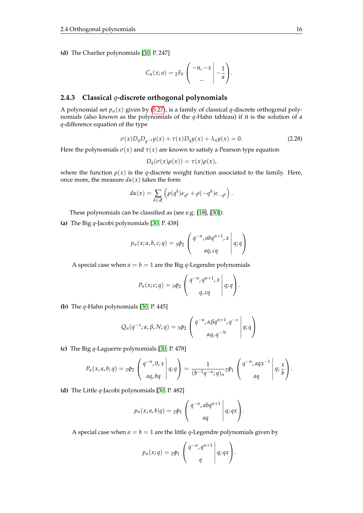**(d)** The Charlier polynomials [\[30,](#page-104-0) P. 247]

$$
C_n(x;a)=2F_0\left(\begin{array}{c}-n,-x\\-\end{array}\bigg|\begin{array}{c}-1\\-\frac{1}{a}\end{array}\right).
$$

#### <span id="page-23-0"></span>**2.4.3 Classical** *q***-discrete orthogonal polynomials**

A polynomial set  $p_n(x)$  given by [\(5.27\)](#page-58-2), is a family of classical  $q$ -discrete orthogonal polynomials (also known as the polynomials of the *q*-Hahn tableau) if it is the solution of a *q*-difference equation of the type

$$
\sigma(x)D_q D_{q^{-1}} y(x) + \tau(x)D_q y(x) + \lambda_n y(x) = 0.
$$
 (2.28)

Here the polynomials  $\sigma(x)$  and  $\tau(x)$  are known to satisfy a Pearson type equation

$$
D_q(\sigma(x)\rho(x)) = \tau(x)\rho(x),
$$

where the function  $\rho(x)$  is the *q*-discrete weight function associated to the family. Here, once more, the measure  $d\alpha(x)$  takes the form

$$
d\alpha(x) = \sum_{k \in \mathbb{Z}} \left( \rho(q^k) \epsilon_{q^k} + \rho(-q^k) \epsilon_{-q^k} \right).
$$

These polynomials can be classified as (see e.g. [\[18\]](#page-104-7), [\[30\]](#page-104-0)):

**(a)** The Big *q*-Jacobi polynomials [\[30,](#page-104-0) P. 438]

$$
p_n(x;a,b,c;q) = 3\phi_2 \left( \begin{array}{c} q^{-n}, abq^{n+1},x \\ aq, cq \end{array} \middle| q; q \right)
$$

A special case when  $a = b = 1$  are the Big *q*-Legendre polynomials

$$
P_n(x;c;q) = 3\phi_2 \left( \begin{array}{c} q^{-n}, q^{n+1}, x \\ q, cq \end{array} \middle| q; q \right).
$$

**(b)** The *q*-Hahn polynomials [\[30,](#page-104-0) P. 445]

$$
Q_n(q^{-x}; \alpha, \beta, N; q) = 3\phi_2 \left( \begin{array}{c} q^{-n}, \alpha \beta q^{n+1}, q^{-x} \\ \alpha q, q^{-N} \end{array} \middle| q; q \right)
$$

**(c)** The Big *q*-Laguerre polynomials [\[30,](#page-104-0) P. 478]

$$
P_n(x, a, b; q) = 3\phi_2 \left( \begin{array}{c} q^{-n}, 0, x \\ aq, bq \end{array} \middle| q; q \right) = \frac{1}{(b^{-1}q^{-n}; q)_n} 2\phi_1 \left( \begin{array}{c} q^{-n}, aqx^{-1} \\ aq \end{array} \middle| q; \frac{x}{b} \right).
$$

**(d)** The Little *q*-Jacobi polynomials [\[30,](#page-104-0) P. 482]

$$
p_n(x;a,b|q) = 2\phi_1 \left( \begin{array}{c} q^{-n}, abq^{n+1} \\ aq \end{array} \middle| q; qx \right).
$$

A special case when  $a = b = 1$  are the little *q*-Legendre polynomials given by

$$
p_n(x;q) = 2\phi_1 \left( \begin{array}{c} q^{-n}, q^{n+1} \\ q \end{array} \middle| q; qx \right).
$$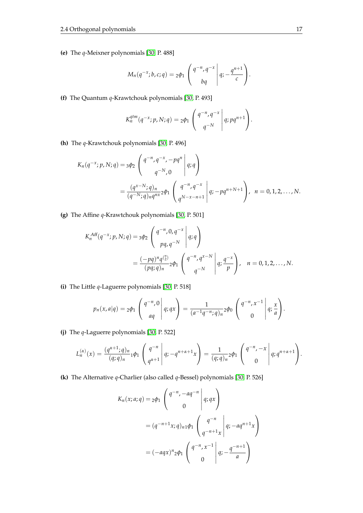**(e)** The *q*-Meixner polynomials [\[30,](#page-104-0) P. 488]

$$
M_n(q^{-x};b,c;q)=2\phi_1\left(\begin{array}{c}q^{-n},q^{-x}\\bq\end{array}\bigg|\,q;-\frac{q^{n+1}}{c}\right).
$$

**(f)** The Quantum *q*-Krawtchouk polynomials [\[30,](#page-104-0) P. 493]

$$
K_n^{qtm}(q^{-x};p,N;q)=2\phi_1\left(\begin{array}{c}q^{-n},q^{-x}\\q^{-N}\end{array}\bigg|q;pq^{n+1}\right).
$$

**(h)** The *q*-Krawtchouk polynomials [\[30,](#page-104-0) P. 496]

$$
K_n(q^{-x}; p, N; q) = 3\phi_2 \begin{pmatrix} q^{-n}, q^{-x}, -pq^n \\ q^{-N}, 0 \end{pmatrix} q; q
$$
  
= 
$$
\frac{(q^{x-N}; q)_n}{(q^{-N}; q)_n q^{nx}} 2\phi_1 \begin{pmatrix} q^{-n}, q^{-x} \\ q^{N-x-n+1} \end{pmatrix} q; -pq^{n+N+1}
$$
,  $n = 0, 1, 2, ..., N$ .

**(g)** The Affine *q*-Krawtchouk polynomials [\[30,](#page-104-0) P. 501]

$$
K_n^{Aff}(q^{-x}; p, N; q) = {}_3\phi_2 \left( \begin{array}{c} q^{-n}, 0, q^{-x} \\ p q, q^{-N} \end{array} \middle| q; q \right)
$$
  
= 
$$
\frac{(-pq)^n q^{n \choose 2}}{(pq; q)_n} {}_2\phi_1 \left( \begin{array}{c} q^{-n}, q^{x-N} \\ q^{-N} \end{array} \middle| q; \frac{q^{-x}}{p} \right), \quad n = 0, 1, 2, ..., N.
$$

**(i)** The Little *q*-Laguerre polynomials [\[30,](#page-104-0) P. 518]

$$
p_n(x,a|q) = 2\phi_1\left(\begin{array}{c}q^{-n},0\\aq\end{array}\middle|q;qx\right) = \frac{1}{(a^{-1}q^{-n};q)_n}2\phi_0\left(\begin{array}{c}q^{-n},x^{-1}\\0\end{array}\middle|q;\frac{x}{a}\right).
$$

**(j)** The *q*-Laguerre polynomials [\[30,](#page-104-0) P. 522]

$$
L_n^{(\alpha)}(x) = \frac{(q^{\alpha+1};q)_n}{(q;q)_n} 1 \phi_1 \begin{pmatrix} q^{-n} \\ q^{\alpha+1} \end{pmatrix} q; -q^{n+\alpha+1}x \begin{pmatrix} 1 & 0 \end{pmatrix} = \frac{1}{(q;q)_n} 2 \phi_1 \begin{pmatrix} q^{-n}, -x \\ 0 \end{pmatrix} q; q^{n+\alpha+1}.
$$

**(k)** The Alternative *q*-Charlier (also called *q*-Bessel) polynomials [\[30,](#page-104-0) P. 526]

$$
K_n(x;a;q) = 2\phi_1 \begin{pmatrix} q^{-n}, -aq^{-n} \\ 0 \end{pmatrix} q; qx
$$
  
=  $(q^{-n+1}x;q)_{n1}\phi_1 \begin{pmatrix} q^{-n} \\ q^{-n+1}x \end{pmatrix} q; -aq^{n+1}x$   
=  $(-aqx)^n 2\phi_1 \begin{pmatrix} q^{-n}, x^{-1} \\ 0 \end{pmatrix} q; -\frac{q^{-n+1}}{a}.$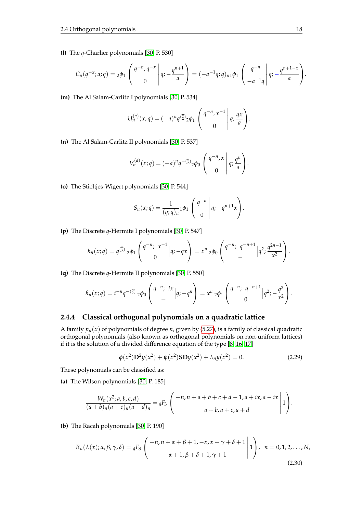**(l)** The *q*-Charlier polynomials [\[30,](#page-104-0) P. 530]

$$
C_n(q^{-x};a;q) = {}_2\phi_1\left(\begin{array}{c}q^{-n},q^{-x} \\ 0\end{array}\bigg|q;-\frac{q^{n+1}}{a}\right) = (-a^{-1}q;q)_{n1}\phi_1\left(\begin{array}{c}q^{-n} \\ -a^{-1}q\end{array}\bigg|q;-\frac{q^{n+1-x}}{a}\right).
$$

**(m)** The Al Salam-Carlitz I polynomials [\[30,](#page-104-0) P. 534]

$$
U_n^{(a)}(x;q) = (-a)^n q^{(\frac{n}{2})} 2\phi_1 \begin{pmatrix} q^{-n}, x^{-1} \\ 0 \end{pmatrix} q; \frac{qx}{a}.
$$

**(n)** The Al Salam-Carlitz II polynomials [\[30,](#page-104-0) P. 537]

$$
V_n^{(a)}(x;q) = (-a)^n q^{-\binom{n}{2}} 2\phi_0 \left( \begin{array}{c} q^{-n}, x \\ 0 \end{array} \middle| q; \frac{q^n}{a} \right).
$$

**(o)** The Stieltjes-Wigert polynomials [\[30,](#page-104-0) P. 544]

$$
S_n(x;q) = \frac{1}{(q;q)_n} \phi_1 \begin{pmatrix} q^{-n} \\ 0 \end{pmatrix} q; -q^{n+1}x.
$$

**(p)** The Discrete *q*-Hermite I polynomials [\[30,](#page-104-0) P. 547]

$$
h_n(x;q) = q^{\binom{n}{2}} 2\phi_1 \begin{pmatrix} q^{-n}; & x^{-1} \\ 0 \end{pmatrix} |q; -qx \right) = x^n 2\phi_0 \begin{pmatrix} q^{-n}; & q^{-n+1} \\ - \end{pmatrix} |q^2; \frac{q^{2n-1}}{x^2} \right).
$$

**(q)** The Discrete *q*-Hermite II polynomials [\[30,](#page-104-0) P. 550]

$$
\tilde{h}_n(x;q) = i^{-n}q^{-\binom{n}{2}}2\phi_0\begin{pmatrix}q^{-n};&ix\\&-\\&&-\\&&-\\&&-\\&&\end{pmatrix} = x^n 2\phi_1\begin{pmatrix}q^{-n};&q^{-n+1}\\&0\end{pmatrix} |q^2;-\frac{q^2}{x^2}\begin{pmatrix}q^{-n};&x\\&0\end{pmatrix}.
$$

#### <span id="page-25-0"></span>**2.4.4 Classical orthogonal polynomials on a quadratic lattice**

A family  $p_n(x)$  of polynomials of degree *n*, given by [\(5.27\)](#page-58-2), is a family of classical quadratic orthogonal polynomials (also known as orthogonal polynomials on non-uniform lattices) if it is the solution of a divided difference equation of the type [\[8,](#page-103-0) [16,](#page-103-2) [17\]](#page-104-1)

$$
\phi(x^2) \mathbf{D}^2 y(x^2) + \psi(x^2) \mathbf{S} \mathbf{D} y(x^2) + \lambda_n y(x^2) = 0.
$$
 (2.29)

These polynomials can be classified as:

**(a)** The Wilson polynomials [\[30,](#page-104-0) P. 185]

$$
\frac{W_n(x^2;a,b,c,d)}{(a+b)_n(a+c)_n(a+d)_n} = {}_4F_3\left(\begin{array}{c} -n, n+a+b+c+d-1, a+ix, a-ix \ a+b, a+c, a+d \end{array}\bigg| 1\right).
$$

**(b)** The Racah polynomials [\[30,](#page-104-0) P. 190]

$$
R_n(\lambda(x); \alpha, \beta, \gamma, \delta) = {}_4F_3\left(\begin{array}{c} -n, n+\alpha+\beta+1, -x, x+\gamma+\delta+1\\ \alpha+1, \beta+\delta+1, \gamma+1 \end{array}\bigg|1\right), \quad n = 0, 1, 2, \ldots, N,
$$
\n(2.30)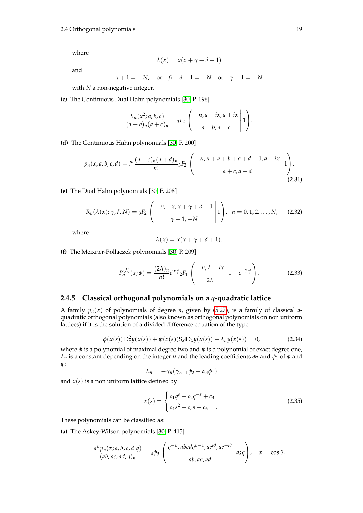where

and

$$
\alpha + 1 = -N
$$
, or  $\beta + \delta + 1 = -N$  or  $\gamma + 1 = -N$ 

 $\lambda(x) = x(x + \gamma + \delta + 1)$ 

with *N* a non-negative integer.

**(c)** The Continuous Dual Hahn polynomials [\[30,](#page-104-0) P. 196]

$$
\frac{S_n(x^2;a,b,c)}{(a+b)_n(a+c)_n}= {}_3F_2\left(\begin{array}{c} -n,a-ix,a+ix\\ a+b,a+c \end{array}\bigg|1\right).
$$

**(d)** The Continuous Hahn polynomials [\[30,](#page-104-0) P. 200]

$$
p_n(x;a,b,c,d) = i^n \frac{(a+c)_n(a+d)_n}{n!} {}_3F_2 \left( \begin{array}{c} -n, n+a+b+c+d-1, a+ix \ a+c, a+d \end{array} \middle| 1 \right). \tag{2.31}
$$

**(e)** The Dual Hahn polynomials [\[30,](#page-104-0) P. 208]

$$
R_n(\lambda(x); \gamma, \delta, N) = {}_3F_2\left( \begin{array}{c} -n, -x, x + \gamma + \delta + 1 \\ \gamma + 1, -N \end{array} \middle| 1 \right), \ \ n = 0, 1, 2, \dots, N, \tag{2.32}
$$

where

$$
\lambda(x) = x(x + \gamma + \delta + 1).
$$

**(f)** The Meixner-Pollaczek polynomials [\[30,](#page-104-0) P. 209]

$$
P_n^{(\lambda)}(x;\phi) = \frac{(2\lambda)_n}{n!} e^{in\phi} {}_2F_1\left(\begin{array}{c} -n,\lambda+ix\\ 2\lambda \end{array}\bigg| 1 - e^{-2i\phi} \right).
$$
 (2.33)

#### <span id="page-26-0"></span>**2.4.5 Classical orthogonal polynomials on a** *q***-quadratic lattice**

A family  $p_n(x)$  of polynomials of degree *n*, given by [\(5.27\)](#page-58-2), is a family of classical *q*quadratic orthogonal polynomials (also known as orthogonal polynomials on non uniform lattices) if it is the solution of a divided difference equation of the type

$$
\phi(x(s))\mathbb{D}_x^2 y(x(s)) + \psi(x(s))S_x \mathbb{D}_x y(x(s)) + \lambda_n y(x(s)) = 0,
$$
\n(2.34)

where *φ* is a polynomial of maximal degree two and *ψ* is a polynomial of exact degree one, *λ*<sub>*n*</sub> is a constant depending on the integer *n* and the leading coefficients  $φ$ <sub>2</sub> and  $ψ$ <sub>1</sub> of  $φ$  and *ψ*:

$$
\lambda_n=-\gamma_n(\gamma_{n-1}\phi_2+\alpha_n\phi_1)
$$

and  $x(s)$  is a non uniform lattice defined by

$$
x(s) = \begin{cases} c_1 q^s + c_2 q^{-s} + c_3 \\ c_4 s^2 + c_5 s + c_6 \end{cases}
$$
 (2.35)

These polynomials can be classified as:

**(a)** The Askey-Wilson polynomials [\[30,](#page-104-0) P. 415]

$$
\frac{a^n p_n(x;a,b,c,d|q)}{(ab,ac,ad;q)_n} = 4\phi_3 \left( \begin{array}{c} q^{-n}, abcdq^{n-1}, ae^{i\theta}, ae^{-i\theta} \\ ab, ac, ad \end{array} \middle| q; q \right), \quad x = \cos \theta.
$$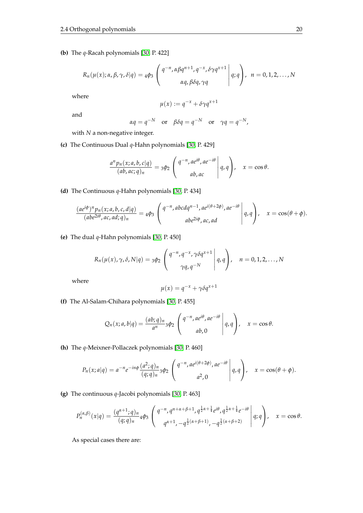**(b)** The *q*-Racah polynomials [\[30,](#page-104-0) P. 422]

$$
R_n(\mu(x); \alpha, \beta, \gamma, \delta | q) = 4\phi_3 \left( \begin{array}{c} q^{-n}, \alpha \beta q^{n+1}, q^{-x}, \delta \gamma q^{x+1} \\ \alpha q, \beta \delta q, \gamma q \end{array} \middle| q; q \right), \quad n = 0, 1, 2, \ldots, N
$$

where

$$
\mu(x) := q^{-x} + \delta \gamma q^{x+1}
$$

and

$$
\alpha q = q^{-N} \quad \text{or} \quad \beta \delta q = q^{-N} \quad \text{or} \quad \gamma q = q^{-N},
$$

with *N* a non-negative integer.

**(c)** The Continuous Dual *q*-Hahn polynomials [\[30,](#page-104-0) P. 429]

$$
\frac{a^n p_n(x;a,b,c|q)}{(ab,ac;q)_n} = 3\phi_2 \left( \begin{array}{c} q^{-n},ae^{i\theta},ae^{-i\theta} \\ ab,ac \end{array} \middle| q,q \right), \quad x = \cos \theta.
$$

**(d)** The Continuous *q*-Hahn polynomials [\[30,](#page-104-0) P. 434]

$$
\frac{(ae^{i\phi})^n p_n(x;a,b,c,d|q)}{(abe^{2i\theta},ac,ad;q)_n} = 4\phi_3 \left( \begin{array}{c} q^{-n}, abcdq^{n-1}, ae^{i(\theta+2\phi)}, ae^{-i\theta} \\ abe^{2i\phi}, ac, ad \end{array} \middle| q, q \right), \quad x = \cos(\theta + \phi).
$$

**(e)** The dual *q*-Hahn polynomials [\[30,](#page-104-0) P. 450]

$$
R_n(\mu(x), \gamma, \delta, N | q) = 3\phi_2 \left( \frac{q^{-n}, q^{-x}, \gamma \delta q^{x+1}}{\gamma q, q^{-N}} \middle| q, q \right), \quad n = 0, 1, 2, \dots, N
$$

where

$$
\mu(x) = q^{-x} + \gamma \delta q^{x+1}
$$

**(f)** The Al-Salam-Chihara polynomials [\[30,](#page-104-0) P. 455]

$$
Q_n(x;a,b|q) = \frac{(ab;q)_n}{a^n} \cdot 3\phi_2 \left( \begin{array}{c} q^{-n}, a e^{i\theta}, a e^{-i\theta} \\ ab, 0 \end{array} \middle| q, q \right), \quad x = \cos \theta.
$$

**(h)** The *q*-Meixner-Pollaczek polynomials [\[30,](#page-104-0) P. 460]

$$
P_n(x;a|q) = a^{-n}e^{-in\phi}\frac{(a^2;q)_n}{(q;q)_n}3\phi_2\left(\begin{array}{c}q^{-n},ae^{i(\theta+2\phi)},ae^{-i\theta}\\a^2,0\end{array}\bigg|q,q\right), \quad x = \cos(\theta+\phi).
$$

**(g)** The continuous *q*-Jacobi polynomials [\[30,](#page-104-0) P. 463]

$$
P_n^{(\alpha,\beta)}(x|q) = \frac{(q^{\alpha+1};q)_n}{(q;q)_n} 4\phi_3 \left( \begin{array}{c} q^{-n}, q^{n+\alpha+\beta+1}, q^{\frac{1}{2}\alpha+\frac{1}{4}} e^{i\theta}, q^{\frac{1}{2}\alpha+\frac{1}{4}} e^{-i\theta} \\ q^{\alpha+1}, -q^{\frac{1}{2}(\alpha+\beta+1)}, -q^{\frac{1}{2}(\alpha+\beta+2)} \end{array} \middle| q; q \right), \quad x = \cos \theta.
$$

As special cases there are: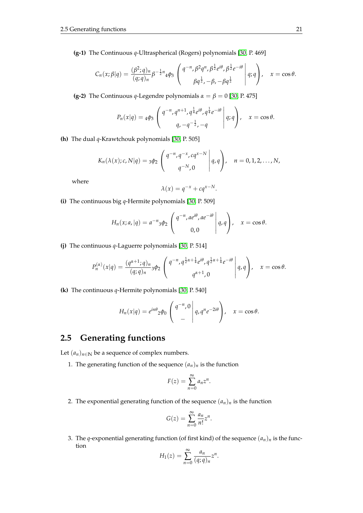**(g-1)** The Continuous *q*-Ultraspherical (Rogers) polynomials [\[30,](#page-104-0) P. 469]

$$
C_n(x;\beta|q) = \frac{(\beta^2;q)_n}{(q;q)_n} \beta^{-\frac{1}{2}n} 4\phi_3 \left( \frac{q^{-n}, \beta^2 q^n, \beta^{\frac{1}{2}} e^{i\theta}, \beta^{\frac{1}{2}} e^{-i\theta}}{\beta q^{\frac{1}{2}}, -\beta, -\beta q^{\frac{1}{2}}} \right) q; q \right), \quad x = \cos \theta.
$$

**(g-2)** The Continuous *q*-Legendre polynomials  $\alpha = \beta = 0$  [\[30,](#page-104-0) P. 475]

$$
P_n(x|q) = 4\phi_3 \left( \frac{q^{-n}, q^{n+1}, q^{\frac{1}{4}} e^{i\theta}, q^{\frac{1}{4}} e^{-i\theta}}{q, -q^{-\frac{1}{2}}, -q} \middle| q; q \right), \quad x = \cos \theta.
$$

**(h)** The dual *q*-Krawtchouk polynomials [\[30,](#page-104-0) P. 505]

$$
K_n(\lambda(x); c, N|q) = 3\phi_2 \begin{pmatrix} q^{-n}, q^{-x}, cq^{x-N} \\ q^{-N}, 0 \end{pmatrix} q, q
$$
,  $n = 0, 1, 2, ..., N$ ,

where

$$
\lambda(x) = q^{-x} + cq^{x-N}.
$$

**(i)** The continuous big *q*-Hermite polynomials [\[30,](#page-104-0) P. 509]

$$
H_n(x;a,|q) = a^{-n} \cdot 3\phi_2 \begin{pmatrix} q^{-n}, a e^{i\theta}, a e^{-i\theta} \\ 0, 0 \end{pmatrix}, \quad x = \cos \theta.
$$

**(j)** The continuous *q*-Laguerre polynomials [\[30,](#page-104-0) P. 514]

$$
P_n^{(\alpha)}(x|q) = \frac{(q^{\alpha+1};q)_n}{(q;q)_n} 3\phi_2 \left( \begin{array}{c} q^{-n}, q^{\frac{1}{2}\alpha+\frac{1}{4}}e^{i\theta}, q^{\frac{1}{2}\alpha+\frac{1}{4}}e^{-i\theta} \\ q^{\alpha+1}, 0 \end{array} \middle| q, q \right), \quad x = \cos \theta.
$$

**(k)** The continuous *q*-Hermite polynomials [\[30,](#page-104-0) P. 540]

$$
H_n(x|q) = e^{in\theta} \cdot 2\phi_0 \begin{pmatrix} q^{-n}, 0 \\ - \end{pmatrix} q, q^n e^{-2i\theta} \begin{pmatrix} 0 & x = \cos \theta. \end{pmatrix}
$$

## <span id="page-28-0"></span>**2.5 Generating functions**

Let  $(a_n)_{n \in \mathbb{N}}$  be a sequence of complex numbers.

1. The generating function of the sequence  $(a_n)_n$  is the function

$$
F(z) = \sum_{n=0}^{\infty} a_n z^n.
$$

2. The exponential generating function of the sequence  $(a_n)_n$  is the function

$$
G(z) = \sum_{n=0}^{\infty} \frac{a_n}{n!} z^n.
$$

3. The *q*-exponential generating function (of first kind) of the sequence  $(a_n)_n$  is the function

$$
H_1(z) = \sum_{n=0}^{\infty} \frac{a_n}{(q;q)_n} z^n.
$$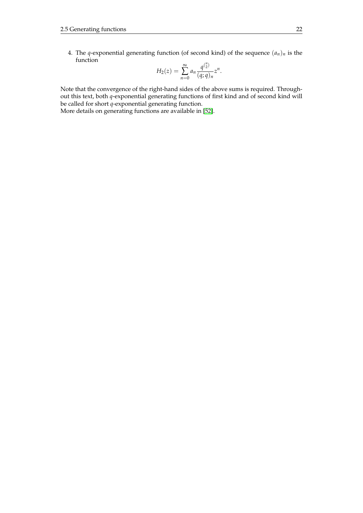4. The *q*-exponential generating function (of second kind) of the sequence  $(a_n)_n$  is the function

$$
H_2(z) = \sum_{n=0}^{\infty} a_n \frac{q^{\binom{n}{2}}}{(q;q)_n} z^n.
$$

Note that the convergence of the right-hand sides of the above sums is required. Throughout this text, both *q*-exponential generating functions of first kind and of second kind will be called for short *q*-exponential generating function.

More details on generating functions are available in [\[52\]](#page-105-8).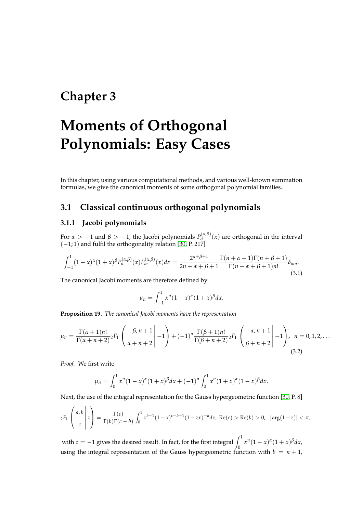## <span id="page-30-0"></span>**Chapter 3**

# **Moments of Orthogonal Polynomials: Easy Cases**

In this chapter, using various computational methods, and various well-known summation formulas, we give the canonical moments of some orthogonal polynomial families.

### <span id="page-30-1"></span>**3.1 Classical continuous orthogonal polynomials**

#### <span id="page-30-2"></span>**3.1.1 Jacobi polynomials**

For  $\alpha > -1$  and  $\beta > -1$ , the Jacobi polynomials  $P_n^{(\alpha,\beta)}(x)$  are orthogonal in the interval  $(-1, 1)$  and fulfil the orthogonality relation [\[30,](#page-104-0) P. 217]

$$
\int_{-1}^{1} (1-x)^{\alpha} (1+x)^{\beta} P_n^{(\alpha,\beta)}(x) P_m^{(\alpha,\beta)}(x) dx = \frac{2^{\alpha+\beta+1}}{2n+\alpha+\beta+1} \frac{\Gamma(n+\alpha+1)\Gamma(n+\beta+1)}{\Gamma(n+\alpha+\beta+1)n!} \delta_{mn}.
$$
\n(3.1)

The canonical Jacobi moments are therefore defined by

$$
\mu_n = \int_{-1}^1 x^n (1-x)^{\alpha} (1+x)^{\beta} dx.
$$

**Proposition 19.** *The canonical Jacobi moments have the representation*

$$
\mu_n = \frac{\Gamma(\alpha+1)n!}{\Gamma(\alpha+n+2)}{}_2F_1\left(\begin{array}{c} -\beta, n+1 \\ \alpha+n+2 \end{array}\bigg| -1 \right) + (-1)^n \frac{\Gamma(\beta+1)n!}{\Gamma(\beta+n+2)}{}_2F_1\left(\begin{array}{c} -\alpha, n+1 \\ \beta+n+2 \end{array}\bigg| -1 \right), \quad n = 0, 1, 2, \ldots
$$
\n(3.2)

*Proof.* We first write

and the state

$$
\mu_n = \int_0^1 x^n (1-x)^{\alpha} (1+x)^{\beta} dx + (-1)^n \int_0^1 x^n (1+x)^{\alpha} (1-x)^{\beta} dx.
$$

Next, the use of the integral representation for the Gauss hypergeometric function [\[30,](#page-104-0) P. 8]

$$
{}_2F_1\left(\begin{array}{c}a,b\\c\end{array}\bigg|z\right)=\frac{\Gamma(c)}{\Gamma(b)\Gamma(c-b)}\int_0^1x^{b-1}(1-x)^{c-b-1}(1-zx)^{-a}dx,\ \text{Re}(c)>\text{Re}(b)>0,\ \ |\arg(1-z)|<\pi,
$$

with  $z = -1$  gives the desired result. In fact, for the first integral  $\int_1^1 x^n (1-x)^{\alpha} (1+x)^{\beta} dx$ , using the integral representation of the Gauss hypergeometric function with  $b = n + 1$ ,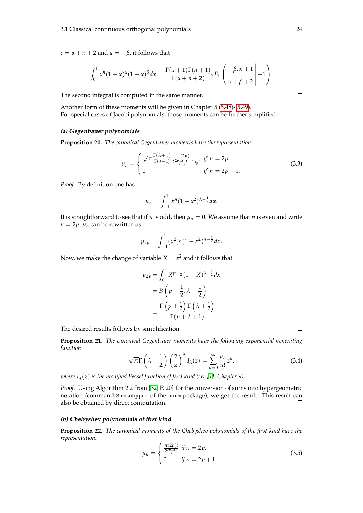$c = \alpha + n + 2$  and  $a = -\beta$ , it follows that

$$
\int_0^1 x^n (1-x)^{\alpha} (1+x)^{\beta} dx = \frac{\Gamma(\alpha+1)\Gamma(n+1)}{\Gamma(\alpha+n+2)} {}_2F_1 \left( \left. \begin{array}{c} -\beta, n+1 \\ \alpha+\beta+2 \end{array} \right| -1 \right).
$$

The second integral is computed in the same manner.

Another form of these moments will be given in Chapter 5 [\(5.48\)](#page-63-0)-[\(5.49\)](#page-63-0). For special cases of Jacobi polynomials, those moments can be further simplified.

#### **(a) Gegenbauer polynomials**

**Proposition 20.** *The canonical Gegenbauer moments have the representation*

$$
\mu_n = \begin{cases} \sqrt{\pi} \frac{\Gamma(\lambda + \frac{1}{2})}{\Gamma(\lambda + 1)} \frac{(2p)!}{2^{2p} p! (\lambda + 1)_p}, & \text{if } n = 2p. \\ 0 & \text{if } n = 2p + 1. \end{cases} \tag{3.3}
$$

*Proof.* By definition one has

$$
\mu_n = \int_{-1}^1 x^n (1 - x^2)^{\lambda - \frac{1}{2}} dx.
$$

It is straightforward to see that if *n* is odd, then  $\mu_n = 0$ . We assume that *n* is even and write  $n = 2p$ .  $\mu_n$  can be rewritten as

$$
\mu_{2p} = \int_{-1}^{1} (x^2)^p (1 - x^2)^{\lambda - \frac{1}{2}} dx.
$$

Now, we make the change of variable  $X = x^2$  and it follows that:

$$
\mu_{2p} = \int_0^1 X^{p-\frac{1}{2}} (1 - X)^{\lambda - \frac{1}{2}} dx
$$

$$
= B\left(p + \frac{1}{2}, \lambda + \frac{1}{2}\right)
$$

$$
= \frac{\Gamma\left(p + \frac{1}{2}\right) \Gamma\left(\lambda + \frac{1}{2}\right)}{\Gamma(p + \lambda + 1)}.
$$

The desired results follows by simplification.

**Proposition 21.** *The canonical Gegenbauer moments have the following exponential generating function*

$$
\sqrt{\pi}\Gamma\left(\lambda+\frac{1}{2}\right)\left(\frac{2}{z}\right)^{\lambda}I_{\lambda}(z)=\sum_{n=0}^{\infty}\frac{\mu_{n}}{n!}z^{n}.
$$
 (3.4)

*where*  $I_{\lambda}(z)$  *is the modified Bessel function of first kind (see [\[1\]](#page-103-3), Chapter 9).* 

*Proof.* Using Algorithm 2.2 from [\[32,](#page-104-8) P. 20] for the conversion of sums into hypergeometric notation (command Sumtohyper of the hsum package), we get the result. This result can also be obtained by direct computation.  $\Box$ 

#### **(b) Chebyshev polynomials of first kind**

**Proposition 22.** *The canonical moments of the Chebyshev polynomials of the first kind have the representation:*

$$
\mu_n = \begin{cases} \frac{\pi(2p)!}{2^{2p}p!} & \text{if } n = 2p, \\ 0 & \text{if } n = 2p + 1. \end{cases}
$$
 (3.5)

 $\Box$ 

 $\Box$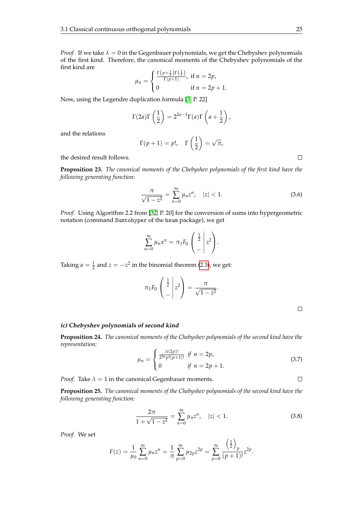*Proof.* If we take  $\lambda = 0$  in the Gegenbauer polynomials, we get the Chebyshev polynomials of the first kind. Therefore, the canonical moments of the Chebyshev polynomials of the first kind are  $\overline{1}$ 

$$
\mu_n = \begin{cases} \frac{\Gamma(p + \frac{1}{2})\Gamma(\frac{1}{2})}{\Gamma(p + 1)}, & \text{if } n = 2p, \\ 0 & \text{if } n = 2p + 1. \end{cases}
$$

Now, using the Legendre duplication formula [\[3,](#page-103-1) P. 22]

$$
\Gamma(2a)\Gamma\left(\frac{1}{2}\right) = 2^{2a-1}\Gamma(a)\Gamma\left(a+\frac{1}{2}\right),\,
$$

and the relations

$$
\Gamma(p+1) = p!, \quad \Gamma\left(\frac{1}{2}\right) = \sqrt{\pi},
$$

the desired result follows.

**Proposition 23.** *The canonical moments of the Chebyshev polynomials of the first kind have the following generating function:*

$$
\frac{\pi}{\sqrt{1-z^2}} = \sum_{n=0}^{\infty} \mu_n z^n, \quad |z| < 1. \tag{3.6}
$$

*Proof.* Using Algorithm 2.2 from [\[32,](#page-104-8) P. 20] for the conversion of sums into hypergeometric notation (command Sumtohyper of the hsum package), we get

$$
\sum_{n=0}^{\infty} \mu_n x^n = \pi_1 F_0 \left( \frac{\frac{1}{2}}{-} \middle| z^2 \right).
$$

Taking  $a = \frac{1}{2}$  and  $z = -z^2$  in the binomial theorem [\(2.3\)](#page-14-1), we get:

$$
\pi_1 F_0 \begin{pmatrix} \frac{1}{2} \\ - \end{pmatrix} z^2 = \frac{\pi}{\sqrt{1 - z^2}}.
$$

 $\Box$ 

 $\Box$ 

#### **(c) Chebyshev polynomials of second kind**

**Proposition 24.** *The canonical moments of the Chebyshev polynomials of the second kind have the representation:*

$$
\mu_n = \begin{cases} \frac{\pi(2p)!}{2^{2p}p!(p+1)!} & \text{if } n = 2p, \\ 0 & \text{if } n = 2p+1. \end{cases} \tag{3.7}
$$

*Proof.* Take  $\lambda = 1$  in the canonical Gegenbauer moments.

**Proposition 25.** *The canonical moments of the Chebyshev polynomials of the second kind have the following generating function:*

$$
\frac{2\pi}{1+\sqrt{1-z^2}} = \sum_{n=0}^{\infty} \mu_n z^n, \quad |z| < 1. \tag{3.8}
$$

*Proof.* We set

$$
F(z) = \frac{1}{\mu_0} \sum_{n=0}^{\infty} \mu_n z^n = \frac{1}{\pi} \sum_{p=0}^{\infty} \mu_{2p} z^{2p} = \sum_{p=0}^{\infty} \frac{\left(\frac{1}{2}\right)_p}{(p+1)!} z^{2p}.
$$

 $\Box$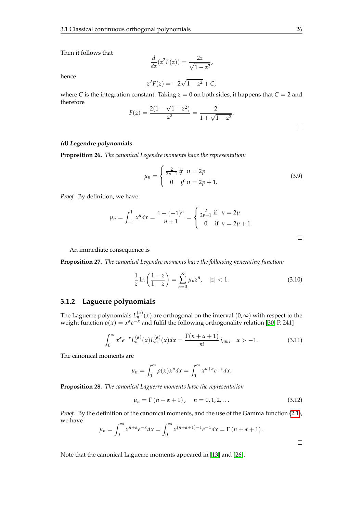Then it follows that

$$
\frac{d}{dz}(z^2F(z)) = \frac{2z}{\sqrt{1-z^2}},
$$

hence

$$
z^2 F(z) = -2\sqrt{1 - z^2} + C,
$$

where *C* is the integration constant. Taking  $z = 0$  on both sides, it happens that  $C = 2$  and therefore √

$$
F(z) = \frac{2(1 - \sqrt{1 - z^2})}{z^2} = \frac{2}{1 + \sqrt{1 - z^2}}.
$$

 $\Box$ 

#### **(d) Legendre polynomials**

**Proposition 26.** *The canonical Legendre moments have the representation:*

$$
\mu_n = \begin{cases} \frac{2}{2p+1} & \text{if } n = 2p \\ 0 & \text{if } n = 2p+1. \end{cases}
$$
 (3.9)

*Proof.* By definition, we have

$$
\mu_n = \int_{-1}^1 x^n dx = \frac{1 + (-1)^n}{n+1} = \begin{cases} \frac{2}{2p+1} & \text{if } n = 2p \\ 0 & \text{if } n = 2p+1. \end{cases}
$$

An immediate consequence is

**Proposition 27.** *The canonical Legendre moments have the following generating function:*

$$
\frac{1}{z}\ln\left(\frac{1+z}{1-z}\right) = \sum_{n=0}^{\infty} \mu_n z^n, \quad |z| < 1. \tag{3.10}
$$

#### <span id="page-33-0"></span>**3.1.2 Laguerre polynomials**

The Laguerre polynomials  $L_n^{(\alpha)}(x)$  are orthogonal on the interval  $(0,\infty)$  with respect to the weight function  $\rho(x) = x^{\alpha}e^{-x}$  and fulfil the following orthogonality relation [\[30,](#page-104-0) P. 241]

$$
\int_0^\infty x^{\alpha} e^{-x} L_n^{(\alpha)}(x) L_m^{(\alpha)}(x) dx = \frac{\Gamma(n + \alpha + 1)}{n!} \delta_{nm}, \quad \alpha > -1.
$$
 (3.11)

The canonical moments are

$$
\mu_n = \int_0^\infty \rho(x) x^n dx = \int_0^\infty x^{n+\alpha} e^{-x} dx.
$$

**Proposition 28.** *The canonical Laguerre moments have the representation*

$$
\mu_n = \Gamma(n + \alpha + 1), \quad n = 0, 1, 2, ... \tag{3.12}
$$

*Proof.* By the definition of the canonical moments, and the use of the Gamma function [\(2.1\)](#page-13-5), we have

$$
\mu_n = \int_0^\infty x^{n+\alpha} e^{-x} dx = \int_0^\infty x^{(n+\alpha+1)-1} e^{-x} dx = \Gamma(n+\alpha+1).
$$

Note that the canonical Laguerre moments appeared in [\[13\]](#page-103-4) and [\[26\]](#page-104-9).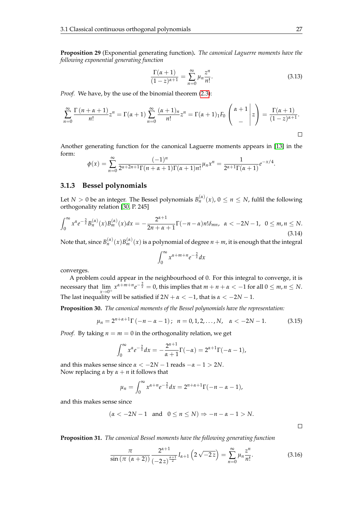**Proposition 29** (Exponential generating function)**.** *The canonical Laguerre moments have the following exponential generating function*

$$
\frac{\Gamma(\alpha+1)}{(1-z)^{\alpha+1}} = \sum_{n=0}^{\infty} \mu_n \frac{z^n}{n!}.
$$
\n(3.13)

*Proof.* We have, by the use of the binomial theorem [\(2.3\)](#page-14-1):

$$
\sum_{n=0}^{\infty} \frac{\Gamma(n+\alpha+1)}{n!} z^n = \Gamma(\alpha+1) \sum_{n=0}^{\infty} \frac{(\alpha+1)_n}{n!} z^n = \Gamma(\alpha+1)_1 F_0 \begin{pmatrix} \alpha+1 \\ - \end{pmatrix} z = \frac{\Gamma(\alpha+1)}{(1-z)^{\alpha+1}}.
$$

Another generating function for the canonical Laguerre moments appears in [\[13\]](#page-103-4) in the form:

$$
\phi(x) = \sum_{n=0}^{\infty} \frac{(-1)^n}{2^{\alpha+2n+1} \Gamma(n+\alpha+1) \Gamma(\alpha+1) n!} \mu_n x^n = \frac{1}{2^{\alpha+1} \Gamma(\alpha+1)} e^{-x/4}.
$$

#### <span id="page-34-0"></span>**3.1.3 Bessel polynomials**

Let  $N > 0$  be an integer. The Bessel polynomials  $B_n^{(\alpha)}(x)$ ,  $0 \le n \le N$ , fulfil the following orthogonality relation [\[30,](#page-104-0) P. 245]

$$
\int_0^\infty x^{\alpha} e^{-\frac{2}{x}} B_n^{(\alpha)}(x) B_m^{(\alpha)}(x) dx = -\frac{2^{\alpha+1}}{2n+\alpha+1} \Gamma(-n-\alpha) n! \delta_{mn}, \ \alpha < -2N-1, \ 0 \le m, n \le N. \tag{3.14}
$$

Note that, since  $B_n^{(\alpha)}(x)B_m^{(\alpha)}(x)$  is a polynomial of degree  $n+m$ , it is enough that the integral

$$
\int_0^\infty x^{\alpha+m+n} e^{-\frac{2}{x}} dx
$$

converges.

A problem could appear in the neighbourhood of 0. For this integral to converge, it is necessary that  $\lim_{n \to \infty} x^{\alpha+m+n} e^{-\frac{2}{x}} = 0$ , this implies that  $m+n+\alpha < -1$  for all  $0 \leq m, n \leq N$ . *x*→0<sup>+</sup> The last inequality will be satisfied if  $2N + \alpha < -1$ , that is  $\alpha < -2N - 1$ .

**Proposition 30.** *The canonical moments of the Bessel polynomials have the representation:*

$$
\mu_n = 2^{n+\alpha+1} \Gamma(-n-\alpha-1); \ \ n=0,1,2,\ldots,N, \ \ \alpha < -2N-1. \tag{3.15}
$$

*Proof.* By taking  $n = m = 0$  in the orthogonality relation, we get

$$
\int_0^{\infty} x^{\alpha} e^{-\frac{2}{x}} dx = -\frac{2^{\alpha+1}}{\alpha+1} \Gamma(-\alpha) = 2^{\alpha+1} \Gamma(-\alpha-1),
$$

and this makes sense since  $\alpha < -2N - 1$  reads  $-\alpha - 1 > 2N$ . Now replacing  $\alpha$  by  $\alpha + n$  it follows that

$$
\mu_n = \int_0^\infty x^{\alpha+n} e^{-\frac{2}{x}} dx = 2^{n+\alpha+1} \Gamma(-n-\alpha-1),
$$

and this makes sense since

$$
(\alpha < -2N - 1 \text{ and } 0 \le n \le N) \Rightarrow -n - \alpha - 1 > N.
$$

 $\Box$ 

**Proposition 31.** *The canonical Bessel moments have the following generating function*

$$
\frac{\pi}{\sin\left(\pi\,\left(\alpha+2\right)\right)}\frac{2^{\alpha+1}}{\left(-2\,z\right)^{\frac{\alpha+1}{2}}}I_{\alpha+1}\left(2\,\sqrt{-2\,z}\right)=\sum_{n=0}^{\infty}\mu_n\frac{z^n}{n!}.\tag{3.16}
$$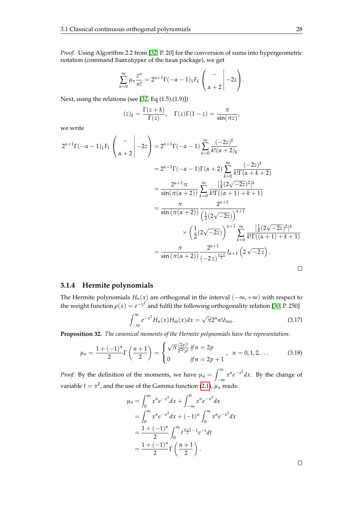*Proof.* Using Algorithm 2.2 from [\[32,](#page-104-8) P. 20] for the conversion of sums into hypergeometric notation (command Sumtohyper of the hsum package), we get

$$
\sum_{n=0}^{\infty} \mu_n \frac{z^n}{n!} = 2^{\alpha+1} \Gamma(-\alpha-1)_1 F_1 \left( \begin{array}{c} - \\ \\ \alpha+2 \end{array} \bigg| -2z \right).
$$

Next, using the relations (see [\[32,](#page-104-8) Eq (1.5),(1.9)])

$$
(z)_k = \frac{\Gamma(z+k)}{\Gamma(z)}, \quad \Gamma(z)\Gamma(1-z) = \frac{\pi}{\sin(\pi z)}
$$

we write

$$
2^{\alpha+1}\Gamma(-\alpha-1)_{1}F_{1}\begin{pmatrix} - \\ \alpha+2 \end{pmatrix} = 2^{\alpha+1}\Gamma(-\alpha-1)\sum_{k=0}^{\infty}\frac{(-2z)^{k}}{k!(\alpha+2)_{k}}
$$
  
\n
$$
= 2^{\alpha+1}\Gamma(-\alpha-1)\Gamma(\alpha+2)\sum_{k=0}^{\infty}\frac{(-2z)^{k}}{k!\Gamma(\alpha+k+2)}
$$
  
\n
$$
= \frac{2^{\alpha+1}\pi}{\sin(\pi(\alpha+2))}\sum_{k=0}^{\infty}\frac{[\frac{1}{4}(2\sqrt{-2z})^{2}]^{k}}{k!\Gamma((\alpha+1)+k+1)}
$$
  
\n
$$
= \frac{\pi}{\sin(\pi(\alpha+2))}\frac{2^{\alpha+1}}{(\frac{1}{2}(2\sqrt{-2z}))^{\alpha+1}}
$$
  
\n
$$
\times \left(\frac{1}{2}(2\sqrt{-2z})\right)^{\alpha+1}\sum_{k=0}^{\infty}\frac{[\frac{1}{4}(2\sqrt{-2z})^{2}]^{k}}{k!\Gamma((\alpha+1)+k+1)}
$$
  
\n
$$
= \frac{\pi}{\sin(\pi(\alpha+2))}\frac{2^{\alpha+1}}{(-2z)^{\frac{\alpha+1}{2}}}I_{\alpha+1}\left(2\sqrt{-2z}\right).
$$

#### <span id="page-35-0"></span>**3.1.4 Hermite polynomials**

The Hermite polynomials  $H_n(x)$  are orthogonal in the interval  $(-\infty, +\infty)$  with respect to the weight function  $\rho(x) = e^{-x^2}$  and fulfil the following orthogonality relation [\[30,](#page-104-0) P. 250]

$$
\int_{-\infty}^{\infty} e^{-x^2} H_n(x) H_m(x) dx = \sqrt{\pi} 2^n n! \delta_{mn}.
$$
 (3.17)

**Proposition 32.** *The canonical moments of the Hermite polynomials have the representation:*

$$
\mu_n = \frac{1 + (-1)^n}{2} \Gamma\left(\frac{n+1}{2}\right) = \begin{cases} \sqrt{\pi} \frac{(2p)!}{2^{2p} p!} \text{ if } n = 2p \\ 0 \text{ if } n = 2p+1 \end{cases}, \quad n = 0, 1, 2, \dots \tag{3.18}
$$

*Proof.* By the definition of the moments, we have  $\mu_n = \int_{-\infty}^{\infty}$  $\int_{-\infty}^{\infty} x^n e^{-x^2} dx$ . By the change of variable  $t = x^2$ , and the use of the Gamma function [\(2.1\)](#page-13-5),  $\mu_n$  reads:

$$
\mu_n = \int_0^\infty x^n e^{-x^2} dx + \int_{-\infty}^0 x^n e^{-x^2} dx
$$
  
= 
$$
\int_0^\infty x^n e^{-x^2} dx + (-1)^n \int_0^\infty x^n e^{-x^2} dx
$$
  
= 
$$
\frac{1 + (-1)^n}{2} \int_0^\infty t^{\frac{n+1}{2} - 1} e^{-t} dt
$$
  
= 
$$
\frac{1 + (-1)^n}{2} \Gamma\left(\frac{n+1}{2}\right).
$$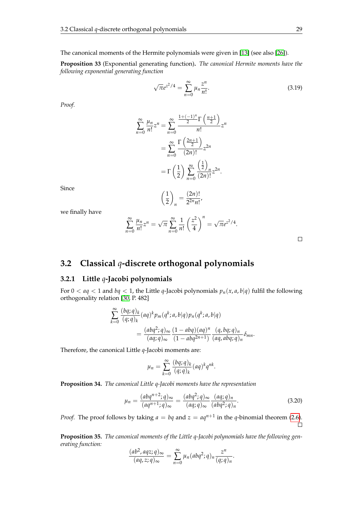The canonical moments of the Hermite polynomials were given in [\[13\]](#page-103-0) (see also [\[26\]](#page-104-0)).

**Proposition 33** (Exponential generating function)**.** *The canonical Hermite moments have the following exponential generating function*

> √  $\overline{\pi}e^{z^2/4} = \sum_{n=0}^{\infty}$  $\mu_n \frac{z^n}{n!}$ *n*!  $(3.19)$

*Proof.*

$$
\sum_{n=0}^{\infty} \frac{\mu_n}{n!} z^n = \sum_{n=0}^{\infty} \frac{\frac{1+(-1)^n}{2} \Gamma\left(\frac{n+1}{2}\right)}{n!} z^n
$$

$$
= \sum_{n=0}^{\infty} \frac{\Gamma\left(\frac{2n+1}{2}\right)}{(2n)!} z^{2n}
$$

$$
= \Gamma\left(\frac{1}{2}\right) \sum_{n=0}^{\infty} \frac{\left(\frac{1}{2}\right)_n}{(2n)!} z^{2n}.
$$

Since

$$
\left(\frac{1}{2}\right)_n = \frac{(2n)!}{2^{2n}n!},
$$

we finally have

$$
\sum_{n=0}^{\infty} \frac{\mu_n}{n!} z^n = \sqrt{\pi} \sum_{n=0}^{\infty} \frac{1}{n!} \left(\frac{z^2}{4}\right)^n = \sqrt{\pi} e^{z^2/4}.
$$

# **3.2 Classical** *q***-discrete orthogonal polynomials**

#### **3.2.1 Little** *q***-Jacobi polynomials**

For  $0 < aq < 1$  and  $bq < 1$ , the Little *q*-Jacobi polynomials  $p_n(x, a, b|q)$  fulfil the following orthogonality relation [\[30,](#page-104-1) P. 482]

$$
\sum_{k=0}^{\infty} \frac{(bq;q)_k}{(q;q)_k} (aq)^k p_m(q^k;a,b|q) p_n(q^k;a,b|q)
$$
  
= 
$$
\frac{(abq^2;q)_{\infty}}{(aq;q)_{\infty}} \frac{(1-abq)(aq)^n}{(1-abq^{2n+1})} \frac{(q,bq;q)_n}{(aq,abq;q)_n} \delta_{mn}.
$$

Therefore, the canonical Little *q*-Jacobi moments are:

$$
\mu_n = \sum_{k=0}^{\infty} \frac{(bq;q)_k}{(q;q)_k} (aq)^k q^{nk}.
$$

**Proposition 34.** *The canonical Little q-Jacobi moments have the representation*

$$
\mu_n = \frac{(abq^{n+2};q)_{\infty}}{(aq^{n+1};q)_{\infty}} = \frac{(abq^2;q)_{\infty}}{(aq;q)_{\infty}} \frac{(aq;q)_n}{(abq^2;q)_n}.
$$
\n(3.20)

*Proof.* The proof follows by taking  $a = bq$  and  $z = aq^{n+1}$  in the *q*-binomial theorem [\(2.6\)](#page-14-0).  $\Box$ 

**Proposition 35.** *The canonical moments of the Little q-Jacobi polynomials have the following generating function:*

$$
\frac{(ab^2, aqz;q)_{\infty}}{(aq,z;q)_{\infty}} = \sum_{n=0}^{\infty} \mu_n(abq^2;q)_n \frac{z^n}{(q;q)_n}.
$$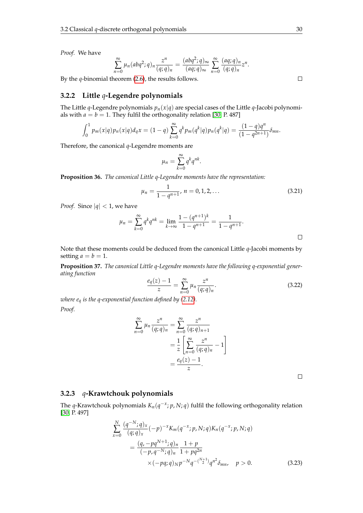*Proof.* We have

$$
\sum_{n=0}^{\infty} \mu_n(abq^2;q)_n \frac{z^n}{(q;q)_n} = \frac{(abq^2;q)_{\infty}}{(aq;q)_{\infty}} \sum_{n=0}^{\infty} \frac{(aq;q)_n}{(q;q)_n} z^n.
$$

By the *q*-binomial theorem [\(2.6\)](#page-14-0), the results follows.

#### **3.2.2 Little** *q***-Legendre polynomials**

The Little *q*-Legendre polynomials  $p_n(x|q)$  are special cases of the Little *q*-Jacobi polynomials with  $a = b = 1$ . They fulfil the orthogonality relation [\[30,](#page-104-1) P. 487]

$$
\int_0^1 p_m(x|q) p_n(x|q) d_q x = (1-q) \sum_{k=0}^\infty q^k p_m(q^k|q) p_n(q^k|q) = \frac{(1-q)q^n}{(1-q^{2n+1})} \delta_{mn}.
$$

Therefore, the canonical *q*-Legendre moments are

$$
\mu_n = \sum_{k=0}^{\infty} q^k q^{nk}.
$$

**Proposition 36.** *The canonical Little q-Legendre moments have the representation:*

$$
\mu_n = \frac{1}{1 - q^{n+1}}, \, n = 0, 1, 2, \dots \tag{3.21}
$$

*Proof.* Since  $|q| < 1$ , we have

$$
\mu_n = \sum_{k=0}^{\infty} q^k q^{nk} = \lim_{k \to \infty} \frac{1 - (q^{n+1})^k}{1 - q^{n+1}} = \frac{1}{1 - q^{n+1}}.
$$

Note that these moments could be deduced from the canonical Little *q*-Jacobi moments by setting  $a = b = 1$ .

**Proposition 37.** *The canonical Little q-Legendre moments have the following q-exponential generating function*

$$
\frac{e_q(z) - 1}{z} = \sum_{n=0}^{\infty} \mu_n \frac{z^n}{(q; q)_n}.
$$
 (3.22)

*where e<sup>q</sup> is the q-exponential function defined by [\(2.12\)](#page-15-0). Proof.*

$$
\sum_{n=0}^{\infty} \mu_n \frac{z^n}{(q;q)_n} = \sum_{n=0}^{\infty} \frac{z^n}{(q;q)_{n+1}}
$$

$$
= \frac{1}{z} \left[ \sum_{n=0}^{\infty} \frac{z^n}{(q;q)_n} - 1 \right]
$$

$$
= \frac{e_q(z) - 1}{z}.
$$

 $\Box$ 

#### **3.2.3** *q***-Krawtchouk polynomials**

The *q*-Krawtchouk polynomials *Kn*(*q* −*x* ; *p*, *N*; *q*) fulfil the following orthogonality relation [\[30,](#page-104-1) P. 497]

<span id="page-37-0"></span>
$$
\sum_{x=0}^{N} \frac{(q^{-N};q)_x}{(q;q)_x} (-p)^{-x} K_m(q^{-x};p,N;q) K_n(q^{-x};p,N;q)
$$
  
= 
$$
\frac{(q,-pq^{N+1};q)_n}{(-p,q^{-N};q)_n} \frac{1+p}{1+pq^{2n}}
$$
  

$$
\times (-pq;q)_N p^{-N} q^{-(\frac{N+1}{2})} q^{n^2} \delta_{mn}, \quad p > 0.
$$
 (3.23)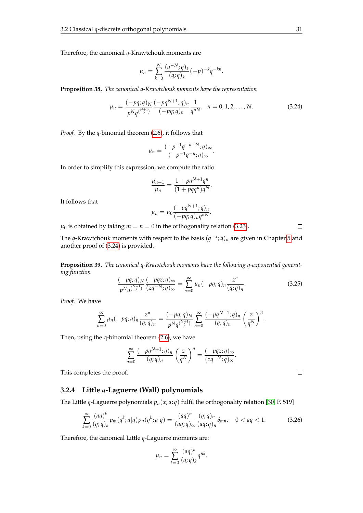Therefore, the canonical *q*-Krawtchouk moments are

$$
\mu_n = \sum_{k=0}^N \frac{(q^{-N};q)_k}{(q;q)_k} (-p)^{-k} q^{-kn}.
$$

**Proposition 38.** *The canonical q-Krawtchouk moments have the representation*

$$
\mu_n = \frac{(-pq;q)_N}{p^N q^{\binom{N+1}{2}}} \frac{(-pq^{N+1};q)_n}{(-pq;q)_n} \frac{1}{q^{nN}}, \quad n = 0, 1, 2, \dots, N. \tag{3.24}
$$

<span id="page-38-0"></span>.

*Proof.* By the *q*-binomial theorem [\(2.6\)](#page-14-0), it follows that

$$
\mu_n = \frac{(-p^{-1}q^{-n-N};q)_{\infty}}{(-p^{-1}q^{-n};q)_{\infty}}.
$$

In order to simplify this expression, we compute the ratio

$$
\frac{\mu_{n+1}}{\mu_n} = \frac{1 + pq^{N+1}q^n}{(1 + pqq^n)q^N}
$$

It follows that

$$
\mu_n=\mu_0\frac{(-pq^{N+1};q)_n}{(-pq;q)_nq^{nN}}.
$$

 $\mu_0$  is obtained by taking  $m = n = 0$  in the orthogonality relation [\(3.23\)](#page-37-0).

The *q*-Krawtchouk moments with respect to the basis (*q* −*x* ; *q*)*<sup>n</sup>* are given in Chapter [5](#page-52-0) and another proof of [\(3.24\)](#page-38-0) is provided.

**Proposition 39.** *The canonical q-Krawtchouk moments have the following q-exponential generating function*

$$
\frac{(-pq;q)_N}{p^Nq^{\binom{N+1}{2}}}\frac{(-pqz;q)_\infty}{(zq^{-N};q)_\infty}=\sum_{n=0}^\infty\mu_n(-pq;q)_n\frac{z^n}{(q;q)_n}.\tag{3.25}
$$

*Proof.* We have

$$
\sum_{n=0}^{\infty} \mu_n(-pq;q)_n \frac{z^n}{(q;q)_n} = \frac{(-pq;q)_N}{p^N q^{\binom{N+1}{2}}} \sum_{n=0}^{\infty} \frac{(-pq^{N+1};q)_n}{(q;q)_n} \left(\frac{z}{q^N}\right)^n.
$$

Then, using the q-binomial theorem [\(2.6\)](#page-14-0), we have

$$
\sum_{n=0}^{\infty} \frac{(-pq^{N+1};q)_n}{(q;q)_n} \left(\frac{z}{q^N}\right)^n = \frac{(-pqz;q)_{\infty}}{(zq^{-N};q)_{\infty}}.
$$

This completes the proof.

#### **3.2.4 Little** *q***-Laguerre (Wall) polynomials**

The Little *q*-Laguerre polynomials  $p_n(x; a; q)$  fulfil the orthogonality relation [\[30,](#page-104-1) P. 519]

$$
\sum_{k=0}^{\infty} \frac{(aq)^k}{(q;q)_k} p_m(q^k;a|q) p_n(q^k;a|q) = \frac{(aq)^n}{(aq;q)_{\infty}} \frac{(q;q)_n}{(aq;q)_n} \delta_{mn}, \quad 0 < aq < 1.
$$
 (3.26)

Therefore, the canonical Little *q*-Laguerre moments are:

$$
\mu_n = \sum_{k=0}^{\infty} \frac{(aq)^k}{(q;q)_k} q^{nk}.
$$

 $\Box$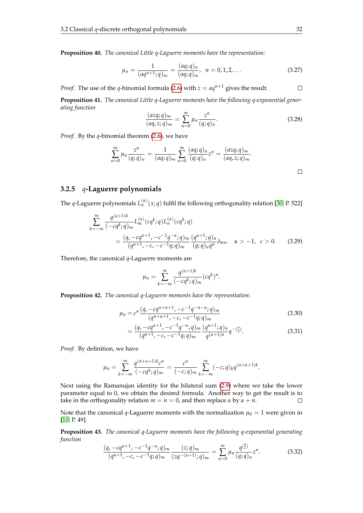**Proposition 40.** *The canonical Little q-Laguerre moments have the representation:*

$$
\mu_n = \frac{1}{(aq^{n+1};q)_{\infty}} = \frac{(aq;q)_n}{(aq;q)_{\infty}}, \ \ n = 0, 1, 2, \dots
$$
 (3.27)

*Proof.* The use of the *q*-binomial formula [\(2.6\)](#page-14-0) with  $z = aq^{n+1}$  gives the result.

**Proposition 41.** *The canonical Little q-Laguerre moments have the following q-exponential generating function*

$$
\frac{(azq;q)_{\infty}}{(aq,z;q)_{\infty}} = \sum_{n=0}^{\infty} \mu_n \frac{z^n}{(q;q)_n}.
$$
\n(3.28)

*Proof.* By the *q*-binomial theorem [\(2.6\)](#page-14-0), we have

$$
\sum_{n=0}^{\infty} \mu_n \frac{z^n}{(q;q)_n} = \frac{1}{(aq;q)_{\infty}} \sum_{n=0}^{\infty} \frac{(aq;q)_n}{(q;q)_n} z^n = \frac{(azq;q)_{\infty}}{(aq,z;q)_{\infty}}.
$$

#### **3.2.5** *q***-Laguerre polynomials**

The *q*-Laguerre polynomials  $L_n^{(\alpha)}(x;q)$  fulfil the following orthogonality relation [\[30,](#page-104-1) P. 522]

$$
\sum_{k=-\infty}^{\infty} \frac{q^{(\alpha+1)k}}{(-cq^k;q)_{\infty}} L_m^{(\alpha)}(cq^k;q) L_n^{(\alpha)}(cq^k;q)
$$
  
= 
$$
\frac{(q, -cq^{\alpha+1}, -c^{-1}q^{-\alpha};q)_{\infty}}{(q^{\alpha+1}, -c, -c^{-1}q;q)_{\infty}} \frac{(q^{\alpha+1};q)_n}{(q;q)_n q^n} \delta_{mn}. \quad \alpha > -1, \quad c > 0.
$$
 (3.29)

Therefore, the canonical *q*-Laguerre moments are

$$
\mu_n = \sum_{k=-\infty}^{\infty} \frac{q^{(\alpha+1)k}}{(-cq^k;q)_{\infty}} (cq^k)^n.
$$

**Proposition 42.** *The canonical q-Laguerre moments have the representation:*

$$
\mu_n = c^n \frac{(q, -cq^{n+\alpha+1}, -c^{-1}q^{-n-\alpha}; q)_{\infty}}{(q^{n+\alpha+1}, -c, -c^{-1}q; q)_{\infty}}
$$
(3.30)

$$
= \frac{(q, -cq^{\alpha+1}, -c^{-1}q^{-\alpha}; q)_{\infty}}{(q^{\alpha+1}, -c, -c^{-1}q; q)_{\infty}} \frac{(q^{\alpha+1}; q)_n}{q^{(\alpha+1)n}} q^{-(\frac{n}{2})}.
$$
\n(3.31)

*Proof.* By definition, we have

$$
\mu_n = \sum_{k=-\infty}^{\infty} \frac{q^{(n+\alpha+1)k} c^n}{(-cq^k;q)_{\infty}} = \frac{c^n}{(-c;q)_{\infty}} \sum_{k=-\infty}^{\infty} (-c;q)_k q^{(n+\alpha+1)k}.
$$

Next using the Ramanujan identity for the bilateral sum [\(2.9\)](#page-15-1) where we take the lower parameter equal to 0, we obtain the desired formula. Another way to get the result is to take in the orthogonality relation  $m = n = 0$ , and then replace  $\alpha$  by  $\alpha + n$ .  $\Box$ 

Note that the canonical *q*-Laguerre moments with the normalization  $\mu_0 = 1$  were given in [\[10,](#page-103-1) P. 49].

**Proposition 43.** *The canonical q-Laguerre moments have the following q-exponential generating function*

$$
\frac{(q, -cq^{\alpha+1}, -c^{-1}q^{-\alpha}; q)_{\infty}}{(q^{\alpha+1}, -c, -c^{-1}q; q)_{\infty}} \frac{(z; q)_{\infty}}{(zq^{-(\alpha+1)}; q)_{\infty}} = \sum_{n=0}^{\infty} \mu_n \frac{q^{\binom{n}{2}}}{(q; q)_n} z^n.
$$
 (3.32)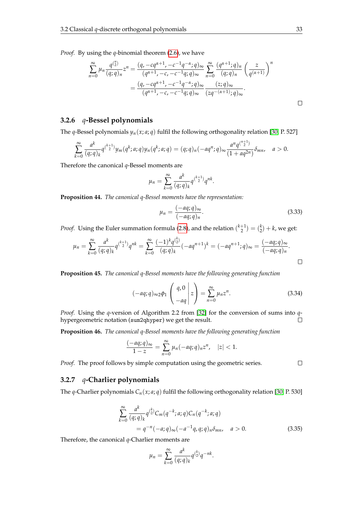*Proof.* By using the *q*-binomial theorem [\(2.6\)](#page-14-0), we have

$$
\sum_{n=0}^{\infty} \mu_n \frac{q^{\binom{n}{2}}}{(q;q)_n} z^n = \frac{(q, -cq^{\alpha+1}, -c^{-1}q^{-\alpha}; q)_{\infty}}{(q^{\alpha+1}, -c, -c^{-1}q; q)_{\infty}} \sum_{n=0}^{\infty} \frac{(q^{\alpha+1}; q)_n}{(q;q)_n} \left(\frac{z}{q^{(\alpha+1)}}\right)^n
$$

$$
= \frac{(q, -cq^{\alpha+1}, -c^{-1}q^{-\alpha}; q)_{\infty}}{(q^{\alpha+1}, -c, -c^{-1}q; q)_{\infty}} \frac{(z;q)_{\infty}}{(zq^{-(\alpha+1)}; q)_{\infty}}.
$$

#### **3.2.6** *q***-Bessel polynomials**

The *q*-Bessel polynomials  $y_n(x; a; q)$  fulfil the following orthogonality relation [\[30,](#page-104-1) P. 527]

$$
\sum_{k=0}^{\infty} \frac{a^k}{(q;q)_k} q^{\binom{k+1}{2}} y_m(q^k;a;q) y_n(q^k;a;q) = (q;q)_n (-aq^n;q)_{\infty} \frac{a^n q^{\binom{n+1}{2}}}{(1+aq^{2n})} \delta_{mn}, \quad a > 0.
$$

Therefore the canonical *q*-Bessel moments are

$$
\mu_n = \sum_{k=0}^{\infty} \frac{a^k}{(q;q)_k} q^{\binom{k+1}{2}} q^{nk}.
$$

**Proposition 44.** *The canonical q-Bessel moments have the representation:*

$$
\mu_n = \frac{(-aq;q)_{\infty}}{(-aq;q)_n}.
$$
\n(3.33)

*Proof.* Using the Euler summation formula [\(2.8\)](#page-15-2), and the relation  $\binom{k+1}{2} = \binom{k}{2} + k$ , we get:

$$
\mu_n = \sum_{k=0}^{\infty} \frac{a^k}{(q;q)_k} q^{k+1} q^{nk} = \sum_{k=0}^{\infty} \frac{(-1)^k q^{k \choose 2}}{(q;q)_k} (-aq^{n+1})^k = (-aq^{n+1};q)_{\infty} = \frac{(-aq;q)_{\infty}}{(-aq;q)_n}.
$$

**Proposition 45.** *The canonical q-Bessel moments have the following generating function*

$$
(-aq;q)_{\infty 2}\phi_1\left(\begin{array}{c}q,0\\-aq\end{array}\bigg|z\right)=\sum_{n=0}^{\infty}\mu_nz^n.
$$
 (3.34)

*Proof.* Using the *q*-version of Algorithm 2.2 from [\[32\]](#page-104-2) for the conversion of sums into *q*hypergeometric notation (sum2qhyper) we get the result.  $\Box$ 

**Proposition 46.** *The canonical q-Bessel moments have the following generating function*

$$
\frac{(-aq;q)_{\infty}}{1-z}=\sum_{n=0}^{\infty}\mu_n(-aq;q)_nz^n, \quad |z|<1.
$$

*Proof.* The proof follows by simple computation using the geometric series.

 $\Box$ 

#### **3.2.7** *q***-Charlier polynomials**

The *q*-Charlier polynomials  $C_n(x; a; q)$  fulfil the following orthogonality relation [\[30,](#page-104-1) P. 530]

$$
\sum_{k=0}^{\infty} \frac{a^k}{(q;q)_k} q^{\binom{k}{2}} C_m(q^{-k};a;q) C_n(q^{-k};a;q)
$$
  
=  $q^{-n}(-a;q)_{\infty}(-a^{-1}q,q;q)_n \delta_{mn}, \quad a > 0.$  (3.35)

.

Therefore, the canonical *q*-Charlier moments are

$$
\mu_n = \sum_{k=0}^{\infty} \frac{a^k}{(q;q)_k} q^{\binom{k}{2}} q^{-nk}
$$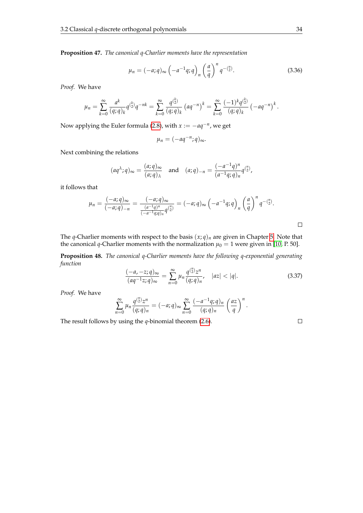**Proposition 47.** *The canonical q-Charlier moments have the representation*

$$
\mu_n = (-a;q)_{\infty} \left( -a^{-1}q;q \right)_n \left( \frac{a}{q} \right)^n q^{-\binom{n}{2}}.
$$
 (3.36)

*Proof.* We have

$$
\mu_n = \sum_{k=0}^{\infty} \frac{a^k}{(q;q)_k} q^{\binom{k}{2}} q^{-nk} = \sum_{k=0}^{\infty} \frac{q^{\binom{k}{2}}}{(q;q)_k} (aq^{-n})^k = \sum_{k=0}^{\infty} \frac{(-1)^k q^{\binom{k}{2}}}{(q;q)_k} (-aq^{-n})^k.
$$

Now applying the Euler formula [\(2.8\)](#page-15-2), with *x* := −*aq*−*<sup>n</sup>* , we get

$$
\mu_n = (-aq^{-n};q)_{\infty}.
$$

Next combining the relations

$$
(aq^{\lambda};q)_{\infty} = \frac{(a;q)_{\infty}}{(a;q)_{\lambda}} \quad \text{and} \quad (a;q)_{-n} = \frac{(-a^{-1}q)^n}{(a^{-1}q;q)_n} q^{\binom{n}{2}},
$$

it follows that

$$
\mu_n = \frac{(-a;q)_{\infty}}{(-a;q)_{-n}} = \frac{(-a;q)_{\infty}}{\frac{(a^{-1}q)^n}{(-a^{-1}q;q)_n}q^{\binom{n}{2}}} = (-a;q)_{\infty} \left(-a^{-1}q;q\right)_n \left(\frac{a}{q}\right)^n q^{-\binom{n}{2}}.
$$

The *q*-Charlier moments with respect to the basis  $(x; q)_n$  are given in Chapter [5.](#page-52-0) Note that the canonical *q*-Charlier moments with the normalization  $\mu_0 = 1$  were given in [\[10,](#page-103-1) P. 50].

**Proposition 48.** *The canonical q-Charlier moments have the following q-exponential generating function*

$$
\frac{(-a, -z; q)_{\infty}}{(aq^{-1}z; q)_{\infty}} = \sum_{n=0}^{\infty} \mu_n \frac{q^{\binom{n}{2}} z^n}{(q; q)_n}, \quad |az| < |q|.
$$
\n(3.37)

*Proof.* We have

$$
\sum_{n=0}^{\infty} \mu_n \frac{q^{\binom{n}{2}} z^n}{(q;q)_n} = (-a;q)_{\infty} \sum_{n=0}^{\infty} \frac{(-a^{-1}q;q)_n}{(q;q)_n} \left(\frac{az}{q}\right)^n.
$$

The result follows by using the *q*-binomial theorem [\(2.6\)](#page-14-0).

 $\Box$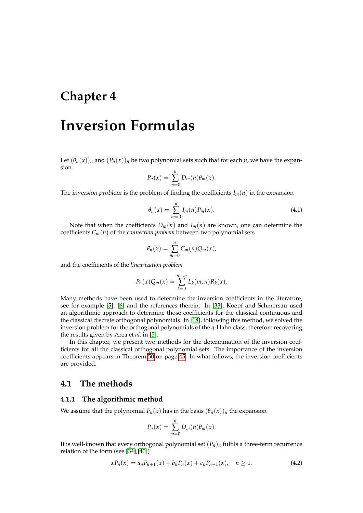# <span id="page-42-2"></span>**Chapter 4**

# **Inversion Formulas**

Let  $(\theta_n(x))_n$  and  $(P_n(x))_n$  be two polynomial sets such that for each *n*, we have the expansion

$$
P_n(x) = \sum_{m=0}^n D_m(n) \theta_m(x).
$$

<span id="page-42-0"></span>The *inversion problem* is the problem of finding the coefficients  $I_m(n)$  in the expansion

$$
\theta_n(x) = \sum_{m=0}^n I_m(n) P_m(x).
$$
 (4.1)

Note that when the coefficients  $D_m(n)$  and  $I_m(n)$  are known, one can determine the coefficients  $C_m(n)$  of the *connection problem* between two polynomial sets

$$
P_n(x) = \sum_{m=0}^n C_m(n) Q_m(x),
$$

and the coefficients of the *linearization problem*

$$
P_n(x)Q_m(x) = \sum_{k=0}^{n+m} L_k(m,n)R_k(x).
$$

Many methods have been used to determine the inversion coefficients in the literature, see for example [\[5\]](#page-103-2), [\[6\]](#page-103-3) and the references therein. In [\[33\]](#page-104-3), Koepf and Schmersau used an algorithmic approach to determine those coefficients for the classical continuous and the classical discrete orthogonal polynomials. In [\[18\]](#page-104-4), following this method, we solved the inversion problem for the orthogonal polynomials of the *q*-Hahn class, therefore recovering the results given by Area et *al*. in [\[5\]](#page-103-2).

In this chapter, we present two methods for the determination of the inversion coefficients for all the classical orthogonal polynomial sets. The importance of the inversion coefficients appears in Theorem [50](#page-52-1) on page [45.](#page-52-1) In what follows, the inversion coefficients are provided.

### **4.1 The methods**

#### <span id="page-42-1"></span>**4.1.1 The algorithmic method**

We assume that the polynomial  $P_n(x)$  has in the basis  $(\theta_n(x))_n$  the expansion

$$
P_n(x) = \sum_{m=0}^n D_m(n) \theta_m(x).
$$

It is well-known that every orthogonal polynomial set  $(P_n)_n$  fulfils a three-term recurrence relation of the form (see [\[34\]](#page-104-5),[\[40\]](#page-105-0))

$$
xP_n(x) = a_nP_{n+1}(x) + b_nP_n(x) + c_nP_{n-1}(x), \quad n \ge 1.
$$
 (4.2)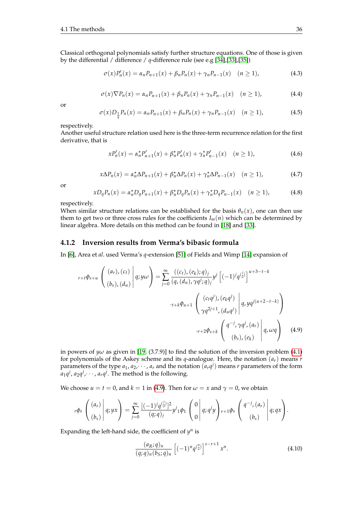Classical orthogonal polynomials satisfy further structure equations. One of those is given by the differential / difference / *q*-difference rule (see e.g [\[34\]](#page-104-5),[\[33\]](#page-104-3),[\[35\]](#page-104-6))

$$
\sigma(x)P'_n(x) = \alpha_n P_{n+1}(x) + \beta_n P_n(x) + \gamma_n P_{n-1}(x) \quad (n \ge 1),
$$
\n(4.3)

$$
\sigma(x)\nabla P_n(x) = \alpha_n P_{n+1}(x) + \beta_n P_n(x) + \gamma_n P_{n-1}(x) \quad (n \ge 1),
$$
\n(4.4)

or

$$
\sigma(x)D_{\frac{1}{q}}P_n(x) = \alpha_n P_{n+1}(x) + \beta_n P_n(x) + \gamma_n P_{n-1}(x) \quad (n \ge 1),
$$
\n(4.5)

respectively.

Another useful structure relation used here is the three-term recurrence relation for the first derivative, that is

$$
xP'_n(x) = \alpha_n^* P'_{n+1}(x) + \beta_n^* P'_n(x) + \gamma_n^* P'_{n-1}(x) \quad (n \ge 1),
$$
 (4.6)

$$
x\Delta P_n(x) = \alpha_n^* \Delta P_{n+1}(x) + \beta_n^* \Delta P_n(x) + \gamma_n^* \Delta P_{n-1}(x) \quad (n \ge 1),
$$
 (4.7)

or

$$
xD_{q}P_{n}(x) = \alpha_{n}^{\star}D_{q}P_{n+1}(x) + \beta_{n}^{\star}D_{q}P_{n}(x) + \gamma_{n}^{\star}D_{q}P_{n-1}(x) \quad (n \ge 1),
$$
 (4.8)

respectively.

When similar structure relations can be established for the basis  $\theta_n(x)$ , one can then use them to get two or three cross rules for the coefficients  $I_m(n)$  which can be determined by linear algebra. More details on this method can be found in [\[18\]](#page-104-4) and [\[33\]](#page-104-3).

#### **4.1.2 Inversion results from Verma's bibasic formula**

In [\[6\]](#page-103-3), Area et *al*. used Verma's *q*-extension [\[51\]](#page-105-1) of Fields and Wimp [\[14\]](#page-103-4) expansion of

<span id="page-43-0"></span>
$$
r+t\phi_{s+u}\left(\begin{array}{c} (a_r),(c_t) \\ (b_s),(d_u) \end{array}\middle|q;y\omega\right)=\sum_{j=0}^{\infty}\frac{((c_t),(e_k);q)_j}{(q,(d_u),\gamma q^j;q)_j}y^j\left[(-1)^jq^{(\frac{j}{2})}\right]^{u+3-t-k} \\ \cdot t+k\phi_{u+1}\left(\begin{array}{c} (c_tq^j),(e_kq^j) \\ \gamma q^{2j+1},(d_uq^j) \end{array}\middle|q,yq^{j(u+2-t-k)}\right) \\ \cdot r+2\phi_{s+k}\left(\begin{array}{c} q^{-j},\gamma q^j,(a_r) \\ (b_s),(e_k) \end{array}\middle|q,\omega q\right) \tag{4.9}
$$

in powers of *y* $\omega$  as given in [\[19,](#page-104-7) (3.7.9)] to find the solution of the inversion problem [\(4.1\)](#page-42-0) for polynomials of the Askey scheme and its *q*-analogue. Here, the notation (*ar*) means *r* parameters of the type  $a_1$ ,  $a_2$ ,  $\dots$ ,  $a_r$  and the notation  $(a_r q^j)$  means *r* parameters of the form  $a_1$ *q<sup>i</sup>*,  $a_2$ *q<sup>i</sup>*, $\cdots$ , *a<sub>r</sub>*q<sup>j</sup>. The method is the following.

We choose  $u = t = 0$ , and  $k = 1$  in [\(4.9\)](#page-43-0). Then for  $\omega = x$  and  $\gamma = 0$ , we obtain

$$
{}_{r}\phi_{s}\left(\begin{array}{c} (a_{r}) \\ (b_{s}) \end{array}\bigg|q;yx\right)=\sum_{j=0}^{\infty}\frac{[(-1)^{j}q^{(j)}]^{2}}{(q;q)_{j}}y^{j}{}_{1}\phi_{1}\left(\begin{array}{c} 0 \\ 0 \end{array}\bigg|q;q^{j}y\right)_{r+1}\phi_{s}\left(\begin{array}{c} q^{-j}, (a_{r}) \\ (b_{s}) \end{array}\bigg|q;qx\right).
$$

Expanding the left-hand side, the coefficient of  $y^n$  is

<span id="page-43-1"></span>
$$
\frac{(a_R;q)_n}{(q;q)_n (b_S;q)_n} \left[ (-1)^n q^{\binom{n}{2}} \right]^{s-r+1} x^n.
$$
\n(4.10)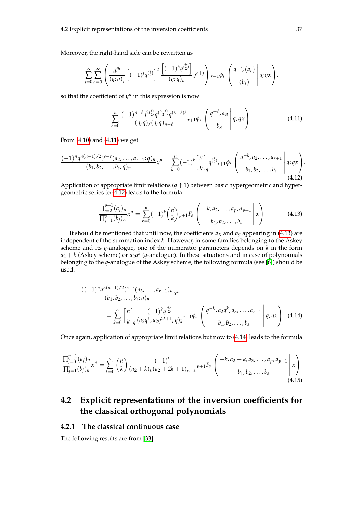Moreover, the right-hand side can be rewritten as

$$
\sum_{j=0}^{\infty} \sum_{h=0}^{\infty} \left( \frac{q^{jh}}{(q;q)_j} \left[ (-1)^j q^{(\frac{j}{2})} \right]^2 \frac{\left[ (-1)^h q^{(\frac{h}{2})} \right]}{(q;q)_h} y^{h+j} \right) r+1 \phi_s \left( \begin{array}{c} q^{-j}, (a_r) \\ (b_s) \end{array} \right) q; qx \right),
$$

so that the coefficient of  $y^n$  in this expression is now

<span id="page-44-1"></span><span id="page-44-0"></span>
$$
\sum_{\ell=0}^{n} \frac{(-1)^{n-\ell} q^{2\binom{\ell}{2}} q^{\binom{n-\ell}{2}} q^{(n-\ell)\ell}}{(q;q)_{\ell}(q;q)_{n-\ell}} r+1\phi_s \left(\begin{array}{c} q^{-\ell}, a_R \\ b_S \end{array} \middle| q; qx\right).
$$
 (4.11)

From [\(4.10\)](#page-43-1) and [\(4.11\)](#page-44-0) we get

$$
\frac{(-1)^n q^{n(n-1)/2} 3^{s-r} (a_2, \ldots, a_{r+1}; q)_n}{(b_1, b_2, \ldots, b_s; q)_n} x^n = \sum_{k=0}^n (-1)^k \begin{bmatrix} n \\ k \end{bmatrix}_q q^{\binom{k}{2}}_{r+1} \phi_s \begin{pmatrix} q^{-k}, a_2, \ldots, a_{r+1} \\ b_1, b_2, \ldots, b_s \end{pmatrix} q; qx.
$$
\n
$$
(4.12)
$$

<span id="page-44-2"></span>Application of appropriate limit relations ( $q \uparrow 1$ ) between basic hypergeometric and hypergeometric series to [\(4.12\)](#page-44-1) leads to the formula

$$
\frac{\prod_{j=2}^{p+1} (a_j)_n}{\prod_{j=1}^s (b_j)_n} x^n = \sum_{k=0}^n (-1)^k {n \choose k} p_{+1} F_s \left( \begin{array}{c} -k, a_2, \dots, a_p, a_{p+1} \\ b_1, b_2, \dots, b_s \end{array} \bigg| x \right)
$$
(4.13)

It should be mentioned that until now, the coefficients  $a_R$  and  $b_S$  appearing in [\(4.13\)](#page-44-2) are independent of the summation index *k*. However, in some families belonging to the Askey scheme and its *q*-analogue, one of the numerator parameters depends on *k* in the form  $a_2 + k$  (Askey scheme) or  $a_2q^k$  (*q*-analogue). In these situations and in case of polynomials belonging to the *q*-analogue of the Askey scheme, the following formula (see [\[6\]](#page-103-3)) should be used:

<span id="page-44-3"></span>
$$
\frac{((-1)^n q^{n(n-1)/2})^{s-r} (a_3, \dots, a_{r+1})_n}{(b_1, b_2, \dots, b_s; q)_n} x^n
$$
\n
$$
= \sum_{k=0}^n {n \brack k}_q \frac{(-1)^k q^{k \choose 2}}{(a_2 q^k, a_2 q^{2k+1}; q)_k} r^{1} q^{s} \left( q^{-k}, a_2 q^k, a_3, \dots, a_{r+1} \mid q; qx \right). \tag{4.14}
$$

<span id="page-44-4"></span>Once again, application of appropriate limit relations but now to [\(4.14\)](#page-44-3) leads to the formula

$$
\frac{\prod_{j=3}^{p+1} (a_j)_n}{\prod_{j=1}^s (b_j)_n} x^n = \sum_{k=0}^n {n \choose k} \frac{(-1)^k}{(a_2+k)_k (a_2+2k+1)_{n-k}} p+1 F_s \begin{pmatrix} -k, a_2+k, a_3, \dots, a_p, a_{p+1} \ x_1, b_2, \dots, b_s \end{pmatrix} x
$$
\n(4.15)

# **4.2 Explicit representations of the inversion coefficients for the classical orthogonal polynomials**

#### **4.2.1 The classical continuous case**

The following results are from [\[33\]](#page-104-3).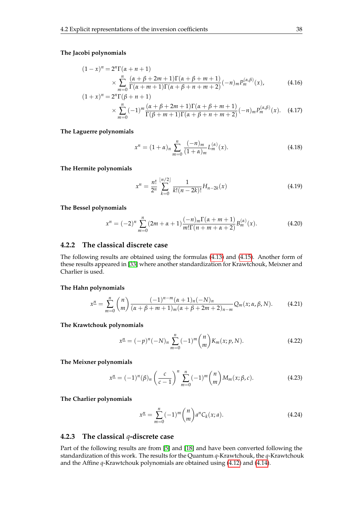#### **The Jacobi polynomials**

<span id="page-45-0"></span>
$$
(1-x)^{n} = 2^{n}\Gamma(\alpha+n+1)
$$
  
 
$$
\times \sum_{m=0}^{n} \frac{(\alpha+\beta+2m+1)\Gamma(\alpha+\beta+m+1)}{\Gamma(\alpha+m+1)\Gamma(\alpha+\beta+n+m+2)}(-n)_{m}P_{m}^{(\alpha,\beta)}(x),
$$
 (4.16)

$$
(1+x)^n = 2^n \Gamma(\beta+n+1)
$$
  
 
$$
\times \sum_{m=0}^n (-1)^m \frac{(\alpha+\beta+2m+1)\Gamma(\alpha+\beta+m+1)}{\Gamma(\beta+m+1)\Gamma(\alpha+\beta+n+m+2)} (-n)_m P_m^{(\alpha,\beta)}(x).
$$
 (4.17)

**The Laguerre polynomials**

$$
x^{n} = (1 + \alpha)_{n} \sum_{m=0}^{n} \frac{(-n)_{m}}{(1 + \alpha)_{m}} L_{m}^{(\alpha)}(x).
$$
 (4.18)

**The Hermite polynomials**

$$
x^{n} = \frac{n!}{2^{n}} \sum_{k=0}^{\lfloor n/2 \rfloor} \frac{1}{k!(n-2k)!} H_{n-2k}(x)
$$
\n(4.19)

**The Bessel polynomials**

$$
x^{n} = (-2)^{n} \sum_{m=0}^{n} (2m + \alpha + 1) \frac{(-n)_{m} \Gamma(\alpha + m + 1)}{m! \Gamma(n + m + \alpha + 2)} B_{m}^{(\alpha)}(x).
$$
 (4.20)

#### **4.2.2 The classical discrete case**

The following results are obtained using the formulas [\(4.13\)](#page-44-2) and [\(4.15\)](#page-44-4). Another form of these results appeared in [\[33\]](#page-104-3) where another standardization for Krawtchouk, Meixner and Charlier is used.

#### <span id="page-45-1"></span>**The Hahn polynomials**

$$
x^{\underline{n}} = \sum_{m=0}^{n} {n \choose m} \frac{(-1)^{n-m} (\alpha + 1)_n (-N)_n}{(\alpha + \beta + m + 1)_m (\alpha + \beta + 2m + 2)_{n-m}} Q_m(x; \alpha, \beta, N).
$$
 (4.21)

<span id="page-45-2"></span>**The Krawtchouk polynomials**

$$
x^{n} = (-p)^{n}(-N)_{n} \sum_{m=0}^{n} (-1)^{m} {n \choose m} K_{m}(x; p, N).
$$
 (4.22)

<span id="page-45-3"></span>**The Meixner polynomials**

$$
x^{n} = (-1)^{n}(\beta)_{n} \left(\frac{c}{c-1}\right)^{n} \sum_{m=0}^{n} (-1)^{m} {n \choose m} M_{m}(x; \beta, c).
$$
 (4.23)

<span id="page-45-4"></span>**The Charlier polynomials**

$$
x^{\underline{n}} = \sum_{m=0}^{n} (-1)^{m} {n \choose m} a^{n} C_{k}(x; a).
$$
 (4.24)

#### **4.2.3 The classical** *q***-discrete case**

Part of the following results are from [\[5\]](#page-103-2) and [\[18\]](#page-104-4) and have been converted following the standardization of this work. The results for the Quantum *q*-Krawtchouk, the *q*-Krawtchouk and the Affine *q*-Krawtchouk polynomials are obtained using [\(4.12\)](#page-44-1) and [\(4.14\)](#page-44-3).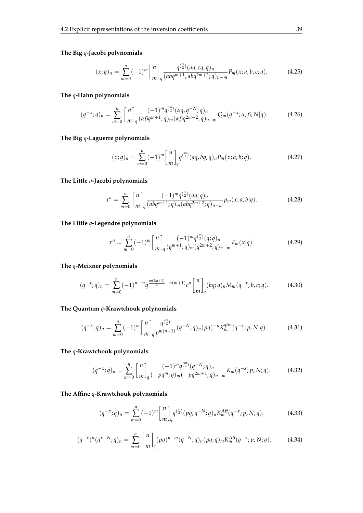<span id="page-46-0"></span>**The Big** *q***-Jacobi polynomials**

$$
(x;q)_n = \sum_{m=0}^n (-1)^m \binom{n}{m}_q \frac{q^{\binom{m}{2}} (aq,cq;q)_n}{(abq^{m+1}, abq^{2m+2};q)_{n-m}} P_m(x;a,b,c;q). \tag{4.25}
$$

#### <span id="page-46-1"></span>**The** *q***-Hahn polynomials**

$$
(q^{-x};q)_n = \sum_{m=0}^n {n \brack m}_q \frac{(-1)^m q^{m \choose 2} (\alpha q, q^{-N};q)_n}{(\alpha \beta q^{m+1};q)_m (\alpha \beta q^{2m+2};q)_{n-m}} Q_m(q^{-x};\alpha, \beta, N|q).
$$
 (4.26)

#### <span id="page-46-2"></span>**The Big** *q***-Laguerre polynomials**

$$
(x;q)_n = \sum_{m=0}^n (-1)^m \begin{bmatrix} n \\ m \end{bmatrix}_q q^{\binom{m}{2}} (aq, bq;q)_n P_m(x;a,b;q).
$$
 (4.27)

**The Little** *q***-Jacobi polynomials**

$$
x^{n} = \sum_{m=0}^{n} {n \brack m}_{q} \frac{(-1)^{m} q^{m \choose 2} (aq;q)_{n}}{(abq^{m+1};q)_{m} (abq^{2m+2};q)_{n-m}} p_{m}(x;a,b|q).
$$
 (4.28)

**The Little** *q***-Legendre polynomials**

$$
x^{n} = \sum_{m=0}^{n} (-1)^{m} {n \brack m}_{q} \frac{(-1)^{m} q^{\binom{m}{2}} (q;q)_{n}}{(q^{m+1};q)_{m} (q^{2m+2};q)_{n-m}} P_{m}(x|q). \tag{4.29}
$$

**The** *q***-Meixner polynomials**

$$
(q^{-x};q)_n = \sum_{m=0}^n (-1)^{n-m} q^{\frac{m(5m+1)}{2} - n(m+1)} c^n \begin{bmatrix} n \\ m \end{bmatrix}_q (bq;q)_n M_m(q^{-x};b,c;q).
$$
 (4.30)

#### **The Quantum** *q***-Krawtchouk polynomials**

$$
(q^{-x};q)_n = \sum_{m=0}^n (-1)^m \binom{n}{m}_q \frac{q^{\binom{m}{2}}}{p^{m(n+1)}} (q^{-N};q)_n (pq)^{-n} K_m^{qtm}(q^{-x};p,N|q).
$$
 (4.31)

#### **The** *q***-Krawtchouk polynomials**

$$
(q^{-x};q)_n = \sum_{m=0}^n {n \brack m}_q \frac{(-1)^m q^{m \choose 2} (q^{-N};q)_n}{(-pq^m;q)_m (-pq^{2m+1};q)_{n-m}} K_m(q^{-x};p,N;q).
$$
 (4.32)

**The Affine** *q***-Krawtchouk polynomials**

$$
(q^{-x};q)_n = \sum_{m=0}^n (-1)^m \begin{bmatrix} n \\ m \end{bmatrix}_q q^{m \choose 2} (pq, q^{-N};q)_n K_m^{Aff}(q^{-x};p, N; q).
$$
 (4.33)

$$
(q^{-x})^n (q^{x-N};q)_n = \sum_{m=0}^n {n \brack m}_q (pq)^{n-m} (q^{-N};q)_n (pq;q)_m K_m^{Aff}(q^{-x};p,N;q).
$$
 (4.34)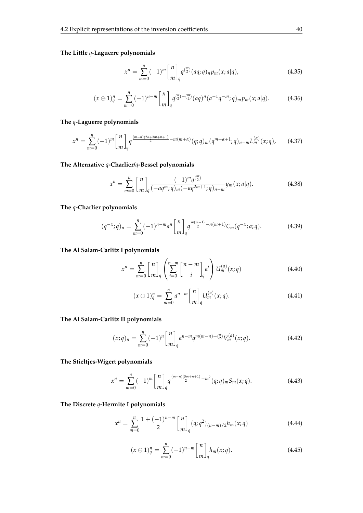#### **The Little** *q***-Laguerre polynomials**

$$
x^{n} = \sum_{m=0}^{n} (-1)^{m} \begin{bmatrix} n \\ m \end{bmatrix}_{q} q^{m \choose 2} (aq;q)_{n} p_{m}(x;a|q), \qquad (4.35)
$$

$$
(x \ominus 1)_q^n = \sum_{m=0}^n (-1)^{n-m} \binom{n}{m}_q q^{\binom{n}{2} - \binom{m}{2}} (aq)^n (a^{-1}q^{-m};q)_m p_m(x;a|q). \tag{4.36}
$$

#### **The** *q***-Laguerre polynomials**

$$
x^{n} = \sum_{m=0}^{n} (-1)^{m} {n \brack m}_{q} q^{\frac{(m-n)(2\alpha+3m+n+1)}{2} - m(m+\alpha)} (q;q)_{m} (q^{m+\alpha+1};q)_{n-m} L_{m}^{(\alpha)}(x;q), \qquad (4.37)
$$

#### **The Alternative** *q***-Charlier/***q***-Bessel polynomials**

$$
x^{n} = \sum_{m=0}^{n} {n \brack m}_{q} \frac{(-1)^{m} q^{\binom{m}{2}}}{(-aq^{m};q)_{m}(-aq^{2m+1};q)_{n-m}} y_{m}(x; a|q).
$$
 (4.38)

#### **The** *q***-Charlier polynomials**

$$
(q^{-x};q)_n = \sum_{m=0}^n (-1)^{n-m} a^n \begin{bmatrix} n \\ m \end{bmatrix}_q q^{\frac{m(m+1)}{2} - n(m+1)} C_m(q^{-x};a;q).
$$
 (4.39)

#### **The Al Salam-Carlitz I polynomials**

$$
x^n = \sum_{m=0}^n \begin{bmatrix} n \\ m \end{bmatrix}_q \left( \sum_{i=0}^{n-m} \begin{bmatrix} n-m \\ i \end{bmatrix}_q a^i \right) U_m^{(a)}(x;q) \tag{4.40}
$$

$$
(x \ominus 1)_q^n = \sum_{m=0}^n a^{n-m} \binom{n}{m}_q U_m^{(a)}(x;q).
$$
 (4.41)

#### **The Al Salam-Carlitz II polynomials**

$$
(x;q)_n = \sum_{m=0}^n (-1)^n \begin{bmatrix} n \\ m \end{bmatrix}_q a^{n-m} q^{m(m-n)+\binom{n}{2}} V_m^{(a)}(x;q). \tag{4.42}
$$

#### **The Stieltjes-Wigert polynomials**

$$
x^{n} = \sum_{m=0}^{n} (-1)^{m} {n \brack m}_{q} q^{\frac{(m-n)(3m+n+1)}{2} - m^{2}} (q;q)_{m} S_{m}(x;q). \qquad (4.43)
$$

#### **The Discrete** *q***-Hermite I polynomials**

$$
x^{n} = \sum_{m=0}^{n} \frac{1 + (-1)^{n-m}}{2} \begin{bmatrix} n \\ m \end{bmatrix}_{q} (q; q^{2})_{(n-m)/2} h_{m}(x; q)
$$
 (4.44)

$$
(x \ominus 1)_q^n = \sum_{m=0}^n (-1)^{n-m} \binom{n}{m}_q h_m(x;q).
$$
 (4.45)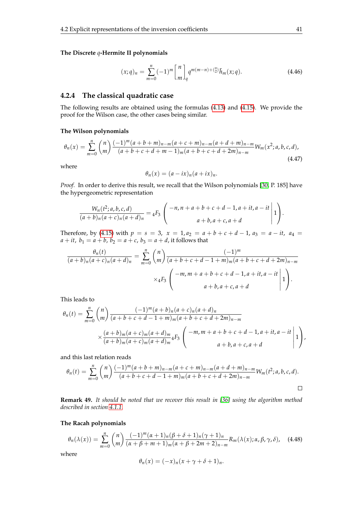#### **The Discrete** *q***-Hermite II polynomials**

$$
(x;q)_n = \sum_{m=0}^n (-1)^m \binom{n}{m}_q q^{m(m-n) + \binom{n}{2}} \tilde{h}_m(x;q).
$$
 (4.46)

#### **4.2.4 The classical quadratic case**

The following results are obtained using the formulas [\(4.13\)](#page-44-2) and [\(4.15\)](#page-44-4). We provide the proof for the Wilson case, the other cases being similar.

#### **The Wilson polynomials**

$$
\theta_n(x) = \sum_{m=0}^n {n \choose m} \frac{(-1)^m (a+b+m)_{n-m} (a+c+m)_{n-m} (a+d+m)_{n-m}}{(a+b+c+d+m-1)_m (a+b+c+d+2m)_{n-m}} W_m(x^2; a, b, c, d),
$$
\n(4.47)

where

$$
\theta_n(x) = (a - ix)_n(a + ix)_n.
$$

*Proof.* In order to derive this result, we recall that the Wilson polynomials [\[30,](#page-104-1) P. 185] have the hypergeometric representation

$$
\frac{W_n(t^2;a,b,c,d)}{(a+b)_n(a+c)_n(a+d)_n} = {}_4F_3\left(\begin{array}{c} -n, n+a+b+c+d-1, a+it, a-it \ a+b, a+c, a+d \end{array}\bigg| 1\right).
$$

Therefore, by [\(4.15\)](#page-44-4) with  $p = s = 3$ ,  $x = 1$ ,  $a_2 = a + b + c + d - 1$ ,  $a_3 = a - it$ ,  $a_4 =$ *a* + *it*, *b*<sub>1</sub> = *a* + *b*, *b*<sub>2</sub> = *a* + *c*, *b*<sub>3</sub> = *a* + *d*, it follows that

$$
\frac{\theta_n(t)}{(a+b)_n(a+c)_n(a+d)_n} = \sum_{m=0}^n {n \choose m} \frac{(-1)^m}{(a+b+c+d-1+m)_m(a+b+c+d+2m)_{n-m}}
$$

$$
\times {}_4F_3 \left( \begin{array}{c} -m, m+a+b+c+d-1, a+it, a-it \\ a+b, a+c, a+d \end{array} \middle| 1 \right).
$$

This leads to

$$
\theta_n(t) = \sum_{m=0}^n {n \choose m} \frac{(-1)^m (a+b)_n (a+c)_n (a+d)_n}{(a+b+c+d-1+m)_m (a+b+c+d+2m)_{n-m}}
$$
  
 
$$
\times \frac{(a+b)_m (a+c)_m (a+d)_m}{(a+b)_m (a+c)_m (a+d)_m} {}_4F_3 \left( \begin{array}{c} -m, m+a+b+c+d-1, a+it, a-it \ a+b, a+c, a+d \end{array} \bigg| 1 \right),
$$

and this last relation reads

$$
\theta_n(t) = \sum_{m=0}^n {n \choose m} \frac{(-1)^m (a+b+m)_{n-m} (a+c+m)_{n-m} (a+d+m)_{n-m}}{(a+b+c+d-1+m)_m (a+b+c+d+2m)_{n-m}} W_m(t^2; a, b, c, d).
$$

**Remark 49.** *It should be noted that we recover this result in [\[36\]](#page-104-8) using the algorithm method described in section [4.1.1.](#page-42-1)*

#### **The Racah polynomials**

$$
\theta_n(\lambda(x)) = \sum_{m=0}^n {n \choose m} \frac{(-1)^m (\alpha+1)_n (\beta+\delta+1)_n (\gamma+1)_n}{(\alpha+\beta+m+1)_m (\alpha+\beta+2m+2)_{n-m}} R_m(\lambda(x); \alpha, \beta, \gamma, \delta), \quad (4.48)
$$
  
where

 $w$ 

$$
\theta_n(x) = (-x)_n(x + \gamma + \delta + 1)_n.
$$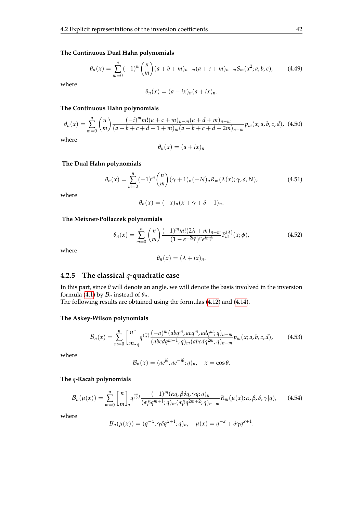#### **The Continuous Dual Hahn polynomials**

$$
\theta_n(x) = \sum_{m=0}^n (-1)^m \binom{n}{m} (a+b+m)_{n-m} (a+c+m)_{n-m} S_m(x^2; a, b, c), \tag{4.49}
$$

where

$$
\theta_n(x) = (a - ix)_n(a + ix)_n.
$$

#### **The Continuous Hahn polynomials**

$$
\theta_n(x) = \sum_{m=0}^n {n \choose m} \frac{(-i)^m m! (a+c+m)_{n-m} (a+d+m)_{n-m}}{(a+b+c+d-1+m)_m (a+b+c+d+2m)_{n-m}} p_m(x; a, b, c, d),
$$
 (4.50)

where

$$
\theta_n(x)=(a+ix)_n
$$

#### **The Dual Hahn polynomials**

$$
\theta_n(x) = \sum_{m=0}^n (-1)^m \binom{n}{m} (\gamma + 1)_n (-N)_n R_m(\lambda(x); \gamma, \delta, N), \tag{4.51}
$$

where

$$
\theta_n(x) = (-x)_n(x + \gamma + \delta + 1)_n.
$$

#### **The Meixner-Pollaczek polynomials**

$$
\theta_n(x) = \sum_{m=0}^n {n \choose m} \frac{(-1)^m m! (2\lambda + m)_{n-m}}{(1 - e^{-2i\phi})^n e^{im\phi}} P_m^{(\lambda)}(x; \phi), \qquad (4.52)
$$

where

$$
\theta_n(x)=(\lambda+ix)_n.
$$

#### **4.2.5 The classical** *q***-quadratic case**

In this part, since *θ* will denote an angle, we will denote the basis involved in the inversion formula [\(4.1\)](#page-42-0) by  $\mathcal{B}_n$  instead of  $\theta_n$ .

The following results are obtained using the formulas [\(4.12\)](#page-44-1) and [\(4.14\)](#page-44-3).

#### **The Askey-Wilson polynomials**

$$
\mathcal{B}_n(x) = \sum_{m=0}^n {n \brack m}_q q^{m \choose 2} \frac{(-a)^m (abq^m, acq^m, adq^m; q)_{n-m}}{(abcdq^{m-1}; q)_m (abcdq^{2m}; q)_{n-m}} p_m(x; a, b, c, d), \qquad (4.53)
$$

where

$$
\mathcal{B}_n(x) = (ae^{i\theta}, ae^{-i\theta}; q)_n, \quad x = \cos \theta.
$$

#### **The** *q***-Racah polynomials**

$$
\mathcal{B}_n(\mu(x)) = \sum_{m=0}^n {n \brack m}_q q^{\binom{m}{2}} \frac{(-1)^m (\alpha q, \beta \delta q, \gamma q; q)_n}{(\alpha \beta q^{m+1}; q)_m (\alpha \beta q^{2m+2}; q)_{n-m}} R_m(\mu(x); \alpha, \beta, \delta, \gamma | q), \qquad (4.54)
$$

$$
\mathcal{B}_n(\mu(x)) = (q^{-x}, \gamma \delta q^{x+1}; q)_n, \quad \mu(x) = q^{-x} + \delta \gamma q^{x+1}.
$$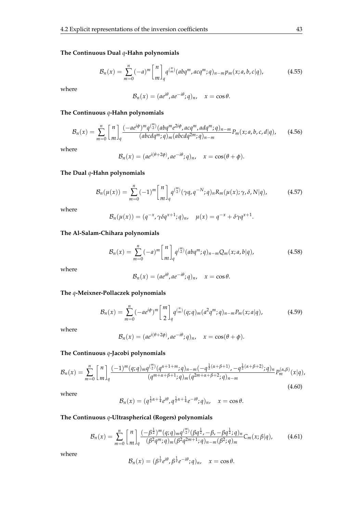#### **The Continuous Dual** *q***-Hahn polynomials**

$$
B_n(x) = \sum_{m=0}^n (-a)^m \binom{n}{m}_q q^{\binom{n}{m}} (abq^m, acq^m; q)_{n-m} p_m(x; a, b, c|q), \qquad (4.55)
$$

where

$$
\mathcal{B}_n(x) = (ae^{i\theta}, ae^{-i\theta}; q)_n, \quad x = \cos \theta.
$$

#### **The Continuous** *q***-Hahn polynomials**

$$
\mathcal{B}_n(x) = \sum_{m=0}^n {n \brack m}_q \frac{(-ae^{i\phi})^m q^{m \choose 2} (abq^m e^{2i\phi}, acq^m, adq^m; q)_{n-m}}{(abcdq^m; q)_m (abcdq^{2m}; q)_{n-m}} P_m(x; a, b, c, d | q), \qquad (4.56)
$$

where

$$
\mathcal{B}_n(x) = (ae^{i(\theta+2\phi)}, ae^{-i\theta};q)_n, \quad x = \cos(\theta+\phi).
$$

#### **The Dual** *q***-Hahn polynomials**

$$
\mathcal{B}_n(\mu(x)) = \sum_{m=0}^n (-1)^m \binom{n}{m}_q q^{m \choose 2} (\gamma q, q^{-N}; q)_n R_m(\mu(x); \gamma, \delta, N | q), \tag{4.57}
$$

where

$$
\mathcal{B}_n(\mu(x)) = (q^{-x}, \gamma \delta q^{x+1}; q)_n, \quad \mu(x) = q^{-x} + \delta \gamma q^{x+1}.
$$

#### **The Al-Salam-Chihara polynomials**

$$
\mathcal{B}_n(x) = \sum_{m=0}^n (-a)^m \binom{n}{m}_q q^{m \choose 2} (abq^m; q)_{n-m} Q_m(x; a, b | q), \qquad (4.58)
$$

where

$$
\mathcal{B}_n(x) = (ae^{i\theta}, ae^{-i\theta}; q)_n, \quad x = \cos \theta.
$$

#### **The** *q***-Meixner-Pollaczek polynomials**

$$
\mathcal{B}_n(x) = \sum_{m=0}^n (-ae^{i\phi})^m \begin{bmatrix} m \\ 2 \end{bmatrix}_q q^{\binom{n}{m}} (q;q)_m (a^2 q^m;q)_{n-m} P_m(x;a|q), \qquad (4.59)
$$

where

$$
\mathcal{B}_n(x) = (ae^{i(\theta+2\phi)}, ae^{-i\theta};q)_n, \quad x = \cos(\theta+\phi).
$$

#### **The Continuous** *q***-Jacobi polynomials**

$$
\mathcal{B}_n(x) = \sum_{m=0}^n {n \brack m}_q \frac{(-1)^m (q;q)_m q^{\binom{m}{2}} (q^{\alpha+1+m};q)_{n-m} (-q^{\frac{1}{2}(\alpha+\beta+1)}, -q^{\frac{1}{2}(\alpha+\beta+2)};q)_n}{(q^{m+\alpha+\beta+1};q)_m (q^{2m+\alpha+\beta+2};q)_{n-m}} P_m^{(\alpha,\beta)}(x|q),
$$
\n(4.60)

where

$$
\mathcal{B}_n(x)=(q^{\frac{1}{2}\alpha+\frac{1}{4}}e^{i\theta},q^{\frac{1}{2}\alpha+\frac{1}{4}}e^{-i\theta};q)_n, \quad x=\cos\theta.
$$

#### **The Continuous** *q***-Ultraspherical (Rogers) polynomials**

$$
\mathcal{B}_n(x) = \sum_{m=0}^n {n \brack m}_q \frac{(-\beta^{\frac{1}{2}})^m (q;q)_m q^{m \choose 2} (\beta q^{\frac{1}{2}}, -\beta, -\beta q^{\frac{1}{2}}; q)_n}{(\beta^2 q^m; q)_m (\beta^2 q^{2m+1}; q)_{n-m} (\beta^2; q)_m} C_m(x; \beta | q),
$$
 (4.61)

$$
\mathcal{B}_n(x) = (\beta^{\frac{1}{2}} e^{i\theta}, \beta^{\frac{1}{2}} e^{-i\theta}; q)_n, \quad x = \cos \theta.
$$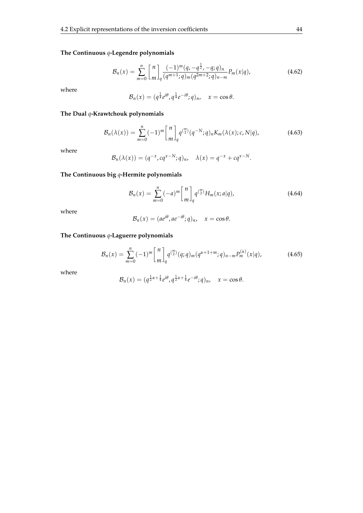#### **The Continuous** *q***-Legendre polynomials**

$$
\mathcal{B}_n(x) = \sum_{m=0}^n {n \brack m}_q \frac{(-1)^m (q, -q^{\frac{1}{2}}, -q; q)_n}{(q^{m+1}; q)_m (q^{2m+2}; q)_{n-m}} P_m(x|q), \qquad (4.62)
$$

where

$$
\mathcal{B}_n(x)=(q^{\frac{1}{4}}e^{i\theta},q^{\frac{1}{4}}e^{-i\theta};q)_n, \quad x=\cos\theta.
$$

#### **The Dual** *q***-Krawtchouk polynomials**

$$
\mathcal{B}_n(\lambda(x)) = \sum_{m=0}^n (-1)^m \binom{n}{m}_q q^{\binom{m}{2}} (q^{-N}; q)_n K_m(\lambda(x); c, N | q), \qquad (4.63)
$$

where

$$
\mathcal{B}_n(\lambda(x)) = (q^{-x}, cq^{x-N}; q)_n, \quad \lambda(x) = q^{-x} + cq^{x-N}.
$$

#### **The Continuous big** *q***-Hermite polynomials**

$$
\mathcal{B}_n(x) = \sum_{m=0}^n (-a)^m \binom{n}{m}_q q^{m \choose 2} H_m(x; a | q), \tag{4.64}
$$

where

$$
\mathcal{B}_n(x) = (ae^{i\theta}, ae^{-i\theta}; q)_n, \quad x = \cos \theta.
$$

#### **The Continuous** *q***-Laguerre polynomials**

$$
\mathcal{B}_n(x) = \sum_{m=0}^n (-1)^m \binom{n}{m}_q q^{m \choose 2} (q;q)_m (q^{\alpha+1+m};q)_{n-m} P_m^{(\alpha)}(x|q), \qquad (4.65)
$$

$$
\mathcal{B}_n(x)=(q^{\frac{1}{2}\alpha+\frac{1}{4}}e^{i\theta},q^{\frac{1}{2}\alpha+\frac{1}{4}}e^{-i\theta};q)_n, \quad x=\cos\theta.
$$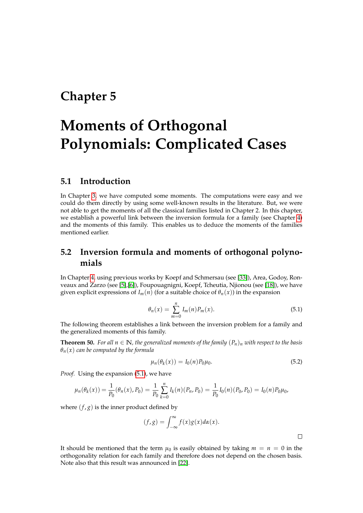# <span id="page-52-0"></span>**Chapter 5**

# **Moments of Orthogonal Polynomials: Complicated Cases**

### **5.1 Introduction**

In Chapter [3,](#page-30-0) we have computed some moments. The computations were easy and we could do them directly by using some well-known results in the literature. But, we were not able to get the moments of all the classical families listed in Chapter 2. In this chapter, we establish a powerful link between the inversion formula for a family (see Chapter [4\)](#page-42-2) and the moments of this family. This enables us to deduce the moments of the families mentioned earlier.

# **5.2 Inversion formula and moments of orthogonal polynomials**

<span id="page-52-2"></span>In Chapter [4,](#page-42-2) using previous works by Koepf and Schmersau (see [\[33\]](#page-104-3)), Area, Godoy, Ronveaux and Zarzo (see [\[5\]](#page-103-2),[\[6\]](#page-103-3)), Foupouagnigni, Koepf, Tcheutia, Njionou (see [\[18\]](#page-104-4)), we have given explicit expressions of  $I_m(n)$  (for a suitable choice of  $\theta_n(x)$ ) in the expansion

$$
\theta_n(x) = \sum_{m=0}^n I_m(n) P_m(x). \tag{5.1}
$$

The following theorem establishes a link between the inversion problem for a family and the generalized moments of this family.

<span id="page-52-1"></span>**Theorem 50.** *For all*  $n \in \mathbb{N}$ *, the generalized moments of the family*  $(P_n)_n$  *with respect to the basis θn*(*x*) *can be computed by the formula*

$$
\mu_n(\theta_k(x)) = I_0(n) P_0 \mu_0. \tag{5.2}
$$

*Proof.* Using the expansion [\(5.1\)](#page-52-2), we have

$$
\mu_n(\theta_k(x)) = \frac{1}{P_0}(\theta_n(x), P_0) = \frac{1}{P_0} \sum_{k=0}^n I_k(n)(P_n, P_0) = \frac{1}{P_0} I_0(n)(P_0, P_0) = I_0(n)P_0\mu_0,
$$

where  $(f, g)$  is the inner product defined by

$$
(f,g) = \int_{-\infty}^{\infty} f(x)g(x)d\alpha(x).
$$

 $\Box$ 

It should be mentioned that the term  $\mu_0$  is easily obtained by taking  $m = n = 0$  in the orthogonality relation for each family and therefore does not depend on the chosen basis. Note also that this result was announced in [\[22\]](#page-104-9).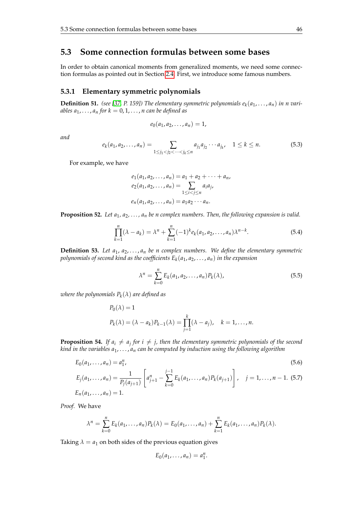## **5.3 Some connection formulas between some bases**

In order to obtain canonical moments from generalized moments, we need some connection formulas as pointed out in Section [2.4.](#page-19-0) First, we introduce some famous numbers.

#### **5.3.1 Elementary symmetric polynomials**

**Definition 51.** (see [\[37,](#page-104-10) P. 159]) The elementary symmetric polynomials  $e_k(a_1, \ldots, a_n)$  in n vari*ables*  $a_1, \ldots, a_n$  *for*  $k = 0, 1, \ldots, n$  *can be defined as* 

$$
e_0(a_1,a_2,\ldots,a_n)=1,
$$

*and*

$$
e_k(a_1, a_2, \dots, a_n) = \sum_{1 \le j_1 < j_2 < \dots < j_k \le n} a_{j_1} a_{j_2} \cdots a_{j_k}, \quad 1 \le k \le n.
$$
 (5.3)

For example, we have

$$
e_1(a_1, a_2, \dots, a_n) = a_1 + a_2 + \dots + a_n,
$$
  
\n
$$
e_2(a_1, a_2, \dots, a_n) = \sum_{1 \le i < j \le n} a_i a_j,
$$
  
\n
$$
e_n(a_1, a_2, \dots, a_n) = a_1 a_2 \cdots a_n.
$$

**Proposition 52.** *Let*  $a_1, a_2, \ldots, a_n$  *be n complex numbers. Then, the following expansion is valid.* 

$$
\prod_{k=1}^{n} (\lambda - a_k) = \lambda^n + \sum_{k=1}^{n} (-1)^k e_k(a_1, a_2, \dots, a_n) \lambda^{n-k}.
$$
 (5.4)

**Definition 53.** Let  $a_1, a_2, \ldots, a_n$  be n complex numbers. We define the elementary symmetric *polynomials of second kind as the coefficients E<sup>k</sup>* (*a*1, *a*2, . . . , *an*) *in the expansion*

$$
\lambda^{n} = \sum_{k=0}^{n} E_{k}(a_{1}, a_{2}, \dots, a_{n}) P_{k}(\lambda), \qquad (5.5)
$$

*where the polynomials P<sup>k</sup>* (*λ*) *are defined as*

$$
P_0(\lambda) = 1
$$
  
 
$$
P_k(\lambda) = (\lambda - a_k)P_{k-1}(\lambda) = \prod_{j=1}^k (\lambda - a_j), \quad k = 1, \dots, n.
$$

**Proposition 54.** *If*  $a_i \neq a_j$  for  $i \neq j$ , then the elementary symmetric polynomials of the second *kind in the variables a*1, . . . , *a<sup>n</sup> can be computed by induction using the following algorithm*

<span id="page-53-0"></span>
$$
E_0(a_1, \dots, a_n) = a_1^n,
$$
  
\n
$$
E_j(a_1, \dots, a_n) = \frac{1}{P_j(a_{j+1})} \left[ a_{j+1}^n - \sum_{k=0}^{j-1} E_k(a_1, \dots, a_n) P_k(a_{j+1}) \right], \quad j = 1, \dots, n-1.
$$
 (5.7)  
\n
$$
E_n(a_1, \dots, a_n) = 1.
$$

*Proof.* We have

$$
\lambda^n = \sum_{k=0}^n E_k(a_1,\ldots,a_n)P_k(\lambda) = E_0(a_1,\ldots,a_n) + \sum_{k=1}^n E_k(a_1,\ldots,a_n)P_k(\lambda).
$$

Taking  $\lambda = a_1$  on both sides of the previous equation gives

$$
E_0(a_1,\ldots,a_n)=a_1^n.
$$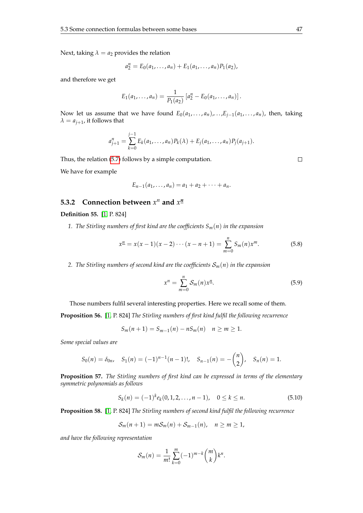Next, taking  $\lambda = a_2$  provides the relation

$$
a_2^n = E_0(a_1, \ldots, a_n) + E_1(a_1, \ldots, a_n) P_1(a_2),
$$

and therefore we get

$$
E_1(a_1,\ldots,a_n)=\frac{1}{P_1(a_2)}\left[a_2^n-E_0(a_1,\ldots,a_n)\right].
$$

Now let us assume that we have found  $E_0(a_1, \ldots, a_n), \ldots, E_{i-1}(a_1, \ldots, a_n)$ , then, taking  $\lambda = a_{j+1}$ , it follows that

$$
a_{j+1}^n = \sum_{k=0}^{j-1} E_k(a_1, \ldots, a_n) P_k(\lambda) + E_j(a_1, \ldots, a_n) P_j(a_{j+1}).
$$

Thus, the relation [\(5.7\)](#page-53-0) follows by a simple computation.

<span id="page-54-0"></span> $\Box$ 

We have for example

$$
E_{n-1}(a_1,\ldots,a_n) = a_1 + a_2 + \cdots + a_n.
$$

## **5.3.2** Connection between  $x^n$  and  $x^{\underline{n}}$

#### **Definition 55.** [\[1,](#page-103-5) P. 824]

*1. The Stirling numbers of first kind are the coefficients Sm*(*n*) *in the expansion*

$$
x^{\underline{n}} = x(x-1)(x-2)\cdots(x-n+1) = \sum_{m=0}^{n} S_m(n)x^m.
$$
 (5.8)

2. The Stirling numbers of second kind are the coefficients  $S_m(n)$  in the expansion

$$
x^n = \sum_{m=0}^n \mathcal{S}_m(n) x^n.
$$
 (5.9)

Those numbers fulfil several interesting properties. Here we recall some of them.

**Proposition 56.** [\[1,](#page-103-5) P. 824] *The Stirling numbers of first kind fulfil the following recurrence*

$$
S_m(n + 1) = S_{m-1}(n) - nS_m(n) \quad n \ge m \ge 1.
$$

*Some special values are*

$$
S_0(n) = \delta_{0n}
$$
,  $S_1(n) = (-1)^{n-1}(n-1)!$ ,  $S_{n-1}(n) = -\binom{n}{2}$ ,  $S_n(n) = 1$ .

**Proposition 57.** *The Stirling numbers of first kind can be expressed in terms of the elementary symmetric polynomials as follows*

$$
S_k(n) = (-1)^k e_k(0, 1, 2, \dots, n-1), \quad 0 \le k \le n.
$$
 (5.10)

**Proposition 58.** [\[1,](#page-103-5) P. 824] *The Stirling numbers of second kind fulfil the following recurrence*

$$
S_m(n+1)=mS_m(n)+S_{m-1}(n), \quad n\geq m\geq 1,
$$

*and have the following representation*

$$
S_m(n) = \frac{1}{m!} \sum_{k=0}^{m} (-1)^{m-k} {m \choose k} k^n.
$$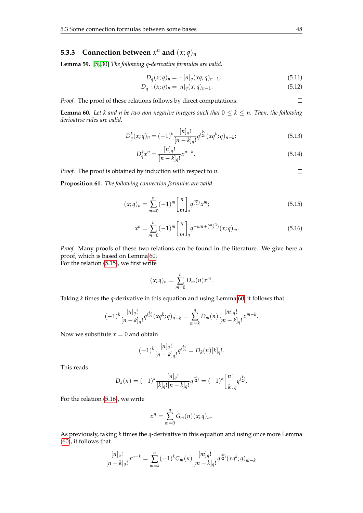# **5.3.3** Connection between  $x^n$  and  $(x; q)_n$

**Lemma 59.** [\[5,](#page-103-2) [30\]](#page-104-1) *The following q-derivative formulas are valid.*

$$
D_q(x;q)_n = -[n]_q(xq;q)_{n-1};
$$
\n(5.11)

$$
D_{q^{-1}}(x;q)_n = [n]_q(x;q)_{n-1}.
$$
\n(5.12)

*Proof.* The proof of these relations follows by direct computations.

<span id="page-55-0"></span>**Lemma 60.** Let k and n be two non-negative integers such that  $0 \leq k \leq n$ . Then, the following *derivative rules are valid.*

$$
D_q^k(x;q)_n = (-1)^k \frac{[n]_q!}{[n-k]_q!} q^{\binom{k}{2}} (xq^k;q)_{n-k};
$$
\n(5.13)

$$
D_q^k x^n = \frac{[n]_q!}{[n-k]_q!} x^{n-k}.
$$
\n(5.14)

*Proof.* The proof is obtained by induction with respect to *n*.  $\Box$ 

**Proposition 61.** *The following connection formulas are valid.*

<span id="page-55-1"></span>
$$
(x;q)_n = \sum_{m=0}^n (-1)^m \begin{bmatrix} n \\ m \end{bmatrix}_q q^{\binom{m}{2}} x^m; \tag{5.15}
$$

$$
x^{n} = \sum_{m=0}^{n} (-1)^{m} \begin{bmatrix} n \\ m \end{bmatrix}_{q} q^{-mn + {m+1 \choose 2}} (x;q)_{m}.
$$
 (5.16)

*Proof.* Many proofs of these two relations can be found in the literature. We give here a proof, which is based on Lemma [60.](#page-55-0)

For the relation [\(5.15\)](#page-55-1), we first write

$$
(x;q)_n=\sum_{m=0}^n D_m(n)x^m.
$$

Taking *k* times the *q*-derivative in this equation and using Lemma [60,](#page-55-0) it follows that

$$
(-1)^k \frac{[n]_q!}{[n-k]_q!} q^{\binom{k}{2}} (xq^k;q)_{n-k} = \sum_{m=k}^n D_m(n) \frac{[m]_q!}{[m-k]_q!} x^{m-k}.
$$

Now we substitute  $x = 0$  and obtain

$$
(-1)^k \frac{[n]_q!}{[n-k]_q!} q^{\binom{k}{2}} = D_k(n)[k]_q!.
$$

This reads

$$
D_k(n) = (-1)^k \frac{[n]_q!}{[k]_q! [n-k]_q!} q^{\binom{k}{2}} = (-1)^k \binom{n}{k}_q q^{\binom{k}{2}}.
$$

For the relation [\(5.16\)](#page-55-1), we write

$$
x^n = \sum_{m=0}^n G_m(n)(x;q)_m.
$$

As previously, taking *k* times the *q*-derivative in this equation and using once more Lemma [\(60\)](#page-55-0), it follows that

$$
\frac{[n]_q!}{[n-k]_q!}x^{n-k} = \sum_{m=k}^n (-1)^k G_m(n) \frac{[m]_q!}{[m-k]_q!} q^{\binom{k}{2}} (xq^k;q)_{m-k}.
$$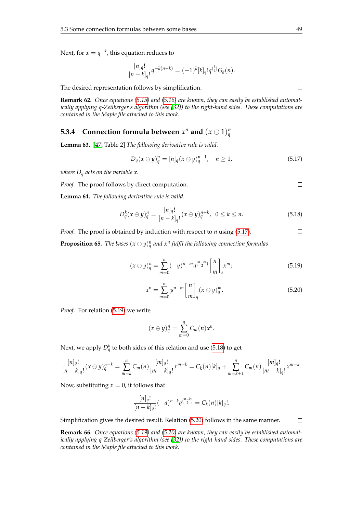Next, for  $x = q^{-k}$ , this equation reduces to

$$
\frac{[n]_q!}{[n-k]_q!}q^{-k(n-k)} = (-1)^k [k]_q! q^{k \choose 2} G_k(n).
$$

The desired representation follows by simplification.

**Remark 62.** *Once equations [\(5.15\)](#page-55-1) and [\(5.16\)](#page-55-1) are known, they can easily be established automatically applying q-Zeilberger's algorithm (see [\[32\]](#page-104-2)) to the right-hand sides. These computations are contained in the Maple file attached to this work.*

# **5.3.4** Connection formula between  $x^n$  and  $(x \ominus 1)^n_q$

**Lemma 63.** [\[47,](#page-105-2) Table 2] *The following derivative rule is valid.*

<span id="page-56-2"></span><span id="page-56-0"></span>
$$
D_q(x \ominus y)_q^n = [n]_q(x \ominus y)_q^{n-1}, \quad n \ge 1,
$$
 (5.17)

*where D<sup>q</sup> acts on the variable x.*

*Proof.* The proof follows by direct computation.

**Lemma 64.** *The following derivative rule is valid.*

$$
D_q^k(x \ominus y)_q^n = \frac{[n]_q!}{[n-k]_q!}(x \ominus y)_q^{n-k}, \ \ 0 \le k \le n. \tag{5.18}
$$

 $\Box$ *Proof.* The proof is obtained by induction with respect to *n* using [\(5.17\)](#page-56-0). **Proposition 65.** *The bases*  $(x \ominus y)_{q}^{n}$  *and*  $x^{n}$  *fulfil the following connection formulas* 

<span id="page-56-1"></span>
$$
(x \ominus y)_q^n = \sum_{m=0}^n (-y)^{n-m} q^{\binom{n-m}{2}} \begin{bmatrix} n \\ m \end{bmatrix}_q x^m; \tag{5.19}
$$

$$
x^{n} = \sum_{m=0}^{n} y^{n-m} \binom{n}{m}_q (x \ominus y)_{q}^{m}.
$$
 (5.20)

*Proof.* For relation [\(5.19\)](#page-56-1) we write

$$
(x \ominus y)_q^n = \sum_{m=0}^n C_m(n)x^n.
$$

Next, we apply  $D_q^k$  to both sides of this relation and use [\(5.18\)](#page-56-2) to get

$$
\frac{[n]_q!}{[n-k]_q!}(x\ominus y)_q^{n-k}=\sum_{m=k}^n C_m(n)\frac{[m]_q!}{[m-k]_q!}x^{m-k}=C_k(n)[k]_q+\sum_{m=k+1}^n C_m(n)\frac{[m]_q!}{[m-k]_q!}x^{m-k}.
$$

Now, substituting  $x = 0$ , it follows that

$$
\frac{[n]_q!}{[n-k]_q!}(-a)^{n-k}q^{n-k} = C_k(n)[k]_q!
$$

Simplification gives the desired result. Relation [\(5.20\)](#page-56-1) follows in the same manner.  $\Box$ 

**Remark 66.** *Once equations [\(5.19\)](#page-56-1) and [\(5.20\)](#page-56-1) are known, they can easily be established automatically applying q-Zeilberger's algorithm (see [\[32\]](#page-104-2)) to the right-hand sides. These computations are contained in the Maple file attached to this work.*

 $\Box$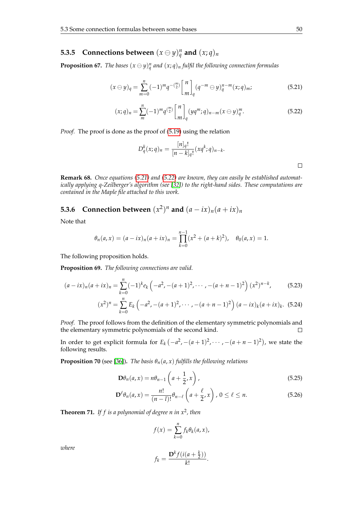# **5.3.5** Connections between  $(x \ominus y)_{q}^{n}$  and  $(x; q)_{n}$

**Proposition 67.** *The bases*  $(x \ominus y)_{q}^{n}$  *and*  $(x; q)_{n}$  *fulfil the following connection formulas* 

<span id="page-57-0"></span>
$$
(x \ominus y)_q = \sum_{m=0}^n (-1)^m q^{-\binom{m}{2}} \begin{bmatrix} n \\ m \end{bmatrix}_q (q^{-m} \ominus y)_q^{n-m}(x;q)_m;
$$
 (5.21)

$$
(x;q)_n = \sum_{m}^{n} (-1)^m q^{\binom{m}{2}} \begin{bmatrix} n \\ m \end{bmatrix}_q (yq^m;q)_{n-m} (x \ominus y)_q^m.
$$
 (5.22)

*Proof.* The proof is done as the proof of [\(5.19\)](#page-56-1) using the relation

$$
D_q^k(x;q)_n = \frac{[n]_q!}{[n-k]_q!}(xq^k;q)_{n-k}.
$$

**Remark 68.** *Once equations [\(5.21\)](#page-57-0) and [\(5.22\)](#page-57-0) are known, they can easily be established automatically applying q-Zeilberger's algorithm (see [\[32\]](#page-104-2)) to the right-hand sides. These computations are contained in the Maple file attached to this work.*

# **5.3.6** Connection between  $(x^2)^n$  and  $(a - ix)_n(a + ix)_n$

Note that

$$
\theta_n(a,x) = (a - ix)_n(a + ix)_n = \prod_{k=0}^{n-1} (x^2 + (a + k)^2), \quad \theta_0(a,x) = 1.
$$

The following proposition holds.

**Proposition 69.** *The following connections are valid.*

$$
(a-ix)_n(a+ix)_n = \sum_{k=0}^n (-1)^k e_k \left( -a^2, -(a+1)^2, \cdots, -(a+n-1)^2 \right) (x^2)^{n-k}, \tag{5.23}
$$

$$
(x^2)^n = \sum_{k=0}^n E_k \left( -a^2, -(a+1)^2, \cdots, -(a+n-1)^2 \right) (a-ix)_k (a+ix)_k.
$$
 (5.24)

*Proof.* The proof follows from the definition of the elementary symmetric polynomials and the elementary symmetric polynomials of the second kind.  $\Box$ 

In order to get explicit formula for  $E_k(-a^2, -(a+1)^2, \cdots, -(a+n-1)^2)$ , we state the following results.

**Proposition 70** (see [\[36\]](#page-104-8)). *The basis*  $\theta_n(a, x)$  *fulfills the following relations* 

$$
\mathbf{D}\theta_n(a,x) = n\theta_{n-1}\left(a + \frac{1}{2},x\right),\tag{5.25}
$$

$$
\mathbf{D}^{\ell}\theta_n(a,x) = \frac{n!}{(n-l)!}\theta_{n-\ell}\left(a+\frac{\ell}{2},x\right),\ 0\leq\ell\leq n. \tag{5.26}
$$

<span id="page-57-1"></span>**Theorem 71.** *If f is a polynomial of degree n in x*<sup>2</sup> *, then*

$$
f(x) = \sum_{k=0}^{n} f_k \theta_k(a, x),
$$

$$
f_k = \frac{\mathbf{D}^k f(i(a + \frac{k}{2}))}{k!}.
$$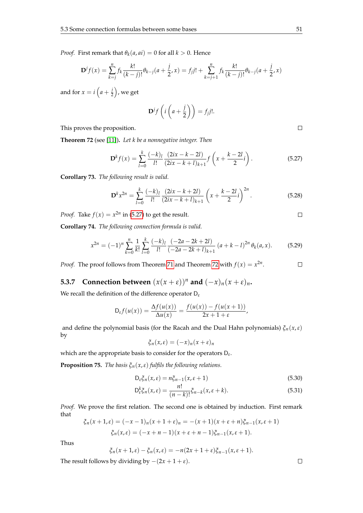*Proof.* First remark that  $\theta_k(a, ai) = 0$  for all  $k > 0$ . Hence

$$
\mathbf{D}^{j}f(x) = \sum_{k=j}^{n} f_{k} \frac{k!}{(k-j)!} \theta_{k-j} (a + \frac{j}{2}, x) = f_{j}j! + \sum_{k=j+1}^{n} f_{k} \frac{k!}{(k-j)!} \theta_{k-j} (a + \frac{j}{2}, x)
$$

and for  $x = i \left( a + \frac{i}{2} \right)$  $(\frac{j}{2})$ , we get

<span id="page-58-0"></span>
$$
\mathbf{D}^{j}f\left(i\left(a+\frac{j}{2}\right)\right)=f_{j}j!.
$$

This proves the proposition.

<span id="page-58-1"></span>**Theorem 72** (see [\[11\]](#page-103-6))**.** *Let k be a nonnegative integer. Then*

$$
\mathbf{D}^{k} f(x) = \sum_{l=0}^{k} \frac{(-k)_{l}}{l!} \frac{(2ix - k - 2l)}{(2ix - k + l)_{k+1}} f\left(x + \frac{k - 2l}{2}i\right).
$$
 (5.27)

**Corollary 73.** *The following result is valid.*

$$
\mathbf{D}^{k} x^{2n} = \sum_{l=0}^{k} \frac{(-k)_{l}}{l!} \frac{(2ix - k + 2l)}{(2ix - k + l)_{k+1}} \left(x + \frac{k - 2l}{2}i\right)^{2n}.
$$
 (5.28)

*Proof.* Take  $f(x) = x^{2n}$  in [\(5.27\)](#page-58-0) to get the result.

**Corollary 74.** *The following connection formula is valid.*

$$
x^{2n} = (-1)^n \sum_{k=0}^n \frac{1}{k!} \sum_{l=0}^k \frac{(-k)_l}{l!} \frac{(-2a - 2k + 2l)}{(-2a - 2k + l)_{k+1}} (a + k - l)^{2n} \theta_k(a, x).
$$
 (5.29)

*Proof.* The proof follows from Theorem [71](#page-57-1) and Theorem [72](#page-58-1) with  $f(x) = x^{2n}$ .  $\Box$ 

**5.3.7** Connection between  $(x(x + \varepsilon))^n$  and  $(-x)_n(x + \varepsilon)_n$ .

We recall the definition of the difference operator D*<sup>ε</sup>*

$$
D_{\varepsilon} f(u(x)) = \frac{\Delta f(u(x))}{\Delta u(x)} = \frac{f(u(x)) - f(u(x+1))}{2x + 1 + \varepsilon},
$$

and define the polynomial basis (for the Racah and the Dual Hahn polynomials) *ξn*(*x*,*ε*) by

$$
\xi_n(x,\varepsilon) = (-x)_n(x+\varepsilon)_n
$$

which are the appropriate basis to consider for the operators D*<sup>ε</sup>* .

**Proposition 75.** *The basis*  $\xi_n(x, \varepsilon)$  *fulfils the following relations.* 

$$
D_{\varepsilon} \xi_n(x, \varepsilon) = n \xi_{n-1}(x, \varepsilon + 1)
$$
\n(5.30)

$$
D_{\varepsilon}^{k}\xi_{n}(x,\varepsilon) = \frac{n!}{(n-k)!}\xi_{n-k}(x,\varepsilon+k).
$$
\n(5.31)

Proof. We prove the first relation. The second one is obtained by induction. First remark that

$$
\xi_n(x+1,\varepsilon) = (-x-1)_n(x+1+\varepsilon)_n = -(x+1)(x+\varepsilon+n)\xi_{n-1}(x,\varepsilon+1)
$$
  

$$
\xi_n(x,\varepsilon) = (-x+n-1)(x+\varepsilon+n-1)\xi_{n-1}(x,\varepsilon+1).
$$

Thus

$$
\xi_n(x+1,\varepsilon)-\xi_n(x,\varepsilon)=-n(2x+1+\varepsilon)\xi_{n-1}(x,\varepsilon+1).
$$

The result follows by dividing by  $-(2x + 1 + \varepsilon)$ .

 $\Box$ 

 $\Box$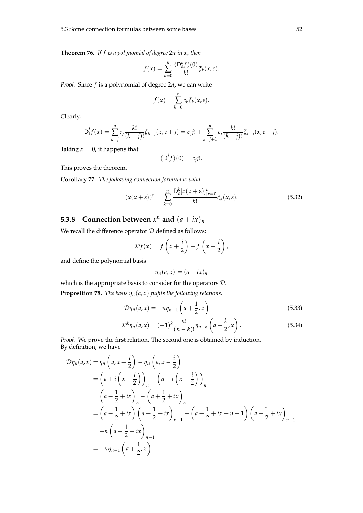**Theorem 76.** *If f is a polynomial of degree* 2*n in x, then*

$$
f(x) = \sum_{k=0}^{n} \frac{(\mathsf{D}_{\varepsilon}^{k} f)(0)}{k!} \zeta_{k}(x, \varepsilon).
$$

*Proof.* Since *f* is a polynomial of degree 2*n*, we can write

$$
f(x) = \sum_{k=0}^{n} c_k \xi_k(x, \varepsilon).
$$

Clearly,

$$
D_{\varepsilon}^{j} f(x) = \sum_{k=j}^{n} c_{j} \frac{k!}{(k-j)!} \xi_{k-j}(x, \varepsilon + j) = c_{j} j! + \sum_{k=j+1}^{n} c_{j} \frac{k!}{(k-j)!} \xi_{k-j}(x, \varepsilon + j).
$$

Taking  $x = 0$ , it happens that

This proves the theorem.

$$
(\mathsf{D}_{\varepsilon}^j f)(0) = c_j j!.
$$

 $\Box$ 

 $\Box$ 

**Corollary 77.** *The following connection formula is valid.*

$$
(x(x+\varepsilon))^n = \sum_{k=0}^n \frac{\mathsf{D}_{\varepsilon}^k [x(x+\varepsilon)]_{|x=0}^n}{k!} \xi_k(x,\varepsilon). \tag{5.32}
$$

# **5.3.8** Connection between  $x^n$  and  $(a + ix)_n$

We recall the difference operator  $D$  defined as follows:

$$
\mathcal{D}f(x) = f\left(x + \frac{i}{2}\right) - f\left(x - \frac{i}{2}\right),
$$

and define the polynomial basis

$$
\eta_n(a,x)=(a+ix)_n
$$

which is the appropriate basis to consider for the operators D. **Proposition 78.** *The basis*  $\eta_n(a, x)$  *fulfils the following relations.* 

$$
\mathcal{D}\eta_n(a,x) = -n\eta_{n-1}\left(a + \frac{1}{2},x\right) \tag{5.33}
$$

$$
\mathcal{D}^{k}\eta_{n}(a,x) = (-1)^{k} \frac{n!}{(n-k)!} \eta_{n-k}\left(a + \frac{k}{2}, x\right).
$$
 (5.34)

*Proof.* We prove the first relation. The second one is obtained by induction. By definition, we have

<span id="page-59-0"></span>
$$
\mathcal{D}\eta_n(a,x) = \eta_n\left(a, x + \frac{i}{2}\right) - \eta_n\left(a, x - \frac{i}{2}\right)
$$
  
=  $\left(a + i\left(x + \frac{i}{2}\right)\right)_n - \left(a + i\left(x - \frac{i}{2}\right)\right)_n$   
=  $\left(a - \frac{1}{2} + ix\right)_n - \left(a + \frac{1}{2} + ix\right)_n$   
=  $\left(a - \frac{1}{2} + ix\right)\left(a + \frac{1}{2} + ix\right)_{n-1} - \left(a + \frac{1}{2} + ix + n\right)\left(a + \frac{1}{2} + ix\right)_{n-1}$   
=  $-n\left(a + \frac{1}{2} + ix\right)_{n-1}$   
=  $-n\eta_{n-1}\left(a + \frac{1}{2}, x\right).$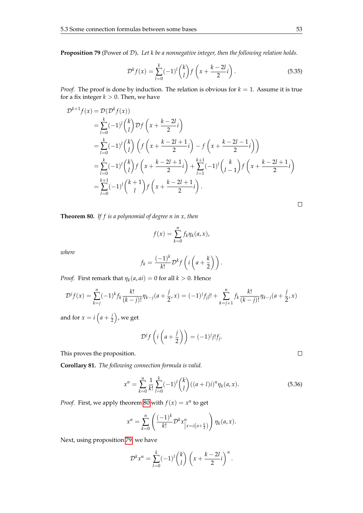**Proposition 79** (Power of D)**.** *Let k be a nonnegative integer, then the following relation holds.*

$$
\mathcal{D}^k f(x) = \sum_{l=0}^k (-1)^l {k \choose l} f\left(x + \frac{k-2l}{2}i\right).
$$
 (5.35)

*Proof.* The proof is done by induction. The relation is obvious for  $k = 1$ . Assume it is true for a fix integer  $k > 0$ . Then, we have

$$
\mathcal{D}^{k+1} f(x) = \mathcal{D}(\mathcal{D}^k f(x))
$$
  
\n
$$
= \sum_{l=0}^k (-1)^l {k \choose l} \mathcal{D} f\left(x + \frac{k-2l}{2}i\right)
$$
  
\n
$$
= \sum_{l=0}^k (-1)^l {k \choose l} \left(f\left(x + \frac{k-2l+1}{2}i\right) - f\left(x + \frac{k-2l-1}{2}i\right)\right)
$$
  
\n
$$
= \sum_{l=0}^k (-1)^l {k \choose l} f\left(x + \frac{k-2l+1}{2}i\right) + \sum_{l=1}^{k+1} (-1)^l {k \choose l-1} f\left(x + \frac{k-2l+1}{2}i\right)
$$
  
\n
$$
= \sum_{l=0}^{k+1} (-1)^l {k+1 \choose l} f\left(x + \frac{k-2l+1}{2}i\right).
$$

<span id="page-60-0"></span>**Theorem 80.** *If f is a polynomial of degree n in x, then*

$$
f(x) = \sum_{k=0}^{n} f_k \eta_k(a, x),
$$

*where*

$$
f_k = \frac{(-1)^k}{k!} \mathcal{D}^k f\left(i\left(a + \frac{k}{2}\right)\right).
$$

*Proof.* First remark that  $\eta_k(a, ai) = 0$  for all  $k > 0$ . Hence

$$
\mathcal{D}^j f(x) = \sum_{k=j}^n (-1)^k f_k \frac{k!}{(k-j)!} \eta_{k-j} (a + \frac{j}{2}, x) = (-1)^j f_j j! + \sum_{k=j+1}^n f_k \frac{k!}{(k-j)!} \eta_{k-j} (a + \frac{j}{2}, x)
$$

and for  $x = i \left( a + \frac{j}{2} \right)$  $(\frac{j}{2})$ , we get

$$
\mathcal{D}^jf\left(i\left(a+\frac{j}{2}\right)\right)=(-1)^jj!f_j.
$$

This proves the proposition.

**Corollary 81.** *The following connection formula is valid.*

$$
x^{n} = \sum_{k=0}^{n} \frac{1}{k!} \sum_{l=0}^{k} (-1)^{l} {k \choose l} ((a+l)i)^{n} \eta_{k}(a,x).
$$
 (5.36)

*Proof.* First, we apply theorem [80](#page-60-0) with  $f(x) = x^n$  to get

$$
x^{n} = \sum_{k=0}^{n} \left( \frac{(-1)^{k}}{k!} \mathcal{D}^{k} x_{\vert x=i\left(a+\frac{k}{2}\right)}^{n} \right) \eta_{k}(a, x).
$$

Next, using proposition [79,](#page-59-0) we have

$$
\mathcal{D}^k x^n = \sum_{l=0}^k (-1)^l {k \choose l} \left( x + \frac{k-2l}{2} i \right)^n.
$$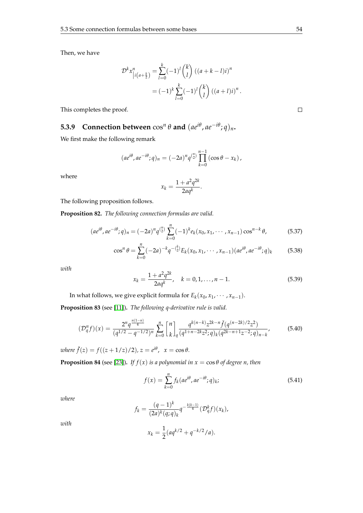Then, we have

$$
\mathcal{D}^{k} x_{\big| i\left(a+\frac{k}{2}\right)}^{n} = \sum_{l=0}^{k} (-1)^{l} {k \choose l} \left( (a+k-l)i \right)^{n}
$$

$$
= (-1)^{k} \sum_{l=0}^{k} (-1)^{l} {k \choose l} \left( (a+l)i \right)^{n}.
$$

This completes the proof.

# **5.3.9** Connection between  $\cos^n \theta$  and  $(ae^{i\theta}, ae^{-i\theta}; q)_n$ .

We first make the following remark

$$
(ae^{i\theta}, ae^{-i\theta};q)_n = (-2a)^n q^{n \choose 2} \prod_{k=0}^{n-1} (\cos \theta - x_k),
$$

where

$$
x_k = \frac{1 + a^2 q^{2k}}{2aq^k}.
$$

The following proposition follows.

**Proposition 82.** *The following connection formulas are valid.*

$$
(ae^{i\theta}, ae^{-i\theta};q)_n = (-2a)^n q^{n \choose 2} \sum_{k=0}^n (-1)^k e_k(x_0, x_1, \cdots, x_{n-1}) \cos^{n-k} \theta,
$$
 (5.37)

$$
\cos^{n} \theta = \sum_{k=0}^{n} (-2a)^{-k} q^{-\binom{k}{2}} E_{k}(x_0, x_1, \cdots, x_{n-1}) (ae^{i\theta}, ae^{-i\theta}; q)_{k}
$$
(5.38)

*with*

$$
x_k = \frac{1 + a^2 q^{2k}}{2aq^k}, \quad k = 0, 1, ..., n - 1.
$$
 (5.39)

In what follows, we give explicit formula for  $E_k(x_0, x_1, \dots, x_{n-1})$ .

**Proposition 83** (see [\[11\]](#page-103-6))**.** *The following q-derivative rule is valid.*

$$
(\mathcal{D}_q^n f)(x) = \frac{2^n q^{\frac{n(1-n)}{4}}}{(q^{1/2} - q^{-1/2})^n} \sum_{k=0}^n {n \brack k}_q \frac{q^{k(n-k)} z^{2k-n} \check{f}(q^{(n-2k)/2} z^2)}{(q^{1+n-2k} z^2; q)_k (q^{2k-n+1} z^{-2}; q)_{n-k}},
$$
(5.40)

 $where \check{f}(z) = f((z + 1/z)/2), z = e^{i\theta}, x = \cos \theta.$ 

**Proposition 84** (see [\[23\]](#page-104-11)). *If*  $f(x)$  *is a polynomial in*  $x = \cos \theta$  *of degree n, then* 

$$
f(x) = \sum_{k=0}^{n} f_k(a e^{i\theta}, a e^{-i\theta}; q)_k;
$$
 (5.41)

*where*

$$
f_k = \frac{(q-1)^k}{(2a)^k (q;q)_k} q^{-\frac{k(k-1)}{4}} (\mathcal{D}_q^k f)(x_k),
$$

<span id="page-61-0"></span>*with*

$$
x_k = \frac{1}{2}(aq^{k/2} + q^{-k/2}/a).
$$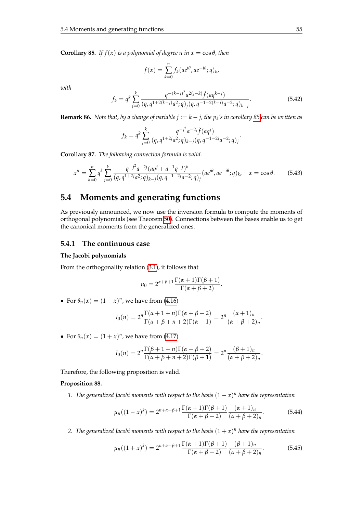*with*

**Corollary 85.** *If*  $f(x)$  *is a polynomial of degree n in*  $x = \cos \theta$ *, then* 

$$
f(x) = \sum_{k=0}^{n} f_k(a e^{i\theta}, a e^{-i\theta}; q)_k,
$$
  

$$
f_k = q^k \sum_{j=0}^{k} \frac{q^{-(k-j)^2} a^{2(j-k)} \check{f}(a q^{k-j})}{(q, q^{1+2(k-j)} a^2; q)_j (q, q^{-1-2(k-j)} a^{-2}; q)_{k-j}}.
$$
(5.42)

**Remark 86.** *Note that, by a change of variable*  $j := k - j$ *, the*  $p_k$ *'s in corollary [85](#page-61-0) can be written as* 

$$
f_k = q^k \sum_{j=0}^k \frac{q^{-j^2} a^{-2j} \check{f}(aq^j)}{(q, q^{1+2j} a^2; q)_{k-j} (q, q^{-1-2j} a^{-2}; q)_j}.
$$

**Corollary 87.** *The following connection formula is valid.*

$$
x^{n} = \sum_{k=0}^{n} q^{k} \sum_{j=0}^{k} \frac{q^{-j^{2}} a^{-2j} (aq^{j} + a^{-1}q^{-j})^{k}}{(q, q^{1+2j}a^{2}; q)_{k-j} (q, q^{-1-2j}a^{-2}; q)_{j}} (ae^{i\theta}, ae^{-i\theta}; q)_{k}, \quad x = \cos \theta.
$$
 (5.43)

# **5.4 Moments and generating functions**

As previously announced, we now use the inversion formula to compute the moments of orthogonal polynomials (see Theorem [50\)](#page-52-1). Connections between the bases enable us to get the canonical moments from the generalized ones.

#### **5.4.1 The continuous case**

#### **The Jacobi polynomials**

From the orthogonality relation [\(3.1\)](#page-30-1), it follows that

$$
\mu_0 = 2^{\alpha + \beta + 1} \frac{\Gamma(\alpha + 1)\Gamma(\beta + 1)}{\Gamma(\alpha + \beta + 2)}.
$$

• For  $\theta_n(x) = (1 - x)^n$ , we have from [\(4.16\)](#page-45-0)

$$
I_0(n)=2^n\frac{\Gamma(\alpha+1+n)\Gamma(\alpha+\beta+2)}{\Gamma(\alpha+\beta+n+2)\Gamma(\alpha+1)}=2^n\frac{(\alpha+1)_n}{(\alpha+\beta+2)_n}.
$$

• For  $\theta_n(x) = (1 + x)^n$ , we have from [\(4.17\)](#page-45-0)

$$
I_0(n) = 2^n \frac{\Gamma(\beta+1+n)\Gamma(\alpha+\beta+2)}{\Gamma(\alpha+\beta+n+2)\Gamma(\beta+1)} = 2^n \frac{(\beta+1)_n}{(\alpha+\beta+2)_n}.
$$

Therefore, the following proposition is valid.

#### **Proposition 88.** *.*

*1. The generalized Jacobi moments with respect to the basis* (1 − *x*) *<sup>n</sup> have the representation*

<span id="page-62-1"></span><span id="page-62-0"></span>
$$
\mu_n((1-x)^k) = 2^{n+\alpha+\beta+1} \frac{\Gamma(\alpha+1)\Gamma(\beta+1)}{\Gamma(\alpha+\beta+2)} \frac{(\alpha+1)_n}{(\alpha+\beta+2)_n}.
$$
 (5.44)

2. The generalized Jacobi moments with respect to the basis  $(1 + x)^n$  have the representation

$$
\mu_n((1+x)^k) = 2^{n+\alpha+\beta+1} \frac{\Gamma(\alpha+1)\Gamma(\beta+1)}{\Gamma(\alpha+\beta+2)} \frac{(\beta+1)_n}{(\alpha+\beta+2)_n}.
$$
 (5.45)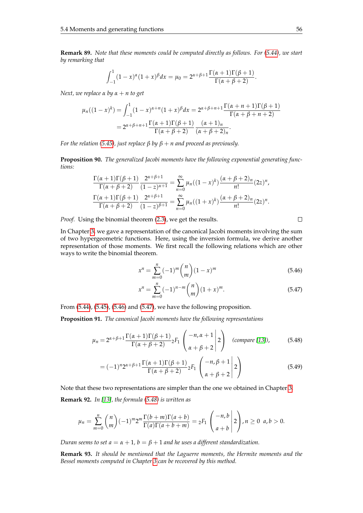**Remark 89.** *Note that these moments could be computed directly as follows. For [\(5.44\)](#page-62-0), we start by remarking that*

$$
\int_{-1}^{1} (1-x)^{\alpha} (1+x)^{\beta} dx = \mu_0 = 2^{\alpha+\beta+1} \frac{\Gamma(\alpha+1)\Gamma(\beta+1)}{\Gamma(\alpha+\beta+2)}.
$$

*Next, we replace*  $α$  *by*  $α + n$  *to get* 

$$
\mu_n((1-x)^k) = \int_{-1}^1 (1-x)^{\alpha+n}(1+x)^{\beta} dx = 2^{\alpha+\beta+n+1} \frac{\Gamma(\alpha+n+1)\Gamma(\beta+1)}{\Gamma(\alpha+\beta+n+2)}
$$

$$
= 2^{\alpha+\beta+n+1} \frac{\Gamma(\alpha+1)\Gamma(\beta+1)}{\Gamma(\alpha+\beta+2)} \frac{(\alpha+1)_n}{(\alpha+\beta+2)_n}.
$$

*For the relation [\(5.45\)](#page-62-1), just replace*  $\beta$  *by*  $\beta + n$  *and proceed as previously.* 

**Proposition 90.** *The generalized Jacobi moments have the following exponential generating functions:*

$$
\frac{\Gamma(\alpha+1)\Gamma(\beta+1)}{\Gamma(\alpha+\beta+2)} \frac{2^{\alpha+\beta+1}}{(1-z)^{\alpha+1}} = \sum_{n=0}^{\infty} \mu_n((1-x)^k) \frac{(\alpha+\beta+2)_n}{n!} (2z)^n,
$$
  

$$
\frac{\Gamma(\alpha+1)\Gamma(\beta+1)}{\Gamma(\alpha+\beta+2)} \frac{2^{\alpha+\beta+1}}{(1-z)^{\beta+1}} = \sum_{n=0}^{\infty} \mu_n((1+x)^k) \frac{(\alpha+\beta+2)_n}{n!} (2z)^n.
$$

*Proof.* Using the binomial theorem [\(2.3\)](#page-14-1), we get the results.

 $\Box$ 

In Chapter [3,](#page-30-0) we gave a representation of the canonical Jacobi moments involving the sum of two hypergeometric functions. Here, using the inversion formula, we derive another representation of those moments. We first recall the following relations which are other ways to write the binomial theorem.

<span id="page-63-0"></span>
$$
x^n = \sum_{m=0}^n (-1)^m \binom{n}{m} (1-x)^m
$$
\n(5.46)

$$
x^{n} = \sum_{m=0}^{n} (-1)^{n-m} {n \choose m} (1+x)^{m}.
$$
 (5.47)

From [\(5.44\)](#page-62-0), [\(5.45\)](#page-62-1), [\(5.46\)](#page-63-0) and [\(5.47\)](#page-63-0), we have the following proposition.

**Proposition 91.** *The canonical Jacobi moments have the following representations*

<span id="page-63-1"></span>
$$
\mu_n = 2^{\alpha + \beta + 1} \frac{\Gamma(\alpha + 1)\Gamma(\beta + 1)}{\Gamma(\alpha + \beta + 2)} {}_2F_1\left(\begin{array}{c} -n, \alpha + 1 \\ \alpha + \beta + 2 \end{array}\bigg| 2\right) \quad \text{(compare [13]),} \tag{5.48}
$$

$$
= (-1)^n 2^{\alpha+\beta+1} \frac{\Gamma(\alpha+1)\Gamma(\beta+1)}{\Gamma(\alpha+\beta+2)} {}_2F_1\left(\begin{array}{c} -n, \beta+1\\ \alpha+\beta+2 \end{array}\bigg| 2\right)
$$
(5.49)

Note that these two representations are simpler than the one we obtained in Chapter [3.](#page-30-0) **Remark 92.** *In [\[13\]](#page-103-0), the formula [\(5.48\)](#page-63-1) is written as*

$$
\mu_n=\sum_{m=0}^n\binom{n}{m}(-1)^m2^m\frac{\Gamma(b+m)\Gamma(a+b)}{\Gamma(a)\Gamma(a+b+m)}=2F_1\left(\begin{array}{c}-n,b\\a+b\end{array}\bigg|2\right),n\geq 0\ \ a,b>0.
$$

*Duran seems to set*  $a = \alpha + 1$ *,*  $b = \beta + 1$  *and he uses a different standardization.* 

**Remark 93.** *It should be mentioned that the Laguerre moments, the Hermite moments and the Bessel moments computed in Chapter [3](#page-30-0) can be recovered by this method.*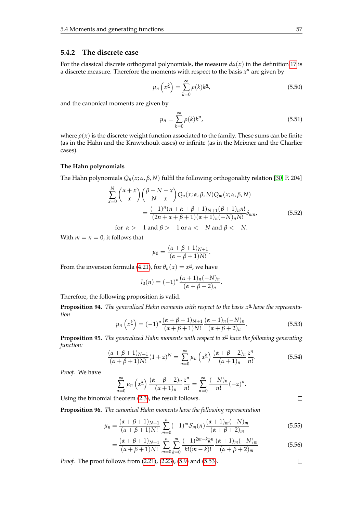#### **5.4.2 The discrete case**

For the classical discrete orthogonal polynomials, the measure  $d\alpha(x)$  in the definition [17](#page-20-0) is a discrete measure. Therefore the moments with respect to the basis  $x<sup>n</sup>$  are given by

$$
\mu_n\left(x^{\underline{k}}\right) = \sum_{k=0}^{\infty} \rho(k) k^{\underline{n}},\tag{5.50}
$$

and the canonical moments are given by

$$
\mu_n = \sum_{k=0}^{\infty} \rho(k) k^n,
$$
\n(5.51)

where  $\rho(x)$  is the discrete weight function associated to the family. These sums can be finite (as in the Hahn and the Krawtchouk cases) or infinite (as in the Meixner and the Charlier cases).

#### **The Hahn polynomials**

The Hahn polynomials *Qn*(*x*; *α*, *β*, *N*) fulfil the following orthogonality relation [\[30,](#page-104-1) P. 204]

$$
\sum_{x=0}^{N} {\alpha + x \choose x} {\beta + N - x \choose N - x} Q_n(x; \alpha, \beta, N) Q_m(x; \alpha, \beta, N)
$$
  
= 
$$
\frac{(-1)^n (n + \alpha + \beta + 1)_{N+1} (\beta + 1)_n n!}{(2n + \alpha + \beta + 1)(\alpha + 1)_n (-N)_n N!} \delta_{mn},
$$
(5.52)

for  $\alpha > -1$  and  $\beta > -1$  or  $\alpha < -N$  and  $\beta < -N$ .

With  $m = n = 0$ , it follows that

$$
\mu_0 = \frac{(\alpha + \beta + 1)_{N+1}}{(\alpha + \beta + 1)N!}.
$$

From the inversion formula [\(4.21\)](#page-45-1), for  $\theta_n(x) = x^n$ , we have

$$
I_0(n) = (-1)^n \frac{(\alpha+1)_n (-N)_n}{(\alpha+\beta+2)_n}.
$$

Therefore, the following proposition is valid.

<span id="page-64-0"></span>**Proposition 94.** The generalized Hahn moments with respect to the basis  $x<sup>n</sup>$  have the representa*tion*

$$
\mu_n\left(x^{\underline{k}}\right) = (-1)^n \frac{(\alpha + \beta + 1)_{N+1}}{(\alpha + \beta + 1)N!} \frac{(\alpha + 1)_n (-N)_n}{(\alpha + \beta + 2)_n}.
$$
\n(5.53)

**Proposition 95.** *The generalized Hahn moments with respect to x<sup>n</sup> have the following generating function:*

$$
\frac{(\alpha + \beta + 1)_{N+1}}{(\alpha + \beta + 1)N!} (1 + z)^N = \sum_{n=0}^{\infty} \mu_n \left( x^k \right) \frac{(\alpha + \beta + 2)_n}{(\alpha + 1)_n} \frac{z^n}{n!}.
$$
 (5.54)

*Proof.* We have

$$
\sum_{n=0}^{\infty} \mu_n \left( x^{\underline{k}} \right) \frac{(\alpha + \beta + 2)_n}{(\alpha + 1)_n} \frac{z^n}{n!} = \sum_{n=0}^{\infty} \frac{(-N)_n}{n!} (-z)^n.
$$

Using the binomial theorem [\(2.3\)](#page-14-1), the result follows.

**Proposition 96.** *The canonical Hahn moments have the following representation*

$$
\mu_n = \frac{(\alpha + \beta + 1)_{N+1}}{(\alpha + \beta + 1)N!} \sum_{m=0}^{n} (-1)^m \mathcal{S}_m(n) \frac{(\alpha + 1)_m (-N)_m}{(\alpha + \beta + 2)_m}
$$
(5.55)

$$
= \frac{(\alpha + \beta + 1)_{N+1}}{(\alpha + \beta + 1)N!} \sum_{m=0}^{n} \sum_{k=0}^{m} \frac{(-1)^{2m-k} k^n}{k! (m-k)!} \frac{(\alpha + 1)_m (-N)_m}{(\alpha + \beta + 2)_m}
$$
(5.56)

*Proof.* The proof follows from [\(2.21\)](#page-20-1), [\(2.23\)](#page-20-2), [\(5.9\)](#page-54-0) and [\(5.53\)](#page-64-0).

 $\Box$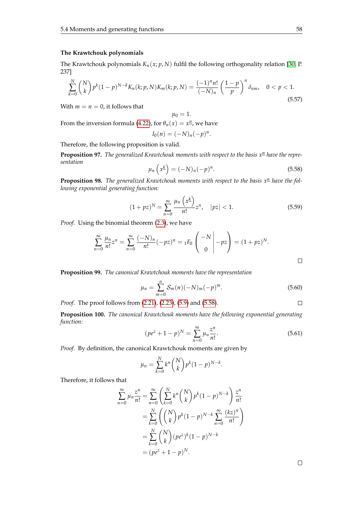#### **The Krawtchouk polynomials**

The Krawtchouk polynomials  $K_n(x; p, N)$  fulfil the following orthogonality relation [\[30,](#page-104-1) P. 237]

$$
\sum_{k=0}^{N} {N \choose k} p^{k} (1-p)^{N-k} K_{n}(k; p, N) K_{m}(k; p, N) = \frac{(-1)^{n} n!}{(-N)_{n}} \left(\frac{1-p}{p}\right)^{n} \delta_{nm}, \quad 0 < p < 1. \tag{5.57}
$$

With  $m = n = 0$ , it follows that

From the inversion formula [\(4.22\)](#page-45-2), for  $\theta_n(x) = x^n$ , we have

$$
I_0(n) = (-N)_n (-p)^n.
$$

 $\mu_0 = 1.$ 

Therefore, the following proposition is valid.

<span id="page-65-0"></span>**Proposition 97.** *The generalized Krawtchouk moments with respect to the basis*  $x<sup>n</sup>$  *have the representation*

$$
\mu_n\left(x^{\underline{k}}\right) = (-N)_n(-p)^n. \tag{5.58}
$$

**Proposition 98.** The generalized Krawtchouk moments with respect to the basis  $x<sup>n</sup>$  have the fol*lowing exponential generating function:*

$$
(1+pz)^N = \sum_{n=0}^{\infty} \frac{\mu_n \left(x^{\underline{k}}\right)}{n!} z^n, \quad |pz| < 1. \tag{5.59}
$$

*Proof.* Using the binomial theorem [\(2.3\)](#page-14-1), we have

$$
\sum_{n=0}^{\infty} \frac{\mu_n}{n!} z^n = \sum_{n=0}^{\infty} \frac{(-N)_n}{n!} (-pz)^n = {}_1F_0 \left( \begin{array}{c} -N \\ 0 \end{array} \bigg| -pz \right) = (1+pz)^N.
$$

**Proposition 99.** *The canonical Krawtchouk moments have the representation*

$$
\mu_n = \sum_{m=0}^n \mathcal{S}_m(n) (-N)_m (-p)^m.
$$
\n(5.60)

*Proof.* The proof follows from [\(2.21\)](#page-20-1), [\(2.23\)](#page-20-2), [\(5.9\)](#page-54-0) and [\(5.58\)](#page-65-0).

**Proposition 100.** *The canonical Krawtchouk moments have the following exponential generating function:*

$$
(pe^{z} + 1 - p)^{N} = \sum_{n=0}^{\infty} \mu_n \frac{z^n}{n!}.
$$
 (5.61)

*Proof.* By definition, the canonical Krawtchouk moments are given by

$$
\mu_n = \sum_{k=0}^{N} k^n \binom{N}{k} p^k (1-p)^{N-k}.
$$

Therefore, it follows that

$$
\sum_{n=0}^{\infty} \mu_n \frac{z^n}{n!} = \sum_{n=0}^{\infty} \left( \sum_{k=0}^N k^n \binom{N}{k} p^k (1-p)^{N-k} \right) \frac{z^n}{n!}
$$

$$
= \sum_{k=0}^N \left( \binom{N}{k} p^k (1-p)^{N-k} \sum_{n=0}^\infty \frac{(kz)^n}{n!} \right)
$$

$$
= \sum_{k=0}^N \binom{N}{k} (pe^z)^k (1-p)^{N-k}
$$

$$
= (pe^z + 1 - p)^N.
$$

 $\Box$ 

 $\Box$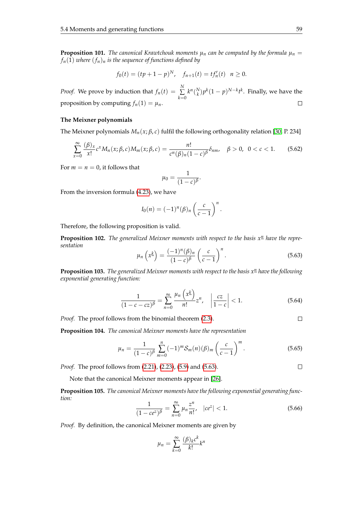**Proposition 101.** *The canonical Krawtchouk moments*  $\mu_n$  *can be computed by the formula*  $\mu_n =$  $f_n(1)$  *where*  $(f_n)_n$  *is the sequence of functions defined by* 

$$
f_0(t) = (tp + 1 - p)^N
$$
,  $f_{n+1}(t) = tf'_n(t)$   $n \ge 0$ .

*Proof.* We prove by induction that  $f_n(t) = \sum_{n=1}^{N} f_n(t)$  $k^n \binom{N}{k} p^k (1-p)^{N-k} t^k$ . Finally, we have the *k*=0 proposition by computing  $f_n(1) = \mu_n$ .  $\Box$ 

#### **The Meixner polynomials**

The Meixner polynomials  $M_n(x;\beta,c)$  fulfil the following orthogonality relation [\[30,](#page-104-1) P. 234]

$$
\sum_{x=0}^{\infty} \frac{(\beta)_x}{x!} c^x M_n(x; \beta, c) M_m(x; \beta, c) = \frac{n!}{c^n(\beta)_n (1-c)^\beta} \delta_{nm}, \quad \beta > 0, \ \ 0 < c < 1. \tag{5.62}
$$

For  $m = n = 0$ , it follows that

$$
\mu_0=\frac{1}{(1-c)^{\beta}}.
$$

From the inversion formula [\(4.23\)](#page-45-3), we have

$$
I_0(n) = (-1)^n (\beta)_n \left(\frac{c}{c-1}\right)^n.
$$

Therefore, the following proposition is valid.

<span id="page-66-0"></span>**Proposition 102.** The generalized Meixner moments with respect to the basis  $x<sup>n</sup>$  have the repre*sentation*

$$
\mu_n\left(x^{\underline{k}}\right) = \frac{(-1)^n(\beta)_n}{(1-c)^\beta} \left(\frac{c}{c-1}\right)^n.
$$
\n(5.63)

**Proposition 103.** The generalized Meixner moments with respect to the basis  $x<sup>n</sup>$  have the following *exponential generating function:*

$$
\frac{1}{(1 - c - cz)^{\beta}} = \sum_{n=0}^{\infty} \frac{\mu_n \left(x^{\underline{k}}\right)}{n!} z^n, \quad \left|\frac{cz}{1 - c}\right| < 1. \tag{5.64}
$$

*Proof.* The proof follows from the binomial theorem [\(2.3\)](#page-14-1).

**Proposition 104.** *The canonical Meixner moments have the representation*

$$
\mu_n = \frac{1}{(1-c)^{\beta}} \sum_{m=0}^{n} (-1)^m \mathcal{S}_m(n) (\beta)_m \left( \frac{c}{c-1} \right)^m.
$$
 (5.65)

*Proof.* The proof follows from [\(2.21\)](#page-20-1), [\(2.23\)](#page-20-2), [\(5.9\)](#page-54-0) and [\(5.63\)](#page-66-0).

 $\Box$ 

 $\Box$ 

Note that the canonical Meixner moments appear in [\[26\]](#page-104-0).

**Proposition 105.** *The canonical Meixner moments have the following exponential generating function:*

$$
\frac{1}{(1 - ce^z)^{\beta}} = \sum_{n=0}^{\infty} \mu_n \frac{z^n}{n!}, \quad |ce^z| < 1. \tag{5.66}
$$

*Proof.* By definition, the canonical Meixner moments are given by

$$
\mu_n = \sum_{k=0}^{\infty} \frac{(\beta)_k c^k}{k!} k^n
$$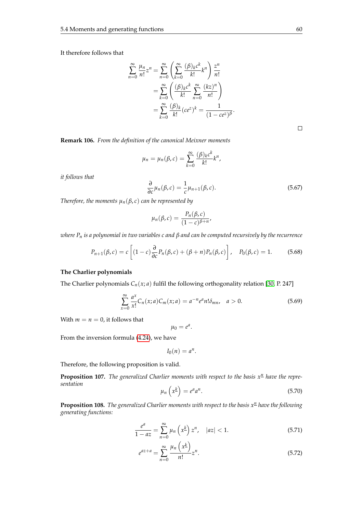It therefore follows that

$$
\sum_{n=0}^{\infty} \frac{\mu_n}{n!} z^n = \sum_{n=0}^{\infty} \left( \sum_{k=0}^{\infty} \frac{(\beta)_k c^k}{k!} k^n \right) \frac{z^n}{n!}
$$

$$
= \sum_{k=0}^{\infty} \left( \frac{(\beta)_k c^k}{k!} \sum_{n=0}^{\infty} \frac{(kz)^n}{n!} \right)
$$

$$
= \sum_{k=0}^{\infty} \frac{(\beta)_k}{k!} (ce^z)^k = \frac{1}{(1 - ce^z)^{\beta}}.
$$

 $\Box$ 

**Remark 106.** *From the definition of the canonical Meixner moments*

$$
\mu_n = \mu_n(\beta, c) = \sum_{k=0}^{\infty} \frac{(\beta)_k c^k}{k!} k^n,
$$

*it follows that*

$$
\frac{\partial}{\partial c}\mu_n(\beta,c) = \frac{1}{c}\mu_{n+1}(\beta,c). \tag{5.67}
$$

*Therefore, the moments*  $\mu_n(\beta, c)$  *can be represented by* 

$$
\mu_n(\beta,c)=\frac{P_n(\beta,c)}{(1-c)^{\beta+n}},
$$

*where P<sup>n</sup> is a polynomial in two variables c and β and can be computed recursively by the recurrence*

$$
P_{n+1}(\beta,c) = c \left[ (1-c) \frac{\partial}{\partial c} P_n(\beta,c) + (\beta + n) P_n(\beta,c) \right], \quad P_0(\beta,c) = 1. \tag{5.68}
$$

#### **The Charlier polynomials**

The Charlier polynomials  $C_n(x; a)$  fulfil the following orthogonality relation [\[30,](#page-104-1) P. 247]

$$
\sum_{x=0}^{\infty} \frac{a^x}{x!} C_n(x; a) C_m(x; a) = a^{-n} e^a n! \delta_{mn}, \quad a > 0.
$$
 (5.69)

With  $m = n = 0$ , it follows that

 $\mu_0 = e^a$ .

From the inversion formula [\(4.24\)](#page-45-4), we have

$$
I_0(n)=a^n.
$$

Therefore, the following proposition is valid.

<span id="page-67-0"></span>**Proposition 107.** The generalized Charlier moments with respect to the basis  $x<sup>n</sup>$  have the repre*sentation*  $\overline{ }$ 

$$
\mu_n\left(x^{\underline{k}}\right) = e^a a^n. \tag{5.70}
$$

**Proposition 108.** *The generalized Charlier moments with respect to the basis*  $x<sup>n</sup>$  *have the following generating functions:*

$$
\frac{e^a}{1 - az} = \sum_{n=0}^{\infty} \mu_n \left( x^{\underline{k}} \right) z^n, \quad |az| < 1. \tag{5.71}
$$

$$
e^{az+a} = \sum_{n=0}^{\infty} \frac{\mu_n \left(x^{\underline{k}}\right)}{n!} z^n.
$$
\n
$$
(5.72)
$$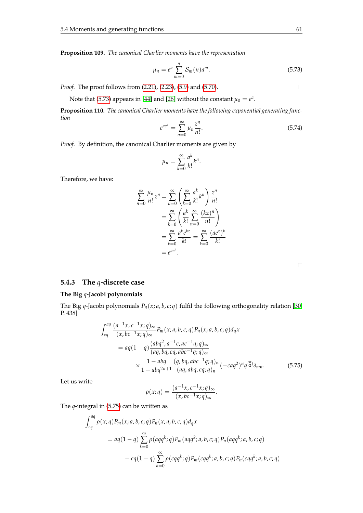**Proposition 109.** *The canonical Charlier moments have the representation*

<span id="page-68-0"></span>
$$
\mu_n = e^a \sum_{m=0}^n \mathcal{S}_m(n) a^m.
$$
\n(5.73)

*Proof.* The proof follows from [\(2.21\)](#page-20-1), [\(2.23\)](#page-20-2), [\(5.9\)](#page-54-0) and [\(5.70\)](#page-67-0).

Note that [\(5.73\)](#page-68-0) appears in [\[44\]](#page-105-3) and [\[26\]](#page-104-0) without the constant  $\mu_0 = e^a$ .

**Proposition 110.** *The canonical Charlier moments have the following exponential generating function*

$$
e^{ae^{z}} = \sum_{n=0}^{\infty} \mu_n \frac{z^n}{n!}.
$$
\n(5.74)

*Proof.* By definition, the canonical Charlier moments are given by

$$
\mu_n = \sum_{k=0}^{\infty} \frac{a^k}{k!} k^n.
$$

Therefore, we have:

$$
\sum_{n=0}^{\infty} \frac{\mu_n}{n!} z^n = \sum_{n=0}^{\infty} \left( \sum_{k=0}^{\infty} \frac{a^k}{k!} k^n \right) \frac{z^n}{n!}
$$

$$
= \sum_{k=0}^{\infty} \left( \frac{a^k}{k!} \sum_{n=0}^{\infty} \frac{(kz)^n}{n!} \right)
$$

$$
= \sum_{k=0}^{\infty} \frac{a^k e^{kz}}{k!} = \sum_{k=0}^{\infty} \frac{(ae^z)^k}{k!}
$$

$$
= e^{ae^z}.
$$

#### **5.4.3 The** *q***-discrete case**

#### **The Big** *q***-Jacobi polynomials**

The Big *q*-Jacobi polynomials *Pn*(*x*; *a*, *b*, *c*; *q*) fulfil the following orthogonality relation [\[30,](#page-104-1) P. 438]

<span id="page-68-1"></span>
$$
\int_{cq}^{aq} \frac{(a^{-1}x, c^{-1}x; q)_{\infty}}{(x, bc^{-1}x; q)_{\infty}} P_m(x; a, b, c; q) P_n(x; a, b, c; q) d_qx
$$
  
=  $aq(1-q) \frac{(abq^2, a^{-1}c, ac^{-1}q; q)_{\infty}}{(aq, bq, cq, abc^{-1}q; q)_{\infty}}$   
 $\times \frac{1 - abq}{1 - abq^{2n+1}} \frac{(q, bq, abc^{-1}q; q)_n}{(aq, abq, cq; q)_n} (-caq^2)^n q^{n+1} \frac{(5.75)}{(aq, abq, cq; q)_n}$ 

Let us write

$$
\rho(x;q) = \frac{(a^{-1}x, c^{-1}x; q)_{\infty}}{(x, bc^{-1}x; q)_{\infty}}.
$$

The *q*-integral in [\(5.75\)](#page-68-1) can be written as

$$
\int_{cq}^{aq} \rho(x;q) P_m(x;a,b,c;q) P_n(x;a,b,c;q) d_qx
$$
  
=  $aq(1-q) \sum_{k=0}^{\infty} \rho(aqq^k;q) P_m(aqq^k;a,b,c;q) P_n(aqq^k;a,b,c;q)$   
-  $cq(1-q) \sum_{k=0}^{\infty} \rho(cqq^k;q) P_m(cqq^k;a,b,c;q) P_n(cqq^k;a,b,c;q)$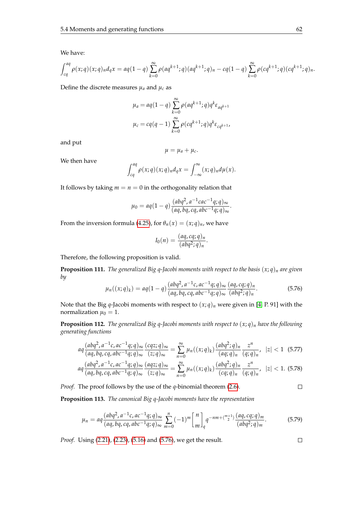We have:

$$
\int_{cq}^{aq} \rho(x;q)(x;q)_n d_qx = aq(1-q)\sum_{k=0}^{\infty} \rho(aq^{k+1};q)(aq^{k+1};q)_n - cq(1-q)\sum_{k=0}^{\infty} \rho(cq^{k+1};q)(cq^{k+1};q)_n.
$$

Define the discrete measures  $\mu_a$  and  $\mu_c$  as

$$
\mu_a = aq(1-q) \sum_{k=0}^{\infty} \rho(aq^{k+1}; q) q^k \varepsilon_{aq^{k+1}}
$$

$$
\mu_c = cq(q-1) \sum_{k=0}^{\infty} \rho(cq^{k+1}; q) q^k \varepsilon_{cq^{k+1}},
$$

and put

$$
\mu=\mu_a+\mu_c.
$$

We then have

$$
\int_{cq}^{aq} \rho(x;q)(x;q)_n d_qx = \int_{-\infty}^{\infty} (x;q)_n d\mu(x).
$$

It follows by taking  $m = n = 0$  in the orthogonality relation that

$$
\mu_0 = aq(1-q)\frac{(abq^2, a^{-1}cac^{-1}q; q)_{\infty}}{(aq, bq, cq, abc^{-1}q; q)_{\infty}}.
$$

From the inversion formula [\(4.25\)](#page-46-0), for  $\theta_n(x) = (x;q)_n$ , we have

$$
I_0(n) = \frac{(aq, cq; q)_n}{(abq^2; q)_n}.
$$

Therefore, the following proposition is valid.

<span id="page-69-0"></span>**Proposition 111.** *The generalized Big q-Jacobi moments with respect to the basis* (*x*; *q*)*<sup>n</sup> are given by*

$$
\mu_n((x;q)_k) = aq(1-q) \frac{(abq^2, a^{-1}c, ac^{-1}q; q)_{\infty}}{(aq, bq, cq, abc^{-1}q; q)_{\infty}} \frac{(aq, cq; q)_n}{(abq^2; q)_n}.
$$
\n(5.76)

Note that the Big *q*-Jacobi moments with respect to  $(x; q)_n$  were given in [\[4,](#page-103-7) P. 91] with the normalization  $\mu_0 = 1$ .

**Proposition 112.** *The generalized Big q-Jacobi moments with respect to* (*x*; *q*)*<sup>n</sup> have the following generating functions*

$$
aq \frac{(abq^2, a^{-1}c, ac^{-1}q; q)_{\infty}}{(aq, bq, cq, abc^{-1}q; q)_{\infty}} \frac{(cqz; q)_{\infty}}{(z; q)_{\infty}} = \sum_{n=0}^{\infty} \mu_n((x; q)_k) \frac{(abq^2; q)_n}{(aq; q)_n} \frac{z^n}{(q; q)_n}, \ |z| < 1 \quad (5.77)
$$

$$
aq\frac{(abq^2, a^{-1}c, ac^{-1}q;q)_{\infty}}{(aq, bq, cq, abc^{-1}q;q)_{\infty}}\frac{(aqz;q)_{\infty}}{(z;q)_{\infty}} = \sum_{n=0}^{\infty} \mu_n((x;q)_k) \frac{(abq^2;q)_n}{(cq;q)_n} \frac{z^n}{(q;q)_n}, \ \ |z| < 1. \tag{5.78}
$$

*Proof.* The proof follows by the use of the *q*-binomial theorem [\(2.6\)](#page-14-0).

$$
\Box
$$

**Proposition 113.** *The canonical Big q-Jacobi moments have the representation*

$$
\mu_n = aq \frac{(abq^2, a^{-1}c, ac^{-1}q; q)_{\infty}}{(aq, bq, cq, abc^{-1}q; q)_{\infty}} \sum_{m=0}^n (-1)^m \begin{bmatrix} n \\ m \end{bmatrix}_q q^{-nm + {m+1 \choose 2}} \frac{(aq, cq; q)_m}{(abq^2; q)_m}.
$$
(5.79)

*Proof.* Using [\(2.21\)](#page-20-1), [\(2.23\)](#page-20-2), [\(5.16\)](#page-55-1) and [\(5.76\)](#page-69-0), we get the result.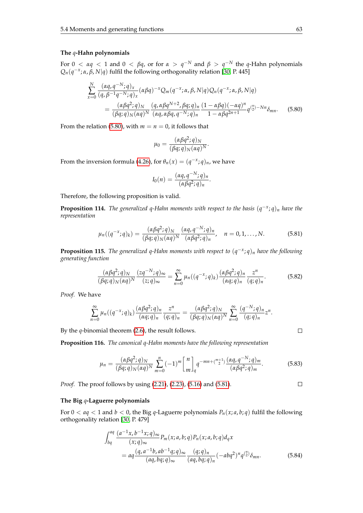#### **The** *q***-Hahn polynomials**

For  $0 < \alpha q < 1$  and  $0 < \beta q$ , or for  $\alpha > q^{-N}$  and  $\beta > q^{-N}$  the *q*-Hahn polynomials  $Q_n(q^{-x}; \alpha, \beta, N|q)$  fulfil the following orthogonality relation [\[30,](#page-104-1) P. 445]

<span id="page-70-0"></span>
$$
\sum_{x=0}^{N} \frac{(\alpha q, q^{-N}; q)_x}{(q, \beta^{-1}q^{-N}; q)_x} (\alpha \beta q)^{-x} Q_m(q^{-x}; \alpha, \beta, N|q) Q_n(q^{-x}; \alpha, \beta, N|q)
$$
  
= 
$$
\frac{(\alpha \beta q^2; q)_N}{(\beta q; q)_N (\alpha q)^N} \frac{(q, \alpha \beta q^{N+2}, \beta q; q)_n}{(\alpha q, \alpha \beta q, q^{-N}; q)_n} \frac{(1 - \alpha \beta q)(-\alpha q)^n}{1 - \alpha \beta q^{2n+1}} q^{\binom{n}{2} - Nn} \delta_{mn}.
$$
 (5.80)

From the relation [\(5.80\)](#page-70-0), with  $m = n = 0$ , it follows that

$$
\mu_0 = \frac{(\alpha \beta q^2; q)_N}{(\beta q; q)_N (\alpha q)^N}.
$$

From the inversion formula [\(4.26\)](#page-46-1), for  $\theta_n(x) = (q^{-x}; q)_n$ , we have

$$
I_0(n) = \frac{(\alpha q, q^{-N}; q)_n}{(\alpha \beta q^2; q)_n}.
$$

Therefore, the following proposition is valid.

**Proposition 114.** *The generalized q-Hahn moments with respect to the basis* (*q* −*x* ; *q*)*<sup>n</sup> have the representation*

<span id="page-70-1"></span>
$$
\mu_n((q^{-x};q)_k) = \frac{(\alpha\beta q^2; q)_N}{(\beta q; q)_N (\alpha q)^N} \frac{(\alpha q, q^{-N}; q)_n}{(\alpha\beta q^2; q)_n}, \quad n = 0, 1, ..., N.
$$
 (5.81)

**Proposition 115.** *The generalized q-Hahn moments with respect to* (*q* −*x* ; *q*)*<sup>n</sup> have the following generating function*

$$
\frac{(\alpha\beta q^2;q)_N}{(\beta q;q)_N(\alpha q)^N}\frac{(zq^{-N};q)_{\infty}}{(z;q)_{\infty}} = \sum_{n=0}^{\infty} \mu_n((q^{-x};q)_k) \frac{(\alpha\beta q^2;q)_n}{(\alpha q;q)_n} \frac{z^n}{(q;q)_n}.
$$
(5.82)

*Proof.* We have

$$
\sum_{n=0}^{\infty} \mu_n((q^{-x};q)_k) \frac{(\alpha \beta q^2; q)_n}{(\alpha q; q)_n} \frac{z^n}{(q; q)_n} = \frac{(\alpha \beta q^2; q)_N}{(\beta q; q)_N (\alpha q)^N} \sum_{n=0}^{\infty} \frac{(q^{-N}; q)_n}{(q; q)_n} z^n.
$$

By the *q*-binomial theorem [\(2.6\)](#page-14-0), the result follows.

**Proposition 116.** *The canonical q-Hahn moments have the following representation*

$$
\mu_n = \frac{(\alpha \beta q^2; q)_N}{(\beta q; q)_N (\alpha q)^N} \sum_{m=0}^n (-1)^m \binom{n}{m}_q q^{-mn + \binom{m+1}{2}} \frac{(\alpha q, q^{-N}; q)_m}{(\alpha \beta q^2; q)_m}.
$$
(5.83)

*Proof.* The proof follows by using [\(2.21\)](#page-20-1), [\(2.23\)](#page-20-2), [\(5.16\)](#page-55-1) and [\(5.81\)](#page-70-1).

#### **The Big** *q***-Laguerre polynomials**

For  $0 < aq < 1$  and  $b < 0$ , the Big *q*-Laguerre polynomials  $P_n(x; a, b; q)$  fulfil the following orthogonality relation [\[30,](#page-104-1) P. 479]

<span id="page-70-2"></span>
$$
\int_{bq}^{aq} \frac{(a^{-1}x, b^{-1}x; q)_{\infty}}{(x; q)_{\infty}} P_m(x; a, b; q) P_n(x; a, b; q) d_q x
$$
  
= 
$$
aq \frac{(q, a^{-1}b, ab^{-1}q; q)_{\infty}}{(aq, bq; q)_{\infty}} \frac{(q; q)_n}{(aq, bq; q)_n} (-abq^2)^n q^{(\frac{n}{2})} \delta_{mn}.
$$
 (5.84)

$$
\qquad \qquad \Box
$$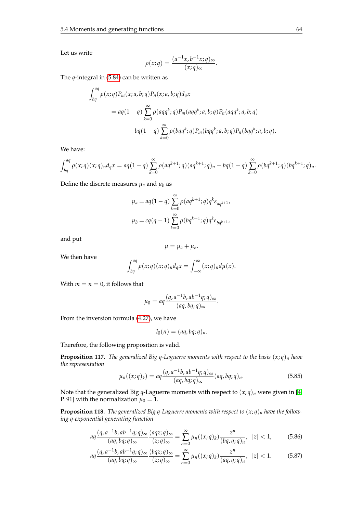Let us write

$$
\rho(x;q) = \frac{(a^{-1}x, b^{-1}x; q)_{\infty}}{(x;q)_{\infty}}.
$$

The *q*-integral in [\(5.84\)](#page-70-2) can be written as

$$
\int_{bq}^{aq} \rho(x;q) P_m(x;a,b;q) P_n(x;a,b;q) d_qx
$$
  
=  $aq(1-q) \sum_{k=0}^{\infty} \rho(aqq^k;q) P_m(aqq^k;a,b;q) P_n(aqq^k;a,b;q)$   
-  $bq(1-q) \sum_{k=0}^{\infty} \rho(bqq^k;q) P_m(bqq^k;a,b;q) P_n(bqq^k;a,b;q).$ 

We have:

$$
\int_{bq}^{aq} \rho(x;q)(x;q)_n d_qx = aq(1-q)\sum_{k=0}^{\infty} \rho(aq^{k+1};q)(aq^{k+1};q)_n - bq(1-q)\sum_{k=0}^{\infty} \rho(bq^{k+1};q)(bq^{k+1};q)_n.
$$

Define the discrete measures  $\mu_a$  and  $\mu_b$  as

$$
\mu_a = aq(1-q) \sum_{k=0}^{\infty} \rho(aq^{k+1}; q) q^k \varepsilon_{aq^{k+1}},
$$
  

$$
\mu_b = cq(q-1) \sum_{k=0}^{\infty} \rho(bq^{k+1}; q) q^k \varepsilon_{bq^{k+1}},
$$

and put

$$
\mu=\mu_a+\mu_b.
$$

We then have

$$
\int_{bq}^{aq} \rho(x;q)(x;q)_n d_qx = \int_{-\infty}^{\infty} (x;q)_n d\mu(x).
$$

With  $m = n = 0$ , it follows that

$$
\mu_0 = aq \frac{(q, a^{-1}b, ab^{-1}q; q)_{\infty}}{(aq, bq; q)_{\infty}}.
$$

From the inversion formula [\(4.27\)](#page-46-2), we have

$$
I_0(n)=(aq, bq;q)_n.
$$

Therefore, the following proposition is valid.

**Proposition 117.** *The generalized Big q-Laguerre moments with respect to the basis*  $(x; q)_n$  *have the representation*

$$
\mu_n((x;q)_k) = aq \frac{(q, a^{-1}b, ab^{-1}q; q)_{\infty}}{(aq, bq; q)_{\infty}} (aq, bq; q)_n.
$$
 (5.85)

Note that the generalized Big *q*-Laguerre moments with respect to  $(x; q)_n$  were given in [\[4,](#page-103-7) P. 91] with the normalization  $\mu_0 = 1$ .

**Proposition 118.** *The generalized Big q-Laguerre moments with respect to* (*x*; *q*)*<sup>n</sup> have the following q-exponential generating function*

$$
aq\frac{(q, a^{-1}b, ab^{-1}q; q)_{\infty}}{(aq, bq; q)_{\infty}}\frac{(aqz; q)_{\infty}}{(z; q)_{\infty}} = \sum_{n=0}^{\infty} \mu_n((x; q)_k) \frac{z^n}{(bq, q; q)_n}, \ |z| < 1,\tag{5.86}
$$

$$
aq\frac{(q, a^{-1}b, ab^{-1}q;q)_{\infty}}{(aq, bq;q)_{\infty}}\frac{(bqz;q)_{\infty}}{(z;q)_{\infty}} = \sum_{n=0}^{\infty} \mu_n((x;q)_k) \frac{z^n}{(aq,q;q)_n}, \quad |z| < 1. \tag{5.87}
$$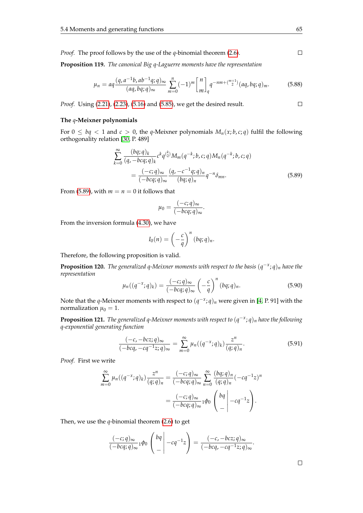*Proof.* The proof follows by the use of the *q*-binomial theorem [\(2.6\)](#page-14-0).

**Proposition 119.** *The canonical Big q-Laguerre moments have the representation*

$$
\mu_n = aq \frac{(q, a^{-1}b, ab^{-1}q; q)_{\infty}}{(aq, bq; q)_{\infty}} \sum_{m=0}^n (-1)^m \begin{bmatrix} n \\ m \end{bmatrix}_q q^{-nm + {m+1 \choose 2}} (aq, bq; q)_m.
$$
 (5.88)

*Proof.* Using [\(2.21\)](#page-20-0), [\(2.23\)](#page-20-1), [\(5.16\)](#page-55-0) and [\(5.85\)](#page-71-0), we get the desired result.

#### **The** *q***-Meixner polynomials**

For  $0 \le bq < 1$  and  $c > 0$ , the *q*-Meixner polynomials  $M_n(x; b, c; q)$  fulfil the following orthogonality relation [\[30,](#page-104-0) P. 489]

<span id="page-72-0"></span>
$$
\sum_{k=0}^{\infty} \frac{(bq;q)_k}{(q,-bcq;q)_k} c^k q^{\binom{k}{2}} M_m(q^{-k};b,c;q) M_n(q^{-k};b,c;q)
$$

$$
= \frac{(-c;q)_{\infty}}{(-bcq;q)_{\infty}} \frac{(q,-c^{-1}q;q)_n}{(bq;q)_n} q^{-n} \delta_{mn}.
$$
(5.89)

From [\(5.89\)](#page-72-0), with  $m = n = 0$  it follows that

$$
\mu_0 = \frac{(-c;q)_{\infty}}{(-bcq;q)_{\infty}}.
$$

From the inversion formula [\(4.30\)](#page-46-0), we have

$$
I_0(n) = \left(-\frac{c}{q}\right)^n (bq;q)_n.
$$

Therefore, the following proposition is valid.

**Proposition 120.** *The generalized q-Meixner moments with respect to the basis* (*q* −*x* ; *q*)*<sup>n</sup> have the representation*

<span id="page-72-1"></span>
$$
\mu_n((q^{-x};q)_k) = \frac{(-c;q)_{\infty}}{(-bcq;q)_{\infty}} \left(-\frac{c}{q}\right)^n (bq;q)_n.
$$
 (5.90)

Note that the *q*-Meixner moments with respect to  $(q^{-x}; q)_n$  were given in [\[4,](#page-103-0) P. 91] with the normalization  $\mu_0 = 1$ .

**Proposition 121.** *The generalized q-Meixner moments with respect to* (*q* −*x* ; *q*)*<sup>n</sup> have the following q-exponential generating function*

$$
\frac{(-c, -bcz; q)_{\infty}}{(-bcq, -cq^{-1}z; q)_{\infty}} = \sum_{m=0}^{\infty} \mu_n((q^{-x}; q)_k) \frac{z^n}{(q; q)_n}.
$$
\n(5.91)

*Proof.* First we write

$$
\sum_{m=0}^{\infty} \mu_n((q^{-x};q)_k) \frac{z^n}{(q;q)_n} = \frac{(-c;q)_{\infty}}{(-bcq;q)_{\infty}} \sum_{n=0}^{\infty} \frac{(bq;q)_n}{(q;q)_n}(-cq^{-1}z)^n
$$

$$
= \frac{(-c;q)_{\infty}}{(-bcq;q)_{\infty}} {}_1\phi_0 \left(\begin{array}{c} bq\\-q\end{array}\right) - cq^{-1}z.
$$

Then, we use the *q*-binomial theorem [\(2.6\)](#page-14-0) to get

$$
\frac{(-c;q)_{\infty}}{(-bcq;q)_{\infty}}1\phi_0\left(\begin{array}{c}bq\\- \end{array}\right)-cq^{-1}z\right)=\frac{(-c,-bcz;q)_{\infty}}{(-bcq,-cq^{-1}z;q)_{\infty}}.
$$

 $\Box$ 

 $\Box$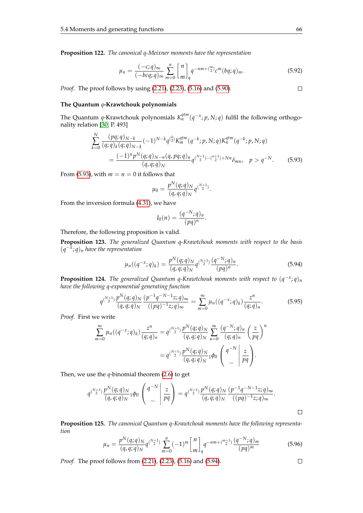**Proposition 122.** *The canonical q-Meixner moments have the representation*

$$
\mu_n = \frac{(-c;q)_{\infty}}{(-bcq;q)_{\infty}} \sum_{m=0}^n \begin{bmatrix} n \\ m \end{bmatrix}_q q^{-nm + {m \choose 2}} c^m (bq;q)_m.
$$
 (5.92)

*Proof.* The proof follows by using [\(2.21\)](#page-20-0), [\(2.23\)](#page-20-1), [\(5.16\)](#page-55-0) and [\(5.90\)](#page-72-1).

## **The Quantum** *q***-Krawtchouk polynomials**

The Quantum *q*-Krawtchouk polynomials  $K_n^{qtm}(q^{-x}; p, N; q)$  fulfil the following orthogonality relation [\[30,](#page-104-0) P. 493]

<span id="page-73-0"></span>
$$
\sum_{k=0}^{N} \frac{(pq;q)_{N-k}}{(q;q)_k (q;q)_{N-k}} (-1)^{N-k} q^{\binom{k}{2}} K_m^{qtm}(q^{-k};p,N;q) K_n^{qtm}(q^{-k};p,N;q)
$$
  
= 
$$
\frac{(-1)^n p^N (q;q)_{N-n} (q,pq;q)_n}{(q,q;q)_N} q^{\binom{N+1}{2} - \binom{n+1}{2} + Nn} \delta_{mn}, \quad p > q^{-N}.
$$
 (5.93)

From [\(5.93\)](#page-73-0), with  $m = n = 0$  it follows that

$$
\mu_0 = \frac{p^N(q;q)_N}{(q,q;q)_N} q^{\binom{N+1}{2}}.
$$

From the inversion formula [\(4.31\)](#page-46-1), we have

$$
I_0(n) = \frac{(q^{-N};q)_n}{(pq)^n}.
$$

Therefore, the following proposition is valid.

**Proposition 123.** *The generalized Quantum q-Krawtchouk moments with respect to the basis*  $(q^{-\tilde{x}}; q)_n$  *have the representation* 

<span id="page-73-1"></span>
$$
\mu_n((q^{-x};q)_k) = \frac{p^N(q;q)_N}{(q,q;q)_N} q^{\binom{N+1}{2}} \frac{(q^{-N};q)_n}{(pq)^n}.
$$
\n(5.94)

**Proposition 124.** *The generalized Quantum q-Krawtchouk moments with respect to*  $(q^{-x}; q)_n$ *have the following q-exponential generating function*

$$
q^{N+1} \frac{p^N(q;q)_N}{(q,q;q)_N} \frac{(p^{-1}q^{-N-1}z;q)_\infty}{((pq)^{-1}z;q)_\infty} = \sum_{m=0}^\infty \mu_n((q^{-x};q)_k) \frac{z^n}{(q;q)_n}.
$$
 (5.95)

*Proof.* First we write

$$
\sum_{m=0}^{\infty} \mu_n((q^{-x};q)_k) \frac{z^n}{(q;q)_n} = q^{(\frac{N+1}{2})} \frac{p^N(q;q)_N}{(q,q;q)_N} \sum_{n=0}^{\infty} \frac{(q^{-N};q)_n}{(q;q)_n} \left(\frac{z}{pq}\right)^n
$$

$$
= q^{(\frac{N+1}{2})} \frac{p^N(q;q)_N}{(q,q;q)_N} 1 \phi_0 \left(\frac{q^{-N}}{-\frac{1}{pq}}\right).
$$

Then, we use the *q*-binomial theorem [\(2.6\)](#page-14-0) to get

$$
q^{N+1} \frac{p^N(q;q)_N}{(q,q;q)_N} 1 \phi_0 \begin{pmatrix} q^{-N} \\ - \end{pmatrix} \frac{z}{pq} \end{pmatrix} = q^{N+1} \frac{p^N(q;q)_N}{(q,q;q)_N} \frac{(p^{-1}q^{-N-1}z;q)_{\infty}}{((pq)^{-1}z;q)_{\infty}}.
$$

**Proposition 125.** *The canonical Quantum q-Krawtchouk moments have the following representation*

$$
\mu_n = \frac{p^N(q;q)_N}{(q,q;q)_N} q^{\binom{N+1}{2}} \sum_{m=0}^n (-1)^m \binom{n}{m}_q q^{-nm + \binom{m+1}{2}} \frac{(q^{-N};q)_m}{(pq)^m}
$$
(5.96)

*Proof.* The proof follows from [\(2.21\)](#page-20-0), [\(2.23\)](#page-20-1), [\(5.16\)](#page-55-0) and [\(5.94\)](#page-73-1).

 $\Box$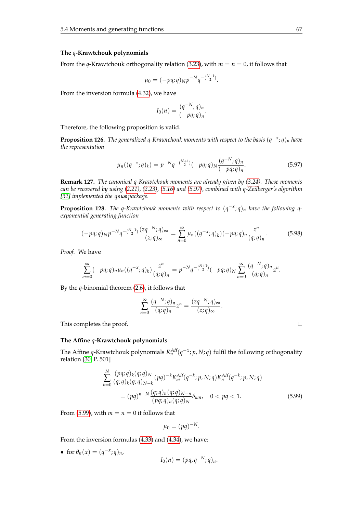#### **The** *q***-Krawtchouk polynomials**

From the *q*-Krawtchouk orthogonality relation [\(3.23\)](#page-37-0), with  $m = n = 0$ , it follows that

$$
\mu_0 = (-pq;q)_N p^{-N} q^{-\binom{N+1}{2}}.
$$

From the inversion formula [\(4.32\)](#page-46-2), we have

$$
I_0(n) = \frac{(q^{-N};q)_n}{(-pq;q)_n}.
$$

Therefore, the following proposition is valid.

**Proposition 126.** *The generalized q-Krawtchouk moments with respect to the basis* (*q* −*x* ; *q*)*<sup>n</sup> have the representation*

<span id="page-74-0"></span>
$$
\mu_n((q^{-x};q)_k) = p^{-N}q^{-\binom{N+1}{2}}(-pq;q)_N\frac{(q^{-N};q)_n}{(-pq;q)_n}.
$$
\n(5.97)

**Remark 127.** *The canonical q-Krawtchouk moments are already given by [\(3.24\)](#page-38-0). These moments can be recovered by using [\(2.21\)](#page-20-0), [\(2.23\)](#page-20-1), [\(5.16\)](#page-55-0) and [\(5.97\)](#page-74-0), combined with q-Zeilberger's algorithm [\[32\]](#page-104-1) implemented the* qsum *package.*

**Proposition 128.** *The q-Krawtchouk moments with respect to*  $(q^{-x}; q)_n$  *have the following qexponential generating function*

$$
(-pq;q)_N p^{-N} q^{-(\frac{N+1}{2})} \frac{(zq^{-N};q)_{\infty}}{(z;q)_{\infty}} = \sum_{n=0}^{\infty} \mu_n((q^{-x};q)_k)(-pq;q)_n \frac{z^n}{(q;q)_n}.
$$
 (5.98)

*Proof.* We have

$$
\sum_{m=0}^{\infty}(-pq;q)_n\mu_n((q^{-x};q)_k)\frac{z^n}{(q;q)_n}=p^{-N}q^{-\binom{N+1}{2}}(-pq;q)_N\sum_{n=0}^{\infty}\frac{(q^{-N};q)_n}{(q;q)_n}z^n.
$$

By the *q*-binomial theorem [\(2.6\)](#page-14-0), it follows that

$$
\sum_{n=0}^{\infty} \frac{(q^{-N};q)_n}{(q;q)_n} z^n = \frac{(zq^{-N};q)_{\infty}}{(z;q)_{\infty}}.
$$

This completes the proof.

#### **The Affine** *q***-Krawtchouk polynomials**

The Affine *q*-Krawtchouk polynomials  $K_n^{Aff}(q^{-x}; p, N; q)$  fulfil the following orthogonality relation [\[30,](#page-104-0) P. 501]

<span id="page-74-1"></span>
$$
\sum_{k=0}^{N} \frac{(pq;q)_k(q;q)_N}{(q;q)_k(q;q)_{N-k}} (pq)^{-k} K_m^{Aff}(q^{-k};p,N;q) K_n^{Aff}(q^{-k};p,N;q)
$$
  
=  $(pq)^{n-N} \frac{(q;q)_n(q;q)_N-n}{(pq;q)_n(q;q)_N} \delta_{mn}, \quad 0 < pq < 1.$  (5.99)

From [\(5.99\)](#page-74-1), with  $m = n = 0$  it follows that

$$
\mu_0=(pq)^{-N}.
$$

From the inversion formulas [\(4.33\)](#page-46-3) and [\(4.34\)](#page-46-4), we have:

• for  $\theta_n(x) = (q^{-x}; q)_n$ ,

$$
I_0(n)=(pq,q^{-N};q)_n.
$$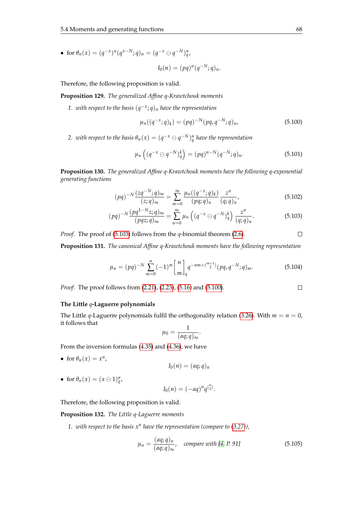• for  $\theta_n(x) = (q^{-x})^n (q^{x-N}; q)_n = (q^{-x} \ominus q^{-N})^n_q$ 

<span id="page-75-1"></span>
$$
I_0(n) = (pq)^n (q^{-N}; q)_n.
$$

Therefore, the following proposition is valid.

**Proposition 129.** *The generalized Affine q-Krawtchouk moments*

*1. with respect to the basis* (*q* −*x* ; *q*)*<sup>n</sup> have the representation*

$$
\mu_n((q^{-x};q)_k) = (pq)^{-N}(pq,q^{-N};q)_n,
$$
\n(5.100)

*2. with respect to the basis*  $\theta_n(x) = (q^{-x} \ominus q^{-N})^n_q$  *have the representation* 

$$
\mu_n\left((q^{-x} \ominus q^{-N})_q^k\right) = (pq)^{n-N}(q^{-N};q)_n. \tag{5.101}
$$

**Proposition 130.** *The generalized Affine q-Krawtchouk moments have the following q-exponential generating functions*

<span id="page-75-0"></span>
$$
(pq)^{-N}\frac{(zq^{-N};q)_{\infty}}{(z;q)_{\infty}} = \sum_{m=0}^{\infty} \frac{\mu_n((q^{-x};q)_k)}{(pq;q)_n} \frac{z^n}{(q;q)_n},
$$
(5.102)

$$
(pq)^{-N}\frac{(pq^{1-N}z;q)_{\infty}}{(pqz;q)_{\infty}}=\sum_{n=0}^{\infty}\mu_n\left((q^{-x}\ominus q^{-N})_q^k\right)\frac{z^n}{(q;q)_n}.\tag{5.103}
$$

*Proof.* The proof of [\(5.103\)](#page-75-0) follows from the *q*-binomial theorem [\(2.6\)](#page-14-0).  $\Box$ 

**Proposition 131.** *The canonical Affine q-Krawtchouk moments have the following representation*

$$
\mu_n = (pq)^{-N} \sum_{m=0}^n (-1)^m \binom{n}{m}_q q^{-nm + \binom{m+1}{2}} (pq, q^{-N}; q)_m.
$$
 (5.104)

*Proof.* The proof follows from [\(2.21\)](#page-20-0), [\(2.23\)](#page-20-1), [\(5.16\)](#page-55-0) and [\(5.100\)](#page-75-1).

#### **The Little** *q***-Laguerre polynomials**

The Little *q*-Laguerre polynomials fulfil the orthogonality relation [\(3.26\)](#page-38-1). With  $m = n = 0$ , it follows that

$$
\mu_0=\frac{1}{(aq;q)_{\infty}}.
$$

From the inversion formulas [\(4.35\)](#page-47-0) and [\(4.36\)](#page-47-1), we have

• for  $\theta_n(x) = x^n$ ,

 $I_0(n) = (aq;q)_n$ 

• for  $\theta_n(x) = (x \ominus 1)_q^n$ ,

$$
I_0(n) = (-aq)^n q^{\binom{n}{2}}.
$$

Therefore, the following proposition is valid.

#### **Proposition 132.** *The Little q-Laguerre moments*

*1. with respect to the basis x<sup>n</sup> have the representation (compare to [\(3.27\)](#page-39-0)),*

$$
\mu_n = \frac{(aq;q)_n}{(aq;q)_\infty}, \quad compare\ with\ [4, P. 91] \tag{5.105}
$$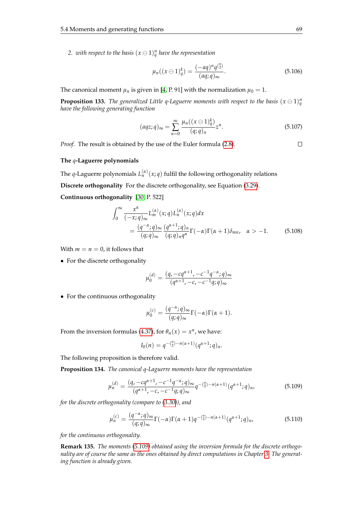2. with respect to the basis  $(x \ominus 1)_q^n$  have the representation

$$
\mu_n((x \ominus 1)_q^k) = \frac{(-aq)^n q^{n \choose 2}}{(aq;q)_{\infty}}.
$$
\n(5.106)

The canonical moment  $\mu_n$  is given in [\[4,](#page-103-0) P. 91] with the normalization  $\mu_0 = 1$ .

**Proposition 133.** The generalized Little q-Laguerre moments with respect to the basis  $(x \ominus 1)_q^n$ *have the following generating function*

$$
(aqz;q)_{\infty} = \sum_{n=0}^{\infty} \frac{\mu_n((x \ominus 1)_q^k)}{(q;q)_n} z^n.
$$
\n
$$
(5.107)
$$

*Proof.* The result is obtained by the use of the Euler formula [\(2.8\)](#page-15-0).

#### **The** *q***-Laguerre polynomials**

The *q*-Laguerre polynomials  $L_n^{(\alpha)}(x;q)$  fulfil the following orthogonality relations

**Discrete orthogonality** For the discrete orthogonality, see Equation [\(3.29\)](#page-39-1).

**Continuous orthogonality** [\[30,](#page-104-0) P. 522]

$$
\int_0^\infty \frac{x^{\alpha}}{(-x;q)_{\infty}} L_m^{(\alpha)}(x;q) L_n^{(\alpha)}(x;q) dx
$$
  
= 
$$
\frac{(q^{-\alpha};q)_{\infty}}{(q;q)_{\infty}} \frac{(q^{\alpha+1};q)_n}{(q;q)_n q^n} \Gamma(-\alpha) \Gamma(\alpha+1) \delta_{mn}, \quad \alpha > -1.
$$
 (5.108)

With  $m = n = 0$ , it follows that

• For the discrete orthogonality

$$
\mu_0^{(d)} = \frac{(q, -cq^{\alpha+1}, -c^{-1}q^{-\alpha}; q)_{\infty}}{(q^{\alpha+1}, -c, -c^{-1}q; q)_{\infty}}
$$

• For the continuous orthogonality

$$
\mu_0^{(c)} = \frac{(q^{-\alpha};q)_{\infty}}{(q;q)_{\infty}} \Gamma(-\alpha) \Gamma(\alpha+1).
$$

From the inversion formulas [\(4.37\)](#page-47-2), for  $\theta_n(x) = x^n$ , we have:

<span id="page-76-0"></span>
$$
I_0(n) = q^{-\binom{n}{2} - n(\alpha+1)} (q^{\alpha+1}; q)_n.
$$

The following proposition is therefore valid.

**Proposition 134.** *The canonical q-Laguerre moments have the representation*

$$
\mu_n^{(d)} = \frac{(q, -cq^{\alpha+1}, -c^{-1}q^{-\alpha}; q)_{\infty}}{(q^{\alpha+1}, -c, -c^{-1}q; q)_{\infty}} q^{-\binom{n}{2} - n(\alpha+1)} (q^{\alpha+1}; q)_n,\tag{5.109}
$$

*for the discrete orthogonality (compare to [\(3.30\)](#page-39-2)), and*

$$
\mu_n^{(c)} = \frac{(q^{-\alpha}; q)_{\infty}}{(q; q)_{\infty}} \Gamma(-\alpha) \Gamma(\alpha+1) q^{-(\binom{n}{2}-n(\alpha+1)} (q^{\alpha+1}; q)_n,\tag{5.110}
$$

*for the continuous orthogonality.*

**Remark 135.** *The moments [\(5.109\)](#page-76-0) obtained using the inversion formula for the discrete orthogonality are of course the same as the ones obtained by direct computations in Chapter [3.](#page-30-0) The generating function is already given.*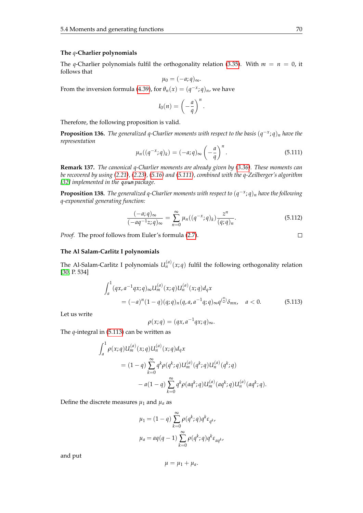#### **The** *q***-Charlier polynomials**

The *q*-Charlier polynomials fulfil the orthogonality relation [\(3.35\)](#page-40-0). With  $m = n = 0$ , it follows that

$$
\mu_0 = (-a;q)_{\infty}.
$$

From the inversion formula [\(4.39\)](#page-47-3), for  $\theta_n(x) = (q^{-x}; q)_n$ , we have

$$
I_0(n) = \left(-\frac{a}{q}\right)^n.
$$

Therefore, the following proposition is valid.

<span id="page-77-0"></span>**Proposition 136.** *The generalized q-Charlier moments with respect to the basis* (*q* −*x* ; *q*)*<sup>n</sup> have the representation*

$$
\mu_n((q^{-x};q)_k) = (-a;q)_{\infty} \left(-\frac{a}{q}\right)^n.
$$
\n(5.111)

**Remark 137.** *The canonical q-Charlier moments are already given by [\(3.36\)](#page-41-0). These moments can be recovered by using [\(2.21\)](#page-20-0), [\(2.23\)](#page-20-1), [\(5.16\)](#page-55-0) and [\(5.111\)](#page-77-0), combined with the q-Zeilberger's algorithm [\[32\]](#page-104-1) implemented in the* qsum *package.*

**Proposition 138.** *The generalized q-Charlier moments with respect to* (*q* −*x* ; *q*)*<sup>n</sup> have the following q-exponential generating function:*

$$
\frac{(-a;q)_{\infty}}{(-aq^{-1}z;q)_{\infty}} = \sum_{n=0}^{\infty} \mu_n((q^{-x};q)_k) \frac{z^n}{(q;q)_n}.
$$
 (5.112)

*Proof.* The proof follows from Euler's formula [\(2.7\)](#page-15-0).

#### **The Al Salam-Carlitz I polynomials**

The Al-Salam-Carlitz I polynomials  $U_n^{(a)}(x;q)$  fulfil the following orthogonality relation [\[30,](#page-104-0) P. 534]

<span id="page-77-1"></span>
$$
\int_{a}^{1} (qx, a^{-1}qx; q) \infty U_m^{(a)}(x; q) U_n^{(a)}(x; q) d_qx
$$
  
=  $(-a)^n (1-q)(q; q)_n (q, a, a^{-1}q; q) \infty q^{(\frac{n}{2})} \delta_{mn}, \quad a < 0.$  (5.113)

Let us write

$$
\rho(x;q) = (qx, a^{-1}qx; q)_{\infty}.
$$

The *q*-integral in [\(5.113\)](#page-77-1) can be written as

$$
\int_{a}^{1} \rho(x;q) U_{m}^{(a)}(x;q) U_{n}^{(a)}(x;q) d_{q}x
$$
  
=  $(1-q) \sum_{k=0}^{\infty} q^{k} \rho(q^{k};q) U_{m}^{(a)}(q^{k};q) U_{n}^{(a)}(q^{k};q)$   
 $- a(1-q) \sum_{k=0}^{\infty} q^{k} \rho(aq^{k};q) U_{m}^{(a)}(aq^{k};q) U_{n}^{(a)}(aq^{k};q).$ 

Define the discrete measures  $\mu_1$  and  $\mu_a$  as

$$
\mu_1 = (1 - q) \sum_{k=0}^{\infty} \rho(q^k; q) q^k \varepsilon_{q^k},
$$

$$
\mu_a = aq(q-1) \sum_{k=0}^{\infty} \rho(q^k; q) q^k \varepsilon_{aq^k},
$$

and put

$$
\mu=\mu_1+\mu_a.
$$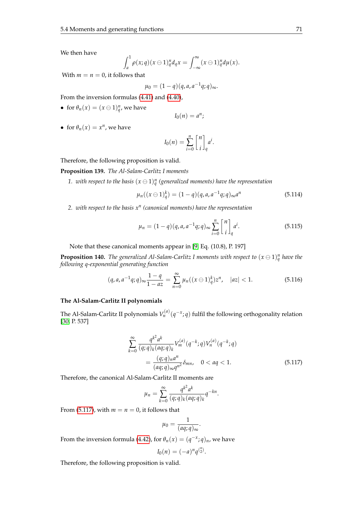We then have

$$
\int_a^1 \rho(x;q)(x\ominus 1)_q^n d_qx = \int_{-\infty}^\infty (x\ominus 1)_q^n d\mu(x).
$$

With  $m = n = 0$ , it follows that

$$
\mu_0=(1-q)(q,a,a^{-1}q;q)_{\infty}.
$$

From the inversion formulas [\(4.41\)](#page-47-4) and [\(4.40\)](#page-47-5),

• for  $\theta_n(x) = (x \ominus 1)_q^n$ , we have

$$
I_0(n)=a^n;
$$

• for  $\theta_n(x) = x^n$ , we have

$$
I_0(n) = \sum_{i=0}^n {n \brack i}_q a^i.
$$

Therefore, the following proposition is valid.

**Proposition 139.** *The Al-Salam-Carlitz I moments*

1. with respect to the basis  $(x \ominus 1)_q^n$  (generalized moments) have the representation

$$
\mu_n((x \ominus 1)_q^k) = (1 - q)(q, a, a^{-1}q; q)_{\infty} a^n \tag{5.114}
$$

*2. with respect to the basis x<sup>n</sup> (canonical moments) have the representation*

$$
\mu_n = (1 - q)(q, a, a^{-1}q; q)_{\infty} \sum_{i=0}^n \begin{bmatrix} n \\ i \end{bmatrix}_q a^i.
$$
 (5.115)

Note that these canonical moments appear in [\[9,](#page-103-1) Eq. (10.8), P. 197]

**Proposition 140.** The generalized Al-Salam-Carlitz I moments with respect to  $(x \ominus 1)_q^n$  have the *following q-exponential generating function*

$$
(q, a, a^{-1}q; q)_{\infty} \frac{1-q}{1 - az} = \sum_{n=0}^{\infty} \mu_n((x \ominus 1)^k_q) z^n, \quad |az| < 1. \tag{5.116}
$$

#### **The Al-Salam-Carlitz II polynomials**

The Al-Salam-Carlitz II polynomials  $V_n^{(a)}(q^{-x};q)$  fulfil the following orthogonality relation [\[30,](#page-104-0) P. 537]

<span id="page-78-0"></span>
$$
\sum_{k=0}^{\infty} \frac{q^{k^2} a^k}{(q;q)_k (aq;q)_k} V_m^{(a)}(q^{-k};q) V_n^{(a)}(q^{-k};q)
$$
  
= 
$$
\frac{(q;q)_n a^n}{(aq;q)_\infty q^{n^2}} \delta_{mn}, \quad 0 < aq < 1.
$$
 (5.117)

Therefore, the canonical Al-Salam-Carlitz II moments are

$$
\mu_n = \sum_{k=0}^{\infty} \frac{q^{k^2} a^k}{(q;q)_k (aq;q)_k} q^{-kn}.
$$

From [\(5.117\)](#page-78-0), with  $m = n = 0$ , it follows that

$$
\mu_0 = \frac{1}{(aq;q)_{\infty}}.
$$

From the inversion formula [\(4.42\)](#page-47-6), for  $\theta_n(x) = (q^{-x}; q)_n$ , we have

$$
I_0(n) = (-a)^n q^{\binom{n}{2}}.
$$

Therefore, the following proposition is valid.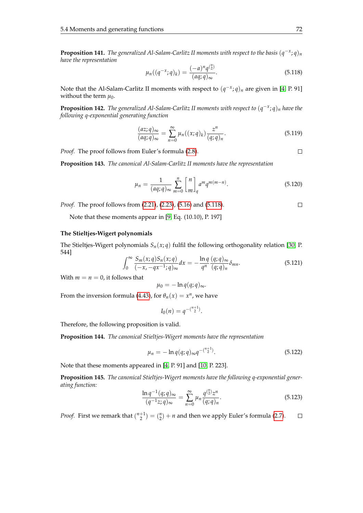**Proposition 141.** *The generalized Al-Salam-Carlitz II moments with respect to the basis* (*q* −*x* ; *q*)*<sup>n</sup> have the representation*

<span id="page-79-0"></span>
$$
\mu_n((q^{-x};q)_k) = \frac{(-a)^n q^{\binom{n}{2}}}{(aq;q)_{\infty}}.
$$
\n(5.118)

Note that the Al-Salam-Carlitz II moments with respect to  $(q<sup>−x</sup>; q)<sub>n</sub>$  are given in [\[4,](#page-103-0) P. 91] without the term  $\mu_0$ .

**Proposition 142.** *The generalized Al-Salam-Carlitz II moments with respect to* (*q* −*x* ; *q*)*<sup>n</sup> have the following q-exponential generating function*

$$
\frac{(az;q)_{\infty}}{(aq;q)_{\infty}} = \sum_{n=0}^{\infty} \mu_n((x;q)_k) \frac{z^n}{(q;q)_n}.
$$
\n(5.119)

*Proof.* The proof follows from Euler's formula [\(2.8\)](#page-15-0).

**Proposition 143.** *The canonical Al-Salam-Carlitz II moments have the representation*

$$
\mu_n = \frac{1}{(aq;q)_{\infty}} \sum_{m=0}^n \begin{bmatrix} n \\ m \end{bmatrix}_q a^m q^{m(m-n)}.
$$
\n(5.120)

*Proof.* The proof follows from [\(2.21\)](#page-20-0), [\(2.23\)](#page-20-1), [\(5.16\)](#page-55-0) and [\(5.118\)](#page-79-0).

Note that these moments appear in [\[9,](#page-103-1) Eq. (10.10), P. 197]

#### **The Stieltjes-Wigert polynomials**

The Stieltjes-Wigert polynomials  $S_n(x; q)$  fulfil the following orthogonality relation [\[30,](#page-104-0) P. 544] *Sm*(*x*; *q*)*Sn*(*x*; *q*)

$$
\int_0^\infty \frac{S_m(x;q)S_n(x;q)}{(-x,-qx^{-1};q)_\infty}dx = -\frac{\ln q}{q^n} \frac{(q;q)_\infty}{(q;q)_n} \delta_{mn}.
$$
 (5.121)

With  $m = n = 0$ , it follows that

$$
\mu_0=-\ln q(q;q)_{\infty}.
$$

From the inversion formula [\(4.43\)](#page-47-7), for  $\theta_n(x) = x^n$ , we have

$$
I_0(n) = q^{-\binom{n+1}{2}}.
$$

Therefore, the following proposition is valid.

**Proposition 144.** *The canonical Stieltjes-Wigert moments have the representation*

$$
\mu_n = -\ln q(q; q)_{\infty} q^{-\binom{n+1}{2}}.
$$
\n(5.122)

Note that these moments appeared in [\[4,](#page-103-0) P. 91] and [\[10,](#page-103-2) P. 223].

**Proposition 145.** *The canonical Stieltjes-Wigert moments have the following q-exponential generating function:*

$$
\frac{\ln q^{-1}(q;q)_{\infty}}{(q^{-1}z;q)_{\infty}} = \sum_{n=0}^{\infty} \mu_n \frac{q^{\binom{n}{2}}z^n}{(q;q)_n}.
$$
\n(5.123)

*Proof.* First we remark that  $\binom{n+1}{2} = \binom{n}{2} + n$  and then we apply Euler's formula [\(2.7\)](#page-15-0).  $\Box$ 

 $\Box$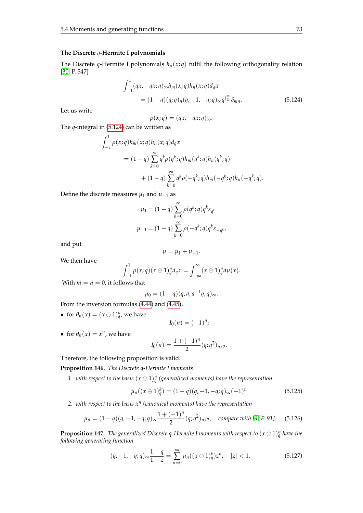#### **The Discrete** *q***-Hermite I polynomials**

The Discrete *q*-Hermite I polynomials  $h_n(x; q)$  fulfil the following orthogonality relation [\[30,](#page-104-0) P. 547]

<span id="page-80-0"></span>
$$
\int_{-1}^{1} (qx, -qx; q) \, \infty h_m(x; q) h_n(x; q) d_qx
$$
\n
$$
= (1 - q)(q; q)_n (q, -1, -q; q) \, \infty q^{(\frac{n}{2})} \delta_{mn}.
$$
\n(5.124)

Let us write

$$
\rho(x;q)=(qx,-qx;q)_{\infty}.
$$

The *q*-integral in [\(5.124\)](#page-80-0) can be written as

$$
\int_{-1}^{1} \rho(x;q) h_m(x;q) h_n(x;q) d_qx
$$
  
=  $(1-q) \sum_{k=0}^{\infty} q^k \rho(q^k;q) h_m(q^k;q) h_n(q^k;q)$   
+  $(1-q) \sum_{k=0}^{\infty} q^k \rho(-q^k;q) h_m(-q^k;q) h_n(-q^k;q).$ 

Define the discrete measures  $\mu_1$  and  $\mu_{-1}$  as

$$
\mu_1 = (1 - q) \sum_{k=0}^{\infty} \rho(q^k; q) q^k \varepsilon_{q^k}
$$

$$
\mu_{-1} = (1 - q) \sum_{k=0}^{\infty} \rho(-q^k; q) q^k \varepsilon_{-q^k},
$$

and put

$$
\mu=\mu_1+\mu_{-1}.
$$

We then have

$$
\int_{-1}^1 \rho(x;q)(x\ominus 1)_q^n d_qx = \int_{-\infty}^\infty (x\ominus 1)_q^n d\mu(x).
$$

With  $m = n = 0$ , it follows that

$$
\mu_0 = (1-q)(q,a,a^{-1}q;q)_{\infty}.
$$

From the inversion formulas [\(4.44\)](#page-47-8) and [\(4.45\)](#page-47-9),

• for  $\theta_n(x) = (x \ominus 1)_q^n$ , we have

$$
I_0(n)=(-1)^n;
$$

• for  $\theta_n(x) = x^n$ , we have

$$
I_0(n) = \frac{1 + (-1)^n}{2} (q; q^2)_{n/2}.
$$

Therefore, the following proposition is valid.

**Proposition 146.** *The Discrete q-Hermite I moments*

1. with respect to the basis  $(x \ominus 1)_q^n$  (generalized moments) have the representation

$$
\mu_n((x \ominus 1)_q^k) = (1 - q)(q, -1, -q; q)_{\infty}(-1)^n \tag{5.125}
$$

*2. with respect to the basis x<sup>n</sup> (canonical moments) have the representation*

$$
\mu_n = (1 - q)(q, -1, -q; q)_{\infty} \frac{1 + (-1)^n}{2} (q; q^2)_{n/2}, \quad \text{compare with [4, P. 91].} \tag{5.126}
$$

**Proposition 147.** The generalized Discrete q-Hermite I moments with respect to  $(x \ominus 1)_q^n$  have the *following generating function*

$$
(q, -1, -q; q)_{\infty} \frac{1-q}{1+z} = \sum_{n=0}^{\infty} \mu_n((x \ominus 1)^k_q) z^n, \quad |z| < 1. \tag{5.127}
$$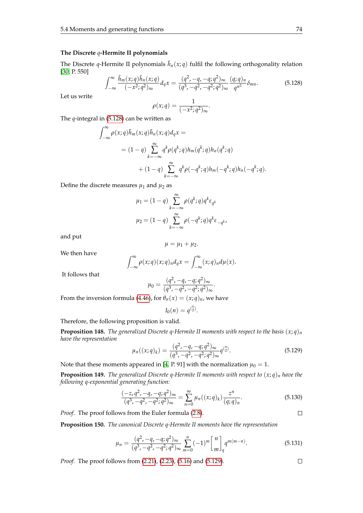#### **The Discrete** *q***-Hermite II polynomials**

The Discrete *q*-Hermite II polynomials  $\tilde{h}_n(x;q)$  fulfil the following orthogonality relation [\[30,](#page-104-0) P. 550]

<span id="page-81-0"></span>
$$
\int_{-\infty}^{\infty} \frac{\tilde{h}_m(x;q)\tilde{h}_n(x;q)}{(-x^2;q^2)_{\infty}} d_q x = \frac{(q^2,-q,-q;q^2)_{\infty}}{(q^3,-q^2,-q^2;q^2)_{\infty}} \frac{(q;q)_n}{q^{n^2}} \delta_{mn}.
$$
 (5.128)

Let us write

$$
\rho(x;q)=\frac{1}{(-x^2;q^2)_{\infty}}.
$$

The *q*-integral in [\(5.128\)](#page-81-0) can be written as

$$
\int_{-\infty}^{\infty} \rho(x;q)\tilde{h}_m(x;q)\tilde{h}_n(x;q)d_qx =
$$
  
=  $(1-q)\sum_{k=-\infty}^{\infty} q^k \rho(q^k;q)h_m(q^k;q)h_n(q^k;q)$   
+  $(1-q)\sum_{k=-\infty}^{\infty} q^k \rho(-q^k;q)h_m(-q^k;q)h_n(-q^k;q).$ 

Define the discrete measures  $\mu_1$  and  $\mu_2$  as

$$
\mu_1 = (1 - q) \sum_{k=-\infty}^{\infty} \rho(q^k; q) q^k \varepsilon_{q^k}
$$

$$
\mu_2 = (1 - q) \sum_{k=-\infty}^{\infty} \rho(-q^k; q) q^k \varepsilon_{-q^k}
$$

and put

$$
\mu=\mu_1+\mu_2.
$$

We then have

$$
\int_{-\infty}^{\infty} \rho(x;q)(x;q)_n d_qx = \int_{-\infty}^{\infty} (x;q)_n d\mu(x).
$$

It follows that

$$
\mu_0 = \frac{(q^2, -q, -q; q^2)_{\infty}}{(q^3, -q^2, -q^2; q^2)_{\infty}}.
$$

From the inversion formula [\(4.46\)](#page-48-0), for  $\theta_n(x) = (x; q)_n$ , we have

$$
I_0(n)=q^{\binom{n}{2}}.
$$

Therefore, the following proposition is valid.

**Proposition 148.** The generalized Discrete q-Hermite II moments with respect to the basis  $(x; q)_n$ *have the representation*

<span id="page-81-1"></span>
$$
\mu_n((x;q)_k) = \frac{(q^2, -q, -q; q^2)_{\infty}}{(q^3, -q^2, -q^2; q^2)_{\infty}} q^{\binom{n}{2}}.
$$
\n(5.129)

Note that these moments appeared in [\[4,](#page-103-0) P. 91] with the normalization  $\mu_0 = 1$ .

**Proposition 149.** The generalized Discrete q-Hermite II moments with respect to  $(x; q)_n$  have the *following q-exponential generating function:*

$$
\frac{(-z,q^2,-q,-q;q^2)_{\infty}}{(q^3,-q^2,-q^2;q^2)_{\infty}} = \sum_{n=0}^{\infty} \mu_n((x;q)_k) \frac{z^n}{(q;q)_n}.
$$
(5.130)

*Proof.* The proof follows from the Euler formula [\(2.8\)](#page-15-0).

**Proposition 150.** *The canonical Discrete q-Hermite II moments have the representation*

$$
\mu_n = \frac{(q^2, -q, -q; q^2)_{\infty}}{(q^3, -q^2, -q^2; q^2)_{\infty}} \sum_{m=0}^n (-1)^m \begin{bmatrix} n \\ m \end{bmatrix}_q q^{m(m-n)}.
$$
 (5.131)

*Proof.* The proof follows from [\(2.21\)](#page-20-0), [\(2.23\)](#page-20-1), [\(5.16\)](#page-55-0) and [\(5.129\)](#page-81-1).

 $\Box$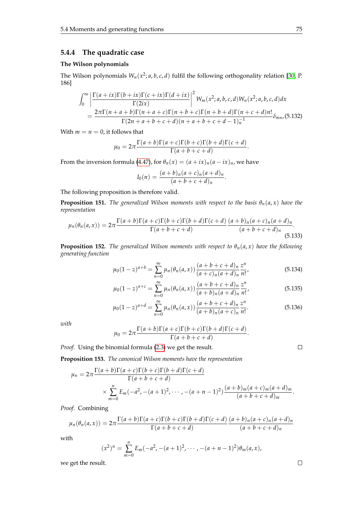### **5.4.4 The quadratic case**

#### **The Wilson polynomials**

The Wilson polynomials  $W_n(x^2; a, b, c, d)$  fulfil the following orthogonality relation [\[30,](#page-104-0) P. 186]

$$
\int_0^\infty \left| \frac{\Gamma(a+ix)\Gamma(b+ix)\Gamma(c+ix)\Gamma(d+ix)}{\Gamma(2ix)} \right|^2 W_m(x^2;a,b,c,d)W_n(x^2;a,b,c,d)dx
$$
  
= 
$$
\frac{2\pi\Gamma(n+a+b)\Gamma(n+a+c)\Gamma(n+b+c)\Gamma(n+b+d)\Gamma(n+c+d)n!}{\Gamma(2n+a+b+c+d)(n+a+b+c+d-1)n^1} \delta_{mn}(5.132)
$$

With  $m = n = 0$ , it follows that

$$
\mu_0 = 2\pi \frac{\Gamma(a+b)\Gamma(a+c)\Gamma(b+c)\Gamma(b+d)\Gamma(c+d)}{\Gamma(a+b+c+d)}.
$$

From the inversion formula [\(4.47\)](#page-48-1), for  $\theta_n(x) = (a + ix)_n(a - ix)_n$ , we have

$$
I_0(n) = \frac{(a+b)_n(a+c)_n(a+d)_n}{(a+b+c+d)_n}.
$$

The following proposition is therefore valid.

**Proposition 151.** *The generalized Wilson moments with respect to the basis*  $\theta_n(a, x)$  *have the representation*

<span id="page-82-0"></span>
$$
\mu_n(\theta_n(a,x)) = 2\pi \frac{\Gamma(a+b)\Gamma(a+c)\Gamma(b+c)\Gamma(b+d)\Gamma(c+d)}{\Gamma(a+b+c+d)} \frac{(a+b)_n(a+c)_n(a+d)_n}{(a+b+c+d)_n}.
$$
\n(5.133)

**Proposition 152.** *The generalized Wilson moments with respect to*  $\theta_n(a, x)$  *have the following generating function*

$$
\mu_0 (1-z)^{a+b} = \sum_{n=0}^{\infty} \mu_n(\theta_n(a,x)) \frac{(a+b+c+d)_n}{(a+c)_n (a+d)_n} \frac{z^n}{n!},
$$
\n(5.134)

$$
\mu_0 (1-z)^{a+c} = \sum_{n=0}^{\infty} \mu_n(\theta_n(a,x)) \frac{(a+b+c+d)_n}{(a+b)_n (a+d)_n} \frac{z^n}{n!},
$$
\n(5.135)

$$
\mu_0 (1-z)^{a+d} = \sum_{n=0}^{\infty} \mu_n(\theta_n(a,x)) \frac{(a+b+c+d)_n}{(a+b)_n (a+c)_n} \frac{z^n}{n!}.
$$
\n(5.136)

*with*

$$
\mu_0 = 2\pi \frac{\Gamma(a+b)\Gamma(a+c)\Gamma(b+c)\Gamma(b+d)\Gamma(c+d)}{\Gamma(a+b+c+d)}.
$$

*Proof.* Using the binomial formula [\(2.3\)](#page-14-1) we get the result.

**Proposition 153.** *The canonical Wilson moments have the representation*

$$
\mu_n = 2\pi \frac{\Gamma(a+b)\Gamma(a+c)\Gamma(b+c)\Gamma(b+d)\Gamma(c+d)}{\Gamma(a+b+c+d)} \times \sum_{m=0}^n E_m(-a^2, -(a+1)^2, \cdots, -(a+n-1)^2) \frac{(a+b)_m(a+c)_m(a+d)_m}{(a+b+c+d)_m}.
$$

*Proof.* Combining

$$
\mu_n(\theta_n(a,x)) = 2\pi \frac{\Gamma(a+b)\Gamma(a+c)\Gamma(b+c)\Gamma(b+d)\Gamma(c+d)}{\Gamma(a+b+c+d)} \frac{(a+b)_n(a+c)_n(a+d)_n}{(a+b+c+d)_n}
$$

with

$$
(x^2)^n = \sum_{m=0}^n E_m(-a^2, -(a+1)^2, \cdots, -(a+n-1)^2)\theta_m(a, x),
$$

we get the result.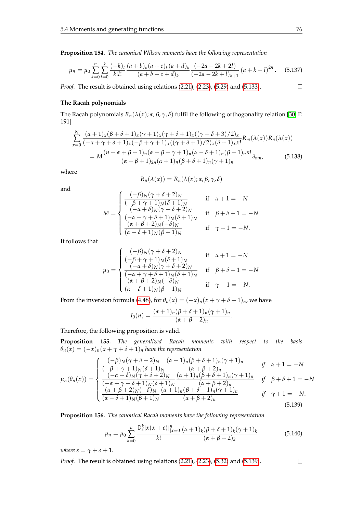**Proposition 154.** *The canonical Wilson moments have the following representation*

$$
\mu_n = \mu_0 \sum_{k=0}^n \sum_{l=0}^k \frac{(-k)_l}{k!l!} \frac{(a+b)_k (a+c)_k (a+d)_k}{(a+b+c+d)_k} \frac{(-2a-2k+2l)}{(-2a-2k+l)_{k+1}} (a+k-l)^{2n}.
$$
 (5.137)

*Proof.* The result is obtained using relations [\(2.21\)](#page-20-0), [\(2.23\)](#page-20-1), [\(5.29\)](#page-58-0) and [\(5.133\)](#page-82-0).

### **The Racah polynomials**

The Racah polynomials *Rn*(*λ*(*x*); *α*, *β*, *γ*, *δ*) fulfil the following orthogonality relation [\[30,](#page-104-0) P. 191]

$$
\sum_{x=0}^{N} \frac{(\alpha+1)_x(\beta+\delta+1)_x(\gamma+1)_x(\gamma+\delta+1)_x((\gamma+\delta+3)/2)_x}{(-\alpha+\gamma+\delta+1)_x(-\beta+\gamma+1)_x((\gamma+\delta+1)/2)_x(\delta+1)_x x!} R_m(\lambda(x)) R_n(\lambda(x))
$$
  
=  $M \frac{(n+\alpha+\beta+1)_n(\alpha+\beta-\gamma+1)_n(\alpha-\delta+1)_n(\beta+1)_n n!}{(\alpha+\beta+1)_{2n}(\alpha+1)_n(\beta+\delta+1)_n(\gamma+1)_n} \delta_{mn},$  (5.138)

where

$$
R_n(\lambda(x)) = R_n(\lambda(x); \alpha, \beta, \gamma, \delta)
$$

and

$$
M = \begin{cases} \frac{(-\beta)_N(\gamma + \delta + 2)_N}{(-\beta + \gamma + 1)_N(\delta + 1)_N} & \text{if } \alpha + 1 = -N\\ \frac{(-\alpha + \delta)_N(\gamma + \delta + 2)_N}{(-\alpha + \gamma + \delta + 1)_N(\delta + 1)_N} & \text{if } \beta + \delta + 1 = -N\\ \frac{(\alpha + \beta + 2)_N(-\delta)_N}{(\alpha - \delta + 1)_N(\beta + 1)_N} & \text{if } \gamma + 1 = -N. \end{cases}
$$

It follows that

$$
\mu_0 = \begin{cases}\n\frac{(-\beta)_N(\gamma + \delta + 2)_N}{(-\beta + \gamma + 1)_N(\delta + 1)_N} & \text{if } \alpha + 1 = -N \\
\frac{(-\alpha + \delta)_N(\gamma + \delta + 2)_N}{(-\alpha + \gamma + \delta + 1)_N(\delta + 1)_N} & \text{if } \beta + \delta + 1 = -N \\
\frac{(\alpha + \beta + 2)_N(-\delta)_N}{(\alpha - \delta + 1)_N(\beta + 1)_N} & \text{if } \gamma + 1 = -N.\n\end{cases}
$$

From the inversion formula [\(4.48\)](#page-48-2), for  $\theta_n(x) = (-x)_n(x + \gamma + \delta + 1)_n$ , we have

<span id="page-83-0"></span>
$$
I_0(n)=\frac{(\alpha+1)_n(\beta+\delta+1)_n(\gamma+1)_n}{(\alpha+\beta+2)_n}.
$$

Therefore, the following proposition is valid.

**Proposition 155.** *The generalized Racah moments with respect to the basis*  $\theta_n(x) = (-x)_n(x + \gamma + \delta + 1)_n$  *have the representation* 

$$
\mu_n(\theta_n(x)) = \begin{cases}\n\frac{(-\beta)_N(\gamma + \delta + 2)_N}{(-\beta + \gamma + 1)_N(\delta + 1)_N} \frac{(\alpha + 1)_n(\beta + \delta + 1)_n(\gamma + 1)_n}{(\alpha + \beta + 2)_n} & \text{if } \alpha + 1 = -N \\
\frac{(-\alpha + \delta)_N(\gamma + \delta + 2)_N}{(-\alpha + \gamma + \delta + 1)_N(\delta + 1)_N} \frac{(\alpha + 1)_n(\beta + \delta + 1)_n(\gamma + 1)_n}{(\alpha + \beta + 2)_n} & \text{if } \beta + \delta + 1 = -N \\
\frac{(\alpha + \beta + 2)_N(-\delta)_N}{(\alpha - \delta + 1)_N(\beta + 1)_N} \frac{(\alpha + 1)_n(\beta + \delta + 1)_n(\gamma + 1)_n}{(\alpha + \beta + 2)_n} & \text{if } \gamma + 1 = -N.\n\end{cases}
$$
\n(5.139)

**Proposition 156.** *The canonical Racah moments have the following representation*

$$
\mu_n = \mu_0 \sum_{k=0}^n \frac{D_{\varepsilon}^k [x(x+\varepsilon)]_{|x=0}^n}{k!} \frac{(\alpha+1)_k (\beta+\delta+1)_k (\gamma+1)_k}{(\alpha+\beta+2)_k} \tag{5.140}
$$

*where*  $\varepsilon = \gamma + \delta + 1$ *.* 

*Proof.* The result is obtained using relations [\(2.21\)](#page-20-0), [\(2.23\)](#page-20-1), [\(5.32\)](#page-59-0) and [\(5.139\)](#page-83-0).

 $\Box$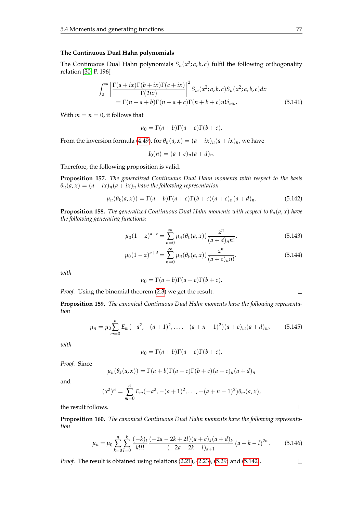#### **The Continuous Dual Hahn polynomials**

The Continuous Dual Hahn polynomials  $S_n(x^2; a, b, c)$  fulfil the following orthogonality relation [\[30,](#page-104-0) P. 196]

$$
\int_0^\infty \left| \frac{\Gamma(a+ix)\Gamma(b+ix)\Gamma(c+ix)}{\Gamma(2ix)} \right|^2 S_m(x^2; a, b, c) S_n(x^2; a, b, c) dx
$$
  
=  $\Gamma(n+a+b)\Gamma(n+a+c)\Gamma(n+b+c)n!\delta_{mn}.$  (5.141)

With  $m = n = 0$ , it follows that

$$
\mu_0 = \Gamma(a+b)\Gamma(a+c)\Gamma(b+c).
$$

From the inversion formula [\(4.49\)](#page-49-0), for  $\theta_n(a, x) = (a - ix)_n(a + ix)_n$ , we have

<span id="page-84-0"></span>
$$
I_0(n) = (a+c)_n(a+d)_n.
$$

Therefore, the following proposition is valid.

**Proposition 157.** *The generalized Continuous Dual Hahn moments with respect to the basis*  $\theta_n(a, x) = (a - ix)_n(a + ix)_n$  *have the following representation* 

$$
\mu_n(\theta_k(a,x)) = \Gamma(a+b)\Gamma(a+c)\Gamma(b+c)(a+c)_n(a+d)_n.
$$
\n(5.142)

**Proposition 158.** *The generalized Continuous Dual Hahn moments with respect to*  $\theta_n(a, x)$  *have the following generating functions:*

$$
\mu_0 (1-z)^{a+c} = \sum_{n=0}^{\infty} \mu_n(\theta_k(a,x)) \frac{z^n}{(a+d)_n n!},
$$
\n(5.143)

$$
\mu_0 (1 - z)^{a + d} = \sum_{n=0}^{\infty} \mu_n(\theta_k(a, x)) \frac{z^n}{(a + c)_n n!}.
$$
\n(5.144)

*with*

$$
\mu_0 = \Gamma(a+b)\Gamma(a+c)\Gamma(b+c).
$$

*Proof.* Using the binomial theorem [\(2.3\)](#page-14-1) we get the result.

**Proposition 159.** *The canonical Continuous Dual Hahn moments have the following representation*

$$
\mu_n = \mu_0 \sum_{m=0}^n E_m(-a^2, -(a+1)^2, \dots, -(a+n-1)^2)(a+c)_m(a+d)_m.
$$
 (5.145)

*with*

$$
\mu_0 = \Gamma(a+b)\Gamma(a+c)\Gamma(b+c).
$$

*Proof.* Since

$$
\mu_n(\theta_k(a,x)) = \Gamma(a+b)\Gamma(a+c)\Gamma(b+c)(a+c)_n(a+d)_n
$$

and

$$
(x^2)^n = \sum_{m=0}^n E_m(-a^2, -(a+1)^2, \ldots, -(a+n-1)^2)\theta_m(a,x),
$$

the result follows.

**Proposition 160.** *The canonical Continuous Dual Hahn moments have the following representation*

$$
\mu_n = \mu_0 \sum_{k=0}^n \sum_{l=0}^k \frac{(-k)_l}{k!l!} \frac{(-2a - 2k + 2l)(a+c)_k (a+d)_k}{(-2a - 2k + l)_{k+1}} (a+k-l)^{2n}.
$$
 (5.146)

*Proof.* The result is obtained using relations [\(2.21\)](#page-20-0), [\(2.23\)](#page-20-1), [\(5.29\)](#page-58-0) and [\(5.142\)](#page-84-0).

 $\Box$ 

 $\Box$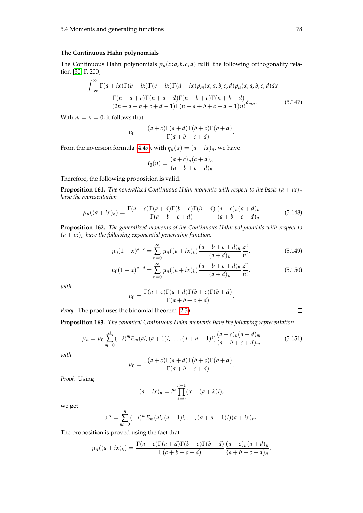#### **The Continuous Hahn polynomials**

The Continuous Hahn polynomials  $p_n(x; a, b, c, d)$  fulfil the following orthogonality relation [\[30,](#page-104-0) P. 200]

$$
\int_{-\infty}^{\infty} \Gamma(a+ix)\Gamma(b+ix)\Gamma(c-ix)\Gamma(d-ix)p_m(x;a,b,c,d)p_n(x;a,b,c,d)dx
$$

$$
=\frac{\Gamma(n+a+c)\Gamma(n+a+d)\Gamma(n+b+c)\Gamma(n+b+d)}{(2n+a+b+c+d-1)\Gamma(n+a+b+c+d-1)n!}\delta_{mn}.
$$
(5.147)

.

With  $m = n = 0$ , it follows that

 $\sim$ 

$$
\mu_0 = \frac{\Gamma(a+c)\Gamma(a+d)\Gamma(b+c)\Gamma(b+d)}{\Gamma(a+b+c+d)}
$$

From the inversion formula [\(4.49\)](#page-49-0), with  $\eta_n(x) = (a + ix)_n$ , we have:

$$
I_0(n) = \frac{(a+c)_n(a+d)_n}{(a+b+c+d)_n}.
$$

Therefore, the following proposition is valid.

**Proposition 161.** *The generalized Continuous Hahn moments with respect to the basis*  $(a + ix)<sub>n</sub>$ *have the representation*

<span id="page-85-0"></span>
$$
\mu_n((a+ix)_k) = \frac{\Gamma(a+c)\Gamma(a+d)\Gamma(b+c)\Gamma(b+d)}{\Gamma(a+b+c+d)} \frac{(a+c)_n(a+d)_n}{(a+b+c+d)_n}.\tag{5.148}
$$

**Proposition 162.** *The generalized moments of the Continuous Hahn polynomials with respect to*  $(a + ix)<sub>n</sub>$  *have the following exponential generating function:* 

$$
\mu_0 (1-x)^{a+c} = \sum_{n=0}^{\infty} \mu_n ((a+ix)_k) \frac{(a+b+c+d)_n}{(a+d)_n} \frac{z^n}{n!},
$$
\n(5.149)

$$
\mu_0 (1-x)^{a+d} = \sum_{n=0}^{\infty} \mu_n ((a+ix)_k) \frac{(a+b+c+d)_n}{(a+d)_n} \frac{z^n}{n!}.
$$
\n(5.150)

*with*

$$
\mu_0 = \frac{\Gamma(a+c)\Gamma(a+d)\Gamma(b+c)\Gamma(b+d)}{\Gamma(a+b+c+d)}.
$$

*Proof.* The proof uses the binomial theorem [\(2.3\)](#page-14-1).

<span id="page-85-1"></span>**Proposition 163.** *The canonical Continuous Hahn moments have the following representation*

$$
\mu_n = \mu_0 \sum_{m=0}^n (-i)^m E_m(ai, (a+1)i, \dots, (a+n-1)i) \frac{(a+c)_n (a+d)_m}{(a+b+c+d)_m}.
$$
 (5.151)

*with*

$$
\mu_0 = \frac{\Gamma(a+c)\Gamma(a+d)\Gamma(b+c)\Gamma(b+d)}{\Gamma(a+b+c+d)}.
$$

*Proof.* Using

$$
(a+ix)_n = i^n \prod_{k=0}^{n-1} (x - (a+k)i),
$$

we get

$$
x^n = \sum_{m=0}^n (-i)^m E_m(ai, (a+1)i, \ldots, (a+n-1)i)(a+ix)_m.
$$

The proposition is proved using the fact that

$$
\mu_n((a+ix)_k)=\frac{\Gamma(a+c)\Gamma(a+d)\Gamma(b+c)\Gamma(b+d)}{\Gamma(a+b+c+d)}\frac{(a+c)_n(a+d)_n}{(a+b+c+d)_n}.
$$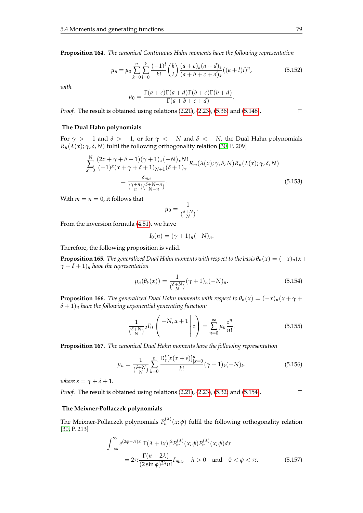**Proposition 164.** *The canonical Continuous Hahn moments have the following representation*

$$
\mu_n = \mu_0 \sum_{k=0}^n \sum_{l=0}^k \frac{(-1)^l}{k!} {k \choose l} \frac{(a+c)_k (a+d)_k}{(a+b+c+d)_k} ((a+l)i)^n, \tag{5.152}
$$

*with*

$$
\mu_0 = \frac{\Gamma(a+c)\Gamma(a+d)\Gamma(b+c)\Gamma(b+d)}{\Gamma(a+b+c+d)}.
$$

*Proof.* The result is obtained using relations [\(2.21\)](#page-20-0), [\(2.23\)](#page-20-1), [\(5.36\)](#page-60-0) and [\(5.148\)](#page-85-0).

#### **The Dual Hahn polynomials**

For  $\gamma$  > −1 and  $\delta$  > −1, or for  $\gamma$  < −*N* and  $\delta$  < −*N*, the Dual Hahn polynomials  $R_n(\lambda(x); \gamma, \delta, N)$  fulfil the following orthogonality relation [\[30,](#page-104-0) P. 209]

$$
\sum_{x=0}^{N} \frac{(2x+\gamma+\delta+1)(\gamma+1)_x(-N)_x N!}{(-1)^x (x+\gamma+\delta+1)_{N+1} (\delta+1)_x} R_m(\lambda(x); \gamma, \delta, N) R_n(\lambda(x); \gamma, \delta, N)
$$

$$
= \frac{\delta_{mn}}{(\gamma+n)(\delta+N-n)}.
$$
(5.153)

With  $m = n = 0$ , it follows that

$$
\mu_0 = \frac{1}{\binom{\delta+N}{N}}.
$$

From the inversion formula [\(4.51\)](#page-49-1), we have

$$
I_0(n) = (\gamma + 1)_n (-N)_n.
$$

Therefore, the following proposition is valid.

**Proposition 165.** *The generalized Dual Hahn moments with respect to the basis*  $\theta_n(x) = (-x)_n(x +$  $\gamma + \delta + 1$ )<sub>n</sub> have the representation

<span id="page-86-0"></span>
$$
\mu_n(\theta_k(x)) = \frac{1}{\binom{\delta + N}{N}} (\gamma + 1)_n (-N)_n.
$$
\n(5.154)

**Proposition 166.** *The generalized Dual Hahn moments with respect to*  $\theta_n(x) = (-x)_n(x + \gamma +$  $\delta + 1$ )<sub>n</sub> have the following exponential generating function:

$$
\frac{1}{\binom{\delta+N}{N}} {}_{2}F_{0}\left(\begin{array}{c} -N, \alpha+1\\ \end{array} \bigg| z\right) = \sum_{n=0}^{\infty} \mu_{n} \frac{z^{n}}{n!}.\tag{5.155}
$$

**Proposition 167.** *The canonical Dual Hahn moments have the following representation*

$$
\mu_n = \frac{1}{\binom{\delta + N}{N}} \sum_{k=0}^n \frac{\mathsf{D}_\varepsilon^k [x(x + \varepsilon)]_{|x = 0}^n}{k!} (\gamma + 1)_k (-N)_k. \tag{5.156}
$$

*where*  $\varepsilon = \gamma + \delta + 1$ *.* 

*Proof.* The result is obtained using relations [\(2.21\)](#page-20-0), [\(2.23\)](#page-20-1), [\(5.32\)](#page-59-0) and [\(5.154\)](#page-86-0).  $\Box$ 

#### **The Meixner-Pollaczek polynomials**

The Meixner-Pollaczek polynomials  $P_n^{(\lambda)}(x;\phi)$  fulfil the following orthogonality relation [\[30,](#page-104-0) P. 213]

$$
\int_{-\infty}^{\infty} e^{(2\phi - \pi)x} |\Gamma(\lambda + ix)|^2 P_m^{(\lambda)}(x;\phi) P_n^{(\lambda)}(x;\phi) dx
$$
  
=  $2\pi \frac{\Gamma(n + 2\lambda)}{(2\sin\phi)^{2\lambda} n!} \delta_{mn}, \quad \lambda > 0 \quad \text{and} \quad 0 < \phi < \pi.$  (5.157)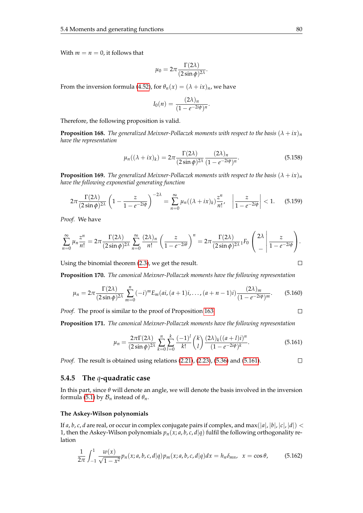With  $m = n = 0$ , it follows that

$$
\mu_0 = 2\pi \frac{\Gamma(2\lambda)}{(2\sin\phi)^{2\lambda}}.
$$

From the inversion formula [\(4.52\)](#page-49-2), for  $\theta_n(x) = (\lambda + ix)_n$ , we have

$$
I_0(n)=\frac{(2\lambda)_n}{(1-e^{-2i\phi})^n}.
$$

Therefore, the following proposition is valid.

**Proposition 168.** *The generalized Meixner-Pollaczek moments with respect to the basis*  $(λ + ix)$ <sup>*n*</sup> *have the representation*

$$
\mu_n((\lambda + ix)_k) = 2\pi \frac{\Gamma(2\lambda)}{(2\sin\phi)^{2\lambda}} \frac{(2\lambda)_n}{(1 - e^{-2i\phi})^n}.
$$
\n(5.158)

**Proposition 169.** *The generalized Meixner-Pollaczek moments with respect to the basis*  $(λ + iλ)<sub>n</sub>$ *have the following exponential generating function*

$$
2\pi \frac{\Gamma(2\lambda)}{(2\sin\phi)^{2\lambda}} \left(1 - \frac{z}{1 - e^{-2i\phi}}\right)^{-2\lambda} = \sum_{n=0}^{\infty} \mu_n((\lambda + ix)_k) \frac{z^n}{n!}, \quad \left|\frac{z}{1 - e^{-2i\phi}}\right| < 1. \tag{5.159}
$$

*Proof.* We have

$$
\sum_{n=0}^{\infty} \mu_n \frac{z^n}{n!} = 2\pi \frac{\Gamma(2\lambda)}{(2\sin\phi)^{2\lambda}} \sum_{n=0}^{\infty} \frac{(2\lambda)_n}{n!} \left(\frac{z}{1-e^{-2i\theta}}\right)^n = 2\pi \frac{\Gamma(2\lambda)}{(2\sin\phi)^{2\lambda}} {}_1F_0 \left(\frac{2\lambda}{-\lambda}\right) \frac{z}{1-e^{-2i\phi}}.
$$

Using the binomial theorem [\(2.3\)](#page-14-1), we get the result.

**Proposition 170.** *The canonical Meixner-Pollaczek moments have the following representation*

$$
\mu_n = 2\pi \frac{\Gamma(2\lambda)}{(2\sin\phi)^{2\lambda}} \sum_{m=0}^n (-i)^m E_m(ai,(a+1)i,\ldots,(a+n-1)i) \frac{(2\lambda)_m}{(1-e^{-2i\phi})^m}.
$$
 (5.160)

*Proof.* The proof is similar to the proof of Proposition [163.](#page-85-1)

**Proposition 171.** *The canonical Meixner-Pollaczek moments have the following representation*

<span id="page-87-0"></span>
$$
\mu_n = \frac{2\pi\Gamma(2\lambda)}{(2\sin\phi)^{2\lambda}} \sum_{k=0}^n \sum_{l=0}^k \frac{(-1)^l}{k!} {k \choose l} \frac{(2\lambda)_k((a+l)i)^n}{(1-e^{-2i\phi})^k}.
$$
(5.161)

*Proof.* The result is obtained using relations [\(2.21\)](#page-20-0), [\(2.23\)](#page-20-1), [\(5.36\)](#page-60-0) and [\(5.161\)](#page-87-0).  $\Box$ 

#### **5.4.5 The** *q***-quadratic case**

In this part, since *θ* will denote an angle, we will denote the basis involved in the inversion formula [\(5.1\)](#page-52-0) by  $\mathcal{B}_n$  instead of  $\theta_n$ .

#### **The Askey-Wilson polynomials**

If *a*, *b*, *c*, *d* are real, or occur in complex conjugate pairs if complex, and max(|*a*|, |*b*|, |*c*|, |*d*|) < 1, then the Askey-Wilson polynomials  $p_n(x; a, b, c, d|q)$  fulfil the following orthogonality relation

$$
\frac{1}{2\pi} \int_{-1}^{1} \frac{w(x)}{\sqrt{1 - x^2}} p_n(x; a, b, c, d | q) p_m(x; a, b, c, d | q) dx = h_n \delta_{mn}, \ \ x = \cos \theta,
$$
 (5.162)

$$
\Box
$$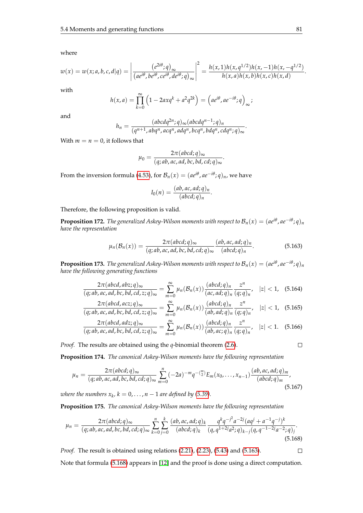where

$$
w(x) = w(x;a,b,c,d|q) = \left| \frac{(e^{2i\theta};q)_{\infty}}{(ae^{i\theta},be^{i\theta},ce^{i\theta},de^{i\theta};q)_{\infty}} \right|^2 = \frac{h(x,1)h(x,q^{1/2})h(x,-1)h(x,-q^{1/2})}{h(x,a)h(x,b)h(x,c)h(x,d)}.
$$

with

$$
h(x,a) = \prod_{k=0}^{\infty} \left(1 - 2axq^{k} + a^{2}q^{2k}\right) = \left(a e^{i\theta}, a e^{-i\theta}; q\right)_{\infty};
$$

and

$$
h_n = \frac{(abcdq^{2n};q)_{\infty}(abcdq^{n-1};q)_n}{(q^{n+1}, abq^n, acq^n, adq^n, bcq^n, bdq^n, cdq^n; q)_{\infty}}
$$

With  $m = n = 0$ , it follows that

$$
\mu_0 = \frac{2\pi(\text{abcd};q)_{\infty}}{(q;ab,ac,ad,bc,bd,cd;q)_{\infty}}
$$

From the inversion formula [\(4.53\)](#page-49-3), for  $\mathcal{B}_n(x) = (ae^{i\theta}, ae^{-i\theta}; q)_n$ , we have

$$
I_0(n) = \frac{(ab, ac, ad; q)_n}{(abcd; q)_n}.
$$

Therefore, the following proposition is valid.

**Proposition 172.** The generalized Askey-Wilson moments with respect to  $\mathcal{B}_n(x)=(ae^{i\theta},ae^{-i\theta};q)_n$ *have the representation*

<span id="page-88-0"></span>
$$
\mu_n(\mathcal{B}_n(x)) = \frac{2\pi(\text{abcd};q)_{\infty}}{(q;ab,ac,ad,bc,bd,cd;q)_{\infty}} \frac{(ab,ac,ad;q)_n}{(abcd;q)_n}.
$$
\n(5.163)

.

.

**Proposition 173.** The generalized Askey-Wilson moments with respect to  $\mathcal{B}_n(x)=(ae^{i\theta},ae^{-i\theta};q)_n$ *have the following generating functions*

$$
\frac{2\pi(\text{abcd},\text{ab}z;q)_{\infty}}{(q;\text{ab},\text{ac},\text{ad},\text{bc},\text{bd},\text{cd},z;q)_{\infty}} = \sum_{m=0}^{\infty} \mu_n(\mathcal{B}_n(x)) \frac{(\text{abcd};q)_n}{(\text{ac},\text{ad};q)_n} \frac{z^n}{(q;q)_n}, \quad |z| < 1, \quad (5.164)
$$

$$
\frac{2\pi(\text{abcd}, \text{acz}; q)_{\infty}}{(q; ab, ac, ad, bc, bd, cd, z; q)_{\infty}} = \sum_{m=0}^{\infty} \mu_n(\mathcal{B}_n(x)) \frac{(\text{abcd}; q)_n}{(ab, ad; q)_n} \frac{z^n}{(q; q)_n}, \quad |z| < 1, \quad (5.165)
$$

$$
\frac{2\pi(\text{abcd},\text{ad}z;q)_{\infty}}{(q;\text{ab},\text{ac},\text{ad},\text{bc},\text{bd},\text{cd},z;q)_{\infty}} = \sum_{m=0}^{\infty} \mu_n(\mathcal{B}_n(x)) \frac{(\text{abcd};q)_n}{(\text{ab},\text{ac};q)_n} \frac{z^n}{(q;q)_n}, \quad |z| < 1. \quad (5.166)
$$

*Proof.* The results are obtained using the *q*-binomial theorem [\(2.6\)](#page-14-0).

**Proposition 174.** *The canonical Askey-Wilson moments have the following representation*

$$
\mu_n = \frac{2\pi(\text{abcd};q)_{\infty}}{(q;ab,ac,ad,bc,bd,cd;q)_{\infty}} \sum_{m=0}^n (-2a)^{-m} q^{-\binom{m}{2}} E_m(x_0,\ldots,x_{n-1}) \frac{(\text{ab},ac,ad;q)_m}{(\text{abcd};q)_m},
$$
\n(5.167)

*where the numbers*  $x_k$ ,  $k = 0, \ldots, n-1$  are defined by [\(5.39\)](#page-61-0).

**Proposition 175.** *The canonical Askey-Wilson moments have the following representation*

$$
\mu_n = \frac{2\pi(\text{abcd};q)_{\infty}}{(q;ab,ac,ad,bc,bd,cd;q)_{\infty}} \sum_{k=0}^n \sum_{j=0}^k \frac{(ab,ac,ad;q)_k}{(abcd;q)_k} \frac{q^k q^{-j^2} a^{-2j} (aq^j + a^{-1}q^{-j})^k}{(q,q^{1+2j}a^2;q)_{k-j} (q,q^{-1-2j}a^{-2};q)_j}.
$$
\n(5.168)

*Proof.* The result is obtained using relations [\(2.21\)](#page-20-0), [\(2.23\)](#page-20-1), [\(5.43\)](#page-62-0) and [\(5.163\)](#page-88-0).  $\Box$ 

Note that formula [\(5.168\)](#page-88-1) appears in [\[12\]](#page-103-3) and the proof is done using a direct computation.

<span id="page-88-2"></span><span id="page-88-1"></span>
$$
\sqcup
$$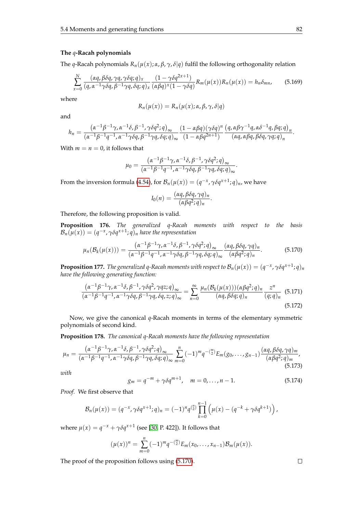#### **The** *q***-Racah polynomials**

The *q*-Racah polynomials  $R_n(\mu(x); \alpha, \beta, \gamma, \delta | q)$  fulfil the following orthogonality relation

$$
\sum_{x=0}^{N} \frac{(\alpha q, \beta \delta q, \gamma q, \gamma \delta q; q)_x}{(q, \alpha^{-1} \gamma \delta q, \beta^{-1} \gamma q, \delta q; q)_x} \frac{(1 - \gamma \delta q^{2x+1})}{(\alpha \beta q)^x (1 - \gamma \delta q)} R_m(\mu(x)) R_n(\mu(x)) = h_n \delta_{mn},
$$
(5.169)

where

$$
R_n(\mu(x)) = R_n(\mu(x); \alpha, \beta, \gamma, \delta | q)
$$

and

$$
h_n = \frac{(\alpha^{-1}\beta^{-1}\gamma, \alpha^{-1}\delta, \beta^{-1}, \gamma\delta q^2; q)_{\infty}}{(\alpha^{-1}\beta^{-1}q^{-1}, \alpha^{-1}\gamma\delta q, \beta^{-1}\gamma q, \delta q; q)_{\infty}} \frac{(1 - \alpha\beta q)(\gamma\delta q)^n}{(1 - \alpha\beta q^{2n+1})} \frac{(q, \alpha\beta\gamma^{-1}q, \alpha\delta^{-1}q, \beta q; q)_{n}}{(\alpha q, \alpha\beta q, \beta\delta q, \gamma q; q)_{n}}.
$$

With  $m = n = 0$ , it follows that

$$
\mu_0 = \frac{\left(\alpha^{-1}\beta^{-1}\gamma, \alpha^{-1}\delta, \beta^{-1}, \gamma\delta q^2; q\right)_{\infty}}{\left(\alpha^{-1}\beta^{-1}q^{-1}, \alpha^{-1}\gamma\delta q, \beta^{-1}\gamma q, \delta q; q\right)_{\infty}}.
$$

From the inversion formula [\(4.54\)](#page-49-4), for  $\mathcal{B}_n(\mu(x)) = (q^{-x}, \gamma \delta q^{x+1}; q)_n$ , we have

<span id="page-89-0"></span>
$$
I_0(n) = \frac{(\alpha q, \beta \delta q, \gamma q)_n}{(\alpha \beta q^2; q)_n}.
$$

Therefore, the following proposition is valid.

**Proposition 176.** *The generalized q-Racah moments with respect to the basis*  $\mathcal{B}_n(\mu(x)) = (q^{-x}, \gamma \delta q^{x+1}; q)_n$  have the representation

$$
\mu_n(\mathcal{B}_k(\mu(x))) = \frac{(\alpha^{-1}\beta^{-1}\gamma, \alpha^{-1}\delta, \beta^{-1}, \gamma\delta q^2; q)_{\infty}}{(\alpha^{-1}\beta^{-1}\beta^{-1}, \alpha^{-1}\gamma\delta q, \beta^{-1}\gamma q, \delta q; q)_{\infty}} \frac{(\alpha q, \beta \delta q, \gamma q)_n}{(\alpha \beta q^2; q)_n}.
$$
(5.170)

**Proposition 177.** The generalized q-Racah moments with respect to  $\mathcal{B}_n(\mu(x)) = (q^{-x}, \gamma \delta q^{x+1}; q)_n$ *have the following generating function:*

$$
\frac{\left(\alpha^{-1}\beta^{-1}\gamma,\alpha^{-1}\delta,\beta^{-1},\gamma\delta q^2,\gamma q z;q\right)_{\infty}}{\left(\alpha^{-1}\beta^{-1}q^{-1},\alpha^{-1}\gamma\delta q,\beta^{-1}\gamma q,\delta q,z;q\right)_{\infty}} = \sum_{n=0}^{\infty} \frac{\mu_n(\mathcal{B}_k(\mu(x)))(\alpha\beta q^2;q)_n}{(\alpha q,\beta\delta q;q)_n} \frac{z^n}{(q;q)_n}
$$
(5.171)

Now, we give the canonical *q*-Racah moments in terms of the elementary symmetric polynomials of second kind.

**Proposition 178.** *The canonical q-Racah moments have the following representation*

$$
\mu_n = \frac{(\alpha^{-1}\beta^{-1}\gamma, \alpha^{-1}\delta, \beta^{-1}, \gamma\delta q^2; q)_{\infty}}{(\alpha^{-1}\beta^{-1}q^{-1}, \alpha^{-1}\gamma\delta q, \beta^{-1}\gamma q, \delta q; q)_{\infty}} \sum_{m=0}^n (-1)^m q^{-\binom{m}{2}} E_m(g_0, \ldots, g_{n-1}) \frac{(\alpha q, \beta \delta q, \gamma q)_m}{(\alpha \beta q^2; q)_m},
$$
\n(5.173)

<span id="page-89-1"></span>*with*

<span id="page-89-2"></span>
$$
g_m = q^{-m} + \gamma \delta q^{m+1}, \quad m = 0, \dots, n-1.
$$
 (5.174)

*Proof.* We first observe that

$$
\mathcal{B}_n(\mu(x)) = (q^{-x}, \gamma \delta q^{x+1}; q)_n = (-1)^n q^{\binom{n}{2}} \prod_{k=0}^{n-1} (\mu(x) - (q^{-k} + \gamma \delta q^{k+1}))
$$

where  $\mu(x) = q^{-x} + \gamma \delta q^{x+1}$  (see [\[30,](#page-104-0) P. 422]). It follows that

$$
(\mu(x))^n = \sum_{m=0}^n (-1)^m q^{-\binom{m}{2}} E_m(x_0,\ldots,x_{n-1}) \mathcal{B}_m(\mu(x)).
$$

The proof of the proposition follows using [\(5.170\)](#page-89-0).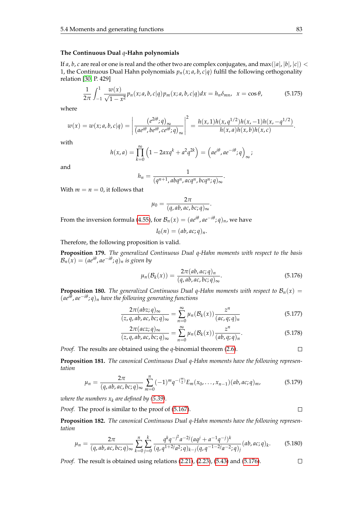#### **The Continuous Dual** *q***-Hahn polynomials**

If *a*, *b*, *c* are real or one is real and the other two are complex conjugates, and max(|a|, |b|, |c|) < 1, the Continuous Dual Hahn polynomials  $p_n(x; a, b, c|q)$  fulfil the following orthogonality relation [\[30,](#page-104-0) P. 429]

$$
\frac{1}{2\pi} \int_{-1}^{1} \frac{w(x)}{\sqrt{1 - x^2}} p_n(x; a, b, c | q) p_m(x; a, b, c | q) dx = h_n \delta_{mn}, \ \ x = \cos \theta,
$$
 (5.175)

where

$$
w(x) = w(x;a,b,c|q) = \left| \frac{(e^{2i\theta};q)_{\infty}}{(ae^{i\theta},be^{i\theta},ce^{i\theta};q)_{\infty}} \right|^2 = \frac{h(x,1)h(x,q^{1/2})h(x,-1)h(x,-q^{1/2})}{h(x,a)h(x,b)h(x,c)}.
$$

with

$$
h(x,a) = \prod_{k=0}^{\infty} \left(1 - 2axq^{k} + a^{2}q^{2k}\right) = \left(a e^{i\theta}, a e^{-i\theta}; q\right)_{\infty};
$$

and

$$
h_n=\frac{1}{(q^{n+1}, abq^n, acq^n, bcq^n;q)_\infty}.
$$

With  $m = n = 0$ , it follows that

$$
\mu_0 = \frac{2\pi}{(q,ab,ac,bc;q)_{\infty}}.
$$

From the inversion formula [\(4.55\)](#page-50-0), for  $\mathcal{B}_n(x) = (ae^{i\theta}, ae^{-i\theta}; q)_n$ , we have

$$
I_0(n)=(ab,ac;q)_n.
$$

Therefore, the following proposition is valid.

**Proposition 179.** *The generalized Continuous Dual q-Hahn moments with respect to the basis*  $\mathcal{B}_n(x) = (ae^{i\theta}, ae^{-i\theta}; q)_n$  is given by

<span id="page-90-0"></span>
$$
\mu_n(\mathcal{B}_k(x)) = \frac{2\pi (ab, ac; q)_n}{(q, ab, ac, bc; q)_\infty}.
$$
\n(5.176)

**Proposition 180.** *The generalized Continuous Dual q-Hahn moments with respect to*  $B_n(x)$  = (*aei<sup>θ</sup>* , *ae*−*i<sup>θ</sup>* ; *q*)*<sup>n</sup> have the following generating functions*

$$
\frac{2\pi(abz;q)_\infty}{(z,q,ab,ac,bc;q)_\infty} = \sum_{n=0}^\infty \mu_n(\mathcal{B}_k(x)) \frac{z^n}{(ac,q;q)_n}
$$
(5.177)

$$
\frac{2\pi (acz;q)_{\infty}}{(z,q,ab,ac,bc;q)_{\infty}} = \sum_{n=0}^{\infty} \mu_n(\mathcal{B}_k(x)) \frac{z^n}{(ab,q;q)_n}.
$$
\n(5.178)

*Proof.* The results are obtained using the *q*-binomial theorem [\(2.6\)](#page-14-0).

**Proposition 181.** *The canonical Continuous Dual q-Hahn moments have the following representation*

$$
\mu_n = \frac{2\pi}{(q, ab, ac, bc; q)_{\infty}} \sum_{m=0}^n (-1)^m q^{-(\frac{m}{2})} E_m(x_0, \dots, x_{n-1}) (ab, ac; q)_m,
$$
(5.179)

*where the numbers*  $x_k$  *are defined by [\(5.39\)](#page-61-0).* 

*Proof.* The proof is similar to the proof of [\(5.167\)](#page-88-2).

**Proposition 182.** *The canonical Continuous Dual q-Hahn moments have the following representation*

$$
\mu_n = \frac{2\pi}{(q, ab, ac, bc; q)_{\infty}} \sum_{k=0}^n \sum_{j=0}^k \frac{q^k q^{-j^2} a^{-2j} (aq^j + a^{-1} q^{-j})^k}{(q, q^{1+2j} a^2; q)_{k-j} (q, q^{-1-2j} a^{-2}; q)_j} (ab, ac; q)_k.
$$
(5.180)

*Proof.* The result is obtained using relations [\(2.21\)](#page-20-0), [\(2.23\)](#page-20-1), [\(5.43\)](#page-62-0) and [\(5.176\)](#page-90-0).

 $\Box$ 

$$
\overline{a}
$$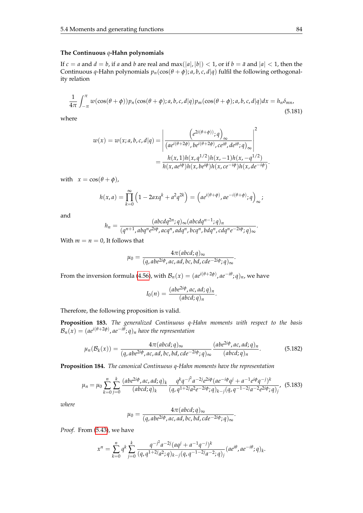## **The Continuous** *q***-Hahn polynomials**

If  $c = a$  and  $d = b$ , if a and b are real and max(|a|, |b|) < 1, or if  $b = \bar{a}$  and  $|a|$  < 1, then the Continuous *q*-Hahn polynomials  $p_n(\cos(\theta + \phi); a, b, c, d|q)$  fulfil the following orthogonality relation

$$
\frac{1}{4\pi} \int_{-\pi}^{\pi} w(\cos(\theta + \phi)) p_n(\cos(\theta + \phi); a, b, c, d | q) p_m(\cos(\theta + \phi); a, b, c, d | q) dx = h_n \delta_{mn},
$$
\n(5.181)

where

$$
w(x) = w(x; a, b, c, d | q) = \left| \frac{\left(e^{2i(\theta + \phi)}; q\right)_{\infty}}{\left(a e^{i(\theta + 2\phi)}, be^{i(\theta + 2\phi)}, ce^{i\theta}, de^{i\theta}; q\right)_{\infty}}\right|^2
$$

$$
= \frac{h(x, 1)h(x, q^{1/2})h(x, -1)h(x, -q^{1/2})}{h(x, ae^{i\phi})h(x, be^{i\phi})h(x, ce^{-i\phi})h(x, de^{-i\phi})}.
$$

with  $x = \cos(\theta + \phi)$ ,

$$
h(x,a) = \prod_{k=0}^{\infty} \left(1 - 2axq^{k} + a^{2}q^{2k}\right) = \left(a e^{i(\theta + \phi)}, a e^{-i(\theta + \phi)}; q\right)_{\infty};
$$

and

$$
h_n = \frac{(abcdq^{2n};q)_{\infty}(abcdq^{n-1};q)_n}{(q^{n+1}, abq^ne^{2i\phi}, acq^n, adq^n, bcq^n, bdq^n, cdq^ne^{-2i\phi};q)_{\infty}}.
$$

With  $m = n = 0$ , It follows that

$$
\mu_0 = \frac{4\pi (abcd;q)_{\infty}}{(q,abe^{2i\phi},ac,ad,bc,bd,cde^{-2i\phi};q)_{\infty}}
$$

.

.

From the inversion formula [\(4.56\)](#page-50-1), with  $\mathcal{B}_n(x)=(ae^{i(\theta+2\phi)},ae^{-i\theta};q)_n$ , we have

<span id="page-91-1"></span>
$$
I_0(n) = \frac{(abe^{2i\phi}, ac, ad; q)_n}{(abcd; q)_n}.
$$

Therefore, the following proposition is valid.

**Proposition 183.** *The generalized Continuous q-Hahn moments with respect to the basis*  $\mathcal{B}_n(x) = (ae^{i(\theta+2\phi)}, ae^{-i\theta};q)_n$  have the representation

$$
\mu_n(\mathcal{B}_k(x)) = \frac{4\pi(\text{abcd};q)_{\infty}}{(q,\text{abe}^{2i\phi},\text{ac},\text{ad},\text{bc},\text{bd},\text{cde}^{-2i\phi};q)_{\infty}} \frac{(\text{abe}^{2i\phi},\text{ac},\text{ad};q)_n}{(\text{abcd};q)_n}.
$$
(5.182)

**Proposition 184.** *The canonical Continuous q-Hahn moments have the representation*

<span id="page-91-0"></span>
$$
\mu_n = \mu_0 \sum_{k=0}^n \sum_{j=0}^k \frac{(abe^{2i\phi}, ac, ad; q)_k}{(abcd; q)_k} \frac{q^k q^{-j^2} a^{-2j} e^{2i\phi} (ae^{-i\phi} q^j + a^{-1} e^{i\phi} q^{-j})^k}{(q, q^{1+2j} a^2 e^{-2i\phi}; q)_{k-j} (q, q^{-1-2j} a^{-2} e^{2i\phi}; q)_j},
$$
(5.183)

*where*

$$
\mu_0 = \frac{4\pi(\text{abcd};q)_{\infty}}{(q,\text{abe}^{2i\phi},\text{ac},\text{ad},\text{bc},\text{bd},\text{cde}^{-2i\phi};q)_{\infty}}
$$

*Proof.* From [\(5.43\)](#page-62-0), we have

$$
x^n = \sum_{k=0}^n q^k \sum_{j=0}^k \frac{q^{-j^2} a^{-2j} (aq^j + a^{-1}q^{-j})^k}{(q, q^{1+2j}a^2; q)_{k-j} (q, q^{-1-2j}a^{-2}; q)_j} (ae^{i\theta}, ae^{-i\theta}; q)_k.
$$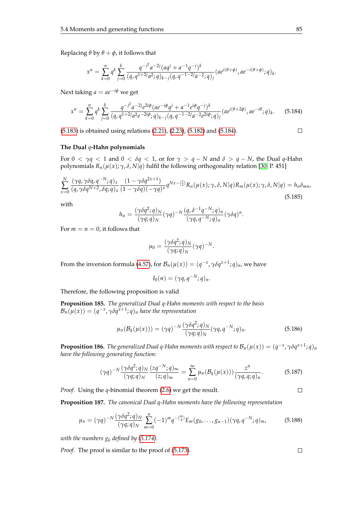Replacing  $\theta$  by  $\theta + \phi$ , it follows that

<span id="page-92-0"></span>
$$
x^n = \sum_{k=0}^n q^k \sum_{j=0}^k \frac{q^{-j^2} a^{-2j} (aq^j + a^{-1}q^{-j})^k}{(q, q^{1+2j}a^2; q)_{k-j} (q, q^{-1-2j}a^{-2}; q)_j} (ae^{i(\theta+\phi)}, ae^{-i(\theta+\phi)}; q)_k.
$$

Next taking  $a = ae^{-i\phi}$  we get

$$
x^{n} = \sum_{k=0}^{n} q^{k} \sum_{j=0}^{k} \frac{q^{-j^{2}} a^{-2j} e^{2i\phi} (a e^{-i\phi} q^{j} + a^{-1} e^{i\phi} q^{-j})^{k}}{(q, q^{1+2j} a^{2} e^{-2i\phi}; q)_{k-j} (q, q^{-1-2j} a^{-2} e^{2i\phi}; q)_{j}} (a e^{i(\theta+2\phi)}, a e^{-i\theta}; q)_{k}.
$$
 (5.184)

[\(5.183\)](#page-91-0) is obtained using relations [\(2.21\)](#page-20-0), [\(2.23\)](#page-20-1), [\(5.182\)](#page-91-1) and [\(5.184\)](#page-92-0).

#### **The Dual** *q***-Hahn polynomials**

For  $0 < \gamma q < 1$  and  $0 < \delta q < 1$ , or for  $\gamma > q - N$  and  $\delta > q - N$ , the Dual q-Hahn polynomials  $R_n(\mu(x); \gamma, \delta, N|q)$  fulfil the following orthogonality relation [\[30,](#page-104-0) P. 451]

$$
\sum_{x=0}^{N} \frac{(\gamma q, \gamma \delta q, q^{-N}; q)_x}{(q, \gamma \delta q^{N+2}, \delta q; q)_x} \frac{(1 - \gamma \delta q^{2x+1})}{(1 - \gamma \delta q)(-\gamma q)^x} q^{Nx - (\frac{x}{2})} R_n(\mu(x); \gamma, \delta, N|q) R_m(\mu(x); \gamma, \delta, N|q) = h_n \delta_{mn},
$$
\n(5.185)

with

$$
h_n = \frac{(\gamma \delta q^2; q)_N}{(\gamma q; q)_N} (\gamma q)^{-N} \frac{(q, \delta^{-1} q^{-N}; q)_n}{(\gamma q, q^{-N}; q)_n} (\gamma \delta q)^n.
$$

For  $m = n = 0$ , it follows that

$$
\mu_0 = \frac{(\gamma \delta q^2; q)_N}{(\gamma q; q)_N} (\gamma q)^{-N}.
$$

From the inversion formula [\(4.57\)](#page-50-2), for  $\mathcal{B}_n(\mu(x)) = (q^{-x}, \gamma \delta q^{x+1}; q)_n$ , we have

$$
I_0(n)=(\gamma q,q^{-N};q)_n.
$$

Therefore, the following proposition is valid

**Proposition 185.** *The generalized Dual q-Hahn moments with respect to the basis*  $\mathcal{B}_n(\mu(x)) = (q^{-x}, \gamma \delta q^{\bar{x}+1}; q)_n$  *have the representation* 

$$
\mu_n(\mathcal{B}_k(\mu(x))) = (\gamma q)^{-N} \frac{(\gamma \delta q^2; q)_N}{(\gamma q; q)_N} (\gamma q, q^{-N}; q)_n.
$$
\n(5.186)

**Proposition 186.** The generalized Dual q-Hahn moments with respect to  $\mathcal{B}_n(\mu(x)) = (q^{-x}, \gamma \delta q^{x+1}; q)_n$ *have the following generating function:*

$$
(\gamma q)^{-N} \frac{(\gamma \delta q^2; q)_N}{(\gamma q; q)_N} \frac{(zq^{-N}; q)_{\infty}}{(z; q)_{\infty}} = \sum_{n=0}^{\infty} \mu_n(\mathcal{B}_k(\mu(x))) \frac{z^n}{(\gamma q, q; q)_n}.
$$
 (5.187)

*Proof.* Using the *q*-binomial theorem [\(2.6\)](#page-14-0) we get the result.

**Proposition 187.** *The canonical Dual q-Hahn moments have the following representation*

$$
\mu_n = (\gamma q)^{-N} \frac{(\gamma \delta q^2; q)_N}{(\gamma q; q)_N} \sum_{m=0}^n (-1)^m q^{-\binom{m}{2}} E_m(g_0, \dots, g_{n-1}) (\gamma q, q^{-N}; q)_m, \tag{5.188}
$$

*with the numbers*  $g_k$  *defined by [\(5.174\)](#page-89-1).* 

*Proof.* The proof is similar to the proof of  $(5.173)$ .

 $\Box$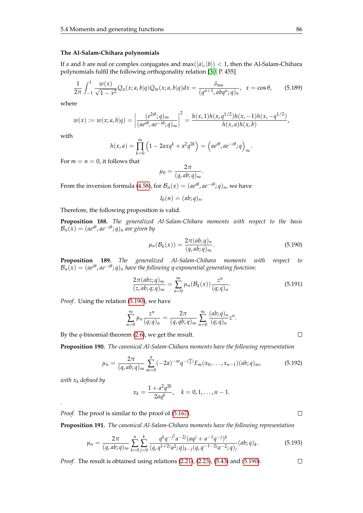#### **The Al-Salam-Chihara polynomials**

If *a* and *b* are real or complex conjugates and  $max(|a|, |b|) < 1$ , then the Al-Salam-Chihara polynomials fulfil the following orthogonality relation [\[30,](#page-104-0) P. 455]

$$
\frac{1}{2\pi} \int_{-1}^{1} \frac{w(x)}{\sqrt{1 - x^2}} Q_n(x; a, b | q) Q_m(x; a, b | q) dx = \frac{\delta_{mn}}{(q^{n+1}, abq^n; q)_n}, \ \ x = \cos \theta,
$$
 (5.189)

where

$$
w(x) := w(x; a, b | q) = \left| \frac{(e^{2i\theta}; q)_{\infty}}{(ae^{i\theta}, ae^{-i\theta}; q)_{\infty}} \right|^2 = \frac{h(x, 1)h(x, q^{1/2})h(x, -1)h(x, -q^{1/2})}{h(x, a)h(x, b)},
$$

with

$$
h(x,a) = \prod_{k=0}^{\infty} \left(1 - 2axq^{k} + a^{2}q^{2k}\right) = \left(a e^{i\theta}, a e^{-i\theta}; q\right)_{\infty}.
$$

For  $m = n = 0$ , it follows that

$$
\mu_0=\frac{2\pi}{(q,ab;q)_{\infty}}.
$$

From the inversion formula [\(4.58\)](#page-50-3), for  $\mathcal{B}_n(x) = (ae^{i\theta}, ae^{-i\theta}; q)_n$ , we have

$$
I_0(n)=(ab;q)_n.
$$

Therefore, the following proposition is valid.

**Proposition 188.** *The generalized Al-Salam-Chihara moments with respect to the basis*  $\mathcal{B}_n(x) = (ae^{i\theta}, ae^{-i\theta}; q)_n$  are given by

<span id="page-93-0"></span>
$$
\mu_n(\mathcal{B}_k(x)) = \frac{2\pi (ab;q)_n}{(q,ab;q)_\infty}.
$$
\n(5.190)

**Proposition 189.** *The generalized Al-Salam-Chihara moments with respect to*  $\mathcal{B}_n(x) = (ae^{i\theta}, ae^{-i\theta}; q)_n$  have the following q-exponential generating function:

$$
\frac{2\pi(abz;q)_{\infty}}{(z,ab,q;q)_{\infty}} = \sum_{n=0}^{\infty} \mu_n(\mathcal{B}_k(x)) \frac{z^n}{(q;q)_n}.
$$
\n(5.191)

*Proof.* Using the relation [\(5.190\)](#page-93-0), we have

$$
\sum_{n=0}^{\infty} \mu_n \frac{z^n}{(q;q)_n} = \frac{2\pi}{(q,qb;q)_{\infty}} \sum_{n=0}^{\infty} \frac{(ab;q)_n}{(q;q)_n} z^n.
$$

By the *q*-binomial theorem [\(2.6\)](#page-14-0), we get the result.

**Proposition 190.** *The canonical Al-Salam-Chihara moments have the following representation*

$$
\mu_n = \frac{2\pi}{(q, ab; q)_{\infty}} \sum_{m=0}^{n} (-2a)^{-m} q^{-\binom{m}{2}} E_m(x_0, \dots, x_{n-1})(ab; q)_m,
$$
(5.192)

*with x<sup>k</sup> defined by*

*.*

$$
x_k = \frac{1 + a^2 q^{2k}}{2aq^k}, \quad k = 0, 1, \dots, n-1.
$$

*Proof.* The proof is similar to the proof of [\(5.167\)](#page-88-2).

**Proposition 191.** *The canonical Al-Salam-Chihara moments have the following representation*

$$
\mu_n = \frac{2\pi}{(q, ab; q)_{\infty}} \sum_{k=0}^n \sum_{j=0}^k \frac{q^k q^{-j^2} a^{-2j} (aq^j + a^{-1} q^{-j})^k}{(q, q^{1+2j} a^2; q)_{k-j} (q, q^{-1-2j} a^{-2}; q)_j} (ab; q)_k.
$$
(5.193)

*Proof.* The result is obtained using relations [\(2.21\)](#page-20-0), [\(2.23\)](#page-20-1), [\(5.43\)](#page-62-0) and [\(5.190\)](#page-93-0).

 $\Box$ 

 $\Box$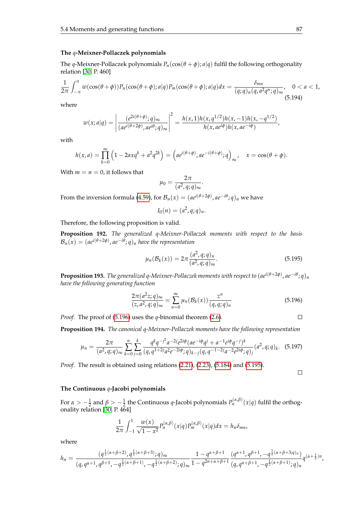#### **The** *q***-Meixner-Pollaczek polynomials**

The *q*-Meixner-Pollaczek polynomials  $P_n(\cos(\theta + \phi); a|q)$  fulfil the following orthogonality relation [\[30,](#page-104-0) P. 460]

$$
\frac{1}{2\pi}\int_{-\pi}^{\pi}w(\cos(\theta+\phi))P_n(\cos(\theta+\phi);a|q)P_m(\cos(\theta+\phi);a|q)dx = \frac{\delta_{mn}}{(q;q)_n(q,a^2q^n;q)_{\infty}}, \quad 0 < a < 1,
$$
\n(5.194)

where

$$
w(x;a|q) = \left|\frac{(e^{2i(\theta+\phi)}; q)_{\infty}}{(ae^{i(\theta+2\phi)}, ae^{i\theta}; q)_{\infty}}\right|^2 = \frac{h(x, 1)h(x, q^{1/2})h(x, -1)h(x, -q^{1/2})}{h(x, ae^{i\phi})h(x, ae^{-i\phi})},
$$

with

$$
h(x,a) = \prod_{k=0}^{\infty} \left(1 - 2axq^k + a^2q^{2k}\right) = \left(a e^{i(\theta + \phi)}, a e^{-i(\theta + \phi)}; q\right)_{\infty}, \quad x = \cos(\theta + \phi).
$$

With  $m = n = 0$ , it follows that

$$
\mu_0 = \frac{2\pi}{(a^2, q; q)_{\infty}}.
$$

From the inversion formula [\(4.59\)](#page-50-4), for  $\mathcal{B}_n(x)=(ae^{i(\theta+2\phi)},ae^{-i\theta};q)_n$  we have

<span id="page-94-1"></span>
$$
I_0(n) = (a^2, q; q)_n.
$$

Therefore, the following proposition is valid.

**Proposition 192.** *The generalized q-Meixner-Pollaczek moments with respect to the basis*  $\mathcal{B}_n(x) = (ae^{i(\theta+2\phi)}, ae^{-i\theta};q)_n$  have the representation

$$
\mu_n(\mathcal{B}_k(x)) = 2\pi \frac{(a^2, q; q)_n}{(a^2, q; q)_\infty}.
$$
\n(5.195)

**Proposition 193.** *The generalized q-Meixner-Pollaczek moments with respect to* (*aei*(*θ*+2*φ*) , *ae*−*i<sup>θ</sup>* ; *q*)*<sup>n</sup> have the following generating function*

<span id="page-94-0"></span>
$$
\frac{2\pi(a^2z;q)_\infty}{(z,a^2,q;q)_\infty} = \sum_{n=0}^\infty \mu_n(\mathcal{B}_k(x)) \frac{z^n}{(q,q;q)_n}
$$
(5.196)

*Proof.* The proof of [\(5.196\)](#page-94-0) uses the *q*-binomial theorem [\(2.6\)](#page-14-0).

**Proposition 194.** *The canonical q-Meixner-Pollaczek moments have the following representation*

$$
\mu_n = \frac{2\pi}{(a^2, q; q)_{\infty}} \sum_{k=0}^n \sum_{j=0}^k \frac{q^k q^{-j^2} a^{-2j} e^{2i\phi} (a e^{-i\phi} q^j + a^{-1} e^{i\phi} q^{-j})^k}{(q, q^{1+2j} a^2 e^{-2i\phi}; q)_{k-j} (q, q^{-1-2j} a^{-2} e^{2i\phi}; q)_j} (a^2, q; q)_k. \tag{5.197}
$$

*Proof.* The result is obtained using relations [\(2.21\)](#page-20-0), [\(2.23\)](#page-20-1), [\(5.184\)](#page-92-0) and [\(5.195\)](#page-94-1).

 $\Box$ 

 $\Box$ 

#### **The Continuous** *q***-Jacobi polynomials**

For  $\alpha > -\frac{1}{2}$  and  $\beta > -\frac{1}{2}$  the Continuous *q*-Jacobi polynomials  $P_n^{(\alpha,\beta)}(x|q)$  fulfil the orthogonality relation [\[30,](#page-104-0) P. 464]

$$
\frac{1}{2\pi}\int_{-1}^1\frac{w(x)}{\sqrt{1-x^2}}P_n^{(\alpha,\beta)}(x|q)P_m^{(\alpha,\beta)}(x|q)dx=h_n\delta_{mn},
$$

where

$$
h_n = \frac{(q^{\frac{1}{2}(\alpha+\beta+2)}, q^{\frac{1}{2}(\alpha+\beta+3)}; q)_{\infty}}{(q, q^{\alpha+1}, q^{\beta+1}, -q^{\frac{1}{2}(\alpha+\beta+1)}, -q^{\frac{1}{2}(\alpha+\beta+2)}; q)_{\infty}} \frac{1 - q^{\alpha+\beta+1}}{1 - q^{2n+\alpha+\beta+1}} \frac{(q^{\alpha+1}, q^{\beta+1}, -q^{\frac{1}{2}(\alpha+\beta+3)}; q)_{n}}{(q, q^{\alpha+\beta+1}, -q^{\frac{1}{2}(\alpha+\beta+1)}; q)_{n}} q^{(\alpha+\frac{1}{2})n}
$$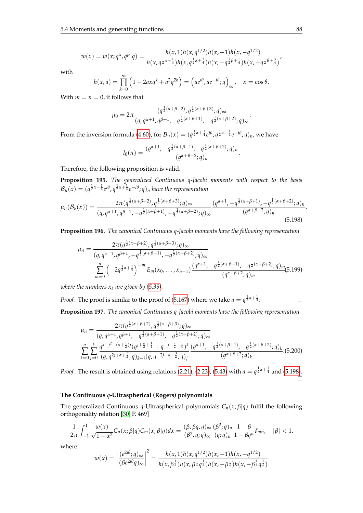$$
w(x) = w(x;q^{\alpha},q^{\beta} | q) = \frac{h(x,1)h(x,q^{1/2})h(x,-1)h(x,-q^{1/2})}{h(x,q^{\frac{1}{2}\alpha+\frac{1}{4}})h(x,q^{\frac{1}{2}\alpha+\frac{3}{4}})h(x,-q^{\frac{1}{2}\beta+\frac{1}{4}})h(x,-q^{\frac{1}{2}\beta+\frac{3}{4}})}.
$$

with

$$
h(x,a) = \prod_{k=0}^{\infty} \left(1 - 2axq^k + a^2q^{2k}\right) = \left(a e^{i\theta}, a e^{-i\theta}; q\right)_{\infty}, \quad x = \cos \theta.
$$

With  $m = n = 0$ , it follows that

$$
\mu_0 = 2\pi \frac{(q^{\frac{1}{2}(\alpha+\beta+2)}, q^{\frac{1}{2}(\alpha+\beta+3)}; q)_{\infty}}{(q, q^{\alpha+1}, q^{\beta+1}, -q^{\frac{1}{2}(\alpha+\beta+1)}, -q^{\frac{1}{2}(\alpha+\beta+2)}; q)_{\infty}}
$$

From the inversion formula [\(4.60\)](#page-50-5), for  $\mathcal{B}_n(x)=(q^{\frac{1}{2}\alpha+\frac{1}{4}}e^{i\theta},q^{\frac{1}{2}\alpha+\frac{1}{4}}e^{-i\theta};q)_n$ , we have

$$
I_0(n) = \frac{(q^{\alpha+1}, -q^{\frac{1}{2}(\alpha+\beta+1)}, -q^{\frac{1}{2}(\alpha+\beta+2)}; q)_n}{(q^{\alpha+\beta+2}; q)_n}.
$$

Therefore, the following proposition is valid.

**Proposition 195.** *The generalized Continuous q-Jacobi moments with respect to the basis*  $\mathcal{B}_n(x)=(q^{\frac{1}{2}\alpha+\frac{1}{4}}e^{i\theta},q^{\frac{1}{2}\alpha+\frac{1}{4}}e^{-i\theta};q)_n$  have the representation

$$
\mu_n(\mathcal{B}_k(x)) = \frac{2\pi (q^{\frac{1}{2}(\alpha+\beta+2)}, q^{\frac{1}{2}(\alpha+\beta+3)}; q)_{\infty}}{(q, q^{\alpha+1}, q^{\beta+1}, -q^{\frac{1}{2}(\alpha+\beta+1)}, -q^{\frac{1}{2}(\alpha+\beta+2)}; q)_{\infty}} \frac{(q^{\alpha+1}, -q^{\frac{1}{2}(\alpha+\beta+1)}, -q^{\frac{1}{2}(\alpha+\beta+2)}; q)_n}{(q^{\alpha+\beta+2}; q)_n}.
$$
\n(5.198)

**Proposition 196.** *The canonical Continuous q-Jacobi moments have the following representation*

$$
\mu_n = \frac{2\pi (q^{\frac{1}{2}(\alpha+\beta+2)}, q^{\frac{1}{2}(\alpha+\beta+3)}; q)_{\infty}}{(q, q^{\alpha+1}, q^{\beta+1}, -q^{\frac{1}{2}(\alpha+\beta+1)}, -q^{\frac{1}{2}(\alpha+\beta+2)}; q)_{\infty}}
$$

$$
\sum_{m=0}^n \left(-2q^{\frac{1}{2}\alpha+\frac{1}{4}}\right)^{-m} E_m(x_0, \dots, x_{n-1}) \frac{(q^{\alpha+1}, -q^{\frac{1}{2}(\alpha+\beta+1)}, -q^{\frac{1}{2}(\alpha+\beta+2)}; q)_{m}}{(q^{\alpha+\beta+2}; q)_{m}} (5.199)
$$

*where the numbers*  $x_k$  *are given by [\(5.39\)](#page-61-0).* 

*Proof.* The proof is similar to the proof of [\(5.167\)](#page-88-2) where we take  $a = q^{\frac{1}{2}\alpha + \frac{1}{4}}$ .  $\Box$ 

**Proposition 197.** *The canonical Continuous q-Jacobi moments have the following representation*

$$
\mu_n = \frac{2\pi (q^{\frac{1}{2}(\alpha+\beta+2)}, q^{\frac{1}{2}(\alpha+\beta+3)}; q)_{\infty}}{(q, q^{\alpha+1}, q^{\beta+1}, -q^{\frac{1}{2}(\alpha+\beta+1)}, -q^{\frac{1}{2}(\alpha+\beta+2)}; q)_{\infty}}
$$

$$
\sum_{k=0}^{n} \sum_{j=0}^{k} \frac{q^{k-j^2 - (\alpha+\frac{1}{2})j} (q^{j+\frac{\alpha}{2}+\frac{1}{4}} + q^{-j-\frac{\alpha}{2}-\frac{1}{4}})^k}{(q, q^{2j+\alpha+\frac{3}{2}}; q)_{k-j} (q, q^{-2j-\alpha-\frac{3}{2}}; q)_j} \frac{(q^{\alpha+1}, -q^{\frac{1}{2}(\alpha+\beta+1)}, -q^{\frac{1}{2}(\alpha+\beta+2)}; q)_k}{(q^{\alpha+\beta+2}; q)_k}.
$$
(5.200)

*Proof.* The result is obtained using relations [\(2.21\)](#page-20-0), [\(2.23\)](#page-20-1), [\(5.43\)](#page-62-0) with  $a = q^{\frac{1}{2}\alpha + \frac{1}{4}}$  and [\(5.198\)](#page-95-0).  $\Box$ 

#### **The Continuous** *q***-Ultraspherical (Rogers) polynomials**

The generalized Continuous *q*-Ultraspherical polynomials *Cn*(*x*; *β*|*q*) fulfil the following orthogonality relation [\[30,](#page-104-0) P. 469]

$$
\frac{1}{2\pi}\int_{-1}^1\frac{w(x)}{\sqrt{1-x^2}}C_n(x;\beta|q)C_m(x;\beta|q)dx=\frac{(\beta,\beta q,q)_{\infty}}{(\beta^2,q;q)_{\infty}}\frac{(\beta^2;q)_n}{(q;q)_n}\frac{1-\beta}{1-\beta q^n}\delta_{mn},\quad |\beta|<1,
$$

where

$$
w(x) = \left| \frac{(e^{2i\theta}; q)_{\infty}}{(\beta e^{2i\theta} q)_{\infty}} \right|^2 = \frac{h(x, 1)h(x, q^{1/2})h(x, -1)h(x, -q^{1/2})}{h(x, \beta^{\frac{1}{2}})h(x, \beta^{\frac{1}{2}}q^{\frac{1}{2}})h(x, -\beta^{\frac{1}{2}})h(x, -\beta^{\frac{1}{2}}q^{\frac{1}{2}})}
$$

<span id="page-95-0"></span>.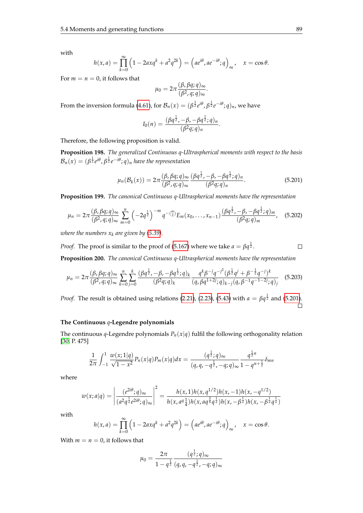∞

with

$$
h(x,a) = \prod_{k=0}^{\infty} \left(1 - 2axq^{k} + a^{2}q^{2k}\right) = \left(a e^{i\theta}, a e^{-i\theta}; q\right)_{\infty}, \quad x = \cos \theta.
$$

For  $m = n = 0$ , it follows that

$$
\mu_0=2\pi\frac{(\beta,\beta q;q)_\infty}{(\beta^2,q;q)_\infty}.
$$

From the inversion formula [\(4.61\)](#page-50-6), for  $\mathcal{B}_n(x)=(\beta^{\frac{1}{2}}e^{i\theta},\beta^{\frac{1}{2}}e^{-i\theta};q)_n$ , we have

<span id="page-96-0"></span>
$$
I_0(n) = \frac{(\beta q^{\frac{1}{2}}, -\beta, -\beta q^{\frac{1}{2}}; q)_n}{(\beta^2 q; q)_n}.
$$

Therefore, the following proposition is valid.

**Proposition 198.** *The generalized Continuous q-Ultraspherical moments with respect to the basis*  $\mathcal{B}_n(x) = (\beta^{\frac{1}{2}}e^{i\theta}, \beta^{\frac{1}{2}}e^{-i\theta};q)_n$  have the representation

$$
\mu_n(\mathcal{B}_k(x)) = 2\pi \frac{(\beta, \beta q; q)_{\infty}}{(\beta^2, q; q)_{\infty}} \frac{(\beta q^{\frac{1}{2}}, -\beta, -\beta q^{\frac{1}{2}}; q)_n}{(\beta^2 q; q)_n}.
$$
\n(5.201)

**Proposition 199.** *The canonical Continuous q-Ultraspherical moments have the representation*

$$
\mu_n = 2\pi \frac{(\beta, \beta q; q)_{\infty}}{(\beta^2, q; q)_{\infty}} \sum_{m=0}^n \left(-2q^{\frac{1}{2}}\right)^{-m} q^{-\binom{m}{2}} E_m(x_0, \dots, x_{n-1}) \frac{(\beta q^{\frac{1}{2}}, -\beta, -\beta q^{\frac{1}{2}}; q)_m}{(\beta^2 q; q)_m}, \quad (5.202)
$$

*where the numbers*  $x_k$  *are given by [\(5.39\)](#page-61-0).* 

*Proof.* The proof is similar to the proof of [\(5.167\)](#page-88-2) where we take  $a = \beta q^{\frac{1}{2}}$ .

$$
\Box
$$

**Proposition 200.** *The canonical Continuous q-Ultraspherical moments have the representation*  $\mathbf{r}$ 

$$
\mu_n = 2\pi \frac{(\beta, \beta q; q)_{\infty}}{(\beta^2, q; q)_{\infty}} \sum_{k=0}^n \sum_{j=0}^k \frac{(\beta q^{\frac{1}{2}}, -\beta, -\beta q^{\frac{1}{2}}; q)_k}{(\beta^2 q; q)_k} \frac{q^k \beta^{-j} q^{-j^2} (\beta^{\frac{1}{2}} q^j + \beta^{-\frac{1}{2}} q^{-j})^k}{(q, \beta q^{1+2j}; q)_{k-j} (q, \beta^{-1} q^{-1-2j}; q)_j}
$$
(5.203)

*Proof.* The result is obtained using relations [\(2.21\)](#page-20-0), [\(2.23\)](#page-20-1), [\(5.43\)](#page-62-0) with  $a = \beta q^{\frac{1}{2}}$  and [\(5.201\)](#page-96-0).  $\Box$ 

#### **The Continuous** *q***-Legendre polynomials**

The continuous *q*-Legendre polynomials  $P_n(x|q)$  fulfil the following orthogonality relation [\[30,](#page-104-0) P. 475]

$$
\frac{1}{2\pi}\int_{-1}^{1} \frac{w(x;1|q)}{\sqrt{1-x^2}} P_n(x|q) P_m(x|q) dx = \frac{(q^{\frac{1}{2}}; q)_{\infty}}{(q, q, -q^{\frac{1}{2}}, -q; q)_{\infty}} \frac{q^{\frac{1}{2}n}}{1-q^{n+\frac{1}{2}}} \delta_{mn}
$$

where

$$
w(x;a|q) = \left| \frac{(e^{2i\theta};q)_{\infty}}{(a^2q^{\frac{1}{2}}e^{2i\theta};q)_{\infty}} \right|^2 = \frac{h(x,1)h(x,q^{1/2})h(x,-1)h(x,-q^{1/2})}{h(x,a^q_{\frac{1}{4}})h(x,aq^{\frac{3}{4}}q^{\frac{1}{2}})h(x,-\beta^{\frac{1}{2}})h(x,-\beta^{\frac{1}{2}}q^{\frac{1}{2}})}
$$

with

$$
h(x,a) = \prod_{k=0}^{\infty} \left(1 - 2axq^{k} + a^{2}q^{2k}\right) = \left(a e^{i\theta}, a e^{-i\theta}; q\right)_{\infty}, \quad x = \cos \theta.
$$

With  $m = n = 0$ , it follows that

$$
\mu_0 = \frac{2\pi}{1 - q^{\frac{1}{2}}} \frac{(q^{\frac{1}{2}}; q)_{\infty}}{(q, q, -q^{\frac{1}{2}}, -q; q)_{\infty}}
$$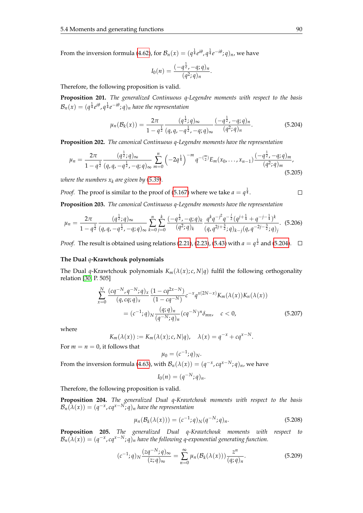From the inversion formula [\(4.62\)](#page-51-0), for  $\mathcal{B}_n(x)=(q^{\frac{1}{4}}e^{i\theta},q^{\frac{1}{4}}e^{-i\theta};q)_n$ , we have

<span id="page-97-0"></span>
$$
I_0(n) = \frac{(-q^{\frac{1}{2}}, -q; q)_n}{(q^2; q)_n}.
$$

Therefore, the following proposition is valid.

**Proposition 201.** *The generalized Continuous q-Legendre moments with respect to the basis*  $\mathcal{B}_n(x) = (q^{\frac{1}{4}}e^{i\theta}, q^{\frac{1}{4}}e^{-i\theta}; q)_n$  have the representation

$$
\mu_n(\mathcal{B}_k(x)) = \frac{2\pi}{1 - q^{\frac{1}{2}}} \frac{(q^{\frac{1}{2}}; q)_{\infty}}{(q, q, -q^{\frac{1}{2}}, -q; q)_{\infty}} \frac{(-q^{\frac{1}{2}}, -q; q)_n}{(q^2; q)_n}.
$$
(5.204)

**Proposition 202.** *The canonical Continuous q-Legendre moments have the representation*

$$
\mu_n = \frac{2\pi}{1 - q^{\frac{1}{2}}} \frac{(q^{\frac{1}{2}}; q)_{\infty}}{(q, q, -q^{\frac{1}{2}}, -q; q)_{\infty}} \sum_{m=0}^n \left(-2q^{\frac{1}{4}}\right)^{-m} q^{-(\frac{m}{2})} E_m(x_0, \dots, x_{n-1}) \frac{(-q^{\frac{1}{2}}, -q; q)_m}{(q^2; q)_m},
$$
\n(5.205)

*where the numbers*  $x_k$  *are given by [\(5.39\)](#page-61-0).* 

*Proof.* The proof is similar to the proof of [\(5.167\)](#page-88-2) where we take  $a = q^{\frac{1}{4}}$ .

**Proposition 203.** *The canonical Continuous q-Legendre moments have the representation*

$$
\mu_n = \frac{2\pi}{1 - q^{\frac{1}{2}}} \frac{(q^{\frac{1}{2}}; q)_{\infty}}{(q, q, -q^{\frac{1}{2}}, -q; q)_{\infty}} \sum_{k=0}^n \sum_{j=0}^k \frac{(-q^{\frac{1}{2}}, -q; q)_k}{(q^2; q)_k} \frac{q^k q^{-j^2} q^{-\frac{j}{2}} (q^{j+\frac{1}{4}} + q^{-j-\frac{1}{4}})^k}{(q, q^{2j+\frac{3}{2}}; q)_{k-j} (q, q^{-2j-\frac{3}{2}}; q)_j}.
$$
(5.206)

*Proof.* The result is obtained using relations [\(2.21\)](#page-20-0), [\(2.23\)](#page-20-1), [\(5.43\)](#page-62-0) with  $a = q^{\frac{1}{2}}$  and [\(5.204\)](#page-97-0).

#### **The Dual** *q***-Krawtchouk polynomials**

The Dual *q*-Krawtchouk polynomials  $K_m(\lambda(x); c, N|q)$  fulfil the following orthogonality relation [\[30,](#page-104-0) P. 505]

$$
\sum_{x=0}^{N} \frac{(cq^{-N}, q^{-N}; q)_x}{(q, cq; q)_x} \frac{(1 - cq^{2x - N})}{(1 - cq^{-N})} c^{-x} q^{x(2N - x)} K_m(\lambda(x)) K_n(\lambda(x))
$$
  
=  $(c^{-1}; q)_N \frac{(q; q)_n}{(q^{-N}; q)_n} (cq^{-N})^n \delta_{mn}, \quad c < 0,$  (5.207)

where

$$
K_m(\lambda(x)) := K_m(\lambda(x); c, N|q), \quad \lambda(x) = q^{-x} + cq^{x-N}.
$$

For  $m = n = 0$ , it follows that

$$
\mu_0=(c^{-1};q)_N.
$$

From the inversion formula [\(4.63\)](#page-51-1), with  $\mathcal{B}_n(\lambda(x)) = (q^{-x}, cq^{x-N}; q)_n$ , we have

$$
I_0(n)=(q^{-N};q)_n.
$$

Therefore, the following proposition is valid.

**Proposition 204.** *The generalized Dual q-Krawtchouk moments with respect to the basis*  $\mathcal{B}_n(\lambda(x)) = (q^{-x}, cq^{x-N}; q)_n$  have the representation

$$
\mu_n(\mathcal{B}_k(\lambda(x))) = (c^{-1};q)_N(q^{-N};q)_n.
$$
\n(5.208)

**Proposition 205.** *The generalized Dual q-Krawtchouk moments with respect to*  $\mathcal{B}_n(\lambda(x)) = (q^{-x}, cq^{x-N}; q)_n$  have the following q-exponential generating function.

$$
(c^{-1};q)_N \frac{(zq^{-N};q)_{\infty}}{(z;q)_{\infty}} = \sum_{n=0}^{\infty} \mu_n(\mathcal{B}_k(\lambda(x))) \frac{z^n}{(q;q)_n}.
$$
 (5.209)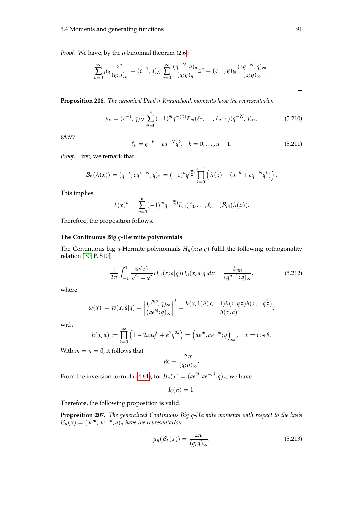*Proof.* We have, by the *q*-binomial theorem [\(2.6\)](#page-14-0):

$$
\sum_{n=0}^{\infty} \mu_n \frac{z^n}{(q;q)_n} = (c^{-1};q)_N \sum_{n=0}^{\infty} \frac{(q^{-N};q)_n}{(q;q)_n} z^n = (c^{-1};q)_N \frac{(zq^{-N};q)_{\infty}}{(z;q)_{\infty}}.
$$

**Proposition 206.** *The canonical Dual q-Krawtchouk moments have the representation*

$$
\mu_n = (c^{-1}; q)_N \sum_{m=0}^n (-1)^m q^{-(\frac{m}{2})} E_m(\ell_0, \dots, \ell_{n-1}) (q^{-N}; q)_m,
$$
\n(5.210)

*where*

$$
\ell_k = q^{-k} + cq^{-N}q^k, \quad k = 0, ..., n - 1.
$$
 (5.211)

*Proof.* First, we remark that

$$
\mathcal{B}_n(\lambda(x)) = (q^{-x}, cq^{x-N}; q)_n = (-1)^n q^{\binom{n}{2}} \prod_{k=0}^{n-1} (\lambda(x) - (q^{-k} + cq^{-N}q^k)).
$$

This implies

$$
\lambda(x)^n = \sum_{m=0}^n (-1)^m q^{-\binom{m}{2}} E_m(\ell_0, \ldots, \ell_{n-1}) \mathcal{B}_m(\lambda(x)).
$$

Therefore, the proposition follows.

## $\Box$

### **The Continuous Big** *q***-Hermite polynomials**

The Continuous big *q*-Hermite polynomials  $H_n(x; a|q)$  fulfil the following orthogonality relation [\[30,](#page-104-0) P. 510]

$$
\frac{1}{2\pi} \int_{-1}^{1} \frac{w(x)}{\sqrt{1 - x^2}} H_m(x; a|q) H_n(x; a|q) dx = \frac{\delta_{mn}}{(q^{n+1}; q)_{\infty}},
$$
(5.212)

where

$$
w(x) := w(x; a|q) = \left|\frac{(e^{2i\theta}; q)_{\infty}}{(ae^{i\theta}; q)_{\infty}}\right|^2 = \frac{h(x, 1)h(x, -1)h(x, q^{\frac{1}{2}})h(x, -q^{\frac{1}{2}})}{h(x, a)},
$$

with

$$
h(x,\alpha) := \prod_{k=0}^{\infty} \left(1 - 2\alpha x q^k + \alpha^2 q^{2k}\right) = \left(\alpha e^{i\theta}, \alpha e^{-i\theta}; q\right)_{\infty}, \quad x = \cos \theta.
$$

With  $m = n = 0$ , it follows that

$$
\mu_0 = \frac{2\pi}{(q;q)_{\infty}}.
$$

From the inversion formula [\(4.64\)](#page-51-2), for  $\mathcal{B}_n(x) = (ae^{i\theta}, ae^{-i\theta}; q)_n$ , we have

<span id="page-98-0"></span>
$$
I_0(n)=1.
$$

Therefore, the following proposition is valid.

**Proposition 207.** *The generalized Continuous Big q-Hermite moments with respect to the basis*  $\mathcal{B}_n(x) = (ae^{i\theta}, ae^{-i\theta}; q)_n$  have the representation

$$
\mu_n(\mathcal{B}_k(x)) = \frac{2\pi}{(q;q)_{\infty}}.\tag{5.213}
$$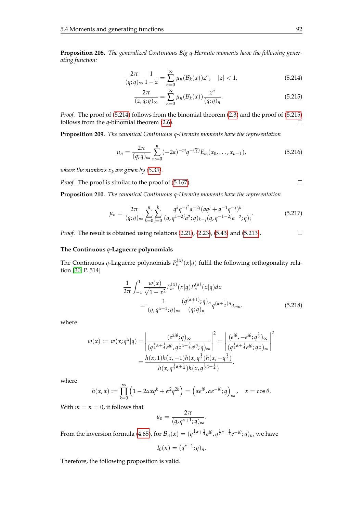**Proposition 208.** *The generalized Continuous Big q-Hermite moments have the following generating function:*

<span id="page-99-0"></span>
$$
\frac{2\pi}{(q;q)_{\infty}}\frac{1}{1-z} = \sum_{n=0}^{\infty} \mu_n(\mathcal{B}_k(x))z^n, \quad |z| < 1,\tag{5.214}
$$

$$
\frac{2\pi}{(z,q;q)_{\infty}} = \sum_{n=0}^{\infty} \mu_n(\mathcal{B}_k(x)) \frac{z^n}{(q;q)_n}.
$$
\n(5.215)

*Proof.* The proof of [\(5.214\)](#page-99-0) follows from the binomial theorem [\(2.3\)](#page-14-1) and the proof of [\(5.215\)](#page-99-0) follows from the *q*-binomial theorem [\(2.6\)](#page-14-0).  $\Box$ 

**Proposition 209.** *The canonical Continuous q-Hermite moments have the representation*

$$
\mu_n = \frac{2\pi}{(q;q)_{\infty}} \sum_{m=0}^n (-2a)^{-m} q^{-\binom{m}{2}} E_m(x_0, \dots, x_{n-1}), \tag{5.216}
$$

*where the numbers*  $x_k$  *are given by [\(5.39\)](#page-61-0).* 

*Proof.* The proof is similar to the proof of [\(5.167\)](#page-88-2).

**Proposition 210.** *The canonical Continuous q-Hermite moments have the representation*

$$
\mu_n = \frac{2\pi}{(q;q)_{\infty}} \sum_{k=0}^n \sum_{j=0}^k \frac{q^k q^{-j^2} a^{-2j} (aq^j + a^{-1}q^{-j})^k}{(q,q^{1+2j}a^2;q)_{k-j} (q,q^{-1-2j}a^{-2};q)_j}.
$$
(5.217)

*Proof.* The result is obtained using relations [\(2.21\)](#page-20-0), [\(2.23\)](#page-20-1), [\(5.43\)](#page-62-0) and [\(5.213\)](#page-98-0).

#### **The Continuous** *q***-Laguerre polynomials**

The Continuous *q*-Laguerre polynomials  $P_n^{(\alpha)}(x|q)$  fulfil the following orthogonality relation [\[30,](#page-104-0) P. 514]

$$
\frac{1}{2\pi} \int_{-1}^{1} \frac{w(x)}{\sqrt{1 - x^2}} P_m^{(\alpha)}(x|q) P_n^{(\alpha)}(x|q) dx \n= \frac{1}{(q, q^{\alpha+1}; q)_{\infty}} \frac{(q^{(\alpha+1)}; q)_n}{(q; q)_n} q^{(\alpha + \frac{1}{2})n} \delta_{mn}.
$$
\n(5.218)

where

$$
w(x) := w(x; q^{\alpha} | q) = \left| \frac{(e^{2i\theta}; q)_{\infty}}{(q^{\frac{1}{2}\alpha + \frac{1}{4}} e^{i\theta}, q^{\frac{1}{2}\alpha + \frac{3}{4}} e^{i\theta}; q)_{\infty}} \right|^2 = \left| \frac{(e^{i\theta}, -e^{i\theta}; q^{\frac{1}{2}})_{\infty}}{(q^{\frac{1}{2}\alpha + \frac{1}{4}} e^{i\theta}; q^{\frac{1}{2}})_{\infty}} \right|^2
$$

$$
= \frac{h(x, 1)h(x, -1)h(x, q^{\frac{1}{2}})h(x, -q^{\frac{1}{2}})}{h(x, q^{\frac{1}{2}\alpha + \frac{1}{4}})h(x, q^{\frac{1}{2}\alpha + \frac{4}{4}})},
$$

where

$$
h(x,\alpha) := \prod_{k=0}^{\infty} \left(1 - 2\alpha x q^k + \alpha^2 q^{2k}\right) = \left(\alpha e^{i\theta}, \alpha e^{-i\theta}; q\right)_{\infty}, \quad x = \cos \theta.
$$

With  $m = n = 0$ , it follows that

$$
\mu_0 = \frac{2\pi}{(q, q^{\alpha+1}; q)_{\infty}}.
$$

From the inversion formula [\(4.65\)](#page-51-3), for  $\mathcal{B}_n(x)=(q^{\frac{1}{2}\alpha+\frac{1}{4}}e^{i\theta},q^{\frac{1}{2}\alpha+\frac{1}{4}}e^{-i\theta};q)_n$ , we have

$$
I_0(n)=(q^{\alpha+1};q)_n.
$$

Therefore, the following proposition is valid.

$$
\qquad \qquad \Box
$$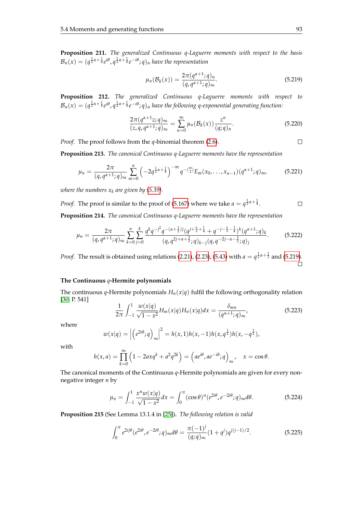**Proposition 211.** *The generalized Continuous q-Laguerre moments with respect to the basis*  $\mathcal{B}_n(x)=(q^{\frac{1}{2}\alpha+\frac{1}{4}}e^{i\theta},q^{\frac{1}{2}\alpha+\frac{1}{4}}e^{-i\theta};q)_n$  have the representation

<span id="page-100-0"></span>
$$
\mu_n(\mathcal{B}_k(x)) = \frac{2\pi (q^{\alpha+1};q)_n}{(q, q^{\alpha+1};q)_{\infty}}.
$$
\n(5.219)

**Proposition 212.** *The generalized Continuous q-Laguerre moments with respect to*  $\mathcal{B}_n(x)=(q^{\frac{1}{2}\alpha+\frac{1}{4}}e^{i\theta},q^{\frac{1}{2}\alpha+\frac{1}{4}}e^{-i\theta};q)_n$  have the following q-exponential generating function:

$$
\frac{2\pi(q^{\alpha+1}z;q)_{\infty}}{(z,q,q^{\alpha+1};q)_{\infty}} = \sum_{n=0}^{\infty} \mu_n(\mathcal{B}_k(x)) \frac{z^n}{(q;q)_n}.
$$
\n(5.220)

*Proof.* The proof follows from the *q*-binomial theorem [\(2.6\)](#page-14-0).

**Proposition 213.** *The canonical Continuous q-Laguerre moments have the representation*

$$
\mu_n = \frac{2\pi}{(q, q^{\alpha+1}; q)_{\infty}} \sum_{m=0}^n \left( -2q^{\frac{1}{2}\alpha + \frac{1}{4}} \right)^{-m} q^{-\binom{m}{2}} E_m(x_0, \dots, x_{n-1}) \left( q^{\alpha+1}; q \right)_m, \tag{5.221}
$$

*where the numbers*  $x_k$  *are given by [\(5.39\)](#page-61-0).* 

*Proof.* The proof is similar to the proof of [\(5.167\)](#page-88-2) where we take  $a = q^{\frac{1}{2}\alpha + \frac{1}{4}}$ .  $\Box$ 

**Proposition 214.** *The canonical Continuous q-Laguerre moments have the representation*

$$
\mu_n = \frac{2\pi}{(q, q^{\alpha+1}; q)_{\infty}} \sum_{k=0}^n \sum_{j=0}^k \frac{q^k q^{-j^2} q^{-(\alpha+\frac{1}{2})j} (q^{j+\frac{\alpha}{2}+\frac{1}{4}} + q^{-j-\frac{\alpha}{2}-\frac{1}{4}})^k (q^{\alpha+1}; q)_k}{(q, q^{2j+\alpha+\frac{3}{2}}; q)_{k-j} (q, q^{-2j-\alpha-\frac{3}{2}}; q)_j}.
$$
(5.222)

*Proof.* The result is obtained using relations [\(2.21\)](#page-20-0), [\(2.23\)](#page-20-1), [\(5.43\)](#page-62-0) with  $a = q^{\frac{1}{2}\alpha + \frac{1}{2}}$  and [\(5.219\)](#page-100-0).  $\Box$ 

## **The Continuous** *q***-Hermite polynomials**

The continuous *q*-Hermite polynomials  $H_n(x|q)$  fulfil the following orthogonality relation [\[30,](#page-104-0) P. 541]

$$
\frac{1}{2\pi} \int_{-1}^{1} \frac{w(x|q)}{\sqrt{1-x^2}} H_m(x|q) H_n(x|q) dx = \frac{\delta_{mn}}{(q^{n+1};q)_{\infty}},
$$
\n(5.223)

where

$$
w(x|q) = \left| \left( e^{2i\theta}; q \right)_{\infty} \right|^2 = h(x, 1)h(x, -1)h(x, q^{\frac{1}{2}})h(x, -q^{\frac{1}{2}}),
$$

with

$$
h(x,a) = \prod_{k=0}^{\infty} \left(1 - 2axq^k + a^2q^{2k}\right) = \left(a e^{i\theta}, a e^{-i\theta}; q\right)_{\infty}, \quad x = \cos \theta.
$$

The canonical moments of the Continuous *q*-Hermite polynomials are given for every nonnegative integer *n* by

$$
\mu_n = \int_{-1}^1 \frac{x^n w(x|q)}{\sqrt{1 - x^2}} dx = \int_0^\pi (\cos \theta)^n (e^{2i\theta}, e^{-2i\theta}; q)_{\infty} d\theta.
$$
 (5.224)

**Proposition 215** (See Lemma 13.1.4 in [\[25\]](#page-104-2))**.** *The following relation is valid*

<span id="page-100-1"></span>
$$
\int_0^\pi e^{2ij\theta} (e^{2i\theta}, e^{-2i\theta}; q)_{\infty} d\theta = \frac{\pi (-1)^j}{(q; q)_{\infty}} (1+q^j) q^{j(j-1)/2}.
$$
 (5.225)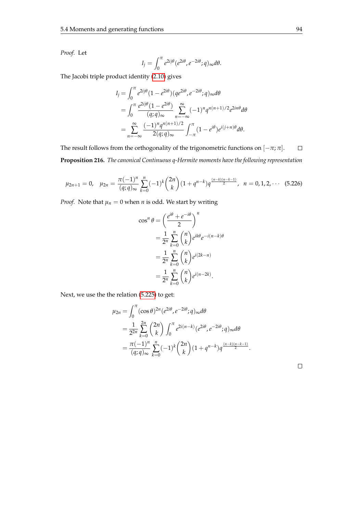*Proof.* Let

$$
I_j = \int_0^{\pi} e^{2ij\theta} (e^{2i\theta}, e^{-2i\theta}; q)_{\infty} d\theta.
$$

The Jacobi triple product identity [\(2.10\)](#page-15-1) gives

$$
I_j = \int_0^{\pi} e^{2ij\theta} (1 - e^{2i\theta}) (qe^{2i\theta}, e^{-2i\theta}; q) \infty d\theta
$$
  
= 
$$
\int_0^{\pi} \frac{e^{2ij\theta} (1 - e^{2i\theta})}{(q; q) \infty} \sum_{n = -\infty}^{\infty} (-1)^n q^{n(n+1)/2} e^{2in\theta} d\theta
$$
  
= 
$$
\sum_{n = -\infty}^{\infty} \frac{(-1)^n q^{n(n+1)/2}}{2(q; q) \infty} \int_{-\pi}^{\pi} (1 - e^{i\theta}) e^{i(j+n)\theta} d\theta.
$$

The result follows from the orthogonality of the trigonometric functions on  $[-\pi; \pi]$ .  $\Box$ **Proposition 216.** *The canonical Continuous q-Hermite moments have the following representation*

$$
\mu_{2n+1} = 0, \quad \mu_{2n} = \frac{\pi (-1)^n}{(q;q)_{\infty}} \sum_{k=0}^n (-1)^k {2n \choose k} (1+q^{n-k}) q^{\frac{(n-k)(n-k-1)}{2}}, \quad n = 0, 1, 2, \cdots \quad (5.226)
$$

*Proof.* Note that  $\mu_n = 0$  when *n* is odd. We start by writing

$$
\cos^n \theta = \left(\frac{e^{i\theta} + e^{-i\theta}}{2}\right)^n
$$
  
=  $\frac{1}{2^n} \sum_{k=0}^n {n \choose k} e^{ik\theta} e^{-i(n-k)\theta}$   
=  $\frac{1}{2^n} \sum_{k=0}^n {n \choose k} e^{i(2k-n)}$   
=  $\frac{1}{2^n} \sum_{k=0}^n {n \choose k} e^{i(n-2k)}$ .

Next, we use the the relation [\(5.225\)](#page-100-1) to get:

$$
\mu_{2n} = \int_0^{\pi} (\cos \theta)^{2n} (e^{2i\theta}, e^{-2i\theta}; q) \omega d\theta
$$
  
= 
$$
\frac{1}{2^{2n}} \sum_{k=0}^{2n} {2n \choose k} \int_0^{\pi} e^{2i(n-k)} (e^{2i\theta}, e^{-2i\theta}; q) \omega d\theta
$$
  
= 
$$
\frac{\pi (-1)^n}{(q;q)_{\infty}} \sum_{k=0}^n (-1)^k {2n \choose k} (1+q^{n-k}) q^{\frac{(n-k)(n-k-1)}{2}}.
$$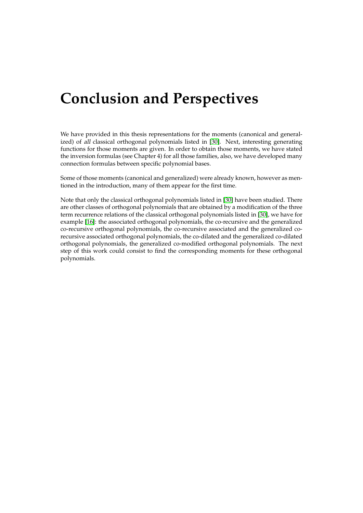## **Conclusion and Perspectives**

We have provided in this thesis representations for the moments (canonical and generalized) of all classical orthogonal polynomials listed in [\[30\]](#page-104-0). Next, interesting generating functions for those moments are given. In order to obtain those moments, we have stated the inversion formulas (see Chapter 4) for all those families, also, we have developed many connection formulas between specific polynomial bases.

Some of those moments (canonical and generalized) were already known, however as mentioned in the introduction, many of them appear for the first time.

Note that only the classical orthogonal polynomials listed in [\[30\]](#page-104-0) have been studied. There are other classes of orthogonal polynomials that are obtained by a modification of the three term recurrence relations of the classical orthogonal polynomials listed in [\[30\]](#page-104-0), we have for example [\[16\]](#page-103-4): the associated orthogonal polynomials, the co-recursive and the generalized co-recursive orthogonal polynomials, the co-recursive associated and the generalized corecursive associated orthogonal polynomials, the co-dilated and the generalized co-dilated orthogonal polynomials, the generalized co-modified orthogonal polynomials. The next step of this work could consist to find the corresponding moments for these orthogonal polynomials.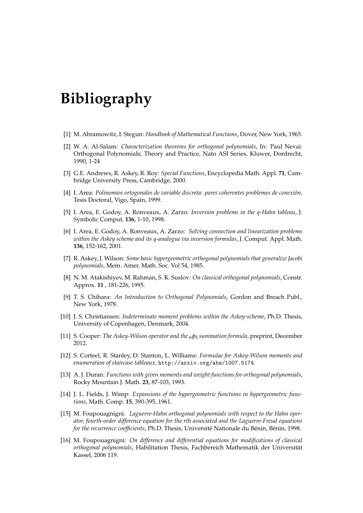# **Bibliography**

- [1] M. Abramowitz, I. Stegun: *Handbook of Mathematical Functions*, Dover, New York, 1965.
- [2] W. A. Al-Salam: *Characterization theorems for orthogonal polynomials*, In: Paul Nevai: Orthogonal Polynomials; Theory and Practice, Nato ASI Series, Kluwer, Dordrecht, 1990, 1-24
- [3] G.E. Andrews, R. Askey, R. Roy: *Special Functions*, Encyclopedia Math. Appl. **71**, Cambridge University Press, Cambridge, 2000.
- <span id="page-103-0"></span>[4] I. Area: *Polinomios ortogonales de variable discreta: pares coherentes problemes de conexión*, Tesis Doctoral, Vigo, Spain, 1999.
- [5] I. Area, E. Godoy, A. Ronveaux, A. Zarzo: *Inversion problems in the q-Hahn tableau*, J. Symbolic Comput. **136**, 1-10, 1998.
- [6] I. Area, E. Godoy, A. Ronveaux, A. Zarzo: *Solving connection and linearization problems within the Askey scheme and its q-analogue via inversion formulas*, J. Comput. Appl. Math. **136**, 152-162, 2001.
- [7] R. Askey, J. Wilson: *Some basic hypergeometric orthogonal polynomials that generalize Jacobi polynomials*, Mem. Amer. Math. Soc. Vol 54, 1985.
- [8] N. M. Atakishiyev, M. Rahman, S. K. Suslov: *On classical orthogonal polynomials*, Constr. Approx. **11** , 181-226, 1995.
- <span id="page-103-1"></span>[9] T. S. Chihara: *An Introduction to Orthogonal Polynomials*, Gordon and Breach Publ., New York, 1978.
- <span id="page-103-2"></span>[10] J. S. Christiansen: *Indeterminate moment problems within the Askey-scheme*, Ph.D. Thesis, University of Copenhagen, Denmark, 2004.
- [11] S. Cooper: *The Askey-Wilson operator and the* <sup>6</sup>*φ*<sup>5</sup> *summation formula*, preprint, December 2012.
- <span id="page-103-3"></span>[12] S. Corteel, R. Stanley, D. Stanton, L. Williams: *Formulae for Askey-Wilson moments and enumeration of staircase tableaux*. http://arxiv.org/abs/1007.5174.
- [13] A. J. Duran: *Functions with given moments and weight functions for orthogonal polynomials*, Rocky Mountain J. Math. **23**, 87-103, 1993.
- [14] J. L. Fields, J. Wimp: *Expansions of the hypergeometric functions in hypergeometric functions*, Math. Comp. **15**, 390-395, 1961.
- [15] M. Foupouagnigni: *Laguerre-Hahn orthogonal polynomials with respect to the Hahn operator, fourth-order difference equation for the rth associated and the Laguerre-Freud equations for the recurrence coefficients*, Ph.D. Thesis, Université Nationale du Bénin, Bénin, 1998.
- <span id="page-103-4"></span>[16] M. Foupouagnigni: *On difference and differential equations for modifications of classical orthogonal polynomials*, Habilitation Thesis, Fachbereich Mathematik der Universität Kassel, 2006 119.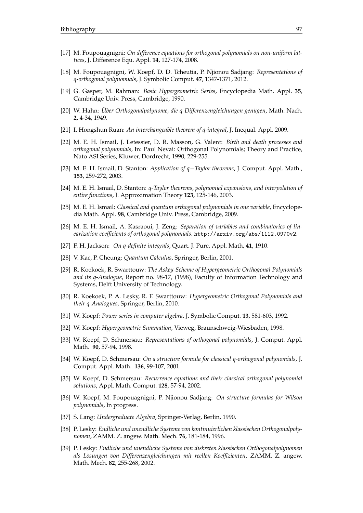- [17] M. Foupouagnigni: *On difference equations for orthogonal polynomials on non-uniform lattices*, J. Difference Equ. Appl. **14**, 127-174, 2008.
- [18] M. Foupouagnigni, W. Koepf, D. D. Tcheutia, P. Njionou Sadjang: *Representations of q-orthogonal polynomials*, J. Symbolic Comput. **47**, 1347-1371, 2012.
- [19] G. Gasper, M. Rahman: *Basic Hypergeometric Series*, Encyclopedia Math. Appl. **35**, Cambridge Univ. Press, Cambridge, 1990.
- [20] W. Hahn: *Über Orthogonalpolynome, die q-Differenzengleichungen genügen*, Math. Nach. **2**, 4-34, 1949.
- [21] I. Hongshun Ruan: *An interchangeable theorem of q-integral*, J. Inequal. Appl. 2009.
- [22] M. E. H. Ismail, J. Letessier, D. R. Masson, G. Valent: *Birth and death processes and orthogonal polynomials*, In: Paul Nevai: Orthogonal Polynomials; Theory and Practice, Nato ASI Series, Kluwer, Dordrecht, 1990, 229-255.
- [23] M. E. H. Ismail, D. Stanton: *Application of q*−*Taylor theorems*, J. Comput. Appl. Math., **153**, 259-272, 2003.
- [24] M. E. H. Ismail, D. Stanton: *q-Taylor theorems, polynomial expansions, and interpolation of entire functions*, J. Approximation Theory **123**, 125-146, 2003.
- <span id="page-104-2"></span>[25] M. E. H. Ismail: *Classical and quantum orthogonal polynomials in one variable*, Encyclopedia Math. Appl. **98**, Cambridge Univ. Press, Cambridge, 2009.
- [26] M. E. H. Ismail, A. Kasraoui, J. Zeng: *Separation of variables and combinatorics of linearization coefficients of orthogonal polynomials*. http://arxiv.org/abs/1112.0970v2.
- [27] F. H. Jackson: *On q-definite integrals*, Quart. J. Pure. Appl. Math, **41**, 1910.
- [28] V. Kac, P. Cheung: *Quantum Calculus*, Springer, Berlin, 2001.
- [29] R. Koekoek, R. Swarttouw: *The Askey-Scheme of Hypergeometric Orthogonal Polynomials and its q-Analogue*, Report no. 98-17, (1998), Faculty of Information Technology and Systems, Delft University of Technology.
- <span id="page-104-0"></span>[30] R. Koekoek, P. A. Lesky, R. F. Swarttouw: *Hypergeometric Orthogonal Polynomials and their q-Analogues*, Springer, Berlin, 2010.
- [31] W. Koepf: *Power series in computer algebra*. J. Symbolic Comput. **13**, 581-603, 1992.
- <span id="page-104-1"></span>[32] W. Koepf: *Hypergeometric Summation*, Vieweg, Braunschweig-Wiesbaden, 1998.
- [33] W. Koepf, D. Schmersau: *Representations of orthogonal polynomials*, J. Comput. Appl. Math. **90**, 57-94, 1998.
- [34] W. Koepf, D. Schmersau: *On a structure formula for classical q-orthogonal polynomials*, J. Comput. Appl. Math. **136**, 99-107, 2001.
- [35] W. Koepf, D. Schmersau: *Recurrence equations and their classical orthogonal polynomial solutions*, Appl. Math. Comput. **128**, 57-94, 2002.
- [36] W. Koepf, M. Foupouagnigni, P. Njionou Sadjang: *On structure formulas for Wilson polynomials*, In progress.
- [37] S. Lang: *Undergraduate Algebra*, Springer-Verlag, Berlin, 1990.
- [38] P. Lesky: *Endliche und unendliche Systeme von kontinuierlichen klassischen Orthogonalpolynomen*, ZAMM. Z. angew. Math. Mech. **76**, 181-184, 1996.
- [39] P. Lesky: *Endliche und unendliche Systeme von diskreten klassischen Orthogonalpolynomen als Lösungen von Differenzengleichungen mit reellen Koeffizienten*, ZAMM. Z. angew. Math. Mech. **82**, 255-268, 2002.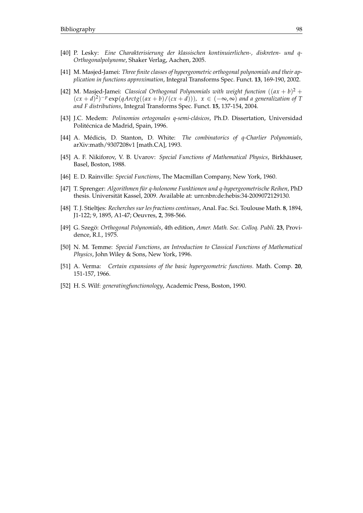- [40] P. Lesky: *Eine Charakterisierung der klassischen kontinuierlichen-, diskreten- und q-Orthogonalpolynome*, Shaker Verlag, Aachen, 2005.
- [41] M. Masjed-Jamei: *Three finite classes of hypergeometric orthogonal polynomials and their application in functions approximation*, Integral Transforms Spec. Funct. **13**, 169-190, 2002.
- [42] M. Masjed-Jamei: *Classical Orthogonal Polynomials with weight function*  $((ax + b)^2 +$  $(cx + d)^2$ <sup>-*p*</sup> exp(*qArctg*((*ax* + *b*) $/(cx + d)$ )),  $x \in (-\infty, \infty)$  *and a generalization of T and F distributions*, Integral Transforms Spec. Funct. **15**, 137-154, 2004.
- [43] J.C. Medem: *Polinomios ortogonales q-semi-clásicos*, Ph.D. Dissertation, Universidad Politécnica de Madrid, Spain, 1996.
- [44] A. Médicis, D. Stanton, D. White: *The combinatorics of q-Charlier Polynomials*, arXiv:math/9307208v1 [math.CA], 1993.
- [45] A. F. Nikiforov, V. B. Uvarov: *Special Functions of Mathematical Physics*, Birkhäuser, Basel, Boston, 1988.
- [46] E. D. Rainville: *Special Functions*, The Macmillan Company, New York, 1960.
- [47] T. Sprenger: *Algorithmen für q-holonome Funktionen und q-hypergeometrische Reihen*, PhD thesis. Universität Kassel, 2009. Available at: urn:nbn:de:hebis:34-2009072129130.
- [48] T. J. Stieltjes: *Recherches sur les fractions continues*, Anal. Fac. Sci. Toulouse Math. **8**, 1894, J1-122; 9, 1895, A1-47; Oeuvres, **2**, 398-566.
- [49] G. Szegö: *Orthogonal Polynomials*, 4th edition, *Amer. Math. Soc. Colloq. Publi.* **23**, Providence, R.I., 1975.
- [50] N. M. Temme: *Special Functions, an Introduction to Classical Functions of Mathematical Physics*, John Wiley & Sons, New York, 1996.
- [51] A. Verma: *Certain expansions of the basic hypergeometric functions.* Math. Comp. **20**, 151-157, 1966.
- [52] H. S. Wilf: *generatingfunctionology*, Academic Press, Boston, 1990.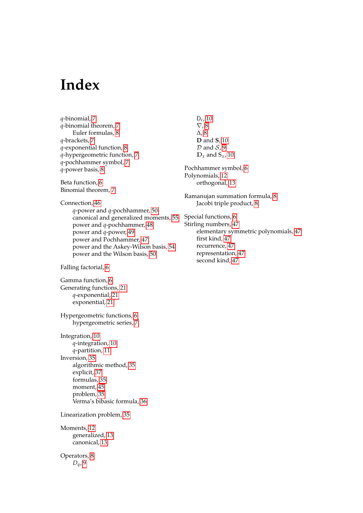## **Index**

*q*-binomial, [7](#page-14-2) *q*-binomial theorem, [7](#page-14-2) Euler formulas, [8](#page-15-2) *q*-brackets, [7](#page-14-2) *q*-exponential function, [8](#page-15-2) *q*-hypergeometric function, [7](#page-14-2) *q*-pochhammer symbol, [7](#page-14-2) *q*-power basis, [8](#page-15-2) Beta function, [6](#page-13-0) Binomial theorem, [7](#page-14-2) Connection, [46](#page-53-0) *q*-power and *q*-pochhammer, [50](#page-57-0) canonical and generalized moments, [55](#page-62-1) power and *q*-pochhammer, [48](#page-55-1) power and *q*-power, [49](#page-56-0) power and Pochhammer, [47](#page-54-0) power and the Askey-Wilson basis, [54](#page-61-1) power and the Wilson basis, [50](#page-57-0) Falling factorial, [6](#page-13-0) Gamma function, [6](#page-13-0) Generating functions, [21](#page-28-0) *q*-exponential, [21](#page-28-0) exponential, [21](#page-28-0) Hypergeometric functions, [6](#page-13-0) hypergeometric series, [7](#page-14-2) Integration, [10](#page-17-0) *q*-integration, [10](#page-17-0) *q*-partition, [11](#page-18-0) Inversion, [35](#page-42-0) algorithmic method, [35](#page-42-0) explicit, [37](#page-44-0) formulas, [35](#page-42-0) moment, [45](#page-52-1) problem, [35](#page-42-0) Verma's bibasic formula, [36](#page-43-0) Linearization problem, [35](#page-42-0) Moments, [12](#page-19-0) generalized, [13](#page-20-2) canonical, [13](#page-20-2) Operators, [8](#page-15-2) *Dq*, [9](#page-16-0)

D*ε* , [10](#page-17-0) ∇, [8](#page-15-2) ∆, [8](#page-15-2) **D** and **S**, [10](#page-17-0)  $D$  and  $S$ , [9](#page-16-0)  $D_x$  and  $S_x$ , [10](#page-17-0) Pochhammer symbol, [6](#page-13-0) Polynomials, [12](#page-19-0) orthogonal, [13](#page-20-2) Ramanujan summation formula, [8](#page-15-2) Jacobi triple product, [8](#page-15-2) Special functions, [6](#page-13-0) Stirling numbers, [47](#page-54-0) elementary symmetric polynomials, [47](#page-54-0) first kind, [47](#page-54-0) recurrence, [47](#page-54-0) representation, [47](#page-54-0)

second kind, [47](#page-54-0)